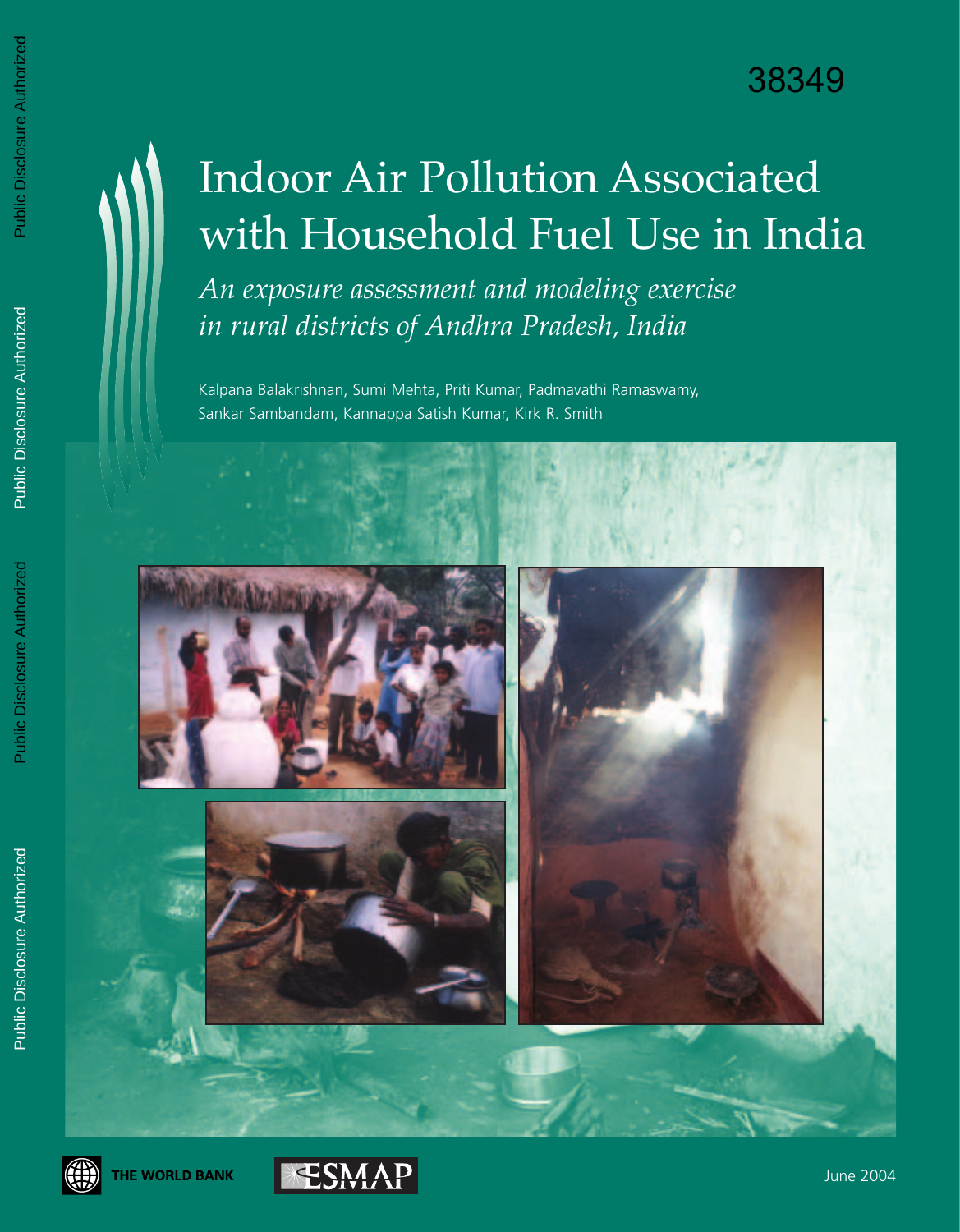# Indoor Air Pollution Associated with Household Fuel Use in India

*An exposure assessment and modeling exercise in rural districts of Andhra Pradesh, India*

Kalpana Balakrishnan, Sumi Mehta, Priti Kumar, Padmavathi Ramaswamy, Sankar Sambandam, Kannappa Satish Kumar, Kirk R. Smith







June 2004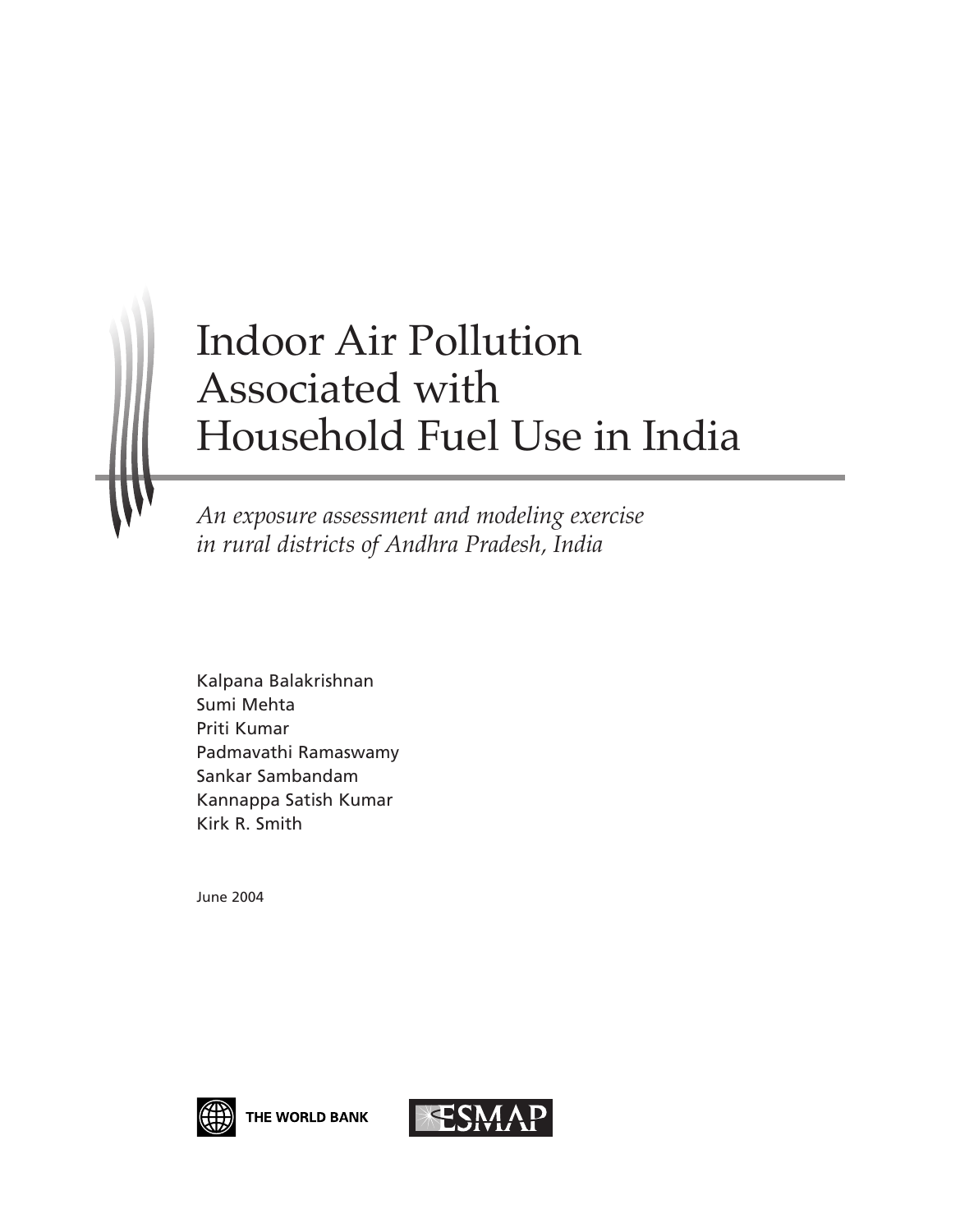# Indoor Air Pollution Associated with Household Fuel Use in India

*An exposure assessment and modeling exercise in rural districts of Andhra Pradesh, India*

Kalpana Balakrishnan Sumi Mehta Priti Kumar Padmavathi Ramaswamy Sankar Sambandam Kannappa Satish Kumar Kirk R. Smith

June 2004



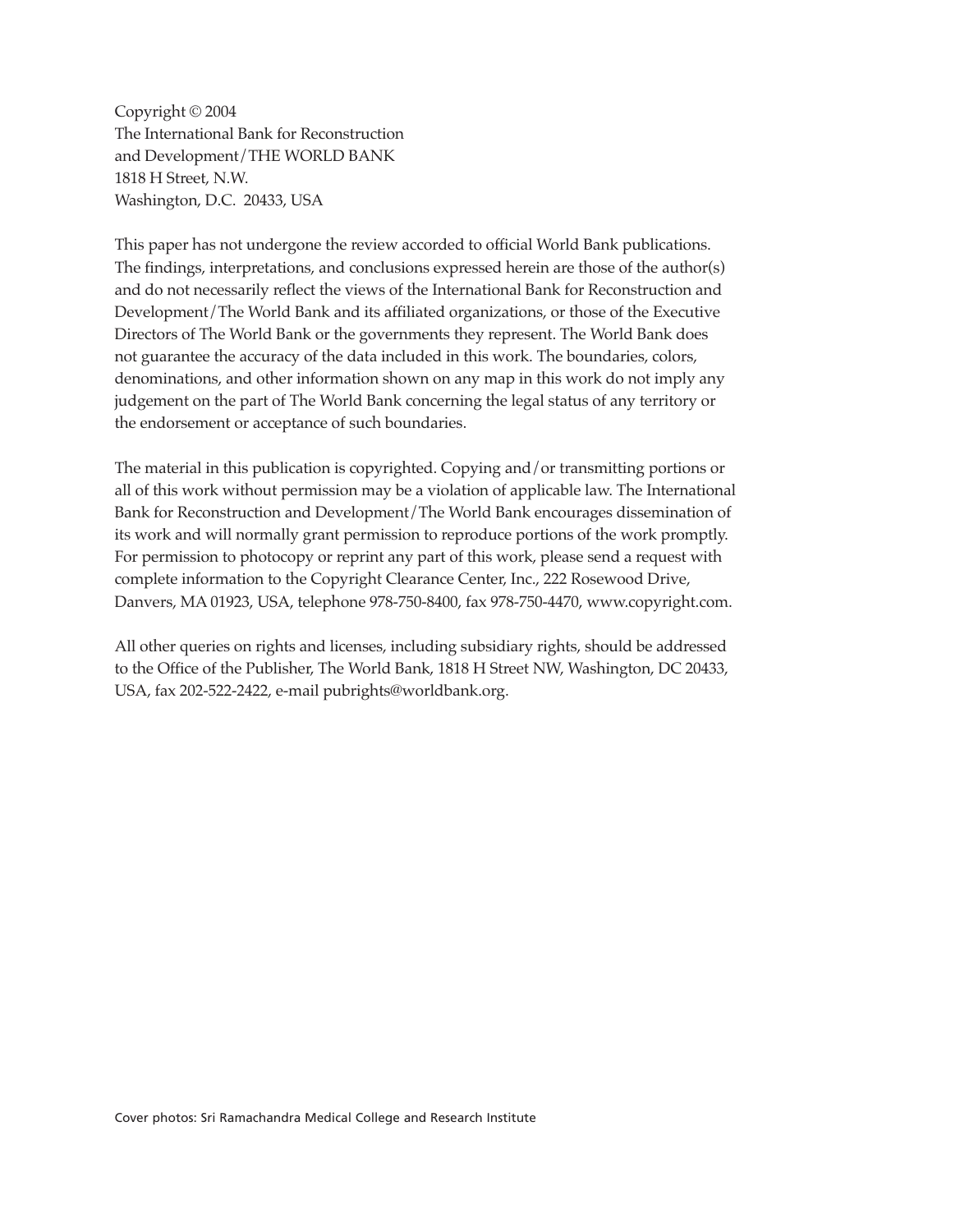Copyright © 2004 The International Bank for Reconstruction and Development/THE WORLD BANK 1818 H Street, N.W. Washington, D.C. 20433, USA

This paper has not undergone the review accorded to official World Bank publications. The findings, interpretations, and conclusions expressed herein are those of the author(s) and do not necessarily reflect the views of the International Bank for Reconstruction and Development/The World Bank and its affiliated organizations, or those of the Executive Directors of The World Bank or the governments they represent. The World Bank does not guarantee the accuracy of the data included in this work. The boundaries, colors, denominations, and other information shown on any map in this work do not imply any judgement on the part of The World Bank concerning the legal status of any territory or the endorsement or acceptance of such boundaries.

The material in this publication is copyrighted. Copying and/or transmitting portions or all of this work without permission may be a violation of applicable law. The International Bank for Reconstruction and Development/The World Bank encourages dissemination of its work and will normally grant permission to reproduce portions of the work promptly. For permission to photocopy or reprint any part of this work, please send a request with complete information to the Copyright Clearance Center, Inc., 222 Rosewood Drive, Danvers, MA 01923, USA, telephone 978-750-8400, fax 978-750-4470, www.copyright.com.

All other queries on rights and licenses, including subsidiary rights, should be addressed to the Office of the Publisher, The World Bank, 1818 H Street NW, Washington, DC 20433, USA, fax 202-522-2422, e-mail pubrights@worldbank.org.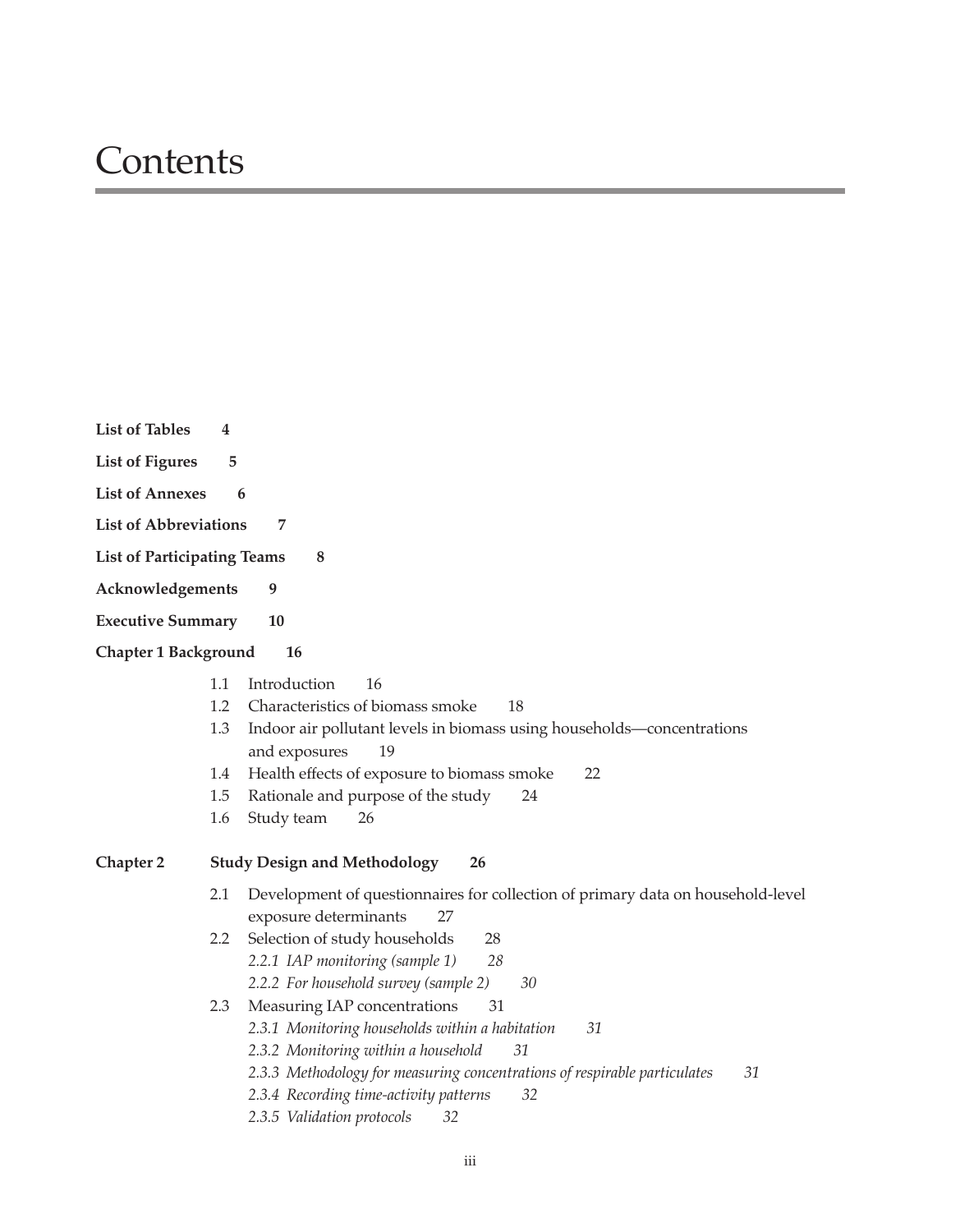### **Contents**

| <b>List of Tables</b><br>4             |                                                                                                                                                                                                                                                                                                                 |
|----------------------------------------|-----------------------------------------------------------------------------------------------------------------------------------------------------------------------------------------------------------------------------------------------------------------------------------------------------------------|
| <b>List of Figures</b><br>5            |                                                                                                                                                                                                                                                                                                                 |
| <b>List of Annexes</b><br>6            |                                                                                                                                                                                                                                                                                                                 |
| <b>List of Abbreviations</b>           | 7                                                                                                                                                                                                                                                                                                               |
| <b>List of Participating Teams</b>     | 8                                                                                                                                                                                                                                                                                                               |
| Acknowledgements                       | 9                                                                                                                                                                                                                                                                                                               |
| <b>Executive Summary</b>               | 10                                                                                                                                                                                                                                                                                                              |
| <b>Chapter 1 Background</b>            | 16                                                                                                                                                                                                                                                                                                              |
| 1.1<br>1.2<br>1.3<br>1.4<br>1.5<br>1.6 | Introduction<br>16<br>Characteristics of biomass smoke<br>18<br>Indoor air pollutant levels in biomass using households-concentrations<br>and exposures<br>19<br>Health effects of exposure to biomass smoke<br>22<br>Rationale and purpose of the study<br>24<br>Study team<br>26                              |
| <b>Chapter 2</b>                       | <b>Study Design and Methodology</b><br>26                                                                                                                                                                                                                                                                       |
| 2.1                                    | Development of questionnaires for collection of primary data on household-level                                                                                                                                                                                                                                 |
| 2.2                                    | exposure determinants<br>27<br>Selection of study households<br>28<br>2.2.1 IAP monitoring (sample 1)<br>28<br>2.2.2 For household survey (sample 2)<br>30                                                                                                                                                      |
| 2.3                                    | Measuring IAP concentrations<br>31<br>2.3.1 Monitoring households within a habitation<br>31<br>2.3.2 Monitoring within a household<br>31<br>2.3.3 Methodology for measuring concentrations of respirable particulates<br>31<br>2.3.4 Recording time-activity patterns<br>32<br>2.3.5 Validation protocols<br>32 |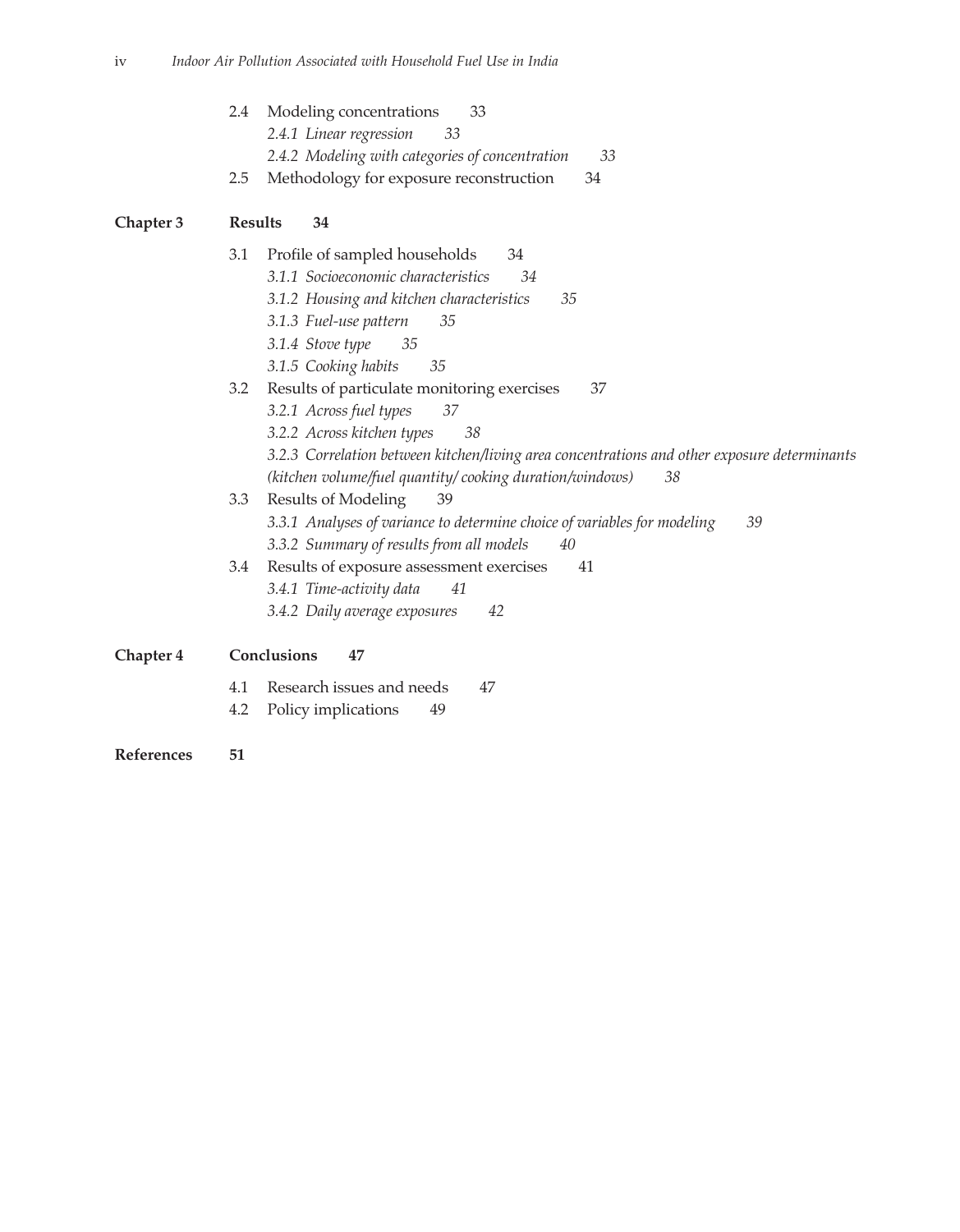| 2.4 Modeling concentrations<br>33               |    |
|-------------------------------------------------|----|
| 2.4.1 Linear regression<br>-33                  |    |
| 2.4.2 Modeling with categories of concentration | 33 |
| 2.5 Methodology for exposure reconstruction     | 34 |

### **Chapter 3 Results 34**

|           | Profile of sampled households<br>34<br>3.1<br>3.1.1 Socioeconomic characteristics<br>34<br>35<br>3.1.2 Housing and kitchen characteristics<br>3.1.3 Fuel-use pattern<br>35<br>3.1.4 Stove type<br>35<br>3.1.5 Cooking habits<br>35                                                             |  |  |  |
|-----------|------------------------------------------------------------------------------------------------------------------------------------------------------------------------------------------------------------------------------------------------------------------------------------------------|--|--|--|
|           | Results of particulate monitoring exercises<br>37<br>3.2<br>3.2.1 Across fuel types<br>37<br>3.2.2 Across kitchen types<br>38<br>3.2.3 Correlation between kitchen/living area concentrations and other exposure determinants<br>(kitchen volume/fuel quantity/cooking duration/windows)<br>38 |  |  |  |
|           | Results of Modeling<br>3.3<br>39<br>3.3.1 Analyses of variance to determine choice of variables for modeling<br>39<br>3.3.2 Summary of results from all models<br>40                                                                                                                           |  |  |  |
|           | Results of exposure assessment exercises<br>3.4<br>41<br>3.4.1 Time-activity data<br>41<br>3.4.2 Daily average exposures<br>42                                                                                                                                                                 |  |  |  |
| Chapter 4 | Conclusions<br>47                                                                                                                                                                                                                                                                              |  |  |  |
|           | Research issues and needs<br>4.1<br>47<br>Policy implications<br>49<br>4.2                                                                                                                                                                                                                     |  |  |  |

**References 51**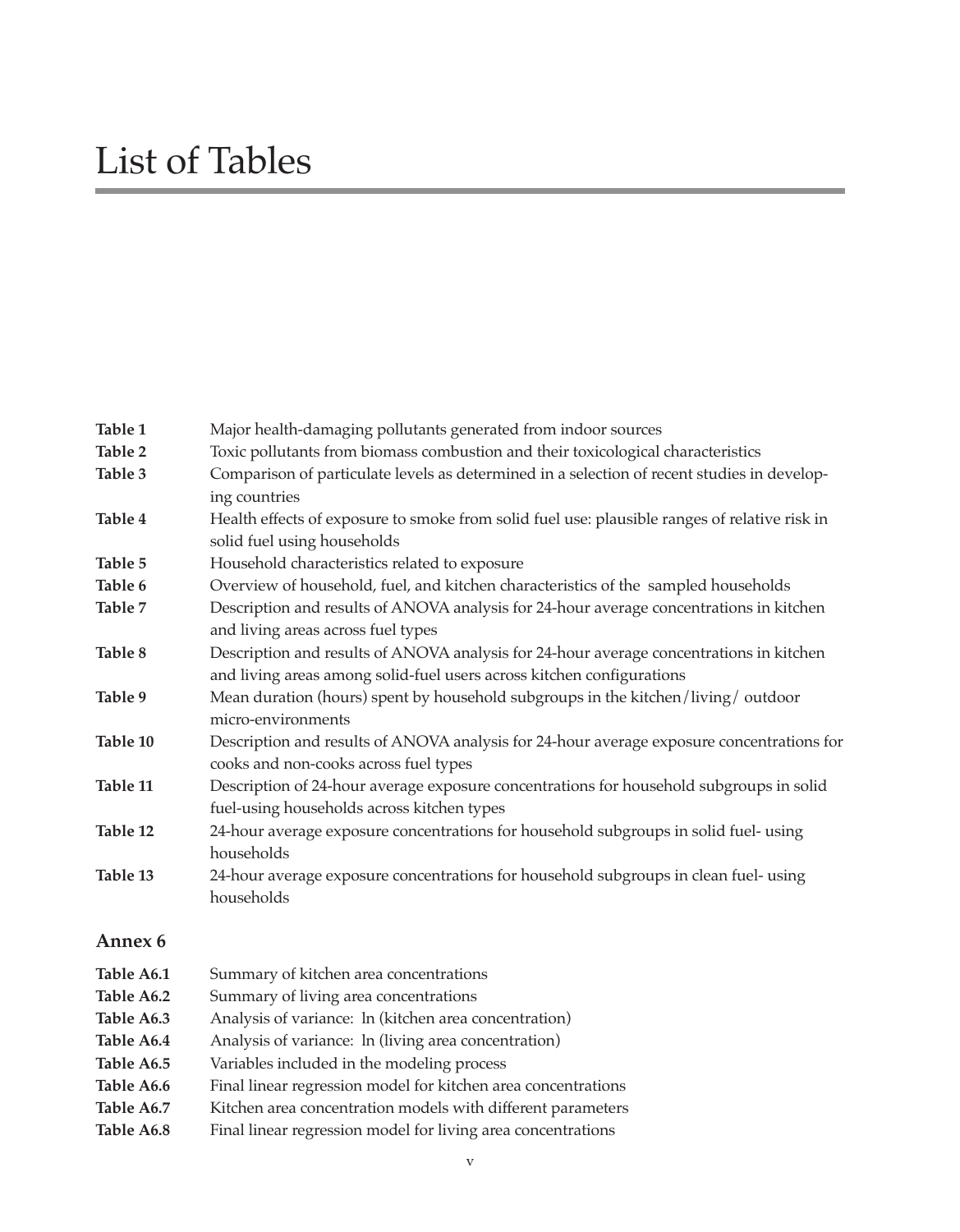## List of Tables

| Table 1    | Major health-damaging pollutants generated from indoor sources                                |  |
|------------|-----------------------------------------------------------------------------------------------|--|
| Table 2    | Toxic pollutants from biomass combustion and their toxicological characteristics              |  |
| Table 3    | Comparison of particulate levels as determined in a selection of recent studies in develop-   |  |
|            | ing countries                                                                                 |  |
| Table 4    | Health effects of exposure to smoke from solid fuel use: plausible ranges of relative risk in |  |
|            | solid fuel using households                                                                   |  |
| Table 5    | Household characteristics related to exposure                                                 |  |
| Table 6    | Overview of household, fuel, and kitchen characteristics of the sampled households            |  |
| Table 7    | Description and results of ANOVA analysis for 24-hour average concentrations in kitchen       |  |
|            | and living areas across fuel types                                                            |  |
| Table 8    | Description and results of ANOVA analysis for 24-hour average concentrations in kitchen       |  |
|            | and living areas among solid-fuel users across kitchen configurations                         |  |
| Table 9    | Mean duration (hours) spent by household subgroups in the kitchen/living/outdoor              |  |
|            | micro-environments                                                                            |  |
| Table 10   | Description and results of ANOVA analysis for 24-hour average exposure concentrations for     |  |
|            | cooks and non-cooks across fuel types                                                         |  |
| Table 11   | Description of 24-hour average exposure concentrations for household subgroups in solid       |  |
|            | fuel-using households across kitchen types                                                    |  |
| Table 12   | 24-hour average exposure concentrations for household subgroups in solid fuel- using          |  |
|            | households                                                                                    |  |
| Table 13   | 24-hour average exposure concentrations for household subgroups in clean fuel- using          |  |
|            | households                                                                                    |  |
| Annex 6    |                                                                                               |  |
| Table A6.1 | Summary of kitchen area concentrations                                                        |  |
| Table A6.2 | Summary of living area concentrations                                                         |  |
| Table A6.3 | Analysis of variance: ln (kitchen area concentration)                                         |  |
| Table A6.4 | Analysis of variance: ln (living area concentration)                                          |  |
| Table A6.5 | Variables included in the modeling process                                                    |  |
| Table A6.6 | Final linear regression model for kitchen area concentrations                                 |  |
| Table A6.7 | Kitchen area concentration models with different parameters                                   |  |
|            |                                                                                               |  |

Table A6.8 Final linear regression model for living area concentrations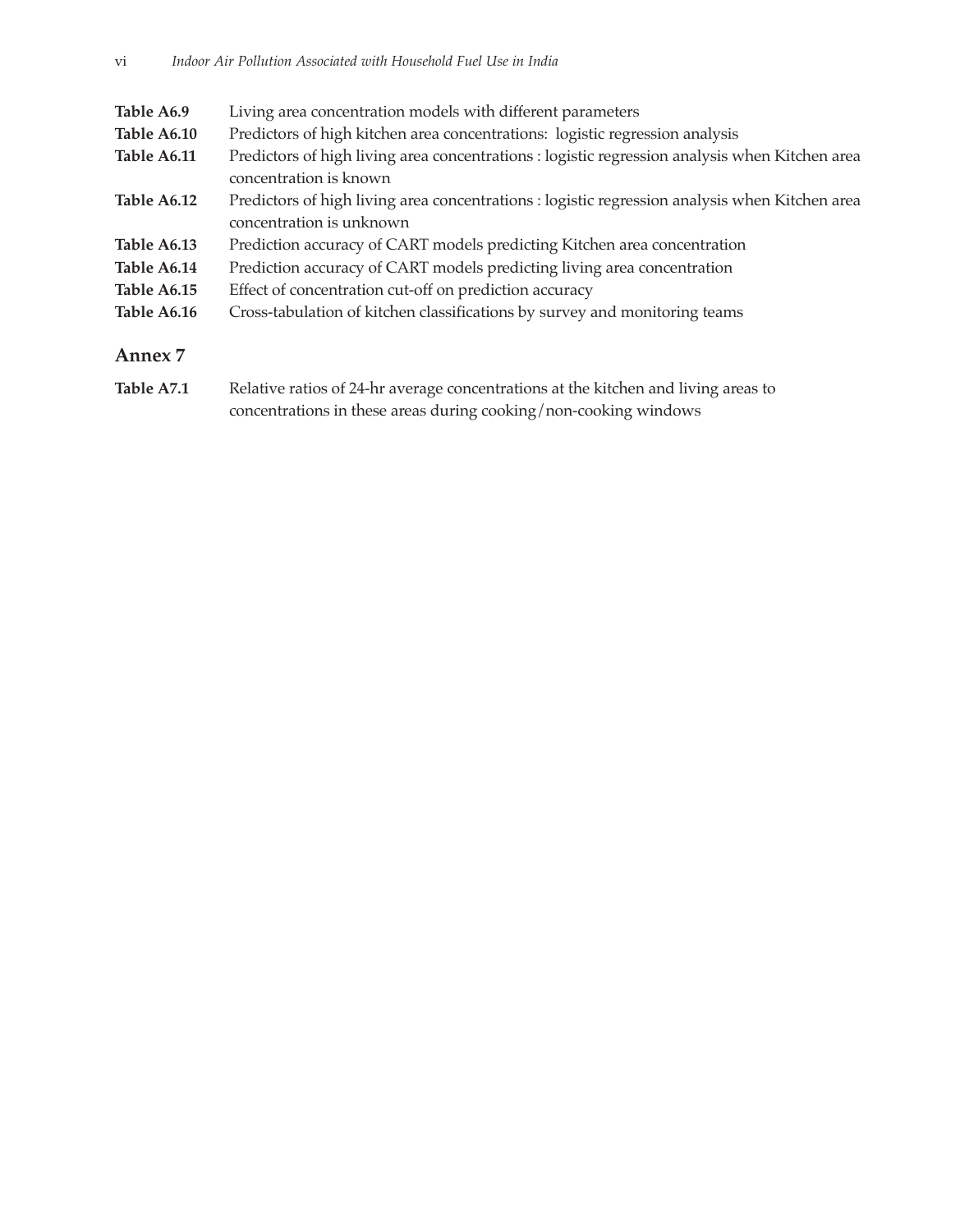| Table A6.9  | Living area concentration models with different parameters                                                                 |
|-------------|----------------------------------------------------------------------------------------------------------------------------|
| Table A6.10 | Predictors of high kitchen area concentrations: logistic regression analysis                                               |
| Table A6.11 | Predictors of high living area concentrations : logistic regression analysis when Kitchen area<br>concentration is known   |
| Table A6.12 | Predictors of high living area concentrations : logistic regression analysis when Kitchen area<br>concentration is unknown |
| Table A6.13 | Prediction accuracy of CART models predicting Kitchen area concentration                                                   |
| Table A6.14 | Prediction accuracy of CART models predicting living area concentration                                                    |
| Table A6.15 | Effect of concentration cut-off on prediction accuracy                                                                     |
| Table A6.16 | Cross-tabulation of kitchen classifications by survey and monitoring teams                                                 |
|             |                                                                                                                            |

#### **Annex 7**

Table A7.1 Relative ratios of 24-hr average concentrations at the kitchen and living areas to concentrations in these areas during cooking/non-cooking windows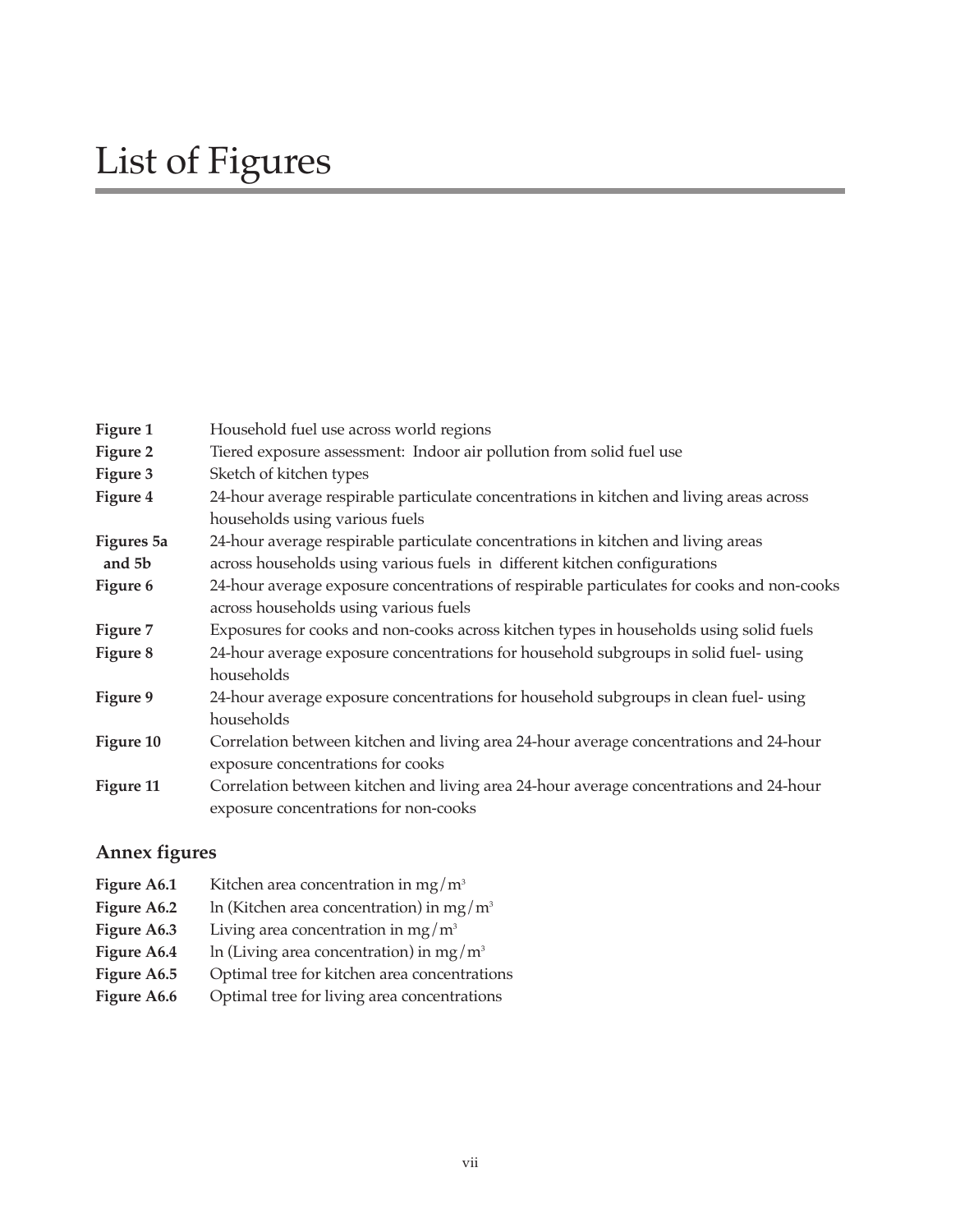| Figure 1   | Household fuel use across world regions                                                    |  |  |
|------------|--------------------------------------------------------------------------------------------|--|--|
| Figure 2   | Tiered exposure assessment: Indoor air pollution from solid fuel use                       |  |  |
| Figure 3   | Sketch of kitchen types                                                                    |  |  |
| Figure 4   | 24-hour average respirable particulate concentrations in kitchen and living areas across   |  |  |
|            | households using various fuels                                                             |  |  |
| Figures 5a | 24-hour average respirable particulate concentrations in kitchen and living areas          |  |  |
| and 5b     | across households using various fuels in different kitchen configurations                  |  |  |
| Figure 6   | 24-hour average exposure concentrations of respirable particulates for cooks and non-cooks |  |  |
|            | across households using various fuels                                                      |  |  |
| Figure 7   | Exposures for cooks and non-cooks across kitchen types in households using solid fuels     |  |  |
| Figure 8   | 24-hour average exposure concentrations for household subgroups in solid fuel- using       |  |  |
|            | households                                                                                 |  |  |
| Figure 9   | 24-hour average exposure concentrations for household subgroups in clean fuel- using       |  |  |
|            | households                                                                                 |  |  |
| Figure 10  | Correlation between kitchen and living area 24-hour average concentrations and 24-hour     |  |  |
|            | exposure concentrations for cooks                                                          |  |  |
| Figure 11  | Correlation between kitchen and living area 24-hour average concentrations and 24-hour     |  |  |
|            | exposure concentrations for non-cooks                                                      |  |  |
|            |                                                                                            |  |  |

#### **Annex figures**

**Figure A6.1** Kitchen area concentration in mg/m<sup>3</sup> **Figure A6.2** ln (Kitchen area concentration) in mg/m<sup>3</sup> **Figure A6.3** Living area concentration in mg/m<sup>3</sup> **Figure A6.4** ln (Living area concentration) in mg/m<sup>3</sup> Figure A6.5 Optimal tree for kitchen area concentrations Figure A6.6 Optimal tree for living area concentrations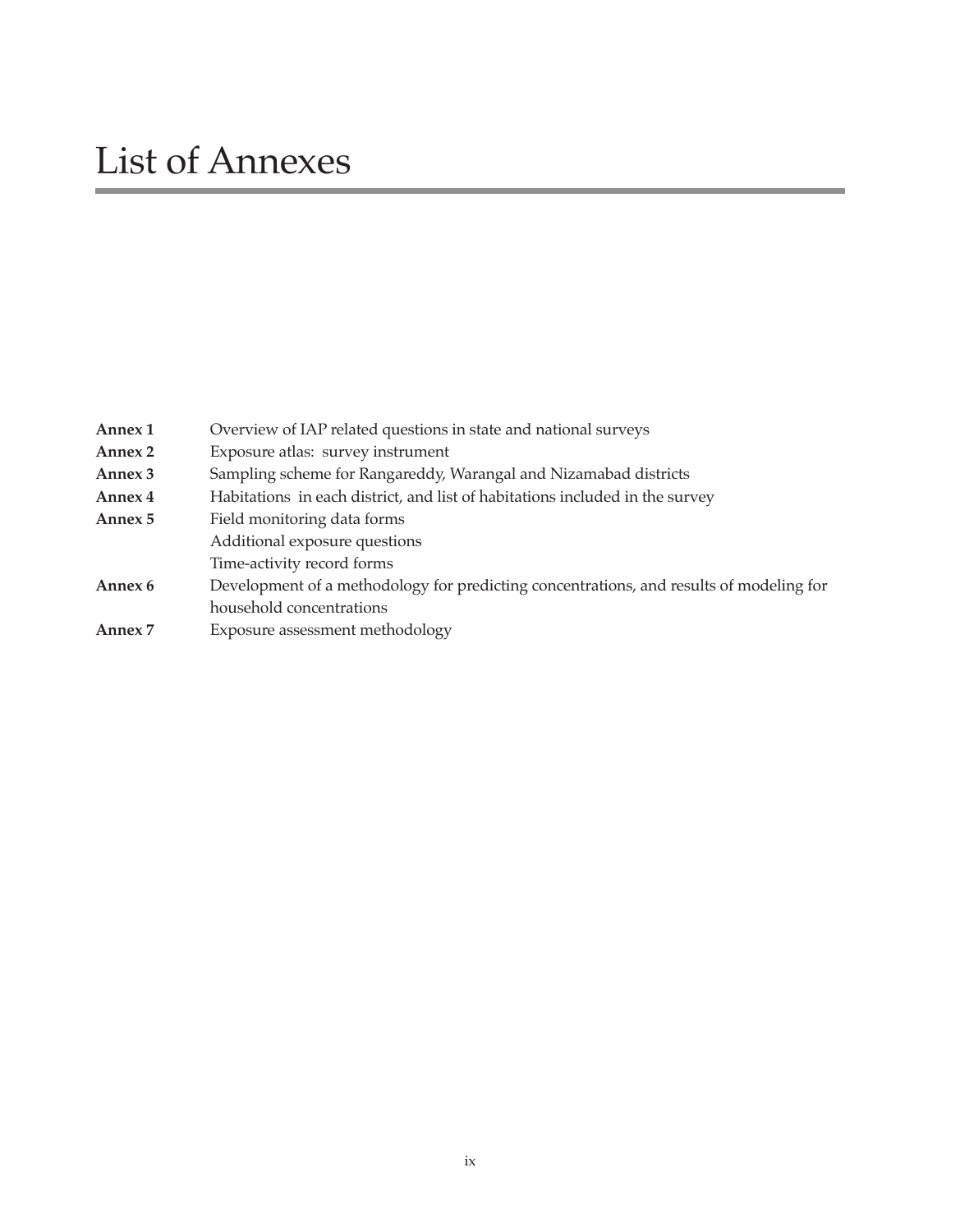| Annex 1 | Overview of IAP related questions in state and national surveys                         |  |
|---------|-----------------------------------------------------------------------------------------|--|
| Annex 2 | Exposure atlas: survey instrument                                                       |  |
| Annex 3 | Sampling scheme for Rangareddy, Warangal and Nizamabad districts                        |  |
| Annex 4 | Habitations in each district, and list of habitations included in the survey            |  |
| Annex 5 | Field monitoring data forms                                                             |  |
|         | Additional exposure questions                                                           |  |
|         | Time-activity record forms                                                              |  |
| Annex 6 | Development of a methodology for predicting concentrations, and results of modeling for |  |
|         | household concentrations                                                                |  |
| Annex 7 | Exposure assessment methodology                                                         |  |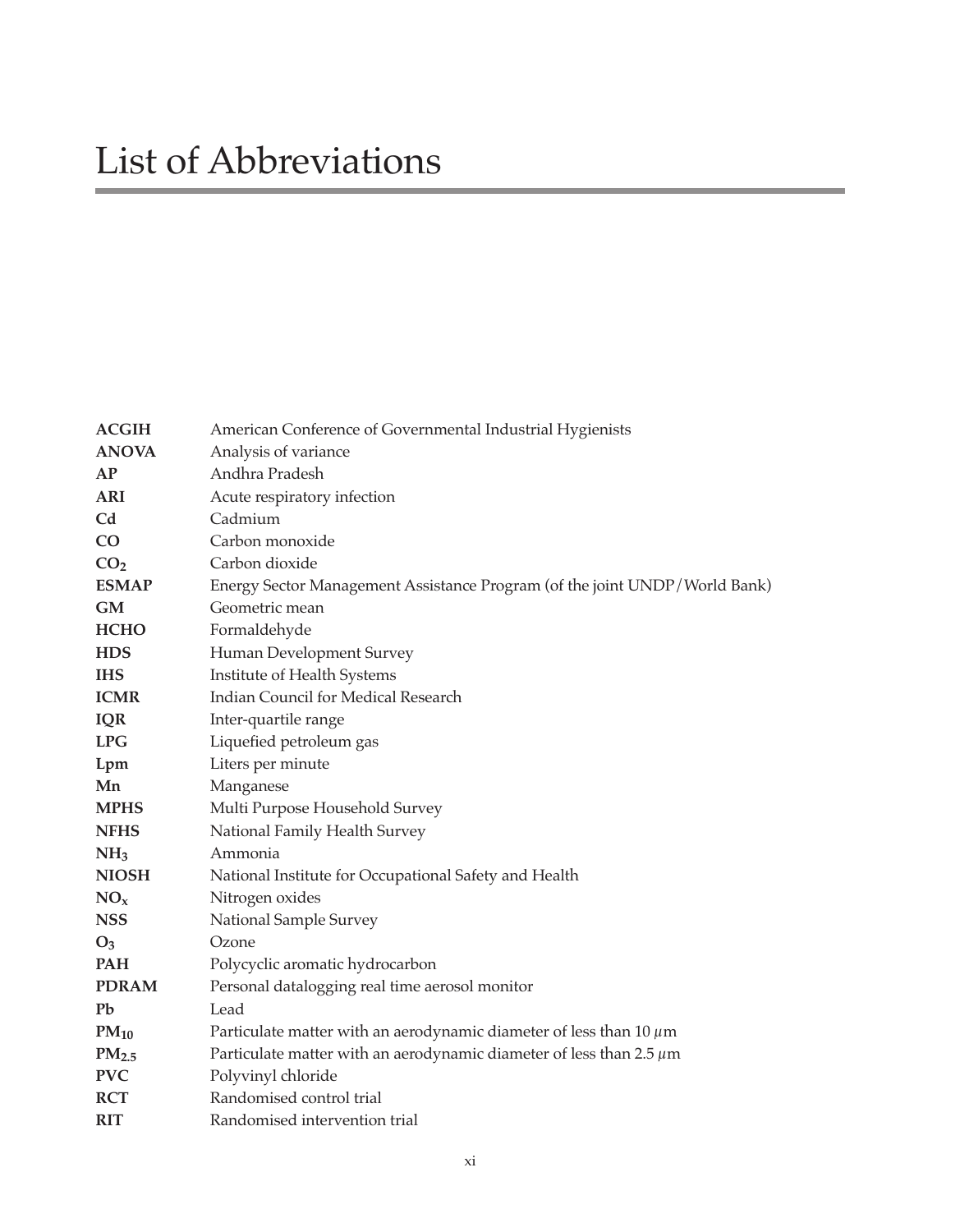| <b>ACGIH</b>      | American Conference of Governmental Industrial Hygienists                  |  |
|-------------------|----------------------------------------------------------------------------|--|
| <b>ANOVA</b>      | Analysis of variance                                                       |  |
| AP                | Andhra Pradesh                                                             |  |
| <b>ARI</b>        | Acute respiratory infection                                                |  |
| C <sub>d</sub>    | Cadmium                                                                    |  |
| CO <sub>2</sub>   | Carbon monoxide                                                            |  |
| CO <sub>2</sub>   | Carbon dioxide                                                             |  |
| <b>ESMAP</b>      | Energy Sector Management Assistance Program (of the joint UNDP/World Bank) |  |
| <b>GM</b>         | Geometric mean                                                             |  |
| <b>HCHO</b>       | Formaldehyde                                                               |  |
| <b>HDS</b>        | Human Development Survey                                                   |  |
| <b>IHS</b>        | Institute of Health Systems                                                |  |
| <b>ICMR</b>       | Indian Council for Medical Research                                        |  |
| <b>IQR</b>        | Inter-quartile range                                                       |  |
| <b>LPG</b>        | Liquefied petroleum gas                                                    |  |
| Lpm               | Liters per minute                                                          |  |
| Mn                | Manganese                                                                  |  |
| <b>MPHS</b>       | Multi Purpose Household Survey                                             |  |
| <b>NFHS</b>       | National Family Health Survey                                              |  |
| NH <sub>3</sub>   | Ammonia                                                                    |  |
| <b>NIOSH</b>      | National Institute for Occupational Safety and Health                      |  |
| NO <sub>x</sub>   | Nitrogen oxides                                                            |  |
| <b>NSS</b>        | National Sample Survey                                                     |  |
| $O_3$             | Ozone                                                                      |  |
| <b>PAH</b>        | Polycyclic aromatic hydrocarbon                                            |  |
| <b>PDRAM</b>      | Personal datalogging real time aerosol monitor                             |  |
| Pb                | Lead                                                                       |  |
| $PM_{10}$         | Particulate matter with an aerodynamic diameter of less than 10 $\mu$ m    |  |
| PM <sub>2.5</sub> | Particulate matter with an aerodynamic diameter of less than $2.5 \mu m$   |  |
| <b>PVC</b>        | Polyvinyl chloride                                                         |  |
| <b>RCT</b>        | Randomised control trial                                                   |  |
| <b>RIT</b>        | Randomised intervention trial                                              |  |
|                   |                                                                            |  |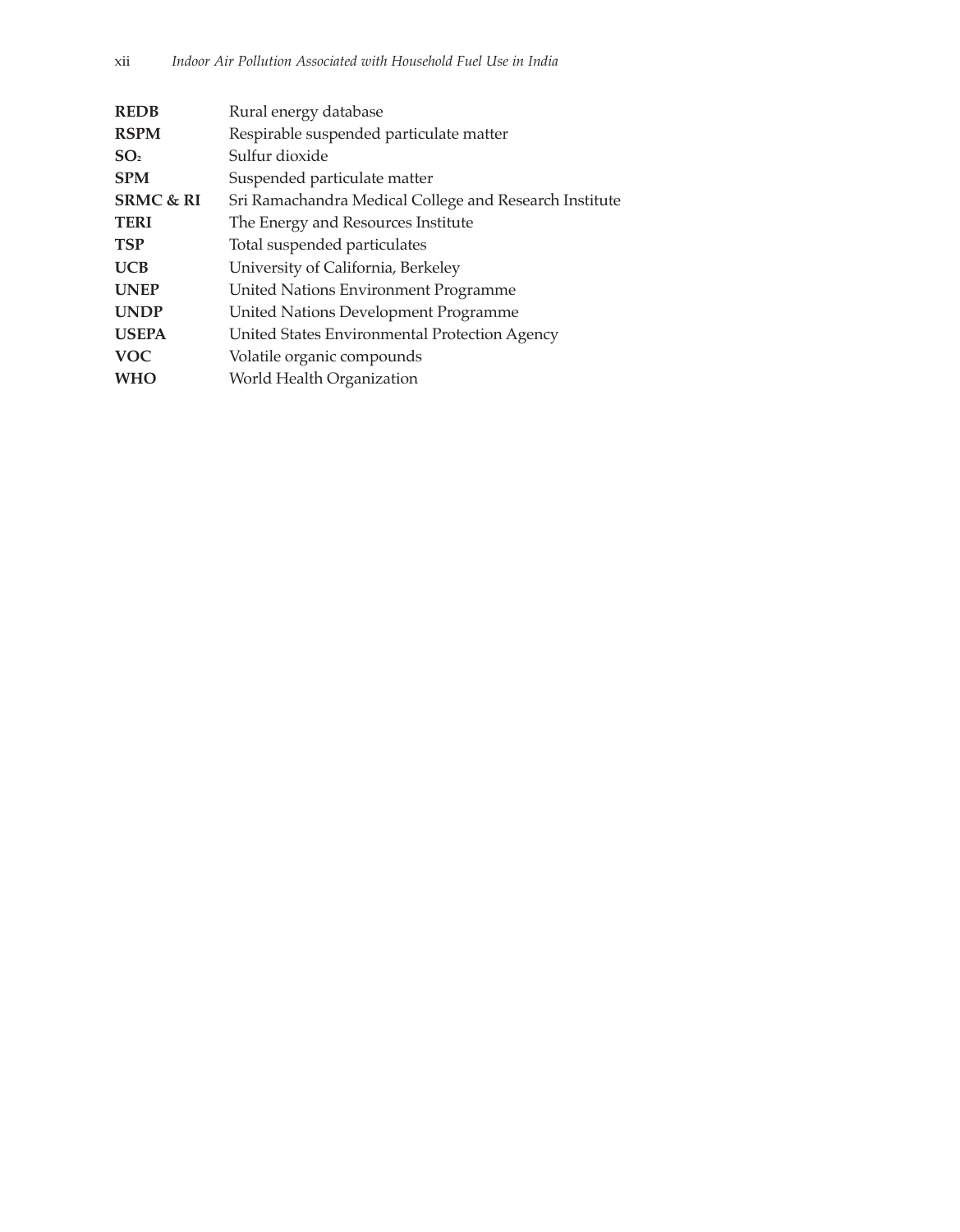| <b>REDB</b>          | Rural energy database                                  |  |
|----------------------|--------------------------------------------------------|--|
| <b>RSPM</b>          | Respirable suspended particulate matter                |  |
| SO <sub>2</sub>      | Sulfur dioxide                                         |  |
| <b>SPM</b>           | Suspended particulate matter                           |  |
| <b>SRMC &amp; RI</b> | Sri Ramachandra Medical College and Research Institute |  |
| <b>TERI</b>          | The Energy and Resources Institute                     |  |
| <b>TSP</b>           | Total suspended particulates                           |  |
| <b>UCB</b>           | University of California, Berkeley                     |  |
| <b>UNEP</b>          | United Nations Environment Programme                   |  |
| <b>UNDP</b>          | <b>United Nations Development Programme</b>            |  |
| <b>USEPA</b>         | United States Environmental Protection Agency          |  |
| <b>VOC</b>           | Volatile organic compounds                             |  |
| <b>WHO</b>           | World Health Organization                              |  |
|                      |                                                        |  |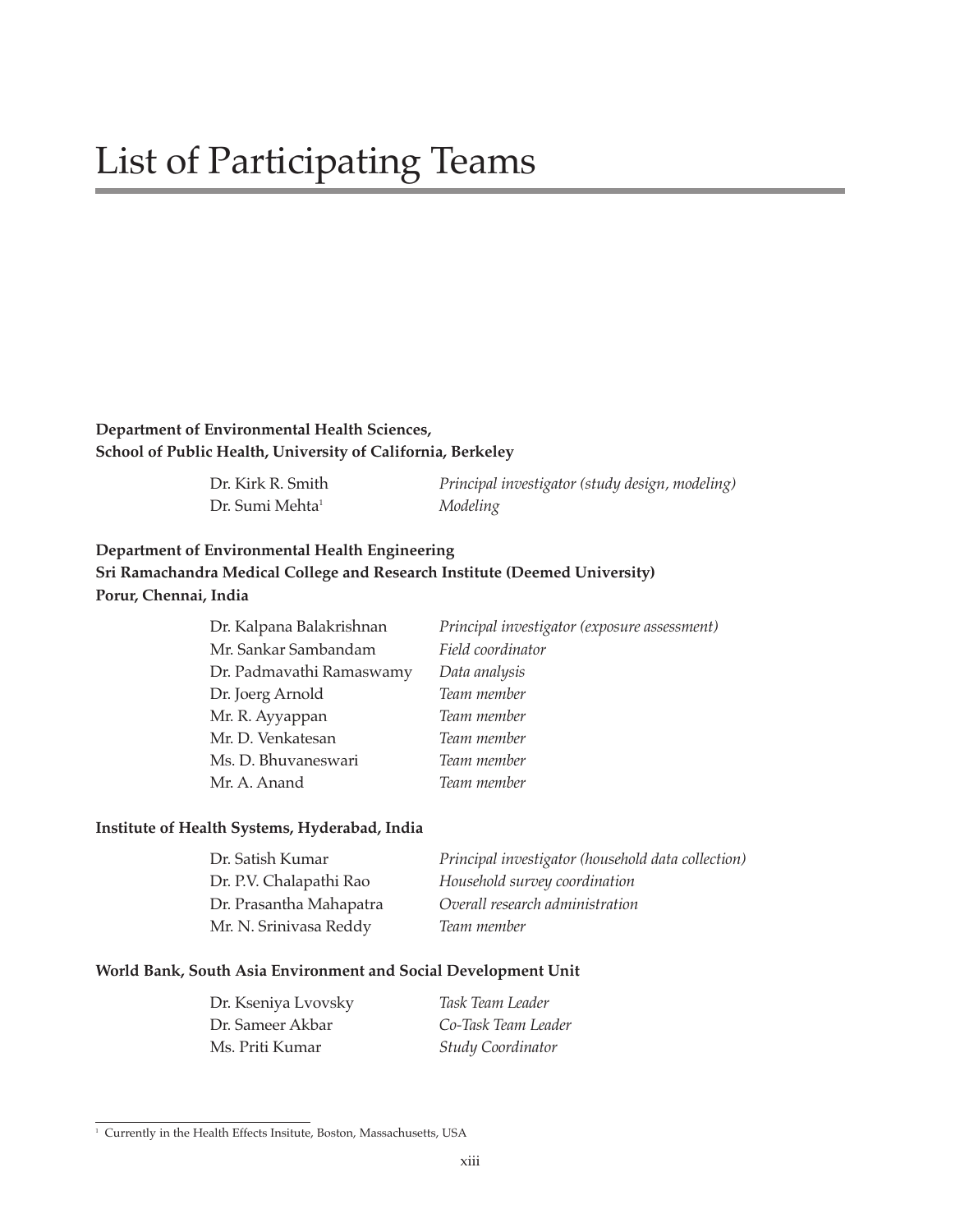#### **Department of Environmental Health Sciences, School of Public Health, University of California, Berkeley**

Dr. Sumi Mehta<sup>1</sup> Modeling

Dr. Kirk R. Smith *Principal investigator (study design, modeling)*

#### **Department of Environmental Health Engineering Sri Ramachandra Medical College and Research Institute (Deemed University) Porur, Chennai, India**

| Dr. Kalpana Balakrishnan | Principal investigator (exposure assessment) |  |
|--------------------------|----------------------------------------------|--|
| Mr. Sankar Sambandam     | Field coordinator                            |  |
| Dr. Padmavathi Ramaswamy | Data analysis                                |  |
| Dr. Joerg Arnold         | Team member                                  |  |
| Mr. R. Ayyappan          | Team member                                  |  |
| Mr. D. Venkatesan        | Team member                                  |  |
| Ms. D. Bhuvaneswari      | Team member                                  |  |
| Mr. A. Anand             | Team member                                  |  |

#### **Institute of Health Systems, Hyderabad, India**

| Dr. Satish Kumar        | Principal investigator (household data collection) |
|-------------------------|----------------------------------------------------|
| Dr. P.V. Chalapathi Rao | Household survey coordination                      |
| Dr. Prasantha Mahapatra | Overall research administration                    |
| Mr. N. Srinivasa Reddy  | Team member                                        |

#### **World Bank, South Asia Environment and Social Development Unit**

| Dr. Kseniya Lvovsky | Task Team Leader         |
|---------------------|--------------------------|
| Dr. Sameer Akbar    | Co-Task Team Leader      |
| Ms. Priti Kumar     | <b>Study Coordinator</b> |

 $\overline{1}$  Currently in the Health Effects Insitute, Boston, Massachusetts, USA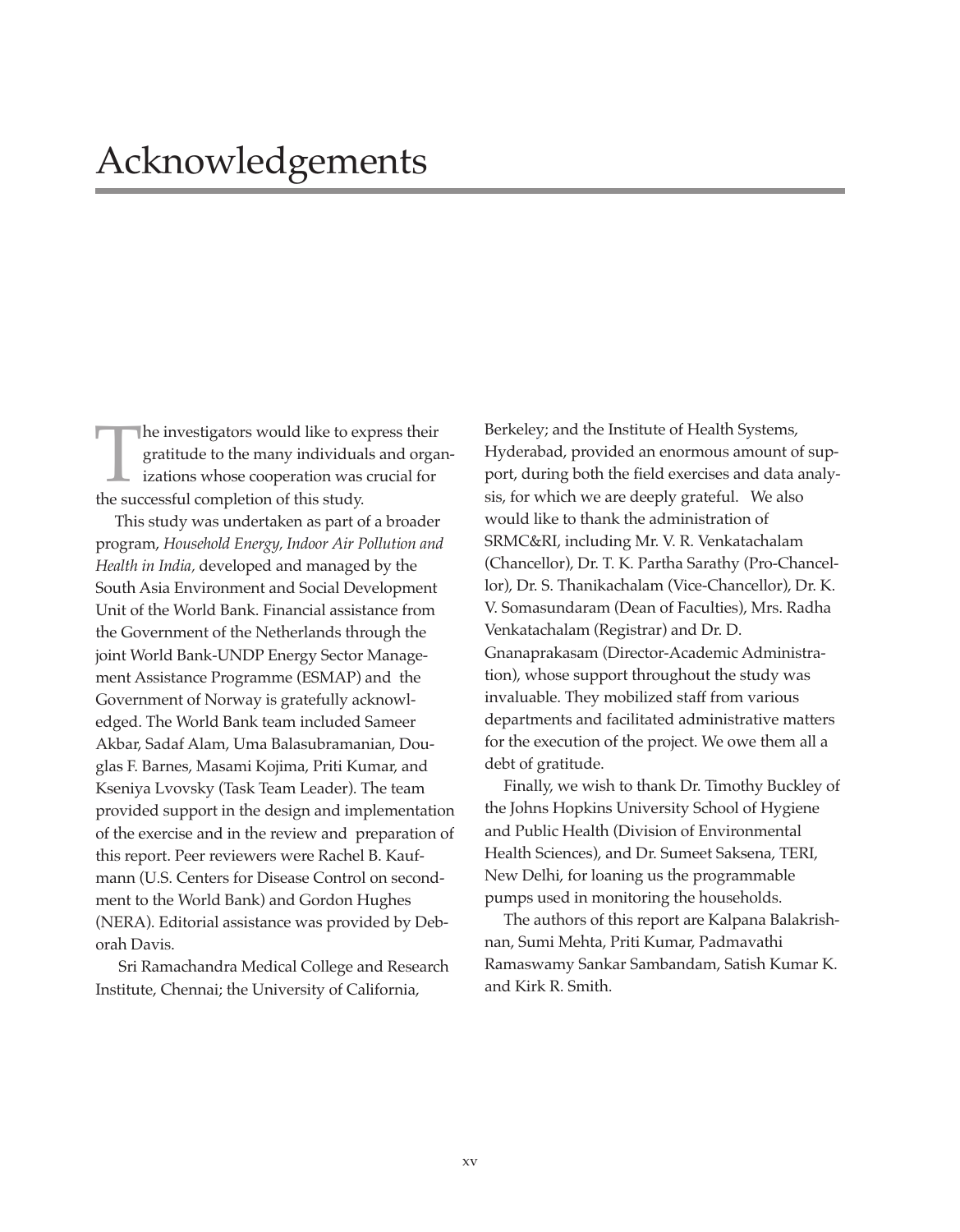The investigators would like to express their<br>gratitude to the many individuals and orga<br>izations whose cooperation was crucial for<br>the successful completion of this study. gratitude to the many individuals and organizations whose cooperation was crucial for the successful completion of this study.

This study was undertaken as part of a broader program, *Household Energy, Indoor Air Pollution and Health in India,* developed and managed by the South Asia Environment and Social Development Unit of the World Bank. Financial assistance from the Government of the Netherlands through the joint World Bank-UNDP Energy Sector Management Assistance Programme (ESMAP) and the Government of Norway is gratefully acknowledged. The World Bank team included Sameer Akbar, Sadaf Alam, Uma Balasubramanian, Douglas F. Barnes, Masami Kojima, Priti Kumar, and Kseniya Lvovsky (Task Team Leader). The team provided support in the design and implementation of the exercise and in the review and preparation of this report. Peer reviewers were Rachel B. Kaufmann (U.S. Centers for Disease Control on secondment to the World Bank) and Gordon Hughes (NERA). Editorial assistance was provided by Deborah Davis.

Sri Ramachandra Medical College and Research Institute, Chennai; the University of California,

Berkeley; and the Institute of Health Systems, Hyderabad, provided an enormous amount of support, during both the field exercises and data analysis, for which we are deeply grateful. We also would like to thank the administration of SRMC&RI, including Mr. V. R. Venkatachalam (Chancellor), Dr. T. K. Partha Sarathy (Pro-Chancellor), Dr. S. Thanikachalam (Vice-Chancellor), Dr. K. V. Somasundaram (Dean of Faculties), Mrs. Radha Venkatachalam (Registrar) and Dr. D. Gnanaprakasam (Director-Academic Administration), whose support throughout the study was invaluable. They mobilized staff from various departments and facilitated administrative matters for the execution of the project. We owe them all a debt of gratitude.

Finally, we wish to thank Dr. Timothy Buckley of the Johns Hopkins University School of Hygiene and Public Health (Division of Environmental Health Sciences), and Dr. Sumeet Saksena, TERI, New Delhi, for loaning us the programmable pumps used in monitoring the households.

The authors of this report are Kalpana Balakrishnan, Sumi Mehta, Priti Kumar, Padmavathi Ramaswamy Sankar Sambandam, Satish Kumar K. and Kirk R. Smith.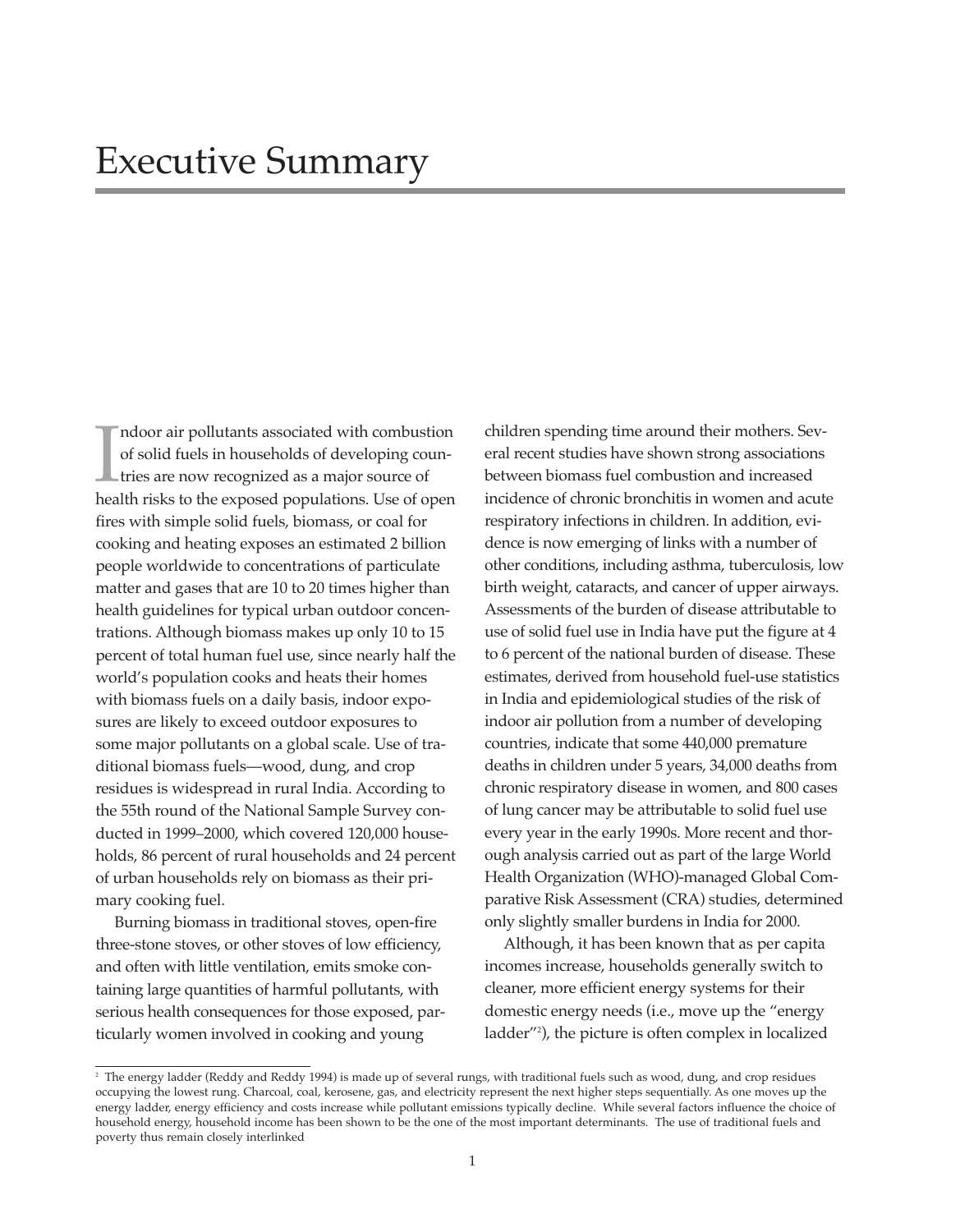$\prod_{\text{hea}}$ ndoor air pollutants associated with combustion of solid fuels in households of developing countries are now recognized as a major source of health risks to the exposed populations. Use of open fires with simple solid fuels, biomass, or coal for cooking and heating exposes an estimated 2 billion people worldwide to concentrations of particulate matter and gases that are 10 to 20 times higher than health guidelines for typical urban outdoor concentrations. Although biomass makes up only 10 to 15 percent of total human fuel use, since nearly half the world's population cooks and heats their homes with biomass fuels on a daily basis, indoor exposures are likely to exceed outdoor exposures to some major pollutants on a global scale. Use of traditional biomass fuels—wood, dung, and crop residues is widespread in rural India. According to the 55th round of the National Sample Survey conducted in 1999–2000, which covered 120,000 households, 86 percent of rural households and 24 percent of urban households rely on biomass as their primary cooking fuel.

Burning biomass in traditional stoves, open-fire three-stone stoves, or other stoves of low efficiency, and often with little ventilation, emits smoke containing large quantities of harmful pollutants, with serious health consequences for those exposed, particularly women involved in cooking and young

children spending time around their mothers. Several recent studies have shown strong associations between biomass fuel combustion and increased incidence of chronic bronchitis in women and acute respiratory infections in children. In addition, evidence is now emerging of links with a number of other conditions, including asthma, tuberculosis, low birth weight, cataracts, and cancer of upper airways. Assessments of the burden of disease attributable to use of solid fuel use in India have put the figure at 4 to 6 percent of the national burden of disease. These estimates, derived from household fuel-use statistics in India and epidemiological studies of the risk of indoor air pollution from a number of developing countries, indicate that some 440,000 premature deaths in children under 5 years, 34,000 deaths from chronic respiratory disease in women, and 800 cases of lung cancer may be attributable to solid fuel use every year in the early 1990s. More recent and thorough analysis carried out as part of the large World Health Organization (WHO)-managed Global Comparative Risk Assessment (CRA) studies, determined only slightly smaller burdens in India for 2000.

Although, it has been known that as per capita incomes increase, households generally switch to cleaner, more efficient energy systems for their domestic energy needs (i.e., move up the "energy ladder"2 ), the picture is often complex in localized

<sup>&</sup>lt;sup>2</sup> The energy ladder (Reddy and Reddy 1994) is made up of several rungs, with traditional fuels such as wood, dung, and crop residues occupying the lowest rung. Charcoal, coal, kerosene, gas, and electricity represent the next higher steps sequentially. As one moves up the energy ladder, energy efficiency and costs increase while pollutant emissions typically decline. While several factors influence the choice of household energy, household income has been shown to be the one of the most important determinants. The use of traditional fuels and poverty thus remain closely interlinked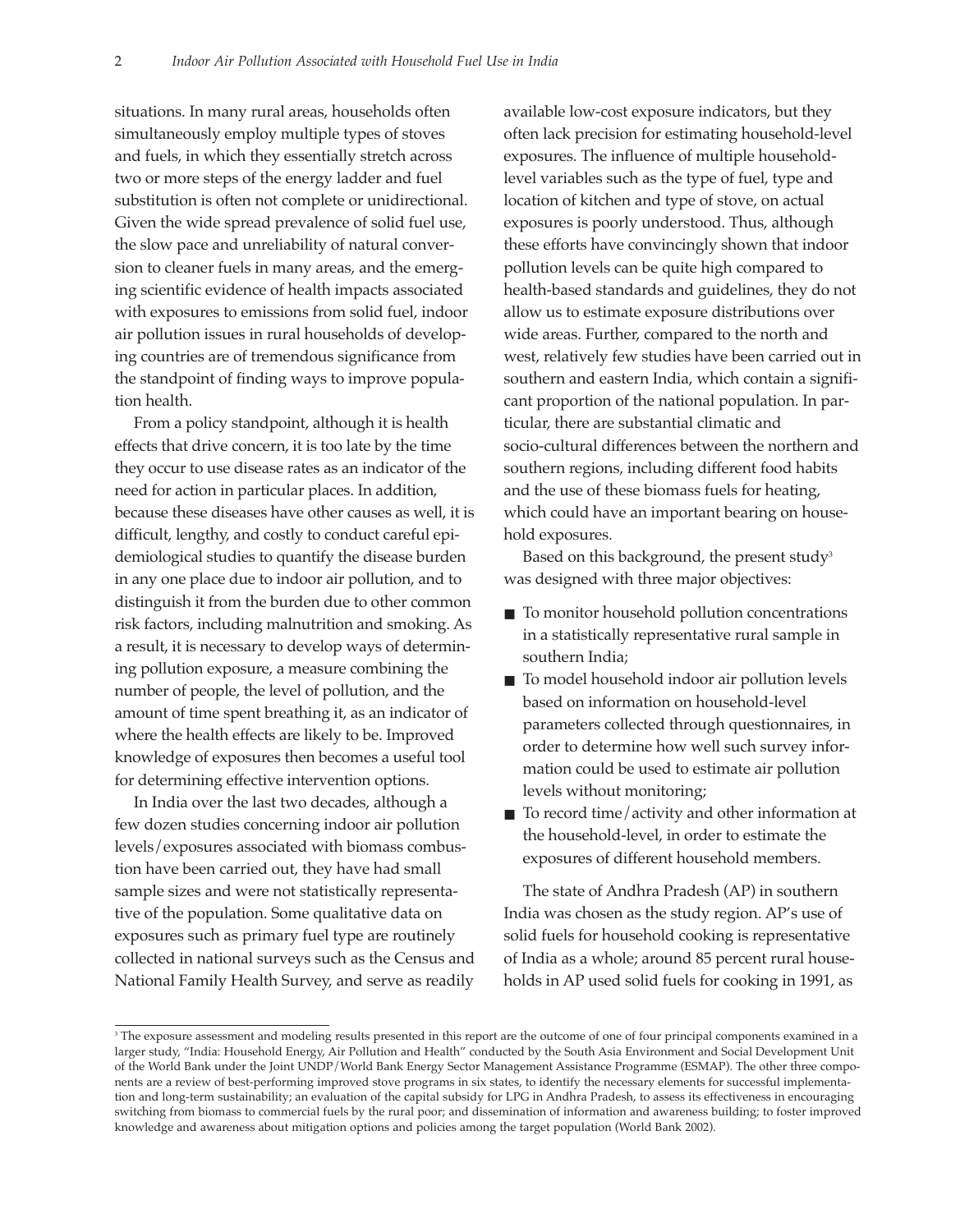situations. In many rural areas, households often simultaneously employ multiple types of stoves and fuels, in which they essentially stretch across two or more steps of the energy ladder and fuel substitution is often not complete or unidirectional. Given the wide spread prevalence of solid fuel use, the slow pace and unreliability of natural conversion to cleaner fuels in many areas, and the emerging scientific evidence of health impacts associated with exposures to emissions from solid fuel, indoor air pollution issues in rural households of developing countries are of tremendous significance from the standpoint of finding ways to improve population health.

From a policy standpoint, although it is health effects that drive concern, it is too late by the time they occur to use disease rates as an indicator of the need for action in particular places. In addition, because these diseases have other causes as well, it is difficult, lengthy, and costly to conduct careful epidemiological studies to quantify the disease burden in any one place due to indoor air pollution, and to distinguish it from the burden due to other common risk factors, including malnutrition and smoking. As a result, it is necessary to develop ways of determining pollution exposure, a measure combining the number of people, the level of pollution, and the amount of time spent breathing it, as an indicator of where the health effects are likely to be. Improved knowledge of exposures then becomes a useful tool for determining effective intervention options.

In India over the last two decades, although a few dozen studies concerning indoor air pollution levels/exposures associated with biomass combustion have been carried out, they have had small sample sizes and were not statistically representative of the population. Some qualitative data on exposures such as primary fuel type are routinely collected in national surveys such as the Census and National Family Health Survey, and serve as readily

available low-cost exposure indicators, but they often lack precision for estimating household-level exposures. The influence of multiple householdlevel variables such as the type of fuel, type and location of kitchen and type of stove, on actual exposures is poorly understood. Thus, although these efforts have convincingly shown that indoor pollution levels can be quite high compared to health-based standards and guidelines, they do not allow us to estimate exposure distributions over wide areas. Further, compared to the north and west, relatively few studies have been carried out in southern and eastern India, which contain a significant proportion of the national population. In particular, there are substantial climatic and socio-cultural differences between the northern and southern regions, including different food habits and the use of these biomass fuels for heating, which could have an important bearing on household exposures.

Based on this background, the present study<sup>3</sup> was designed with three major objectives:

- To monitor household pollution concentrations in a statistically representative rural sample in southern India;
- To model household indoor air pollution levels based on information on household-level parameters collected through questionnaires, in order to determine how well such survey information could be used to estimate air pollution levels without monitoring;
- To record time/activity and other information at the household-level, in order to estimate the exposures of different household members.

The state of Andhra Pradesh (AP) in southern India was chosen as the study region. AP's use of solid fuels for household cooking is representative of India as a whole; around 85 percent rural households in AP used solid fuels for cooking in 1991, as

<sup>&</sup>lt;sup>3</sup> The exposure assessment and modeling results presented in this report are the outcome of one of four principal components examined in a larger study, "India: Household Energy, Air Pollution and Health" conducted by the South Asia Environment and Social Development Unit of the World Bank under the Joint UNDP/World Bank Energy Sector Management Assistance Programme (ESMAP). The other three components are a review of best-performing improved stove programs in six states, to identify the necessary elements for successful implementation and long-term sustainability; an evaluation of the capital subsidy for LPG in Andhra Pradesh, to assess its effectiveness in encouraging switching from biomass to commercial fuels by the rural poor; and dissemination of information and awareness building; to foster improved knowledge and awareness about mitigation options and policies among the target population (World Bank 2002).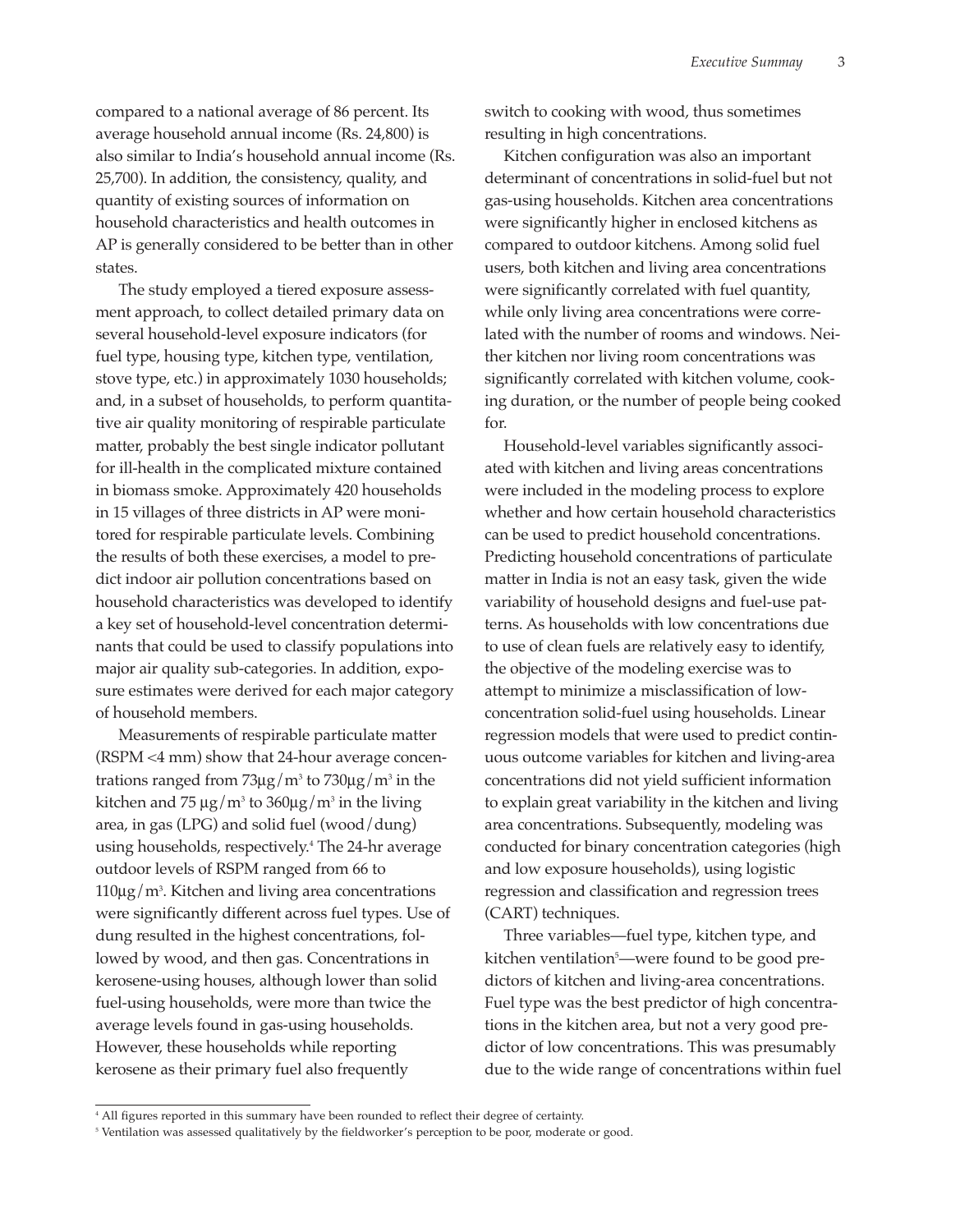compared to a national average of 86 percent. Its average household annual income (Rs. 24,800) is also similar to India's household annual income (Rs. 25,700). In addition, the consistency, quality, and quantity of existing sources of information on household characteristics and health outcomes in AP is generally considered to be better than in other states.

The study employed a tiered exposure assessment approach, to collect detailed primary data on several household-level exposure indicators (for fuel type, housing type, kitchen type, ventilation, stove type, etc.) in approximately 1030 households; and, in a subset of households, to perform quantitative air quality monitoring of respirable particulate matter, probably the best single indicator pollutant for ill-health in the complicated mixture contained in biomass smoke. Approximately 420 households in 15 villages of three districts in AP were monitored for respirable particulate levels. Combining the results of both these exercises, a model to predict indoor air pollution concentrations based on household characteristics was developed to identify a key set of household-level concentration determinants that could be used to classify populations into major air quality sub-categories. In addition, exposure estimates were derived for each major category of household members.

Measurements of respirable particulate matter (RSPM <4 mm) show that 24-hour average concentrations ranged from  $73\mu$ g/m<sup>3</sup> to  $730\mu$ g/m<sup>3</sup> in the kitchen and 75  $\mu$ g/m<sup>3</sup> to 360 $\mu$ g/m<sup>3</sup> in the living area, in gas (LPG) and solid fuel (wood/dung) using households, respectively.4 The 24-hr average outdoor levels of RSPM ranged from 66 to 110µg/m3 . Kitchen and living area concentrations were significantly different across fuel types. Use of dung resulted in the highest concentrations, followed by wood, and then gas. Concentrations in kerosene-using houses, although lower than solid fuel-using households, were more than twice the average levels found in gas-using households. However, these households while reporting kerosene as their primary fuel also frequently

switch to cooking with wood, thus sometimes resulting in high concentrations.

Kitchen configuration was also an important determinant of concentrations in solid-fuel but not gas-using households. Kitchen area concentrations were significantly higher in enclosed kitchens as compared to outdoor kitchens. Among solid fuel users, both kitchen and living area concentrations were significantly correlated with fuel quantity, while only living area concentrations were correlated with the number of rooms and windows. Neither kitchen nor living room concentrations was significantly correlated with kitchen volume, cooking duration, or the number of people being cooked for.

Household-level variables significantly associated with kitchen and living areas concentrations were included in the modeling process to explore whether and how certain household characteristics can be used to predict household concentrations. Predicting household concentrations of particulate matter in India is not an easy task, given the wide variability of household designs and fuel-use patterns. As households with low concentrations due to use of clean fuels are relatively easy to identify, the objective of the modeling exercise was to attempt to minimize a misclassification of lowconcentration solid-fuel using households. Linear regression models that were used to predict continuous outcome variables for kitchen and living-area concentrations did not yield sufficient information to explain great variability in the kitchen and living area concentrations. Subsequently, modeling was conducted for binary concentration categories (high and low exposure households), using logistic regression and classification and regression trees (CART) techniques.

Three variables—fuel type, kitchen type, and kitchen ventilation<sup>5</sup>—were found to be good predictors of kitchen and living-area concentrations. Fuel type was the best predictor of high concentrations in the kitchen area, but not a very good predictor of low concentrations. This was presumably due to the wide range of concentrations within fuel

<sup>4</sup> All figures reported in this summary have been rounded to reflect their degree of certainty.

<sup>&</sup>lt;sup>5</sup> Ventilation was assessed qualitatively by the fieldworker's perception to be poor, moderate or good.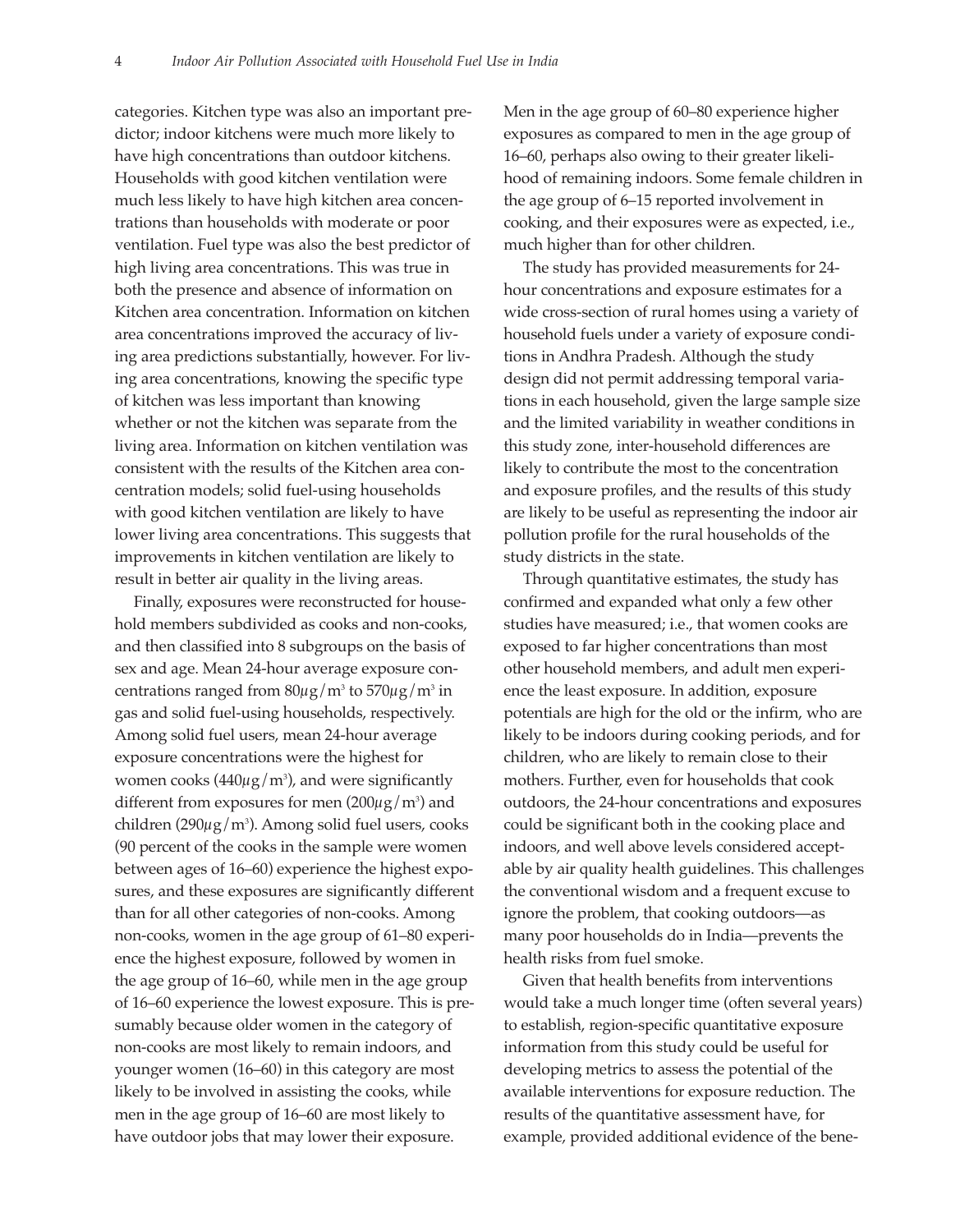categories. Kitchen type was also an important predictor; indoor kitchens were much more likely to have high concentrations than outdoor kitchens. Households with good kitchen ventilation were much less likely to have high kitchen area concentrations than households with moderate or poor ventilation. Fuel type was also the best predictor of high living area concentrations. This was true in both the presence and absence of information on Kitchen area concentration. Information on kitchen area concentrations improved the accuracy of living area predictions substantially, however. For living area concentrations, knowing the specific type of kitchen was less important than knowing whether or not the kitchen was separate from the living area. Information on kitchen ventilation was consistent with the results of the Kitchen area concentration models; solid fuel-using households with good kitchen ventilation are likely to have lower living area concentrations. This suggests that improvements in kitchen ventilation are likely to result in better air quality in the living areas.

Finally, exposures were reconstructed for household members subdivided as cooks and non-cooks, and then classified into 8 subgroups on the basis of sex and age. Mean 24-hour average exposure concentrations ranged from  $80\mu$ g/m<sup>3</sup> to  $570\mu$ g/m<sup>3</sup> in gas and solid fuel-using households, respectively. Among solid fuel users, mean 24-hour average exposure concentrations were the highest for women cooks  $(440 \mu g/m^3)$ , and were significantly different from exposures for men (200 $\mu$ g/m<sup>3</sup>) and children (290μg/m3). Among solid fuel users*,* cooks (90 percent of the cooks in the sample were women between ages of 16–60) experience the highest exposures, and these exposures are significantly different than for all other categories of non-cooks. Among non-cooks, women in the age group of 61–80 experience the highest exposure, followed by women in the age group of 16–60, while men in the age group of 16–60 experience the lowest exposure. This is presumably because older women in the category of non-cooks are most likely to remain indoors, and younger women (16–60) in this category are most likely to be involved in assisting the cooks, while men in the age group of 16–60 are most likely to have outdoor jobs that may lower their exposure.

Men in the age group of 60–80 experience higher exposures as compared to men in the age group of 16–60, perhaps also owing to their greater likelihood of remaining indoors. Some female children in the age group of 6–15 reported involvement in cooking, and their exposures were as expected, i.e., much higher than for other children.

The study has provided measurements for 24 hour concentrations and exposure estimates for a wide cross-section of rural homes using a variety of household fuels under a variety of exposure conditions in Andhra Pradesh. Although the study design did not permit addressing temporal variations in each household, given the large sample size and the limited variability in weather conditions in this study zone, inter-household differences are likely to contribute the most to the concentration and exposure profiles, and the results of this study are likely to be useful as representing the indoor air pollution profile for the rural households of the study districts in the state.

Through quantitative estimates, the study has confirmed and expanded what only a few other studies have measured; i.e., that women cooks are exposed to far higher concentrations than most other household members, and adult men experience the least exposure. In addition, exposure potentials are high for the old or the infirm, who are likely to be indoors during cooking periods, and for children, who are likely to remain close to their mothers. Further, even for households that cook outdoors, the 24-hour concentrations and exposures could be significant both in the cooking place and indoors, and well above levels considered acceptable by air quality health guidelines. This challenges the conventional wisdom and a frequent excuse to ignore the problem, that cooking outdoors—as many poor households do in India—prevents the health risks from fuel smoke.

Given that health benefits from interventions would take a much longer time (often several years) to establish, region-specific quantitative exposure information from this study could be useful for developing metrics to assess the potential of the available interventions for exposure reduction. The results of the quantitative assessment have, for example, provided additional evidence of the bene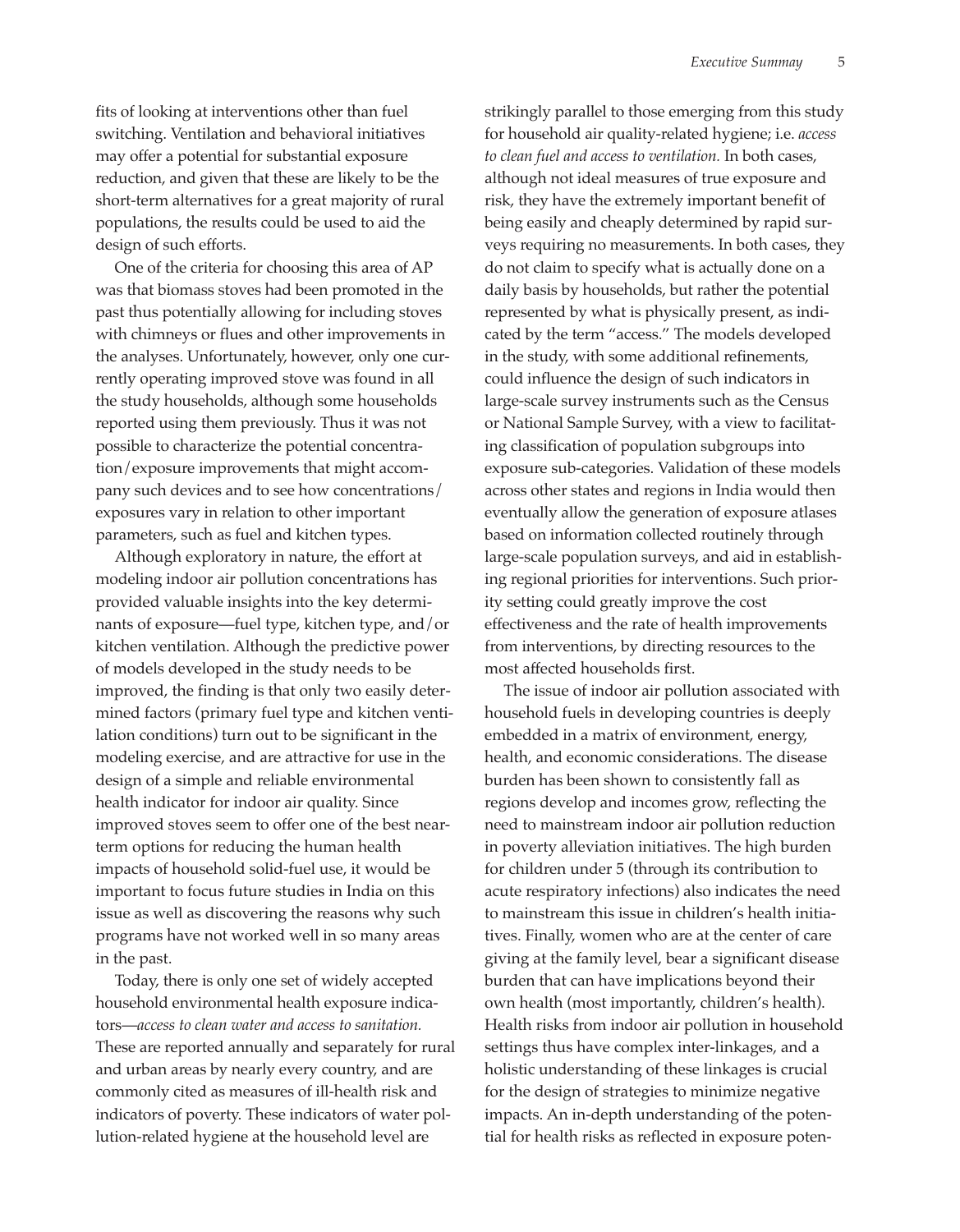fits of looking at interventions other than fuel switching. Ventilation and behavioral initiatives may offer a potential for substantial exposure reduction, and given that these are likely to be the short-term alternatives for a great majority of rural populations, the results could be used to aid the design of such efforts.

One of the criteria for choosing this area of AP was that biomass stoves had been promoted in the past thus potentially allowing for including stoves with chimneys or flues and other improvements in the analyses. Unfortunately, however, only one currently operating improved stove was found in all the study households, although some households reported using them previously. Thus it was not possible to characterize the potential concentration/exposure improvements that might accompany such devices and to see how concentrations/ exposures vary in relation to other important parameters, such as fuel and kitchen types.

Although exploratory in nature, the effort at modeling indoor air pollution concentrations has provided valuable insights into the key determinants of exposure—fuel type, kitchen type, and/or kitchen ventilation. Although the predictive power of models developed in the study needs to be improved, the finding is that only two easily determined factors (primary fuel type and kitchen ventilation conditions) turn out to be significant in the modeling exercise, and are attractive for use in the design of a simple and reliable environmental health indicator for indoor air quality. Since improved stoves seem to offer one of the best nearterm options for reducing the human health impacts of household solid-fuel use, it would be important to focus future studies in India on this issue as well as discovering the reasons why such programs have not worked well in so many areas in the past.

Today, there is only one set of widely accepted household environmental health exposure indicators—*access to clean water and access to sanitation.* These are reported annually and separately for rural and urban areas by nearly every country, and are commonly cited as measures of ill-health risk and indicators of poverty. These indicators of water pollution-related hygiene at the household level are

strikingly parallel to those emerging from this study for household air quality-related hygiene; i.e. *access to clean fuel and access to ventilation.* In both cases, although not ideal measures of true exposure and risk, they have the extremely important benefit of being easily and cheaply determined by rapid surveys requiring no measurements. In both cases, they do not claim to specify what is actually done on a daily basis by households, but rather the potential represented by what is physically present, as indicated by the term "access." The models developed in the study, with some additional refinements, could influence the design of such indicators in large-scale survey instruments such as the Census or National Sample Survey, with a view to facilitating classification of population subgroups into exposure sub-categories. Validation of these models across other states and regions in India would then eventually allow the generation of exposure atlases based on information collected routinely through large-scale population surveys, and aid in establishing regional priorities for interventions. Such priority setting could greatly improve the cost effectiveness and the rate of health improvements from interventions, by directing resources to the most affected households first.

The issue of indoor air pollution associated with household fuels in developing countries is deeply embedded in a matrix of environment, energy, health, and economic considerations. The disease burden has been shown to consistently fall as regions develop and incomes grow, reflecting the need to mainstream indoor air pollution reduction in poverty alleviation initiatives. The high burden for children under 5 (through its contribution to acute respiratory infections) also indicates the need to mainstream this issue in children's health initiatives. Finally, women who are at the center of care giving at the family level, bear a significant disease burden that can have implications beyond their own health (most importantly, children's health). Health risks from indoor air pollution in household settings thus have complex inter-linkages, and a holistic understanding of these linkages is crucial for the design of strategies to minimize negative impacts. An in-depth understanding of the potential for health risks as reflected in exposure poten-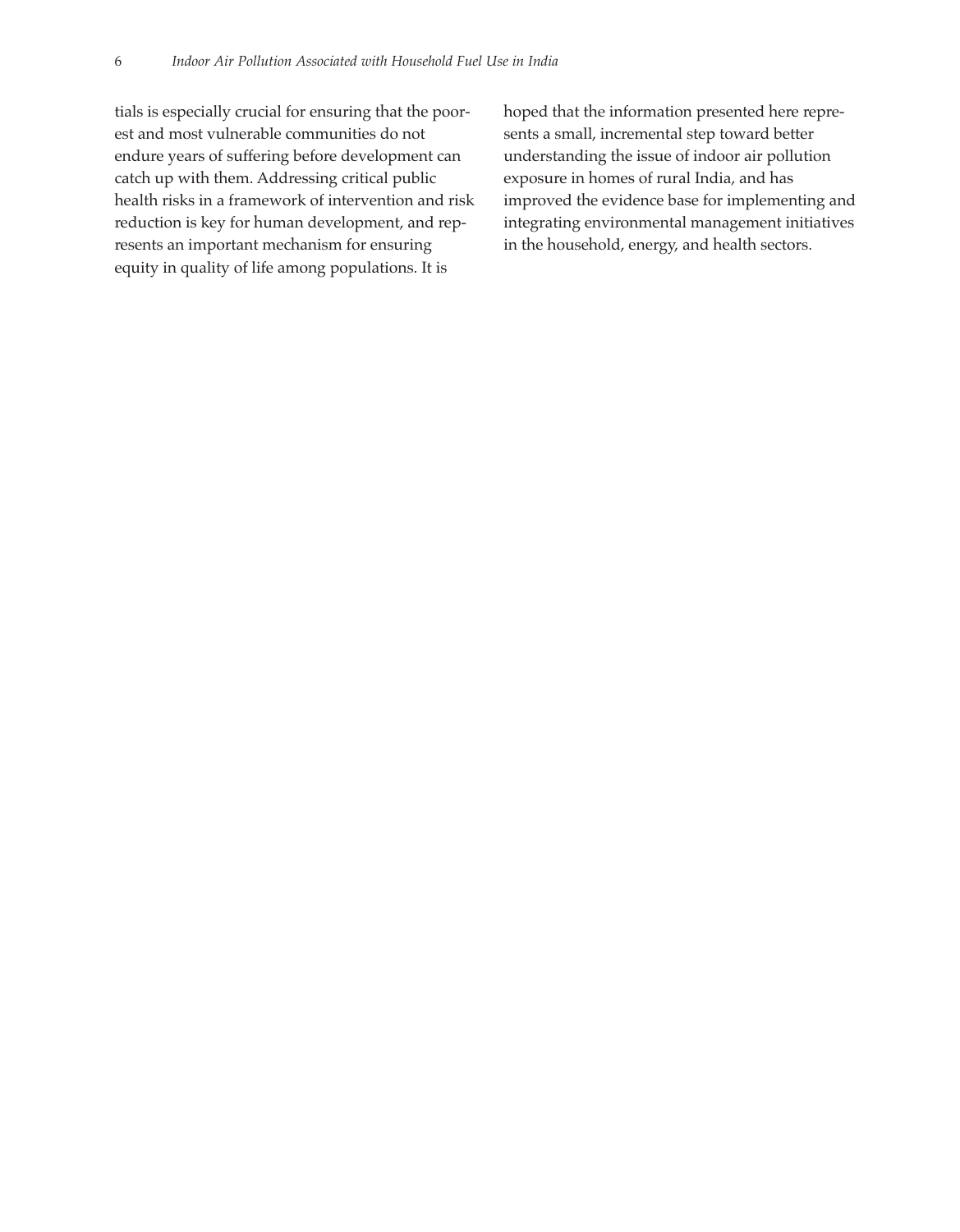tials is especially crucial for ensuring that the poorest and most vulnerable communities do not endure years of suffering before development can catch up with them. Addressing critical public health risks in a framework of intervention and risk reduction is key for human development, and represents an important mechanism for ensuring equity in quality of life among populations. It is

hoped that the information presented here represents a small, incremental step toward better understanding the issue of indoor air pollution exposure in homes of rural India, and has improved the evidence base for implementing and integrating environmental management initiatives in the household, energy, and health sectors.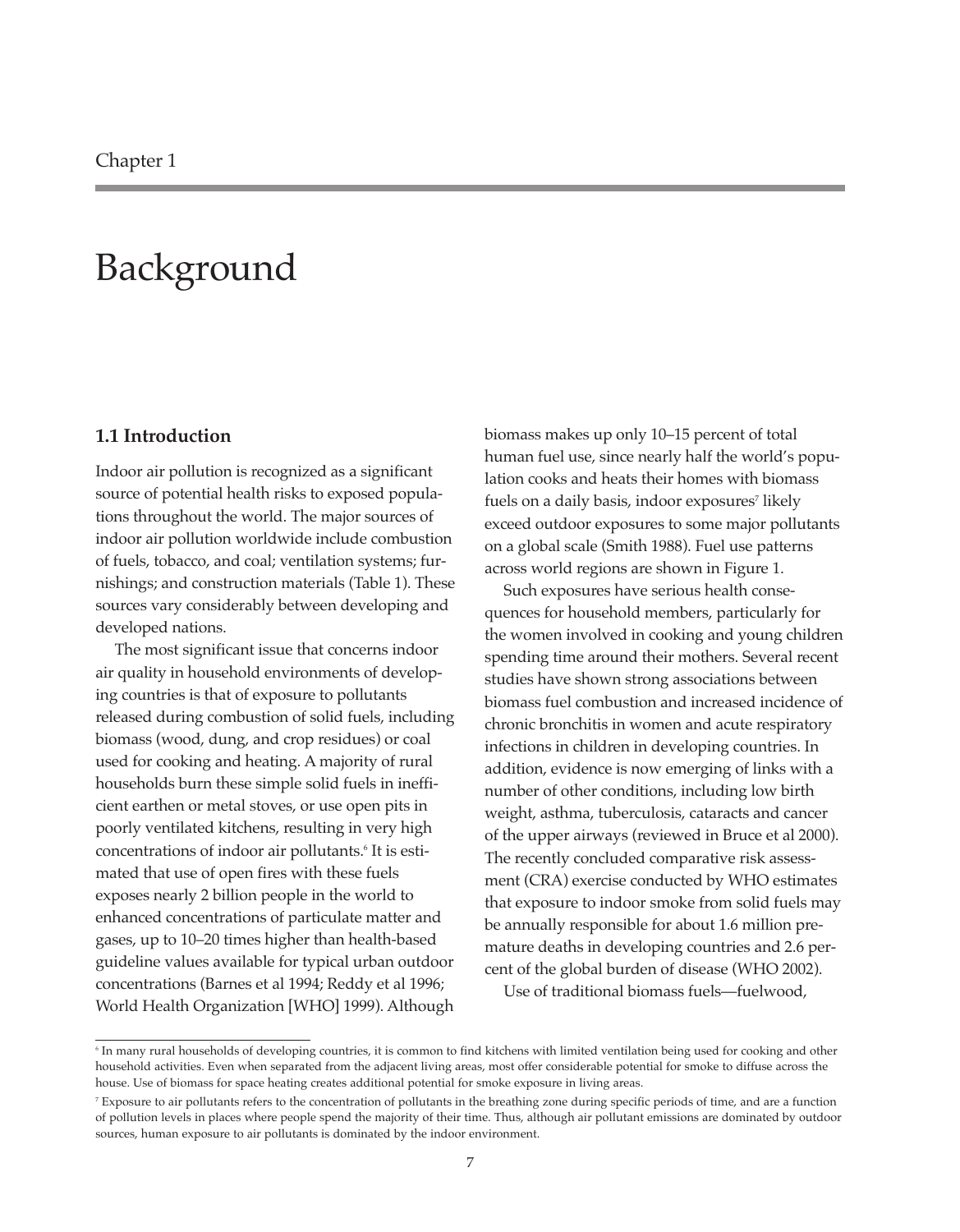### Background

#### **1.1 Introduction**

Indoor air pollution is recognized as a significant source of potential health risks to exposed populations throughout the world. The major sources of indoor air pollution worldwide include combustion of fuels, tobacco, and coal; ventilation systems; furnishings; and construction materials (Table 1). These sources vary considerably between developing and developed nations.

The most significant issue that concerns indoor air quality in household environments of developing countries is that of exposure to pollutants released during combustion of solid fuels, including biomass (wood, dung, and crop residues) or coal used for cooking and heating. A majority of rural households burn these simple solid fuels in inefficient earthen or metal stoves, or use open pits in poorly ventilated kitchens, resulting in very high concentrations of indoor air pollutants.<sup>6</sup> It is estimated that use of open fires with these fuels exposes nearly 2 billion people in the world to enhanced concentrations of particulate matter and gases, up to 10–20 times higher than health-based guideline values available for typical urban outdoor concentrations (Barnes et al 1994; Reddy et al 1996; World Health Organization [WHO] 1999). Although

biomass makes up only 10–15 percent of total human fuel use, since nearly half the world's population cooks and heats their homes with biomass fuels on a daily basis, indoor exposures<sup>7</sup> likely exceed outdoor exposures to some major pollutants on a global scale (Smith 1988). Fuel use patterns across world regions are shown in Figure 1.

Such exposures have serious health consequences for household members, particularly for the women involved in cooking and young children spending time around their mothers. Several recent studies have shown strong associations between biomass fuel combustion and increased incidence of chronic bronchitis in women and acute respiratory infections in children in developing countries. In addition, evidence is now emerging of links with a number of other conditions, including low birth weight, asthma, tuberculosis, cataracts and cancer of the upper airways (reviewed in Bruce et al 2000). The recently concluded comparative risk assessment (CRA) exercise conducted by WHO estimates that exposure to indoor smoke from solid fuels may be annually responsible for about 1.6 million premature deaths in developing countries and 2.6 percent of the global burden of disease (WHO 2002).

Use of traditional biomass fuels—fuelwood,

<sup>&</sup>lt;sup>6</sup> In many rural households of developing countries, it is common to find kitchens with limited ventilation being used for cooking and other household activities. Even when separated from the adjacent living areas, most offer considerable potential for smoke to diffuse across the house. Use of biomass for space heating creates additional potential for smoke exposure in living areas.

<sup>&</sup>lt;sup>7</sup> Exposure to air pollutants refers to the concentration of pollutants in the breathing zone during specific periods of time, and are a function of pollution levels in places where people spend the majority of their time. Thus, although air pollutant emissions are dominated by outdoor sources, human exposure to air pollutants is dominated by the indoor environment.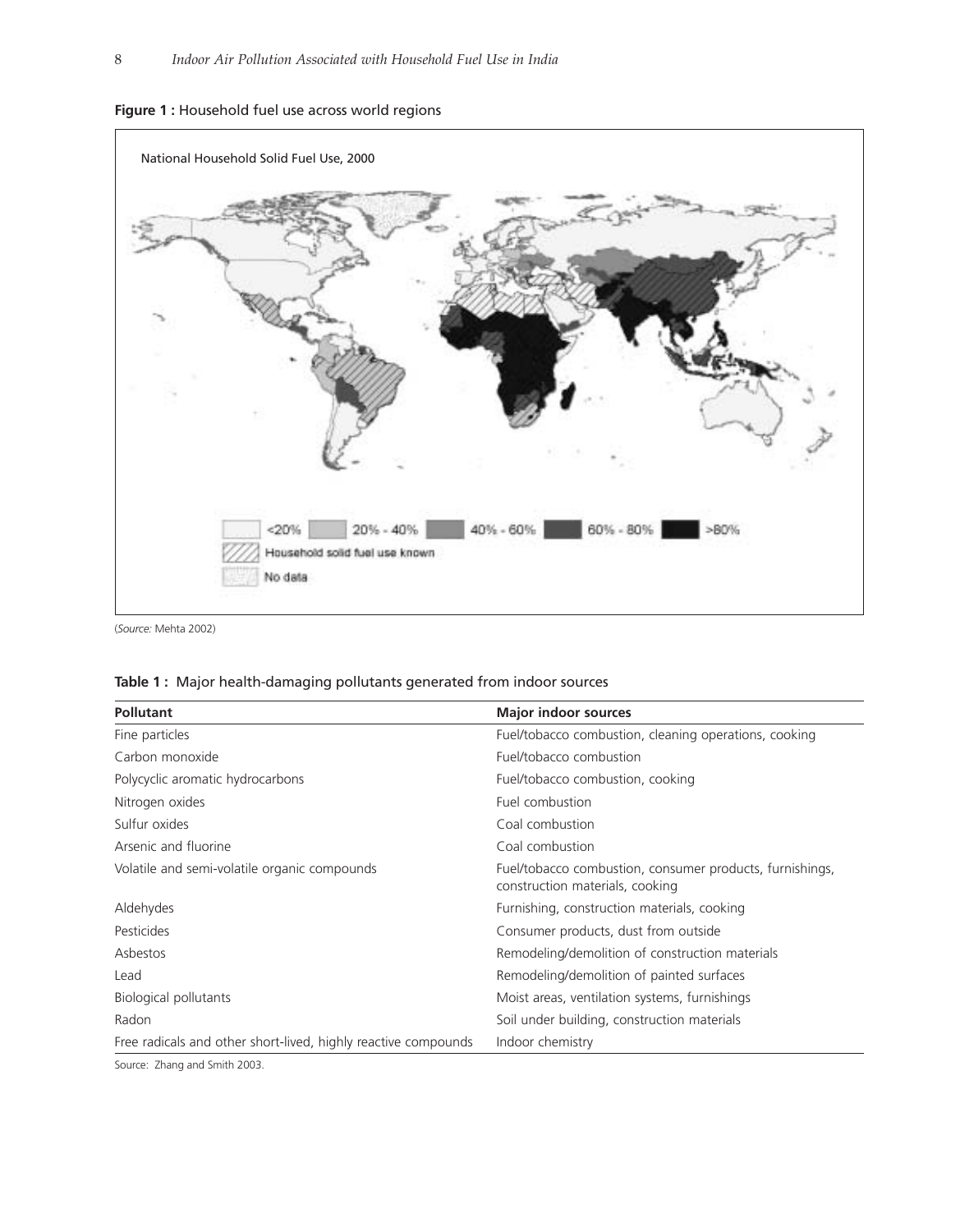



(*Source:* Mehta 2002)

| <b>Pollutant</b>                                               | <b>Major indoor sources</b>                                                                 |  |  |
|----------------------------------------------------------------|---------------------------------------------------------------------------------------------|--|--|
| Fine particles                                                 | Fuel/tobacco combustion, cleaning operations, cooking                                       |  |  |
| Carbon monoxide                                                | Fuel/tobacco combustion                                                                     |  |  |
| Polycyclic aromatic hydrocarbons                               | Fuel/tobacco combustion, cooking                                                            |  |  |
| Nitrogen oxides                                                | Fuel combustion                                                                             |  |  |
| Sulfur oxides                                                  | Coal combustion                                                                             |  |  |
| Arsenic and fluorine                                           | Coal combustion                                                                             |  |  |
| Volatile and semi-volatile organic compounds                   | Fuel/tobacco combustion, consumer products, furnishings,<br>construction materials, cooking |  |  |
| Aldehydes                                                      | Furnishing, construction materials, cooking                                                 |  |  |
| Pesticides                                                     | Consumer products, dust from outside                                                        |  |  |
| Asbestos                                                       | Remodeling/demolition of construction materials                                             |  |  |
| Lead                                                           | Remodeling/demolition of painted surfaces                                                   |  |  |
| Biological pollutants                                          | Moist areas, ventilation systems, furnishings                                               |  |  |
| Radon                                                          | Soil under building, construction materials                                                 |  |  |
| Free radicals and other short-lived, highly reactive compounds | Indoor chemistry                                                                            |  |  |
| Course: Thang and Cmith 2002                                   |                                                                                             |  |  |

Source: Zhang and Smith 2003.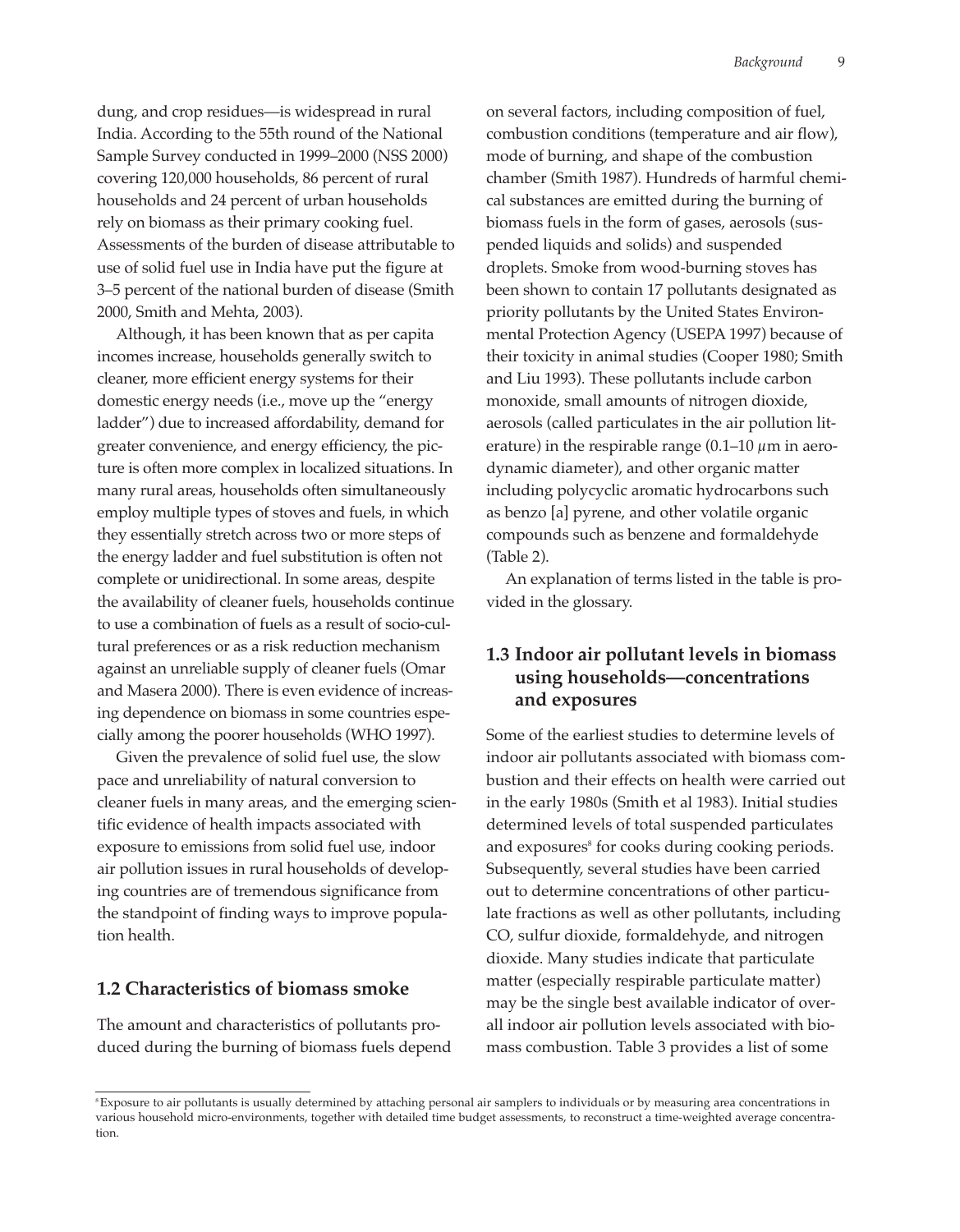dung, and crop residues—is widespread in rural India. According to the 55th round of the National Sample Survey conducted in 1999–2000 (NSS 2000) covering 120,000 households, 86 percent of rural households and 24 percent of urban households rely on biomass as their primary cooking fuel. Assessments of the burden of disease attributable to use of solid fuel use in India have put the figure at 3–5 percent of the national burden of disease (Smith 2000, Smith and Mehta, 2003).

Although, it has been known that as per capita incomes increase, households generally switch to cleaner, more efficient energy systems for their domestic energy needs (i.e., move up the "energy ladder") due to increased affordability, demand for greater convenience, and energy efficiency, the picture is often more complex in localized situations. In many rural areas, households often simultaneously employ multiple types of stoves and fuels, in which they essentially stretch across two or more steps of the energy ladder and fuel substitution is often not complete or unidirectional. In some areas, despite the availability of cleaner fuels, households continue to use a combination of fuels as a result of socio-cultural preferences or as a risk reduction mechanism against an unreliable supply of cleaner fuels (Omar and Masera 2000). There is even evidence of increasing dependence on biomass in some countries especially among the poorer households (WHO 1997).

Given the prevalence of solid fuel use, the slow pace and unreliability of natural conversion to cleaner fuels in many areas, and the emerging scientific evidence of health impacts associated with exposure to emissions from solid fuel use, indoor air pollution issues in rural households of developing countries are of tremendous significance from the standpoint of finding ways to improve population health.

#### **1.2 Characteristics of biomass smoke**

The amount and characteristics of pollutants produced during the burning of biomass fuels depend on several factors, including composition of fuel, combustion conditions (temperature and air flow), mode of burning, and shape of the combustion chamber (Smith 1987). Hundreds of harmful chemical substances are emitted during the burning of biomass fuels in the form of gases, aerosols (suspended liquids and solids) and suspended droplets. Smoke from wood-burning stoves has been shown to contain 17 pollutants designated as priority pollutants by the United States Environmental Protection Agency (USEPA 1997) because of their toxicity in animal studies (Cooper 1980; Smith and Liu 1993). These pollutants include carbon monoxide, small amounts of nitrogen dioxide, aerosols (called particulates in the air pollution literature) in the respirable range  $(0.1-10 \mu m)$  in aerodynamic diameter), and other organic matter including polycyclic aromatic hydrocarbons such as benzo [a] pyrene, and other volatile organic compounds such as benzene and formaldehyde (Table 2).

An explanation of terms listed in the table is provided in the glossary.

#### **1.3 Indoor air pollutant levels in biomass using households—concentrations and exposures**

Some of the earliest studies to determine levels of indoor air pollutants associated with biomass combustion and their effects on health were carried out in the early 1980s (Smith et al 1983). Initial studies determined levels of total suspended particulates and exposures<sup>8</sup> for cooks during cooking periods. Subsequently, several studies have been carried out to determine concentrations of other particulate fractions as well as other pollutants, including CO, sulfur dioxide, formaldehyde, and nitrogen dioxide. Many studies indicate that particulate matter (especially respirable particulate matter) may be the single best available indicator of overall indoor air pollution levels associated with biomass combustion. Table 3 provides a list of some

<sup>&</sup>lt;sup>8</sup> Exposure to air pollutants is usually determined by attaching personal air samplers to individuals or by measuring area concentrations in various household micro-environments, together with detailed time budget assessments, to reconstruct a time-weighted average concentration.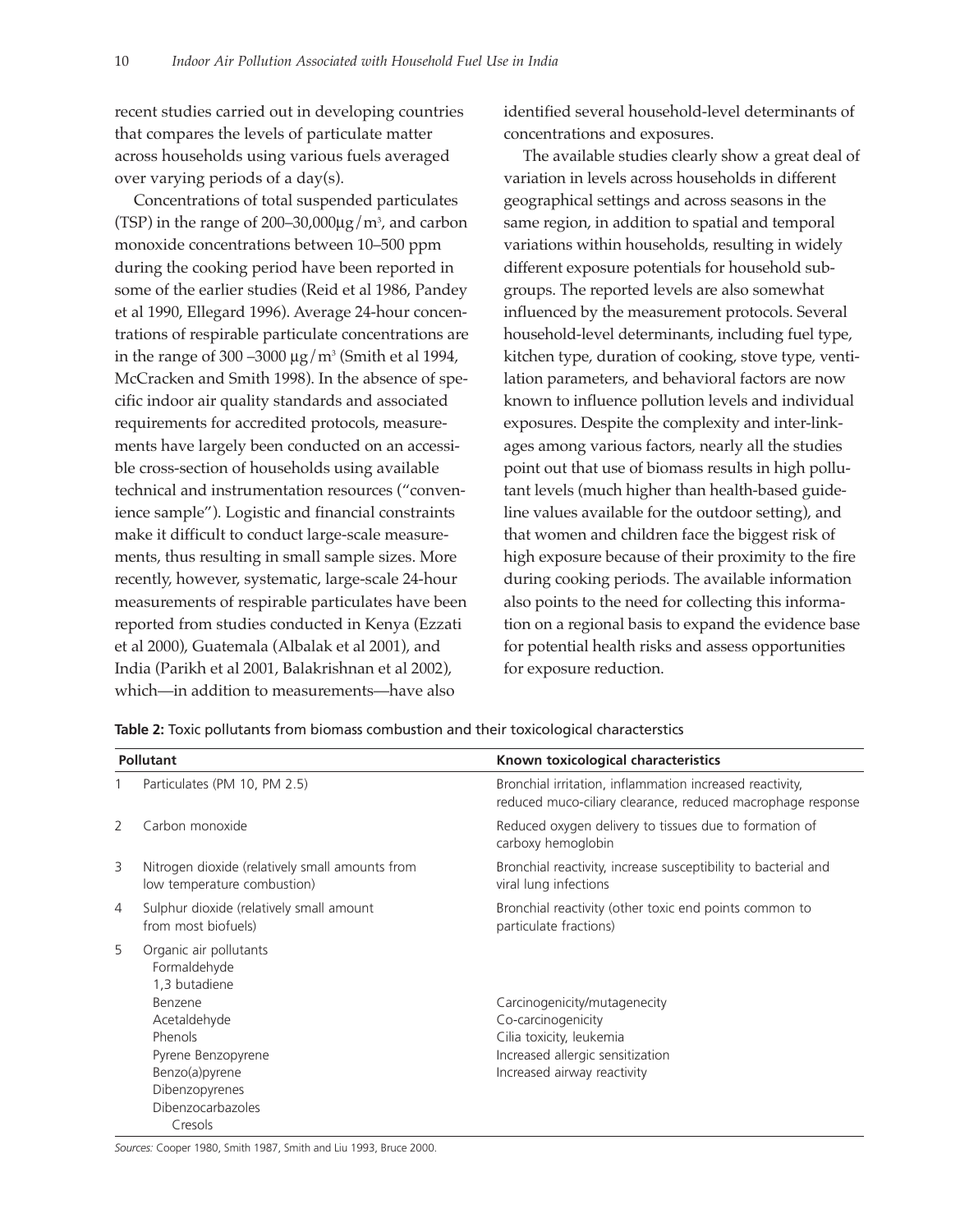recent studies carried out in developing countries that compares the levels of particulate matter across households using various fuels averaged over varying periods of a day(s).

Concentrations of total suspended particulates (TSP) in the range of 200–30,000 $\mu$ g/m $^3$ , and carbon monoxide concentrations between 10–500 ppm during the cooking period have been reported in some of the earlier studies (Reid et al 1986, Pandey et al 1990, Ellegard 1996). Average 24-hour concentrations of respirable particulate concentrations are in the range of 300 –3000  $\mu$ g/m<sup>3</sup> (Smith et al 1994, McCracken and Smith 1998). In the absence of specific indoor air quality standards and associated requirements for accredited protocols, measurements have largely been conducted on an accessible cross-section of households using available technical and instrumentation resources ("convenience sample"). Logistic and financial constraints make it difficult to conduct large-scale measurements, thus resulting in small sample sizes. More recently, however, systematic, large-scale 24-hour measurements of respirable particulates have been reported from studies conducted in Kenya (Ezzati et al 2000), Guatemala (Albalak et al 2001), and India (Parikh et al 2001, Balakrishnan et al 2002), which—in addition to measurements—have also

identified several household-level determinants of concentrations and exposures.

The available studies clearly show a great deal of variation in levels across households in different geographical settings and across seasons in the same region, in addition to spatial and temporal variations within households, resulting in widely different exposure potentials for household subgroups. The reported levels are also somewhat influenced by the measurement protocols. Several household-level determinants, including fuel type, kitchen type, duration of cooking, stove type, ventilation parameters, and behavioral factors are now known to influence pollution levels and individual exposures. Despite the complexity and inter-linkages among various factors, nearly all the studies point out that use of biomass results in high pollutant levels (much higher than health-based guideline values available for the outdoor setting), and that women and children face the biggest risk of high exposure because of their proximity to the fire during cooking periods. The available information also points to the need for collecting this information on a regional basis to expand the evidence base for potential health risks and assess opportunities for exposure reduction.

**Table 2:** Toxic pollutants from biomass combustion and their toxicological characterstics

| <b>Pollutant</b> |                                                                                                                                                                                         | Known toxicological characteristics                                                                                                               |  |  |
|------------------|-----------------------------------------------------------------------------------------------------------------------------------------------------------------------------------------|---------------------------------------------------------------------------------------------------------------------------------------------------|--|--|
|                  | Particulates (PM 10, PM 2.5)                                                                                                                                                            | Bronchial irritation, inflammation increased reactivity,<br>reduced muco-ciliary clearance, reduced macrophage response                           |  |  |
| 2                | Carbon monoxide                                                                                                                                                                         | Reduced oxygen delivery to tissues due to formation of<br>carboxy hemoglobin                                                                      |  |  |
| 3                | Nitrogen dioxide (relatively small amounts from<br>low temperature combustion)                                                                                                          | Bronchial reactivity, increase susceptibility to bacterial and<br>viral lung infections                                                           |  |  |
| 4                | Sulphur dioxide (relatively small amount<br>from most biofuels)                                                                                                                         | Bronchial reactivity (other toxic end points common to<br>particulate fractions)                                                                  |  |  |
| 5                | Organic air pollutants<br>Formaldehyde<br>1,3 butadiene<br>Benzene<br>Acetaldehyde<br>Phenols<br>Pyrene Benzopyrene<br>Benzo(a)pyrene<br>Dibenzopyrenes<br>Dibenzocarbazoles<br>Cresols | Carcinogenicity/mutagenecity<br>Co-carcinogenicity<br>Cilia toxicity, leukemia<br>Increased allergic sensitization<br>Increased airway reactivity |  |  |

*Sources:* Cooper 1980, Smith 1987, Smith and Liu 1993, Bruce 2000.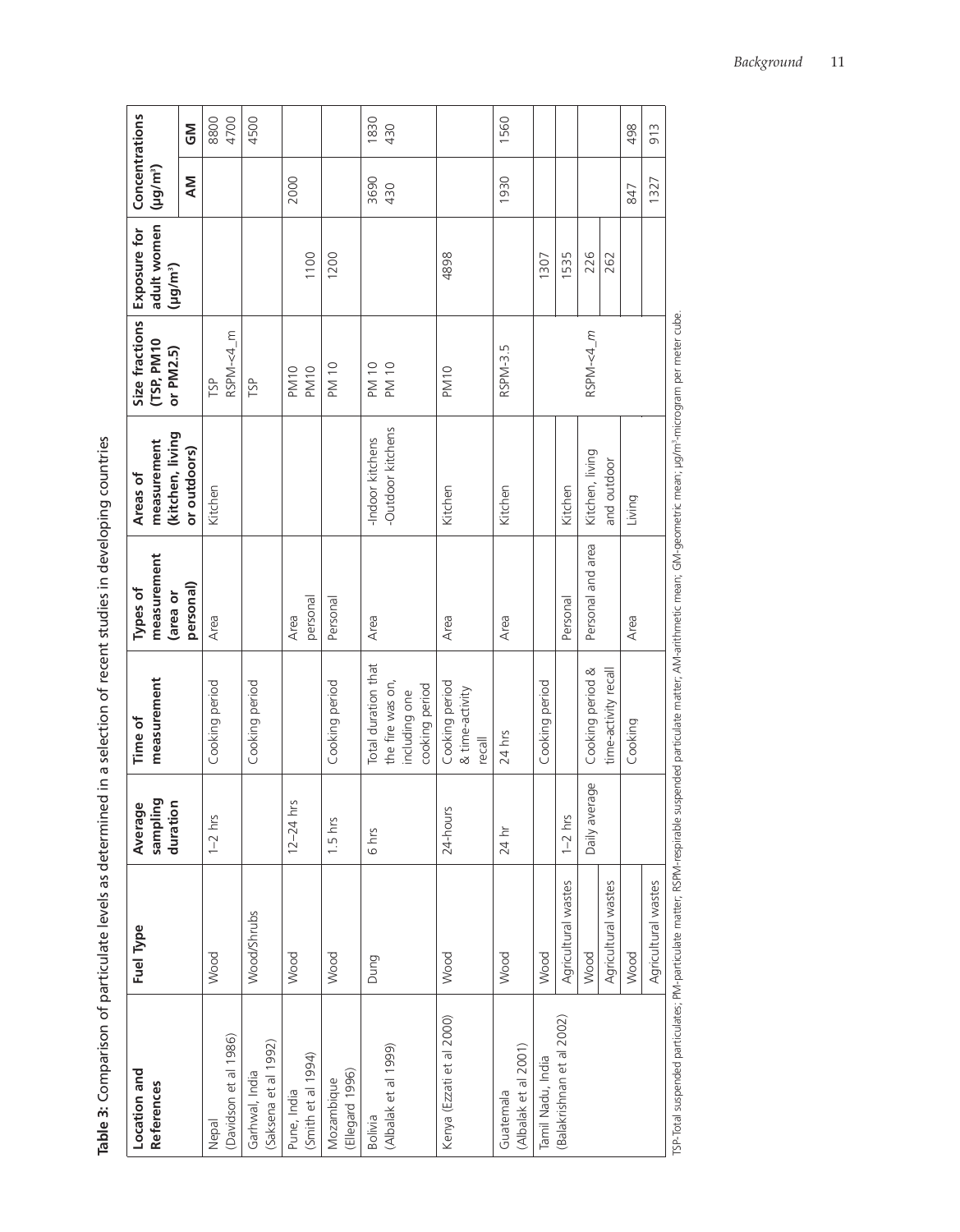Table 3: Comparison of particulate levels as determined in a selection of recent studies in developing countries **Table 3:** Comparison of particulate levels as determined in a selection of recent studies in developing countries

ľ

| Location and                                   | <b>Fuel Type</b>            | Average                                   | Time of                                                                    | Types of                      | Areas of                              | Size fractions             | Exposure for                        | Concentrations       |              |
|------------------------------------------------|-----------------------------|-------------------------------------------|----------------------------------------------------------------------------|-------------------------------|---------------------------------------|----------------------------|-------------------------------------|----------------------|--------------|
| <b>References</b>                              |                             | sampling<br>duration                      | measurement                                                                | measurement<br>area or        | (kitchen, living<br>measurement       | (TSP, PM10<br>or PM2.5)    | adult women<br>(µg/m <sup>3</sup> ) | (µg/m <sup>3</sup> ) |              |
|                                                |                             |                                           |                                                                            | personal)                     | or outdoors)                          |                            |                                     | ΜV                   | <b>Σ</b>     |
| (Davidson et al 1986)<br>Nepal                 | Wood                        | <b>Suu</b><br>$1 - 2$                     | Cooking period                                                             | Area                          | Kitchen                               | RSPM-<4_m<br>TSP           |                                     |                      | 4700<br>8800 |
| (Saksena et al 1992)<br>Garhwal, India         | Wood/Shrubs                 |                                           | Cooking period                                                             |                               |                                       | TSP                        |                                     |                      | 4500         |
| (Smith et al 1994)<br>Pune, India              | Wood                        | $12 - 24$ hrs                             |                                                                            | personal<br>Area              |                                       | <b>PM10</b><br><b>PM10</b> | 1100                                | 2000                 |              |
| (Ellegard 1996)<br>Mozambique                  | Wood                        | $1.5 \text{ hrs}$                         | Cooking period                                                             | Personal                      |                                       | <b>PM 10</b>               | 1200                                |                      |              |
| (Albalak et al 1999)<br><b>Bolivia</b>         | Dung                        | 6 hrs                                     | Total duration that<br>the fire was on,<br>cooking period<br>including one | Area                          | -Outdoor kitchens<br>-Indoor kitchens | PM 10<br>PM 10             |                                     | 3690<br>430          | 1830<br>430  |
| Kenya (Ezzati et al 2000)                      | Wood                        | 24-hours                                  | Cooking period<br>& time-activity<br>$\overline{rec}$                      | Area                          | Kitchen                               | PM <sub>10</sub>           | 4898                                |                      |              |
| (Albalak et al 2001)<br>Guatemala              | Wood                        | $24 \text{ hr}$                           | 24 hrs                                                                     | Area                          | Kitchen                               | RSPM-3.5                   |                                     | 1930                 | 1560         |
| (Balakrishnan et al 2002)<br>Tamil Nadu, India | Wood                        |                                           | Cooking period                                                             |                               |                                       |                            | 1307                                |                      |              |
|                                                | Agricultural wastes<br>Wood | average<br>hrs<br>Daily<br>$\overline{1}$ | Cooking period &                                                           | Personal and area<br>Personal | Kitchen, living<br>Kitchen            | RSPM-<4_m                  | 1535<br>226                         |                      |              |
|                                                | Agricultural wastes         |                                           | time-activity recall                                                       |                               | and outdoor                           |                            | 262                                 |                      |              |
|                                                | Wood                        |                                           | Cooking                                                                    | Area                          | Living                                |                            |                                     | 847                  | 498          |
|                                                | Agricultural wastes         |                                           |                                                                            |                               |                                       |                            |                                     | 1327                 | 913          |
|                                                |                             |                                           |                                                                            |                               |                                       |                            |                                     |                      |              |

TSP-Total suspended particulates; PM-particulate matter; RSPM-respirable suspended particulate matter; AM-arithmetic mean; GM-geometric mean; µg/m<sup>3</sup>-microgram per meter cube. TSP-Total suspended particulates; PM-particulate matter; RSPM-respirable suspended particulate matter; AM-arithmetic mean; GM-geometric mean; µg/m3-microgram per meter cube.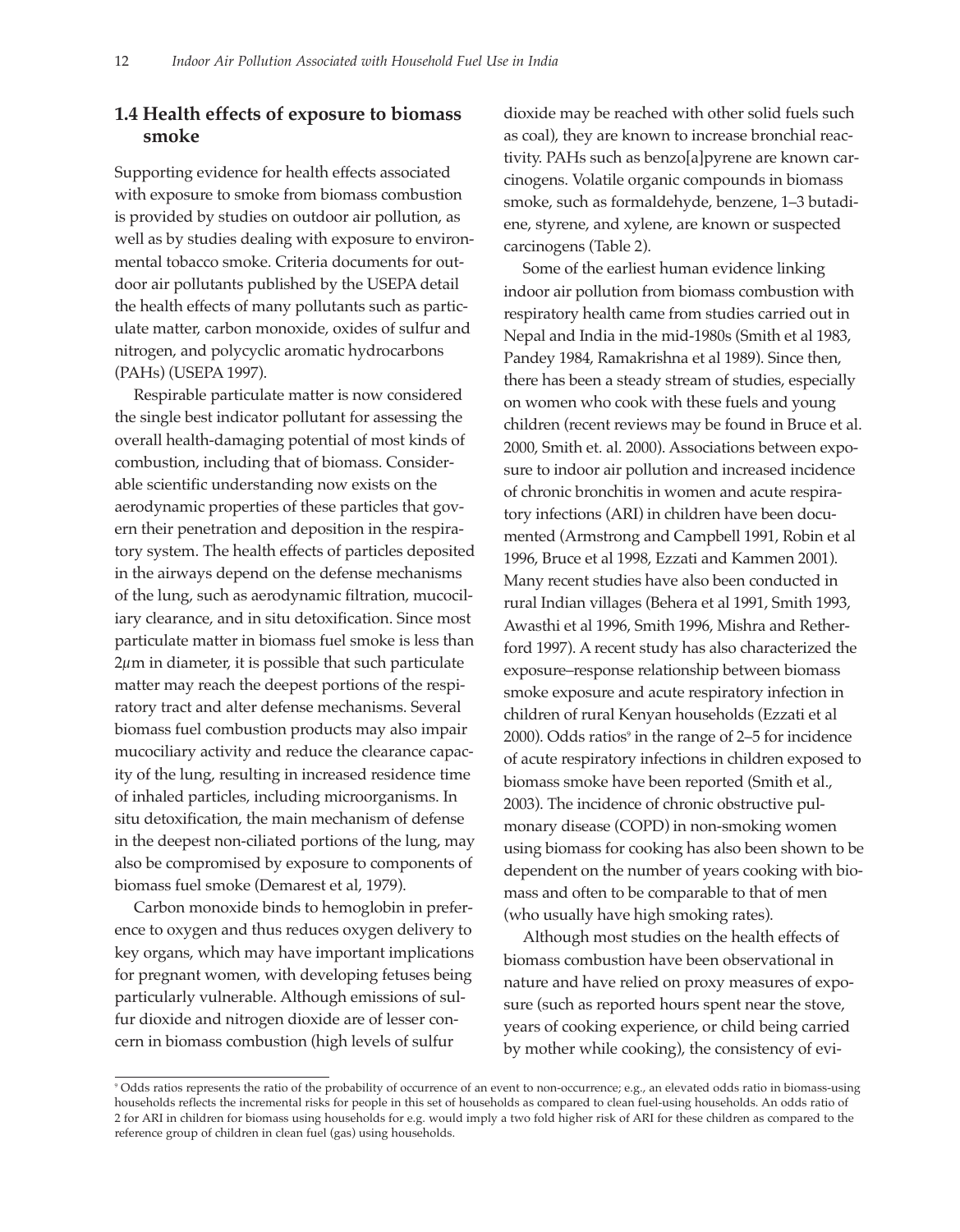#### **1.4 Health effects of exposure to biomass smoke**

Supporting evidence for health effects associated with exposure to smoke from biomass combustion is provided by studies on outdoor air pollution, as well as by studies dealing with exposure to environmental tobacco smoke. Criteria documents for outdoor air pollutants published by the USEPA detail the health effects of many pollutants such as particulate matter, carbon monoxide, oxides of sulfur and nitrogen, and polycyclic aromatic hydrocarbons (PAHs) (USEPA 1997).

Respirable particulate matter is now considered the single best indicator pollutant for assessing the overall health-damaging potential of most kinds of combustion, including that of biomass. Considerable scientific understanding now exists on the aerodynamic properties of these particles that govern their penetration and deposition in the respiratory system. The health effects of particles deposited in the airways depend on the defense mechanisms of the lung, such as aerodynamic filtration, mucociliary clearance, and in situ detoxification. Since most particulate matter in biomass fuel smoke is less than 2µm in diameter, it is possible that such particulate matter may reach the deepest portions of the respiratory tract and alter defense mechanisms. Several biomass fuel combustion products may also impair mucociliary activity and reduce the clearance capacity of the lung, resulting in increased residence time of inhaled particles, including microorganisms. In situ detoxification, the main mechanism of defense in the deepest non-ciliated portions of the lung, may also be compromised by exposure to components of biomass fuel smoke (Demarest et al, 1979).

Carbon monoxide binds to hemoglobin in preference to oxygen and thus reduces oxygen delivery to key organs, which may have important implications for pregnant women, with developing fetuses being particularly vulnerable. Although emissions of sulfur dioxide and nitrogen dioxide are of lesser concern in biomass combustion (high levels of sulfur

dioxide may be reached with other solid fuels such as coal), they are known to increase bronchial reactivity. PAHs such as benzo[a]pyrene are known carcinogens. Volatile organic compounds in biomass smoke, such as formaldehyde, benzene, 1–3 butadiene, styrene, and xylene, are known or suspected carcinogens (Table 2).

Some of the earliest human evidence linking indoor air pollution from biomass combustion with respiratory health came from studies carried out in Nepal and India in the mid-1980s (Smith et al 1983, Pandey 1984, Ramakrishna et al 1989). Since then, there has been a steady stream of studies, especially on women who cook with these fuels and young children (recent reviews may be found in Bruce et al. 2000, Smith et. al. 2000). Associations between exposure to indoor air pollution and increased incidence of chronic bronchitis in women and acute respiratory infections (ARI) in children have been documented (Armstrong and Campbell 1991, Robin et al 1996, Bruce et al 1998, Ezzati and Kammen 2001). Many recent studies have also been conducted in rural Indian villages (Behera et al 1991, Smith 1993, Awasthi et al 1996, Smith 1996, Mishra and Retherford 1997). A recent study has also characterized the exposure–response relationship between biomass smoke exposure and acute respiratory infection in children of rural Kenyan households (Ezzati et al 2000). Odds ratios $\degree$  in the range of 2–5 for incidence of acute respiratory infections in children exposed to biomass smoke have been reported (Smith et al., 2003). The incidence of chronic obstructive pulmonary disease (COPD) in non-smoking women using biomass for cooking has also been shown to be dependent on the number of years cooking with biomass and often to be comparable to that of men (who usually have high smoking rates).

Although most studies on the health effects of biomass combustion have been observational in nature and have relied on proxy measures of exposure (such as reported hours spent near the stove, years of cooking experience, or child being carried by mother while cooking), the consistency of evi-

<sup>&</sup>lt;sup>9</sup> Odds ratios represents the ratio of the probability of occurrence of an event to non-occurrence; e.g., an elevated odds ratio in biomass-using households reflects the incremental risks for people in this set of households as compared to clean fuel-using households. An odds ratio of 2 for ARI in children for biomass using households for e.g. would imply a two fold higher risk of ARI for these children as compared to the reference group of children in clean fuel (gas) using households.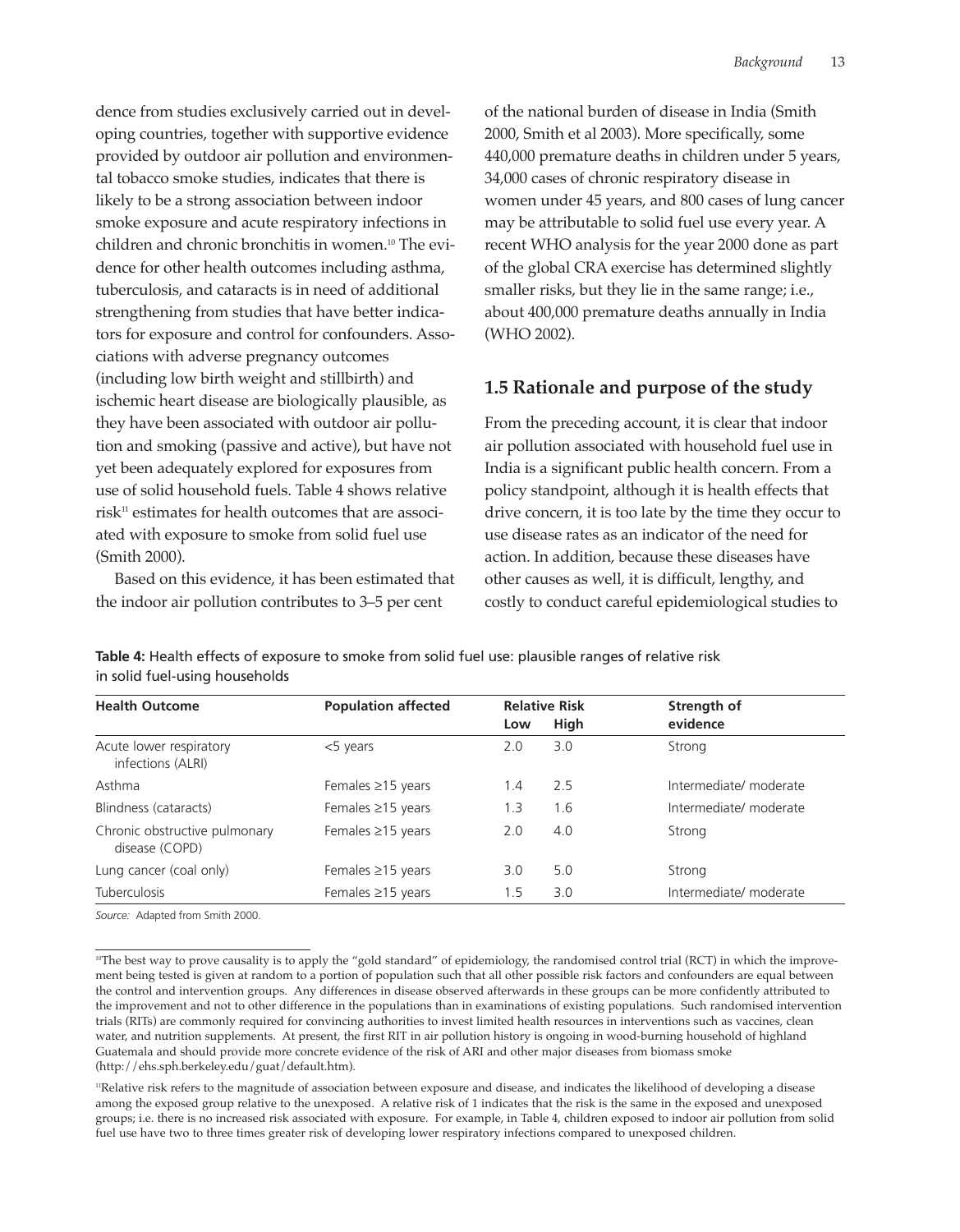dence from studies exclusively carried out in developing countries, together with supportive evidence provided by outdoor air pollution and environmental tobacco smoke studies, indicates that there is likely to be a strong association between indoor smoke exposure and acute respiratory infections in children and chronic bronchitis in women.10 The evidence for other health outcomes including asthma, tuberculosis, and cataracts is in need of additional strengthening from studies that have better indicators for exposure and control for confounders. Associations with adverse pregnancy outcomes (including low birth weight and stillbirth) and ischemic heart disease are biologically plausible, as they have been associated with outdoor air pollution and smoking (passive and active), but have not yet been adequately explored for exposures from use of solid household fuels. Table 4 shows relative risk<sup>11</sup> estimates for health outcomes that are associated with exposure to smoke from solid fuel use (Smith 2000).

Based on this evidence, it has been estimated that the indoor air pollution contributes to 3–5 per cent

of the national burden of disease in India (Smith 2000, Smith et al 2003). More specifically, some 440,000 premature deaths in children under 5 years, 34,000 cases of chronic respiratory disease in women under 45 years, and 800 cases of lung cancer may be attributable to solid fuel use every year. A recent WHO analysis for the year 2000 done as part of the global CRA exercise has determined slightly smaller risks, but they lie in the same range; i.e., about 400,000 premature deaths annually in India (WHO 2002).

#### **1.5 Rationale and purpose of the study**

From the preceding account, it is clear that indoor air pollution associated with household fuel use in India is a significant public health concern. From a policy standpoint, although it is health effects that drive concern, it is too late by the time they occur to use disease rates as an indicator of the need for action. In addition, because these diseases have other causes as well, it is difficult, lengthy, and costly to conduct careful epidemiological studies to

**Table 4:** Health effects of exposure to smoke from solid fuel use: plausible ranges of relative risk in solid fuel-using households

| <b>Population affected</b> | <b>Relative Risk</b> |      | Strength of            |
|----------------------------|----------------------|------|------------------------|
|                            | Low                  | High | evidence               |
| $<$ 5 years                | 2.0                  | 3.0  | Strong                 |
| Females $\geq$ 15 years    | 1.4                  | 2.5  | Intermediate/ moderate |
| Females $\geq$ 15 years    | 1.3                  | 1.6  | Intermediate/ moderate |
| Females $\geq$ 15 years    | 2.0                  | 4.0  | Strong                 |
| Females $\geq$ 15 years    | 3.0                  | 5.0  | Strong                 |
| Females $\geq$ 15 years    | 1.5                  | 3.0  | Intermediate/ moderate |
|                            |                      |      |                        |

*Source:* Adapted from Smith 2000.

<sup>&</sup>lt;sup>10</sup>The best way to prove causality is to apply the "gold standard" of epidemiology, the randomised control trial (RCT) in which the improvement being tested is given at random to a portion of population such that all other possible risk factors and confounders are equal between the control and intervention groups. Any differences in disease observed afterwards in these groups can be more confidently attributed to the improvement and not to other difference in the populations than in examinations of existing populations. Such randomised intervention trials (RITs) are commonly required for convincing authorities to invest limited health resources in interventions such as vaccines, clean water, and nutrition supplements. At present, the first RIT in air pollution history is ongoing in wood-burning household of highland Guatemala and should provide more concrete evidence of the risk of ARI and other major diseases from biomass smoke (http://ehs.sph.berkeley.edu/guat/default.htm).

<sup>11</sup>Relative risk refers to the magnitude of association between exposure and disease, and indicates the likelihood of developing a disease among the exposed group relative to the unexposed. A relative risk of 1 indicates that the risk is the same in the exposed and unexposed groups; i.e. there is no increased risk associated with exposure. For example, in Table 4, children exposed to indoor air pollution from solid fuel use have two to three times greater risk of developing lower respiratory infections compared to unexposed children.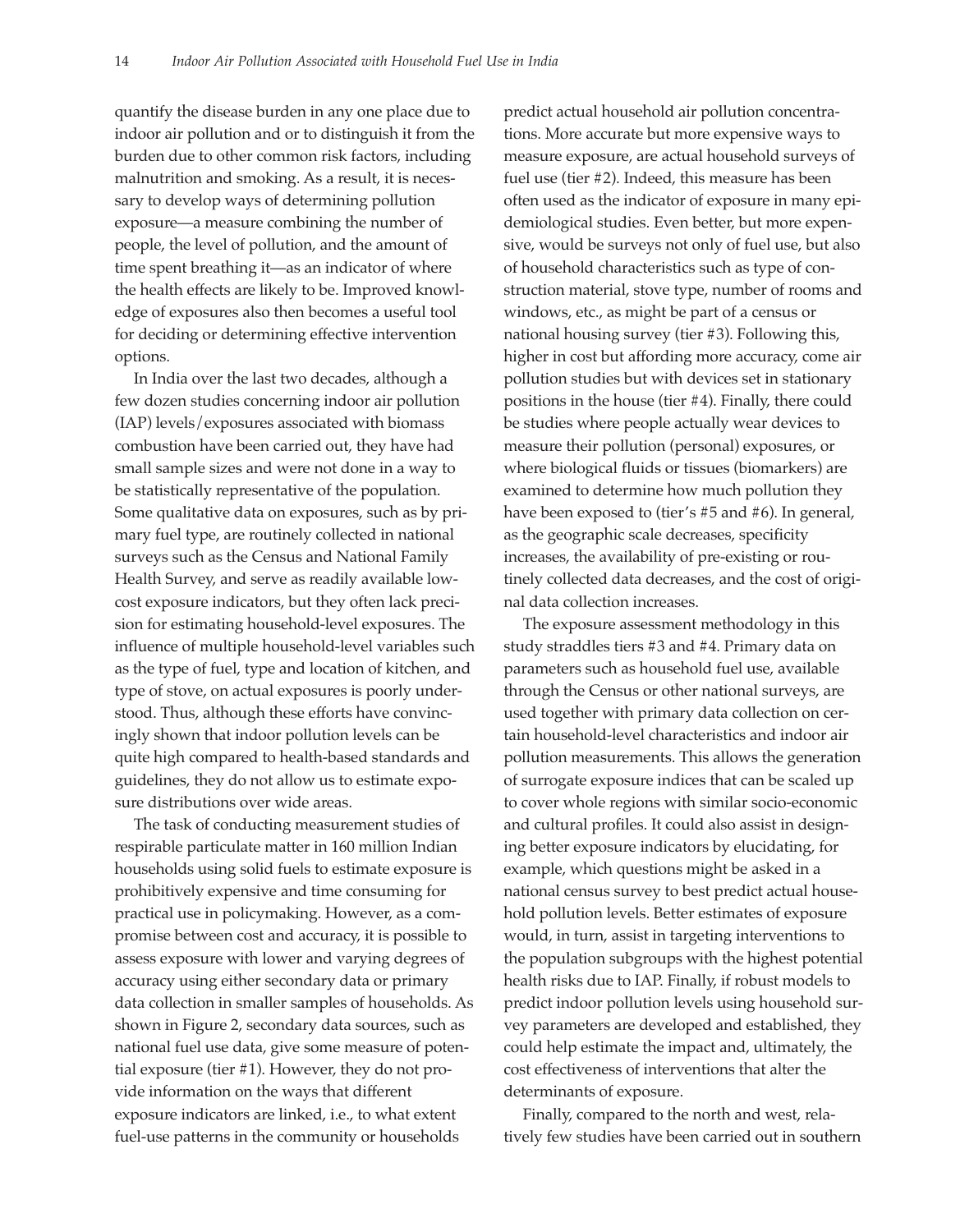quantify the disease burden in any one place due to indoor air pollution and or to distinguish it from the burden due to other common risk factors, including malnutrition and smoking. As a result, it is necessary to develop ways of determining pollution exposure—a measure combining the number of people, the level of pollution, and the amount of time spent breathing it—as an indicator of where the health effects are likely to be. Improved knowledge of exposures also then becomes a useful tool for deciding or determining effective intervention options.

In India over the last two decades, although a few dozen studies concerning indoor air pollution (IAP) levels/exposures associated with biomass combustion have been carried out, they have had small sample sizes and were not done in a way to be statistically representative of the population. Some qualitative data on exposures, such as by primary fuel type, are routinely collected in national surveys such as the Census and National Family Health Survey, and serve as readily available lowcost exposure indicators, but they often lack precision for estimating household-level exposures. The influence of multiple household-level variables such as the type of fuel, type and location of kitchen, and type of stove, on actual exposures is poorly understood. Thus, although these efforts have convincingly shown that indoor pollution levels can be quite high compared to health-based standards and guidelines, they do not allow us to estimate exposure distributions over wide areas.

The task of conducting measurement studies of respirable particulate matter in 160 million Indian households using solid fuels to estimate exposure is prohibitively expensive and time consuming for practical use in policymaking. However, as a compromise between cost and accuracy, it is possible to assess exposure with lower and varying degrees of accuracy using either secondary data or primary data collection in smaller samples of households. As shown in Figure 2, secondary data sources, such as national fuel use data, give some measure of potential exposure (tier #1). However, they do not provide information on the ways that different exposure indicators are linked, i.e., to what extent fuel-use patterns in the community or households

predict actual household air pollution concentrations. More accurate but more expensive ways to measure exposure, are actual household surveys of fuel use (tier #2). Indeed, this measure has been often used as the indicator of exposure in many epidemiological studies. Even better, but more expensive, would be surveys not only of fuel use, but also of household characteristics such as type of construction material, stove type, number of rooms and windows, etc., as might be part of a census or national housing survey (tier #3). Following this, higher in cost but affording more accuracy, come air pollution studies but with devices set in stationary positions in the house (tier #4). Finally, there could be studies where people actually wear devices to measure their pollution (personal) exposures, or where biological fluids or tissues (biomarkers) are examined to determine how much pollution they have been exposed to (tier's #5 and #6). In general, as the geographic scale decreases, specificity increases, the availability of pre-existing or routinely collected data decreases, and the cost of original data collection increases.

The exposure assessment methodology in this study straddles tiers #3 and #4. Primary data on parameters such as household fuel use, available through the Census or other national surveys, are used together with primary data collection on certain household-level characteristics and indoor air pollution measurements. This allows the generation of surrogate exposure indices that can be scaled up to cover whole regions with similar socio-economic and cultural profiles. It could also assist in designing better exposure indicators by elucidating, for example, which questions might be asked in a national census survey to best predict actual household pollution levels. Better estimates of exposure would, in turn, assist in targeting interventions to the population subgroups with the highest potential health risks due to IAP. Finally, if robust models to predict indoor pollution levels using household survey parameters are developed and established, they could help estimate the impact and, ultimately, the cost effectiveness of interventions that alter the determinants of exposure.

Finally, compared to the north and west, relatively few studies have been carried out in southern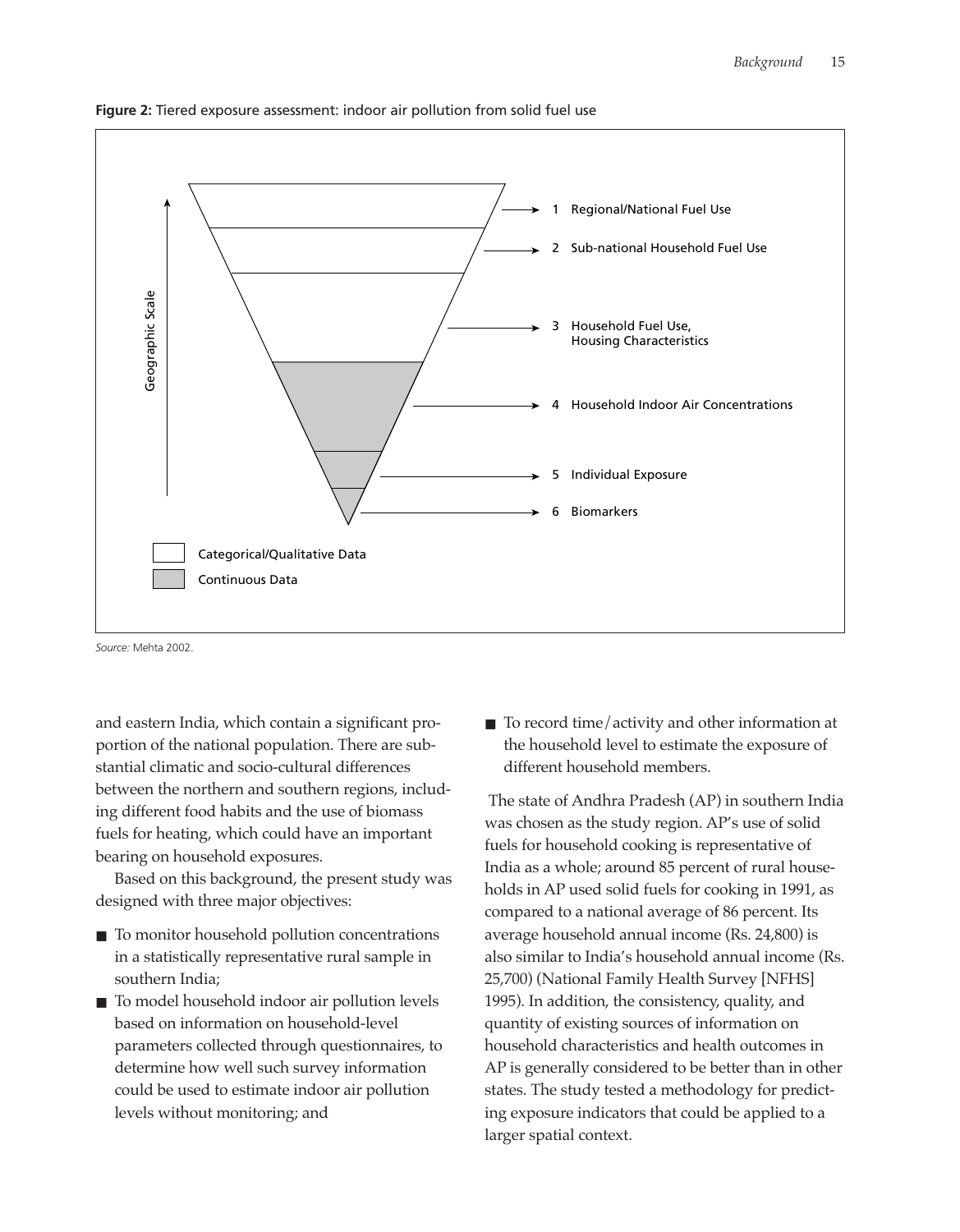

**Figure 2:** Tiered exposure assessment: indoor air pollution from solid fuel use

*Source:* Mehta 2002.

and eastern India, which contain a significant proportion of the national population. There are substantial climatic and socio-cultural differences between the northern and southern regions, including different food habits and the use of biomass fuels for heating, which could have an important bearing on household exposures.

Based on this background, the present study was designed with three major objectives:

- To monitor household pollution concentrations in a statistically representative rural sample in southern India;
- To model household indoor air pollution levels based on information on household-level parameters collected through questionnaires, to determine how well such survey information could be used to estimate indoor air pollution levels without monitoring; and

■ To record time/activity and other information at the household level to estimate the exposure of different household members.

The state of Andhra Pradesh (AP) in southern India was chosen as the study region. AP's use of solid fuels for household cooking is representative of India as a whole; around 85 percent of rural households in AP used solid fuels for cooking in 1991, as compared to a national average of 86 percent. Its average household annual income (Rs. 24,800) is also similar to India's household annual income (Rs. 25,700) (National Family Health Survey [NFHS] 1995). In addition, the consistency, quality, and quantity of existing sources of information on household characteristics and health outcomes in AP is generally considered to be better than in other states. The study tested a methodology for predicting exposure indicators that could be applied to a larger spatial context.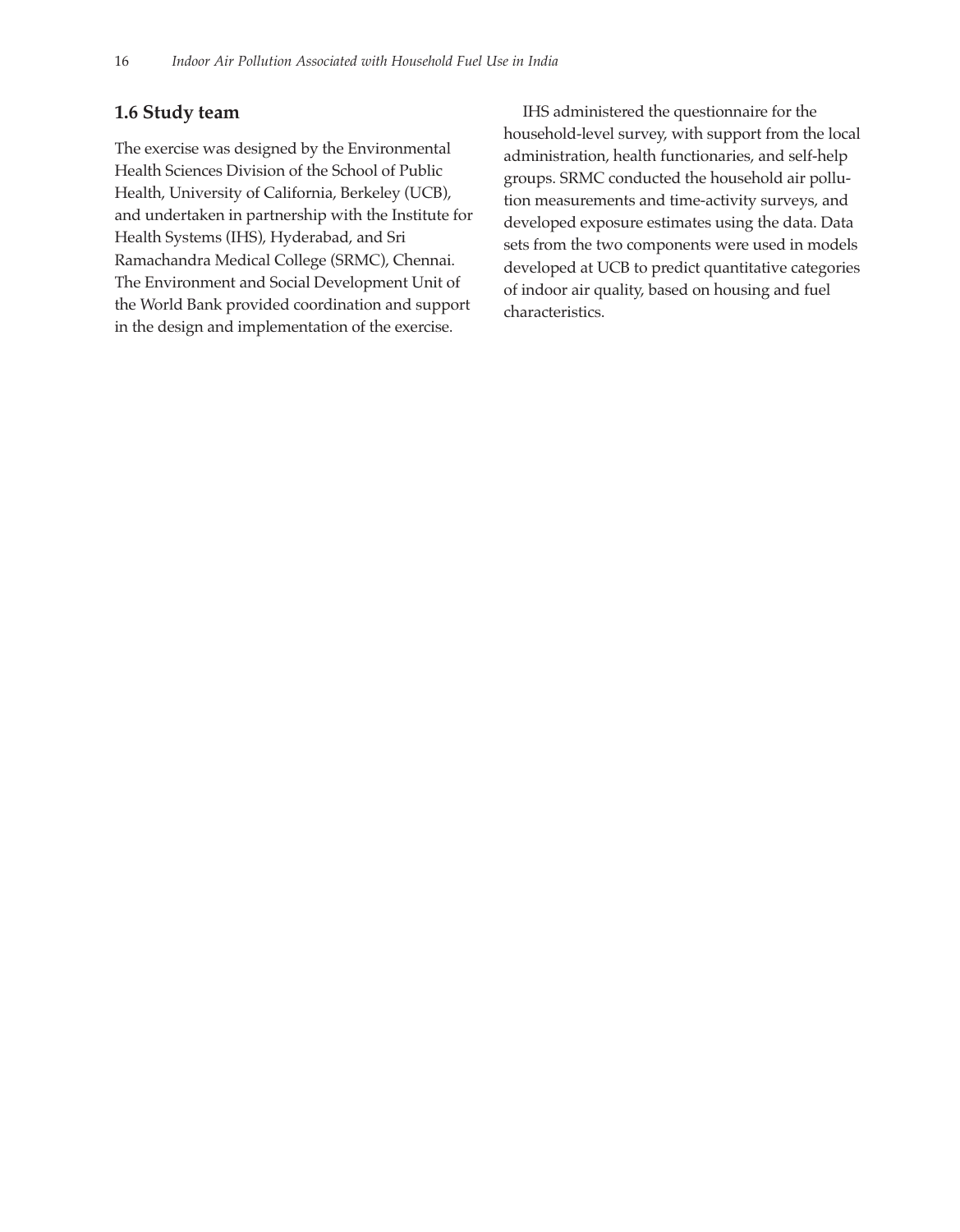#### **1.6 Study team**

The exercise was designed by the Environmental Health Sciences Division of the School of Public Health, University of California, Berkeley (UCB), and undertaken in partnership with the Institute for Health Systems (IHS), Hyderabad, and Sri Ramachandra Medical College (SRMC), Chennai. The Environment and Social Development Unit of the World Bank provided coordination and support in the design and implementation of the exercise.

IHS administered the questionnaire for the household-level survey, with support from the local administration, health functionaries, and self-help groups. SRMC conducted the household air pollution measurements and time-activity surveys, and developed exposure estimates using the data. Data sets from the two components were used in models developed at UCB to predict quantitative categories of indoor air quality, based on housing and fuel characteristics.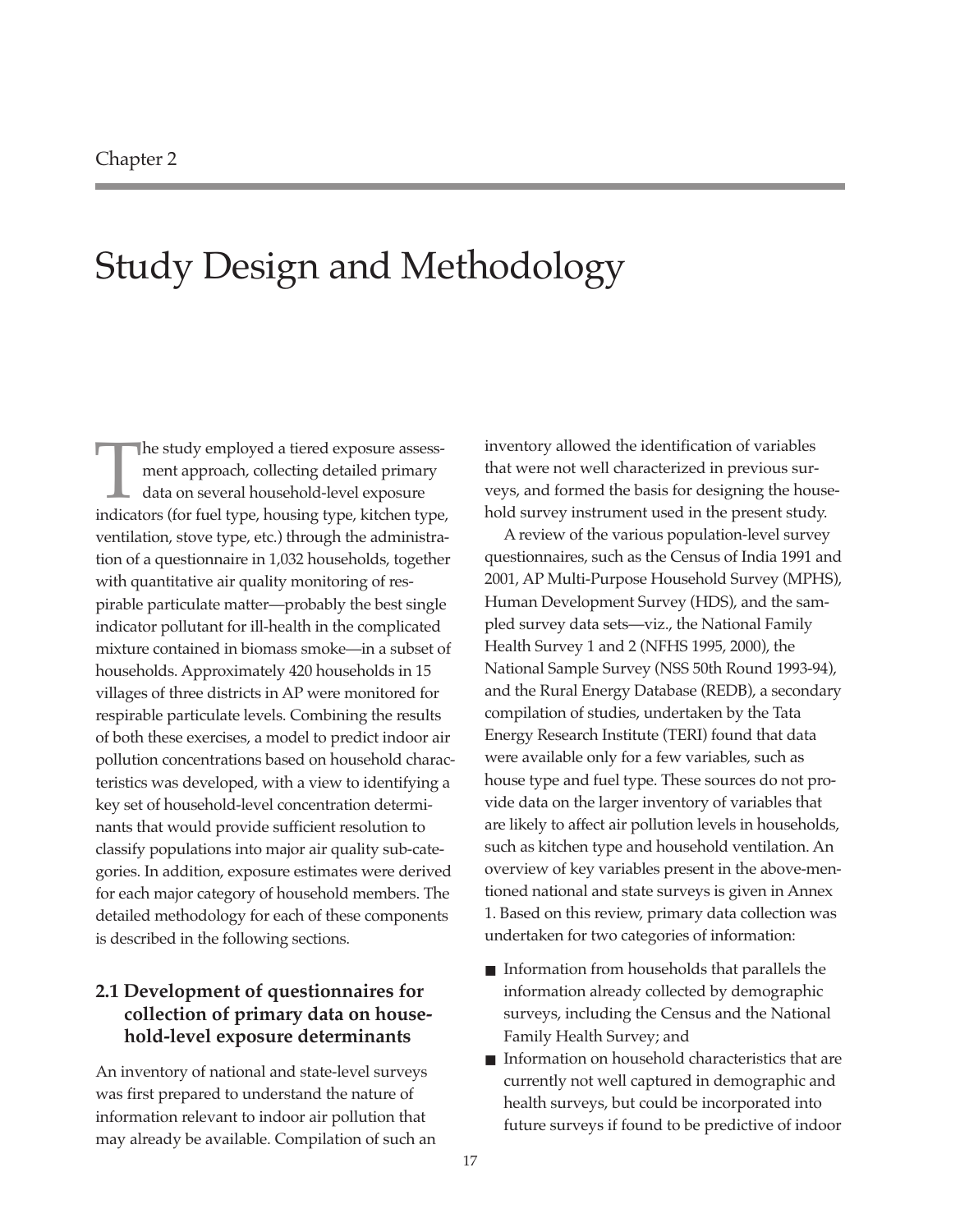### Study Design and Methodology

The study employed a tiered exposure assessment approach, collecting detailed primary data on several household-level exposure indicators (for fuel type, housing type, kitchen type, ventilation, stove type, etc.) through the administration of a questionnaire in 1,032 households, together with quantitative air quality monitoring of respirable particulate matter—probably the best single indicator pollutant for ill-health in the complicated mixture contained in biomass smoke—in a subset of households. Approximately 420 households in 15 villages of three districts in AP were monitored for respirable particulate levels. Combining the results of both these exercises, a model to predict indoor air pollution concentrations based on household characteristics was developed, with a view to identifying a key set of household-level concentration determinants that would provide sufficient resolution to classify populations into major air quality sub-categories. In addition, exposure estimates were derived for each major category of household members. The detailed methodology for each of these components is described in the following sections.

#### **2.1 Development of questionnaires for collection of primary data on household-level exposure determinants**

An inventory of national and state-level surveys was first prepared to understand the nature of information relevant to indoor air pollution that may already be available. Compilation of such an inventory allowed the identification of variables that were not well characterized in previous surveys, and formed the basis for designing the household survey instrument used in the present study.

A review of the various population-level survey questionnaires, such as the Census of India 1991 and 2001, AP Multi-Purpose Household Survey (MPHS), Human Development Survey (HDS), and the sampled survey data sets—viz., the National Family Health Survey 1 and 2 (NFHS 1995, 2000), the National Sample Survey (NSS 50th Round 1993-94), and the Rural Energy Database (REDB), a secondary compilation of studies, undertaken by the Tata Energy Research Institute (TERI) found that data were available only for a few variables, such as house type and fuel type. These sources do not provide data on the larger inventory of variables that are likely to affect air pollution levels in households, such as kitchen type and household ventilation. An overview of key variables present in the above-mentioned national and state surveys is given in Annex 1. Based on this review, primary data collection was undertaken for two categories of information:

- Information from households that parallels the information already collected by demographic surveys, including the Census and the National Family Health Survey; and
- Information on household characteristics that are currently not well captured in demographic and health surveys, but could be incorporated into future surveys if found to be predictive of indoor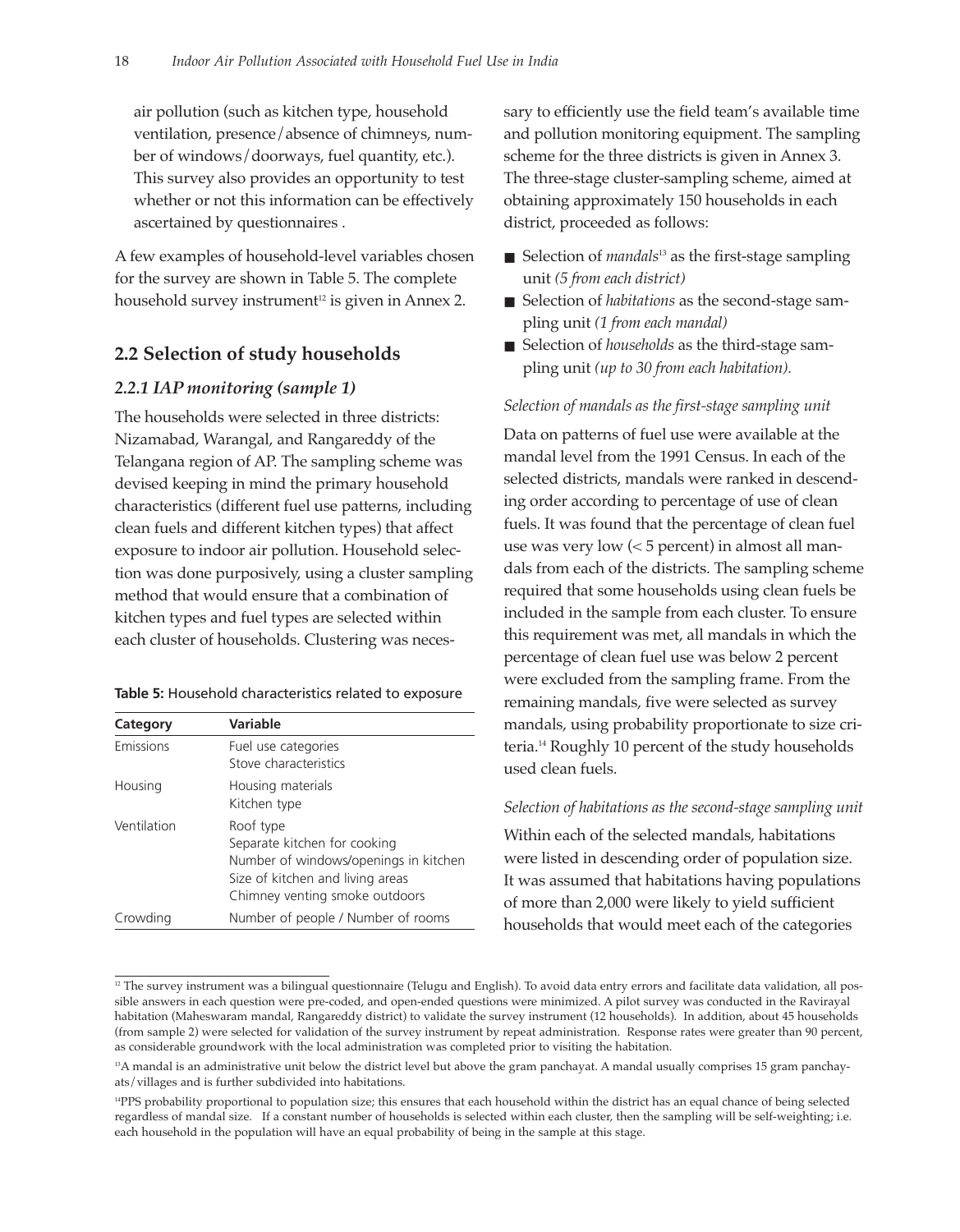air pollution (such as kitchen type, household ventilation, presence/absence of chimneys, number of windows/doorways, fuel quantity, etc.). This survey also provides an opportunity to test whether or not this information can be effectively ascertained by questionnaires .

A few examples of household-level variables chosen for the survey are shown in Table 5. The complete household survey instrument<sup>12</sup> is given in Annex 2.

#### **2.2 Selection of study households**

#### *2.2.1 IAP monitoring (sample 1)*

The households were selected in three districts: Nizamabad, Warangal, and Rangareddy of the Telangana region of AP. The sampling scheme was devised keeping in mind the primary household characteristics (different fuel use patterns, including clean fuels and different kitchen types) that affect exposure to indoor air pollution. Household selection was done purposively, using a cluster sampling method that would ensure that a combination of kitchen types and fuel types are selected within each cluster of households. Clustering was neces-

| Table 5: Household characteristics related to exposure |
|--------------------------------------------------------|
|--------------------------------------------------------|

| Category    | Variable                                                                                                                                                 |
|-------------|----------------------------------------------------------------------------------------------------------------------------------------------------------|
| Emissions   | Fuel use categories<br>Stove characteristics                                                                                                             |
| Housing     | Housing materials<br>Kitchen type                                                                                                                        |
| Ventilation | Roof type<br>Separate kitchen for cooking<br>Number of windows/openings in kitchen<br>Size of kitchen and living areas<br>Chimney venting smoke outdoors |
| Crowding    | Number of people / Number of rooms                                                                                                                       |

sary to efficiently use the field team's available time and pollution monitoring equipment. The sampling scheme for the three districts is given in Annex 3. The three-stage cluster-sampling scheme, aimed at obtaining approximately 150 households in each district, proceeded as follows:

- Selection of *mandals*<sup>13</sup> as the first-stage sampling unit *(5 from each district)*
- Selection of *habitations* as the second-stage sampling unit *(1 from each mandal)*
- Selection of *households* as the third-stage sampling unit *(up to 30 from each habitation).*

#### *Selection of mandals as the first-stage sampling unit*

Data on patterns of fuel use were available at the mandal level from the 1991 Census. In each of the selected districts, mandals were ranked in descending order according to percentage of use of clean fuels. It was found that the percentage of clean fuel use was very low (< 5 percent) in almost all mandals from each of the districts. The sampling scheme required that some households using clean fuels be included in the sample from each cluster. To ensure this requirement was met, all mandals in which the percentage of clean fuel use was below 2 percent were excluded from the sampling frame. From the remaining mandals, five were selected as survey mandals, using probability proportionate to size criteria.14 Roughly 10 percent of the study households used clean fuels.

#### *Selection of habitations as the second-stage sampling unit*

Within each of the selected mandals, habitations were listed in descending order of population size. It was assumed that habitations having populations of more than 2,000 were likely to yield sufficient households that would meet each of the categories

<sup>&</sup>lt;sup>12</sup> The survey instrument was a bilingual questionnaire (Telugu and English). To avoid data entry errors and facilitate data validation, all possible answers in each question were pre-coded, and open-ended questions were minimized. A pilot survey was conducted in the Ravirayal habitation (Maheswaram mandal, Rangareddy district) to validate the survey instrument (12 households). In addition, about 45 households (from sample 2) were selected for validation of the survey instrument by repeat administration. Response rates were greater than 90 percent, as considerable groundwork with the local administration was completed prior to visiting the habitation.

<sup>&</sup>lt;sup>13</sup>A mandal is an administrative unit below the district level but above the gram panchayat. A mandal usually comprises 15 gram panchayats/villages and is further subdivided into habitations.

<sup>&</sup>lt;sup>14</sup>PPS probability proportional to population size; this ensures that each household within the district has an equal chance of being selected regardless of mandal size. If a constant number of households is selected within each cluster, then the sampling will be self-weighting; i.e. each household in the population will have an equal probability of being in the sample at this stage.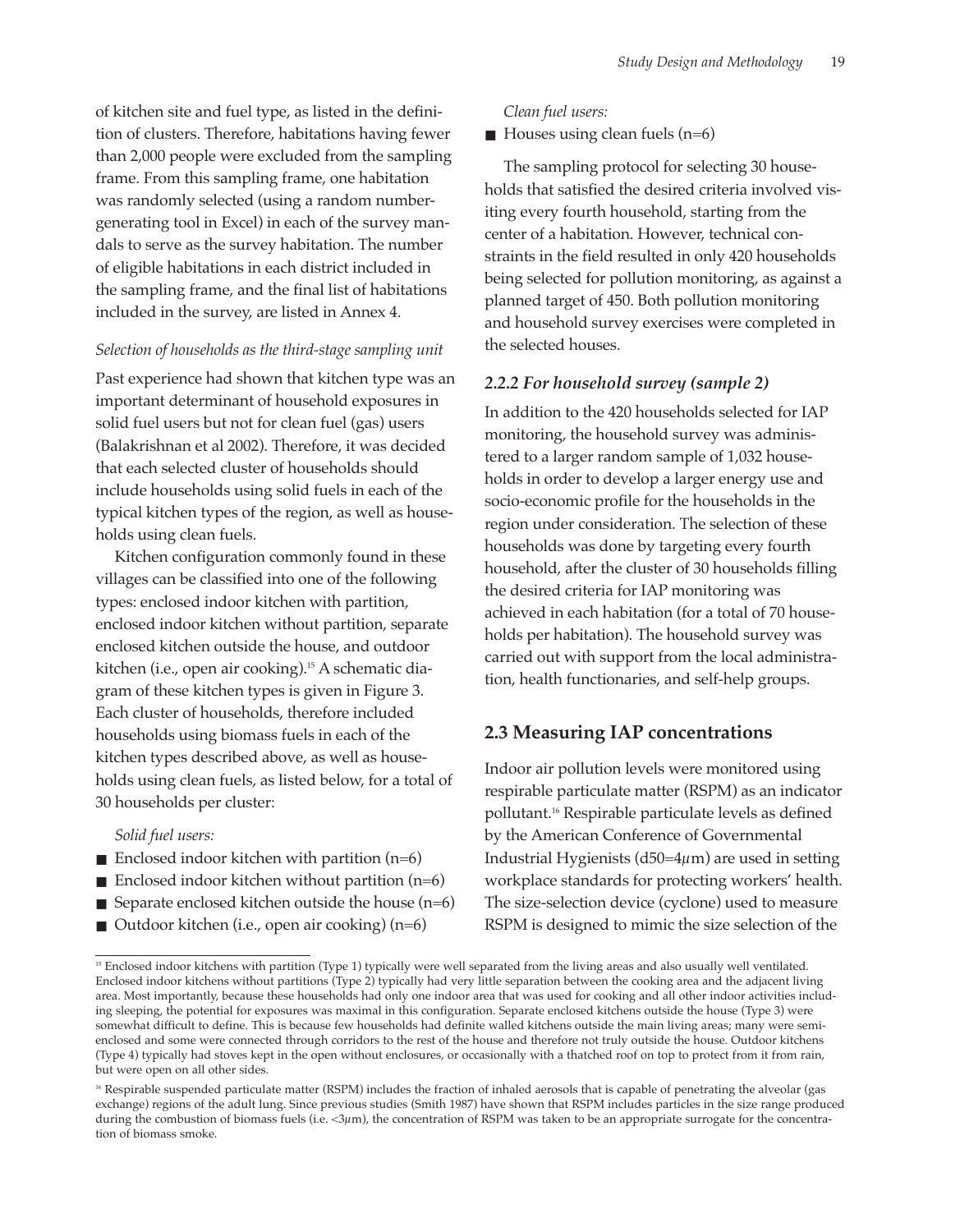of kitchen site and fuel type, as listed in the definition of clusters. Therefore, habitations having fewer than 2,000 people were excluded from the sampling frame. From this sampling frame, one habitation was randomly selected (using a random numbergenerating tool in Excel) in each of the survey mandals to serve as the survey habitation. The number of eligible habitations in each district included in the sampling frame, and the final list of habitations included in the survey, are listed in Annex 4.

#### *Selection of households as the third-stage sampling unit*

Past experience had shown that kitchen type was an important determinant of household exposures in solid fuel users but not for clean fuel (gas) users (Balakrishnan et al 2002). Therefore, it was decided that each selected cluster of households should include households using solid fuels in each of the typical kitchen types of the region, as well as households using clean fuels.

Kitchen configuration commonly found in these villages can be classified into one of the following types: enclosed indoor kitchen with partition, enclosed indoor kitchen without partition, separate enclosed kitchen outside the house, and outdoor kitchen (i.e., open air cooking).15 A schematic diagram of these kitchen types is given in Figure 3. Each cluster of households, therefore included households using biomass fuels in each of the kitchen types described above, as well as households using clean fuels, as listed below, for a total of 30 households per cluster:

#### *Solid fuel users:*

- Enclosed indoor kitchen with partition  $(n=6)$
- Enclosed indoor kitchen without partition  $(n=6)$
- Separate enclosed kitchen outside the house  $(n=6)$
- Outdoor kitchen (i.e., open air cooking)  $(n=6)$

#### *Clean fuel users:*

 $\blacksquare$  Houses using clean fuels (n=6)

The sampling protocol for selecting 30 households that satisfied the desired criteria involved visiting every fourth household, starting from the center of a habitation. However, technical constraints in the field resulted in only 420 households being selected for pollution monitoring, as against a planned target of 450. Both pollution monitoring and household survey exercises were completed in the selected houses.

#### *2.2.2 For household survey (sample 2)*

In addition to the 420 households selected for IAP monitoring, the household survey was administered to a larger random sample of 1,032 households in order to develop a larger energy use and socio-economic profile for the households in the region under consideration. The selection of these households was done by targeting every fourth household, after the cluster of 30 households filling the desired criteria for IAP monitoring was achieved in each habitation (for a total of 70 households per habitation). The household survey was carried out with support from the local administration, health functionaries, and self-help groups.

#### **2.3 Measuring IAP concentrations**

Indoor air pollution levels were monitored using respirable particulate matter (RSPM) as an indicator pollutant.16 Respirable particulate levels as defined by the American Conference of Governmental Industrial Hygienists ( $d50=4\mu$ m) are used in setting workplace standards for protecting workers' health. The size-selection device (cyclone) used to measure RSPM is designed to mimic the size selection of the

<sup>&</sup>lt;sup>15</sup> Enclosed indoor kitchens with partition (Type 1) typically were well separated from the living areas and also usually well ventilated. Enclosed indoor kitchens without partitions (Type 2) typically had very little separation between the cooking area and the adjacent living area. Most importantly, because these households had only one indoor area that was used for cooking and all other indoor activities including sleeping, the potential for exposures was maximal in this configuration. Separate enclosed kitchens outside the house (Type 3) were somewhat difficult to define. This is because few households had definite walled kitchens outside the main living areas; many were semienclosed and some were connected through corridors to the rest of the house and therefore not truly outside the house. Outdoor kitchens (Type 4) typically had stoves kept in the open without enclosures, or occasionally with a thatched roof on top to protect from it from rain, but were open on all other sides.

<sup>&</sup>lt;sup>16</sup> Respirable suspended particulate matter (RSPM) includes the fraction of inhaled aerosols that is capable of penetrating the alveolar (gas exchange) regions of the adult lung. Since previous studies (Smith 1987) have shown that RSPM includes particles in the size range produced during the combustion of biomass fuels (i.e. <3µm), the concentration of RSPM was taken to be an appropriate surrogate for the concentration of biomass smoke.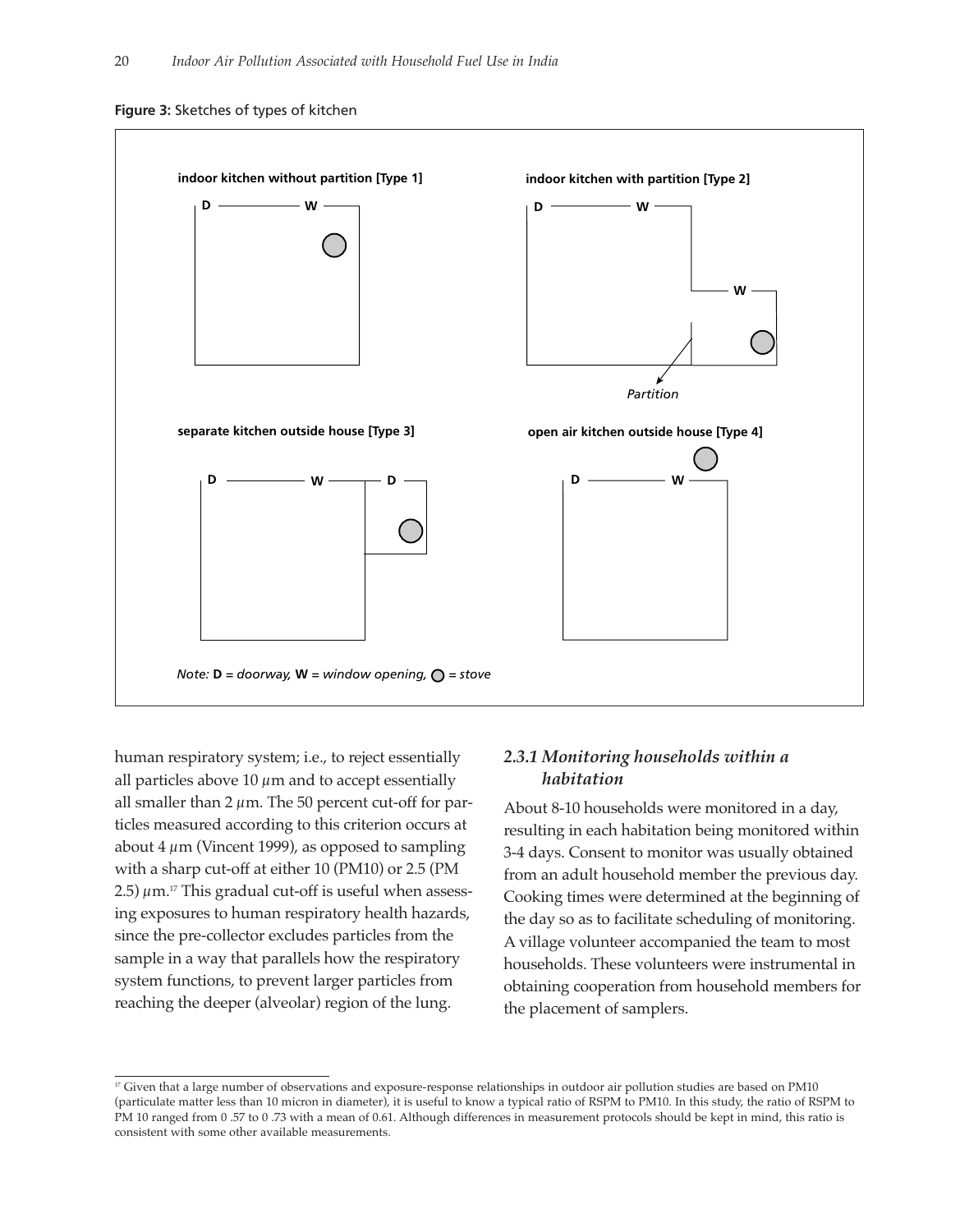



human respiratory system; i.e., to reject essentially all particles above 10  $\mu$ m and to accept essentially all smaller than 2  $\mu$ m. The 50 percent cut-off for particles measured according to this criterion occurs at about  $4 \mu m$  (Vincent 1999), as opposed to sampling with a sharp cut-off at either 10 (PM10) or 2.5 (PM 2.5)  $\mu$ m.<sup>17</sup> This gradual cut-off is useful when assessing exposures to human respiratory health hazards, since the pre-collector excludes particles from the sample in a way that parallels how the respiratory system functions, to prevent larger particles from reaching the deeper (alveolar) region of the lung.

### *2.3.1 Monitoring households within a habitation*

About 8-10 households were monitored in a day, resulting in each habitation being monitored within 3-4 days. Consent to monitor was usually obtained from an adult household member the previous day. Cooking times were determined at the beginning of the day so as to facilitate scheduling of monitoring. A village volunteer accompanied the team to most households. These volunteers were instrumental in obtaining cooperation from household members for the placement of samplers.

 $17$  Given that a large number of observations and exposure-response relationships in outdoor air pollution studies are based on PM10 (particulate matter less than 10 micron in diameter), it is useful to know a typical ratio of RSPM to PM10. In this study, the ratio of RSPM to PM 10 ranged from 0 .57 to 0 .73 with a mean of 0.61. Although differences in measurement protocols should be kept in mind, this ratio is consistent with some other available measurements.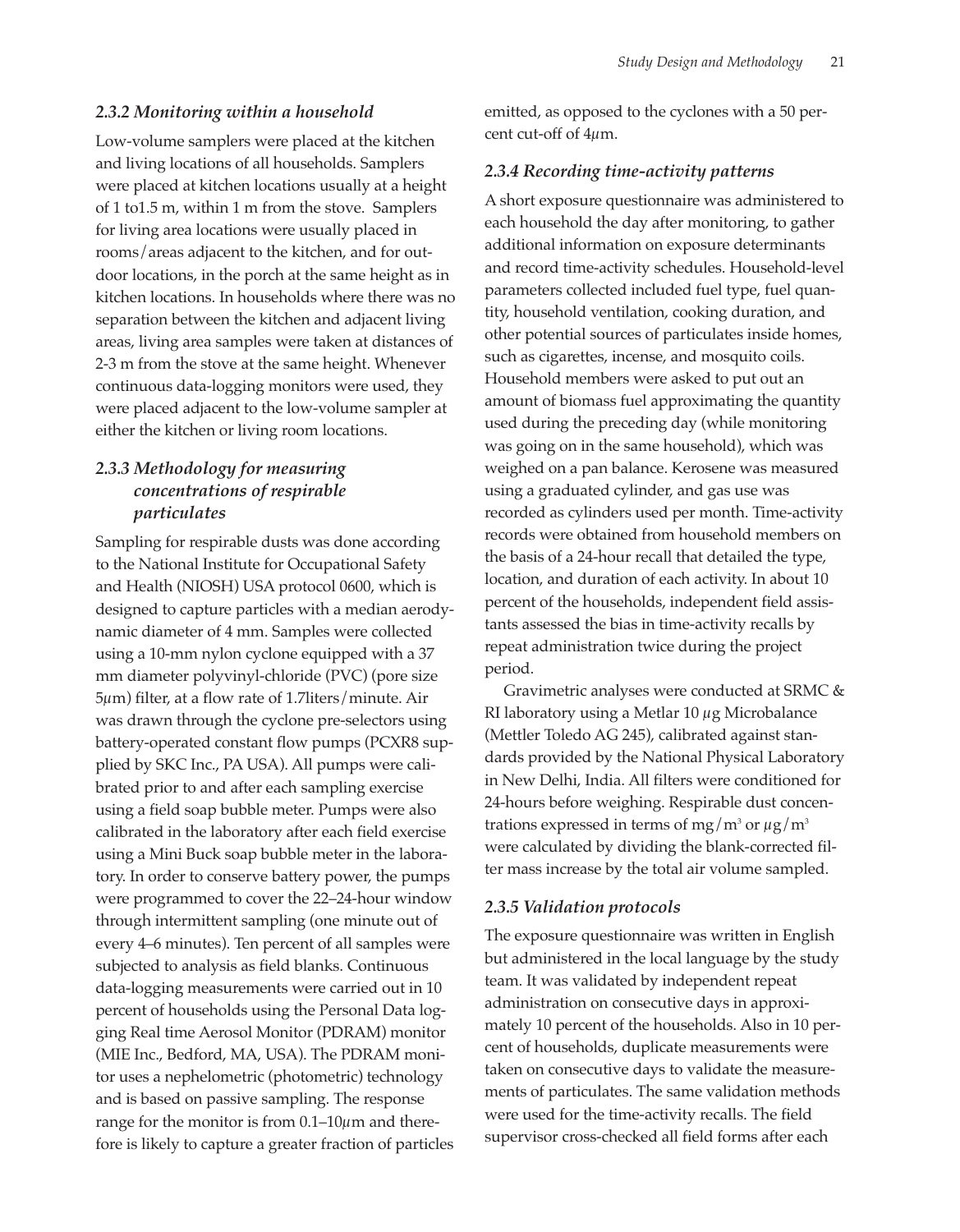#### *2.3.2 Monitoring within a household*

Low-volume samplers were placed at the kitchen and living locations of all households. Samplers were placed at kitchen locations usually at a height of 1 to1.5 m, within 1 m from the stove. Samplers for living area locations were usually placed in rooms/areas adjacent to the kitchen, and for outdoor locations, in the porch at the same height as in kitchen locations. In households where there was no separation between the kitchen and adjacent living areas, living area samples were taken at distances of 2-3 m from the stove at the same height. Whenever continuous data-logging monitors were used, they were placed adjacent to the low-volume sampler at either the kitchen or living room locations.

# *2.3.3 Methodology for measuring concentrations of respirable particulates*

Sampling for respirable dusts was done according to the National Institute for Occupational Safety and Health (NIOSH) USA protocol 0600, which is designed to capture particles with a median aerodynamic diameter of 4 mm. Samples were collected using a 10-mm nylon cyclone equipped with a 37 mm diameter polyvinyl-chloride (PVC) (pore size 5µm) filter, at a flow rate of 1.7liters/minute. Air was drawn through the cyclone pre-selectors using battery-operated constant flow pumps (PCXR8 supplied by SKC Inc., PA USA). All pumps were calibrated prior to and after each sampling exercise using a field soap bubble meter. Pumps were also calibrated in the laboratory after each field exercise using a Mini Buck soap bubble meter in the laboratory. In order to conserve battery power, the pumps were programmed to cover the 22–24-hour window through intermittent sampling (one minute out of every 4–6 minutes). Ten percent of all samples were subjected to analysis as field blanks. Continuous data-logging measurements were carried out in 10 percent of households using the Personal Data logging Real time Aerosol Monitor (PDRAM) monitor (MIE Inc., Bedford, MA, USA). The PDRAM monitor uses a nephelometric (photometric) technology and is based on passive sampling. The response range for the monitor is from  $0.1-10\mu$ m and therefore is likely to capture a greater fraction of particles

emitted, as opposed to the cyclones with a 50 percent cut-off of 4µm.

#### *2.3.4 Recording time-activity patterns*

A short exposure questionnaire was administered to each household the day after monitoring, to gather additional information on exposure determinants and record time-activity schedules. Household-level parameters collected included fuel type, fuel quantity, household ventilation, cooking duration, and other potential sources of particulates inside homes, such as cigarettes, incense, and mosquito coils. Household members were asked to put out an amount of biomass fuel approximating the quantity used during the preceding day (while monitoring was going on in the same household), which was weighed on a pan balance. Kerosene was measured using a graduated cylinder, and gas use was recorded as cylinders used per month. Time-activity records were obtained from household members on the basis of a 24-hour recall that detailed the type, location, and duration of each activity. In about 10 percent of the households, independent field assistants assessed the bias in time-activity recalls by repeat administration twice during the project period.

Gravimetric analyses were conducted at SRMC & RI laboratory using a Metlar 10 µg Microbalance (Mettler Toledo AG 245), calibrated against standards provided by the National Physical Laboratory in New Delhi, India. All filters were conditioned for 24-hours before weighing. Respirable dust concentrations expressed in terms of mg/m<sup>3</sup> or  $\mu$ g/m<sup>3</sup> were calculated by dividing the blank-corrected filter mass increase by the total air volume sampled.

#### *2.3.5 Validation protocols*

The exposure questionnaire was written in English but administered in the local language by the study team. It was validated by independent repeat administration on consecutive days in approximately 10 percent of the households. Also in 10 percent of households, duplicate measurements were taken on consecutive days to validate the measurements of particulates. The same validation methods were used for the time-activity recalls. The field supervisor cross-checked all field forms after each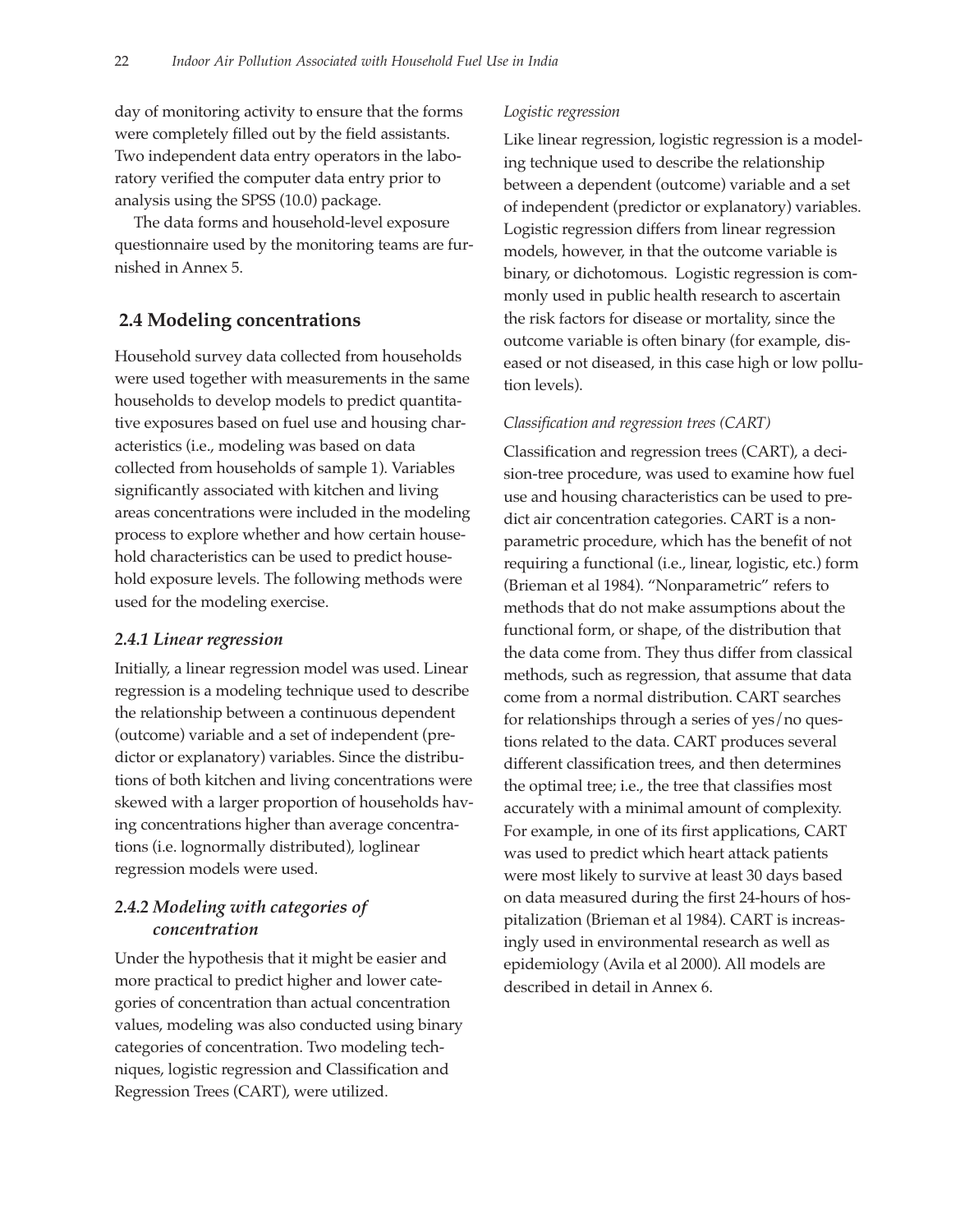day of monitoring activity to ensure that the forms were completely filled out by the field assistants. Two independent data entry operators in the laboratory verified the computer data entry prior to analysis using the SPSS (10.0) package.

The data forms and household-level exposure questionnaire used by the monitoring teams are furnished in Annex 5.

# **2.4 Modeling concentrations**

Household survey data collected from households were used together with measurements in the same households to develop models to predict quantitative exposures based on fuel use and housing characteristics (i.e., modeling was based on data collected from households of sample 1). Variables significantly associated with kitchen and living areas concentrations were included in the modeling process to explore whether and how certain household characteristics can be used to predict household exposure levels. The following methods were used for the modeling exercise.

#### *2.4.1 Linear regression*

Initially, a linear regression model was used. Linear regression is a modeling technique used to describe the relationship between a continuous dependent (outcome) variable and a set of independent (predictor or explanatory) variables. Since the distributions of both kitchen and living concentrations were skewed with a larger proportion of households having concentrations higher than average concentrations (i.e. lognormally distributed), loglinear regression models were used.

# *2.4.2 Modeling with categories of concentration*

Under the hypothesis that it might be easier and more practical to predict higher and lower categories of concentration than actual concentration values, modeling was also conducted using binary categories of concentration. Two modeling techniques, logistic regression and Classification and Regression Trees (CART), were utilized.

#### *Logistic regression*

Like linear regression, logistic regression is a modeling technique used to describe the relationship between a dependent (outcome) variable and a set of independent (predictor or explanatory) variables. Logistic regression differs from linear regression models, however, in that the outcome variable is binary, or dichotomous. Logistic regression is commonly used in public health research to ascertain the risk factors for disease or mortality, since the outcome variable is often binary (for example, diseased or not diseased, in this case high or low pollution levels).

#### *Classification and regression trees (CART)*

Classification and regression trees (CART), a decision-tree procedure, was used to examine how fuel use and housing characteristics can be used to predict air concentration categories. CART is a nonparametric procedure, which has the benefit of not requiring a functional (i.e., linear, logistic, etc.) form (Brieman et al 1984). "Nonparametric" refers to methods that do not make assumptions about the functional form, or shape, of the distribution that the data come from. They thus differ from classical methods, such as regression, that assume that data come from a normal distribution. CART searches for relationships through a series of yes/no questions related to the data. CART produces several different classification trees, and then determines the optimal tree; i.e., the tree that classifies most accurately with a minimal amount of complexity. For example, in one of its first applications, CART was used to predict which heart attack patients were most likely to survive at least 30 days based on data measured during the first 24-hours of hospitalization (Brieman et al 1984). CART is increasingly used in environmental research as well as epidemiology (Avila et al 2000). All models are described in detail in Annex 6.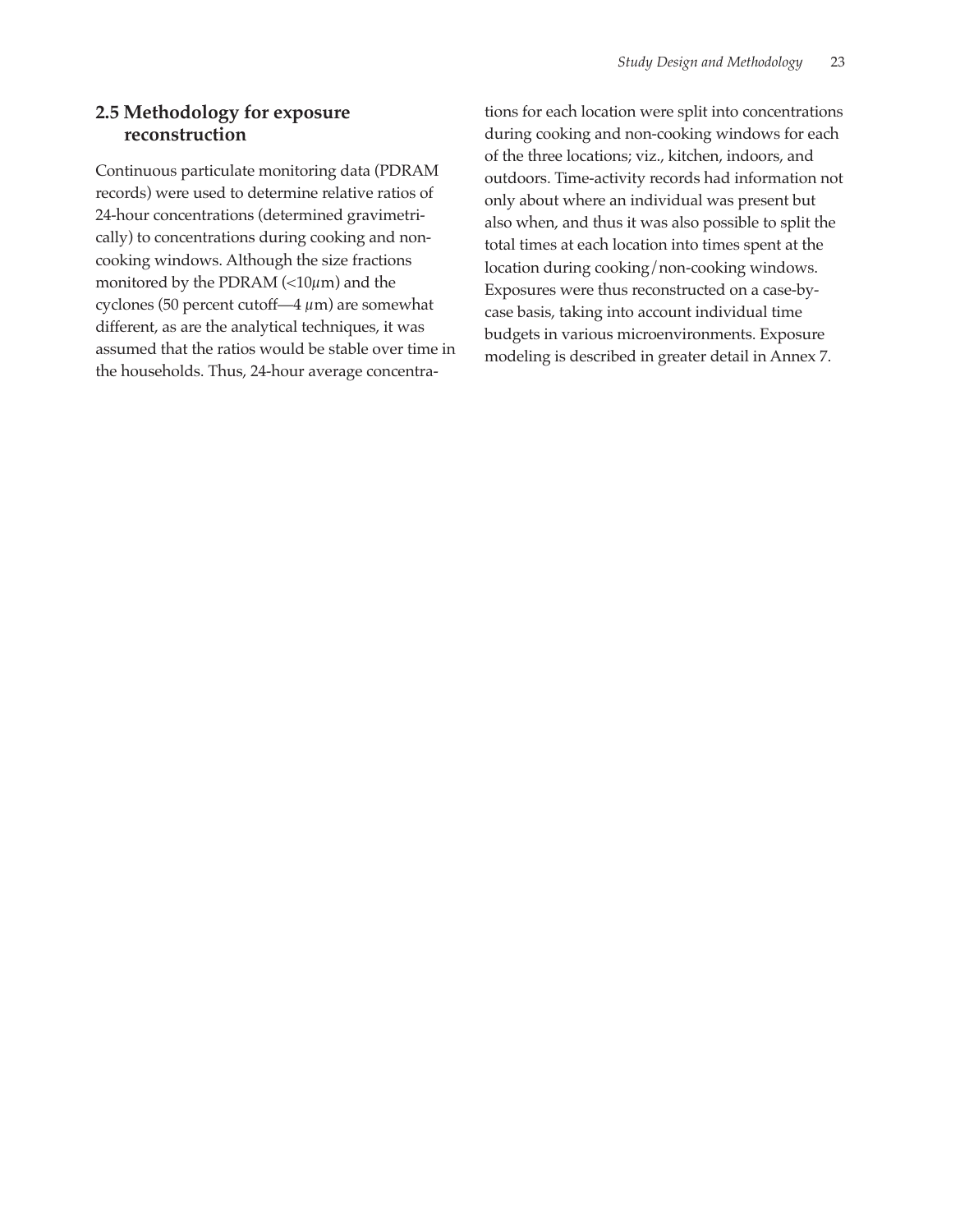# **2.5 Methodology for exposure reconstruction**

Continuous particulate monitoring data (PDRAM records) were used to determine relative ratios of 24-hour concentrations (determined gravimetrically) to concentrations during cooking and noncooking windows. Although the size fractions monitored by the PDRAM  $\left($  < 10 $\mu$ m) and the cyclones (50 percent cutoff—4  $\mu$ m) are somewhat different, as are the analytical techniques, it was assumed that the ratios would be stable over time in the households. Thus, 24-hour average concentrations for each location were split into concentrations during cooking and non-cooking windows for each of the three locations; viz., kitchen, indoors, and outdoors. Time-activity records had information not only about where an individual was present but also when, and thus it was also possible to split the total times at each location into times spent at the location during cooking/non-cooking windows. Exposures were thus reconstructed on a case-bycase basis, taking into account individual time budgets in various microenvironments. Exposure modeling is described in greater detail in Annex 7.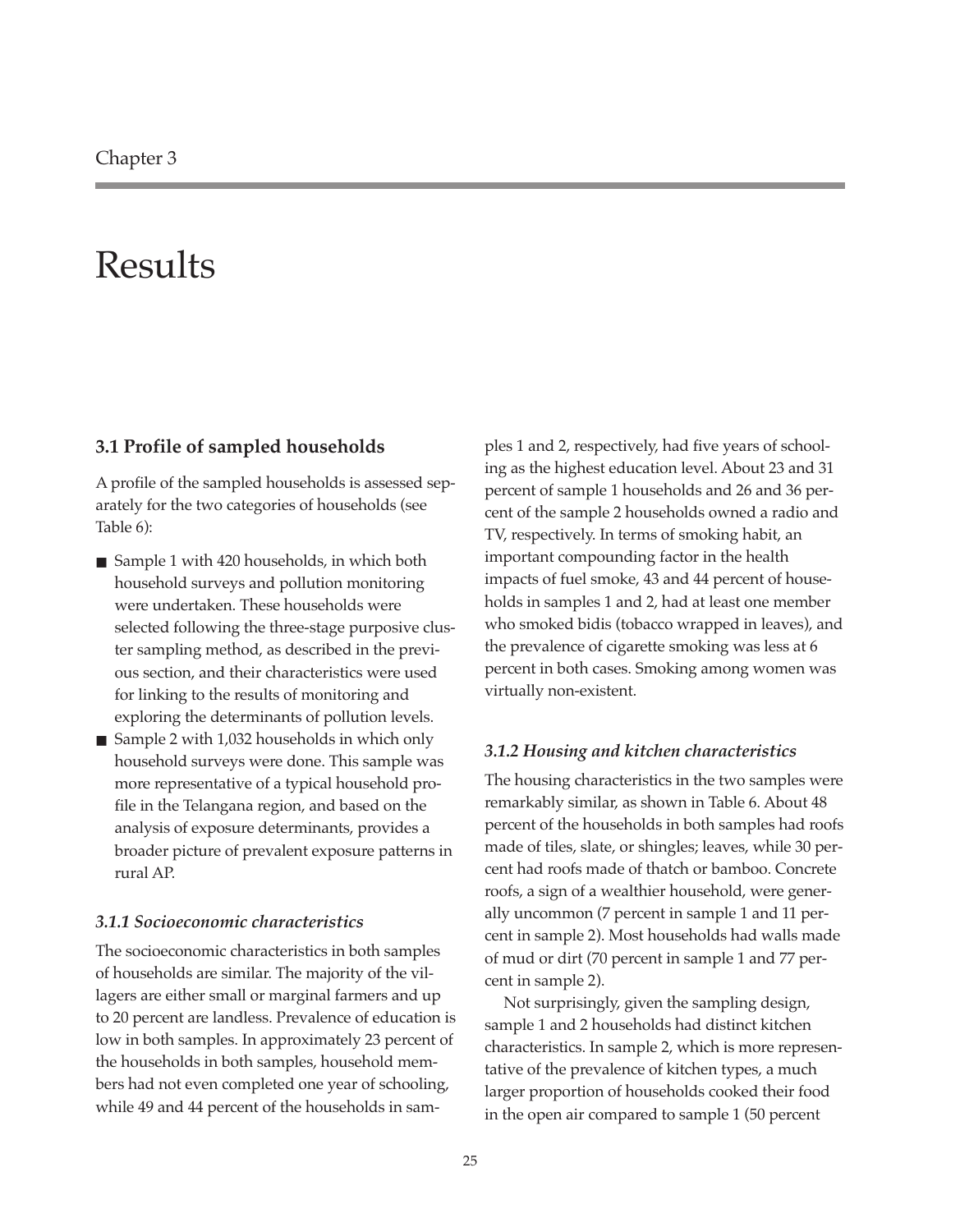# Results

#### **3.1 Profile of sampled households**

A profile of the sampled households is assessed separately for the two categories of households (see Table 6):

- Sample 1 with 420 households, in which both household surveys and pollution monitoring were undertaken. These households were selected following the three-stage purposive cluster sampling method, as described in the previous section, and their characteristics were used for linking to the results of monitoring and exploring the determinants of pollution levels.
- Sample 2 with 1,032 households in which only household surveys were done. This sample was more representative of a typical household profile in the Telangana region, and based on the analysis of exposure determinants, provides a broader picture of prevalent exposure patterns in rural AP.

#### *3.1.1 Socioeconomic characteristics*

The socioeconomic characteristics in both samples of households are similar. The majority of the villagers are either small or marginal farmers and up to 20 percent are landless. Prevalence of education is low in both samples. In approximately 23 percent of the households in both samples, household members had not even completed one year of schooling, while 49 and 44 percent of the households in sam-

ples 1 and 2, respectively, had five years of schooling as the highest education level. About 23 and 31 percent of sample 1 households and 26 and 36 percent of the sample 2 households owned a radio and TV, respectively. In terms of smoking habit, an important compounding factor in the health impacts of fuel smoke, 43 and 44 percent of households in samples 1 and 2, had at least one member who smoked bidis (tobacco wrapped in leaves), and the prevalence of cigarette smoking was less at 6 percent in both cases. Smoking among women was virtually non-existent.

#### *3.1.2 Housing and kitchen characteristics*

The housing characteristics in the two samples were remarkably similar, as shown in Table 6. About 48 percent of the households in both samples had roofs made of tiles, slate, or shingles; leaves, while 30 percent had roofs made of thatch or bamboo. Concrete roofs, a sign of a wealthier household, were generally uncommon (7 percent in sample 1 and 11 percent in sample 2). Most households had walls made of mud or dirt (70 percent in sample 1 and 77 percent in sample 2).

Not surprisingly, given the sampling design, sample 1 and 2 households had distinct kitchen characteristics. In sample 2, which is more representative of the prevalence of kitchen types, a much larger proportion of households cooked their food in the open air compared to sample 1 (50 percent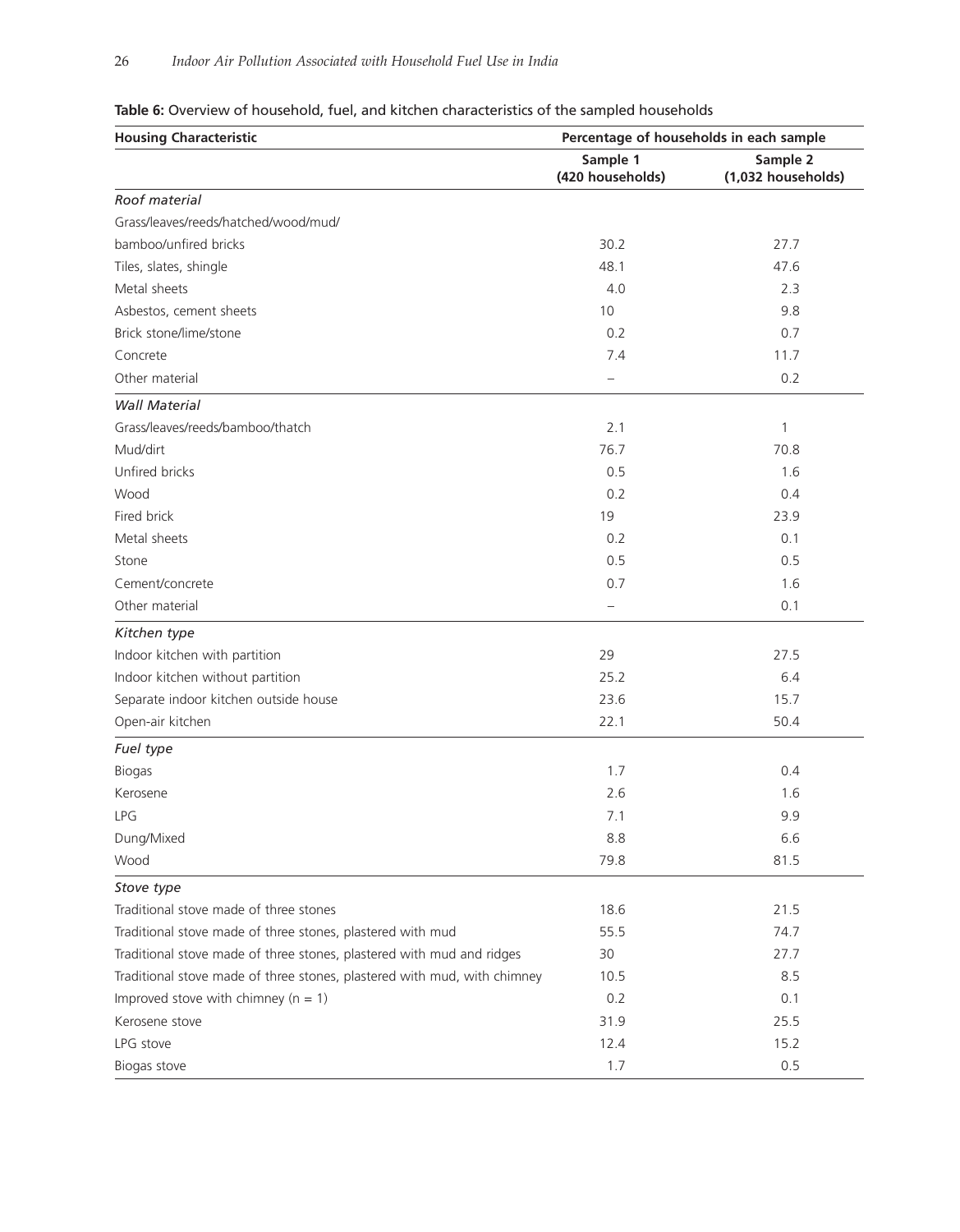# **Table 6:** Overview of household, fuel, and kitchen characteristics of the sampled households

| <b>Housing Characteristic</b>                                            | Percentage of households in each sample |                                |  |  |
|--------------------------------------------------------------------------|-----------------------------------------|--------------------------------|--|--|
|                                                                          | Sample 1<br>(420 households)            | Sample 2<br>(1,032 households) |  |  |
| Roof material                                                            |                                         |                                |  |  |
| Grass/leaves/reeds/hatched/wood/mud/                                     |                                         |                                |  |  |
| bamboo/unfired bricks                                                    | 30.2                                    | 27.7                           |  |  |
| Tiles, slates, shingle                                                   | 48.1                                    | 47.6                           |  |  |
| Metal sheets                                                             | 4.0                                     | 2.3                            |  |  |
| Asbestos, cement sheets                                                  | 10                                      | 9.8                            |  |  |
| Brick stone/lime/stone                                                   | 0.2                                     | 0.7                            |  |  |
| Concrete                                                                 | 7.4                                     | 11.7                           |  |  |
| Other material                                                           |                                         | 0.2                            |  |  |
| <b>Wall Material</b>                                                     |                                         |                                |  |  |
| Grass/leaves/reeds/bamboo/thatch                                         | 2.1                                     | 1                              |  |  |
| Mud/dirt                                                                 | 76.7                                    | 70.8                           |  |  |
| Unfired bricks                                                           | 0.5                                     | 1.6                            |  |  |
| Wood                                                                     | 0.2                                     | 0.4                            |  |  |
| Fired brick                                                              | 19                                      | 23.9                           |  |  |
| Metal sheets                                                             | 0.2                                     | 0.1                            |  |  |
| Stone                                                                    | 0.5                                     | 0.5                            |  |  |
| Cement/concrete                                                          | 0.7                                     | 1.6                            |  |  |
| Other material                                                           |                                         | 0.1                            |  |  |
| Kitchen type                                                             |                                         |                                |  |  |
| Indoor kitchen with partition                                            | 29                                      | 27.5                           |  |  |
| Indoor kitchen without partition                                         | 25.2                                    | 6.4                            |  |  |
| Separate indoor kitchen outside house                                    | 23.6                                    | 15.7                           |  |  |
| Open-air kitchen                                                         | 22.1                                    | 50.4                           |  |  |
| Fuel type                                                                |                                         |                                |  |  |
| <b>Biogas</b>                                                            | 1.7                                     | 0.4                            |  |  |
| Kerosene                                                                 | 2.6                                     | 1.6                            |  |  |
| <b>LPG</b>                                                               | 7.1                                     | 9.9                            |  |  |
| Dung/Mixed                                                               | 8.8                                     | 6.6                            |  |  |
| Wood                                                                     | 79.8                                    | 81.5                           |  |  |
| Stove type                                                               |                                         |                                |  |  |
| Traditional stove made of three stones                                   | 18.6                                    | 21.5                           |  |  |
| Traditional stove made of three stones, plastered with mud               | 55.5                                    | 74.7                           |  |  |
| Traditional stove made of three stones, plastered with mud and ridges    | 30                                      | 27.7                           |  |  |
| Traditional stove made of three stones, plastered with mud, with chimney | 10.5                                    | 8.5                            |  |  |
| Improved stove with chimney ( $n = 1$ )                                  | 0.2                                     | 0.1                            |  |  |
| Kerosene stove                                                           | 31.9                                    | 25.5                           |  |  |
| LPG stove                                                                | 12.4                                    | 15.2                           |  |  |
| Biogas stove                                                             | 1.7                                     | 0.5                            |  |  |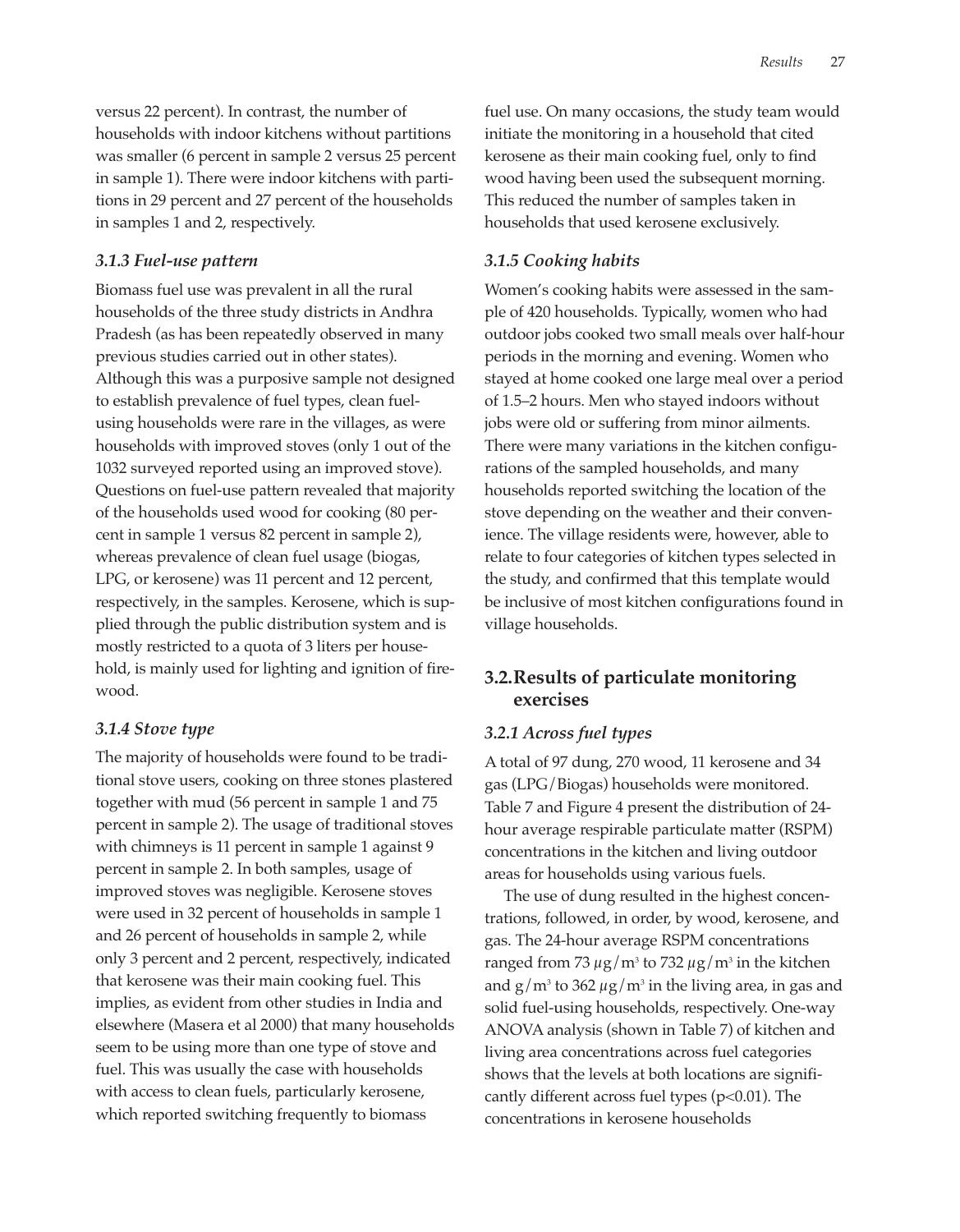versus 22 percent). In contrast, the number of households with indoor kitchens without partitions was smaller (6 percent in sample 2 versus 25 percent in sample 1). There were indoor kitchens with partitions in 29 percent and 27 percent of the households in samples 1 and 2, respectively.

#### *3.1.3 Fuel-use pattern*

Biomass fuel use was prevalent in all the rural households of the three study districts in Andhra Pradesh (as has been repeatedly observed in many previous studies carried out in other states). Although this was a purposive sample not designed to establish prevalence of fuel types, clean fuelusing households were rare in the villages, as were households with improved stoves (only 1 out of the 1032 surveyed reported using an improved stove). Questions on fuel-use pattern revealed that majority of the households used wood for cooking (80 percent in sample 1 versus 82 percent in sample 2), whereas prevalence of clean fuel usage (biogas, LPG, or kerosene) was 11 percent and 12 percent, respectively, in the samples. Kerosene, which is supplied through the public distribution system and is mostly restricted to a quota of 3 liters per household, is mainly used for lighting and ignition of firewood.

#### *3.1.4 Stove type*

The majority of households were found to be traditional stove users, cooking on three stones plastered together with mud (56 percent in sample 1 and 75 percent in sample 2). The usage of traditional stoves with chimneys is 11 percent in sample 1 against 9 percent in sample 2. In both samples, usage of improved stoves was negligible. Kerosene stoves were used in 32 percent of households in sample 1 and 26 percent of households in sample 2, while only 3 percent and 2 percent, respectively, indicated that kerosene was their main cooking fuel. This implies, as evident from other studies in India and elsewhere (Masera et al 2000) that many households seem to be using more than one type of stove and fuel. This was usually the case with households with access to clean fuels, particularly kerosene, which reported switching frequently to biomass

fuel use. On many occasions, the study team would initiate the monitoring in a household that cited kerosene as their main cooking fuel, only to find wood having been used the subsequent morning. This reduced the number of samples taken in households that used kerosene exclusively.

#### *3.1.5 Cooking habits*

Women's cooking habits were assessed in the sample of 420 households. Typically, women who had outdoor jobs cooked two small meals over half-hour periods in the morning and evening. Women who stayed at home cooked one large meal over a period of 1.5–2 hours. Men who stayed indoors without jobs were old or suffering from minor ailments. There were many variations in the kitchen configurations of the sampled households, and many households reported switching the location of the stove depending on the weather and their convenience. The village residents were, however, able to relate to four categories of kitchen types selected in the study, and confirmed that this template would be inclusive of most kitchen configurations found in village households.

# **3.2.Results of particulate monitoring exercises**

#### *3.2.1 Across fuel types*

A total of 97 dung, 270 wood, 11 kerosene and 34 gas (LPG/Biogas) households were monitored. Table 7 and Figure 4 present the distribution of 24 hour average respirable particulate matter (RSPM) concentrations in the kitchen and living outdoor areas for households using various fuels.

The use of dung resulted in the highest concentrations, followed, in order, by wood, kerosene, and gas. The 24-hour average RSPM concentrations ranged from 73  $\mu$ g/m<sup>3</sup> to 732  $\mu$ g/m<sup>3</sup> in the kitchen and  $g/m^3$  to 362  $\mu$ g/m<sup>3</sup> in the living area, in gas and solid fuel-using households, respectively. One-way ANOVA analysis (shown in Table 7) of kitchen and living area concentrations across fuel categories shows that the levels at both locations are significantly different across fuel types  $(p<0.01)$ . The concentrations in kerosene households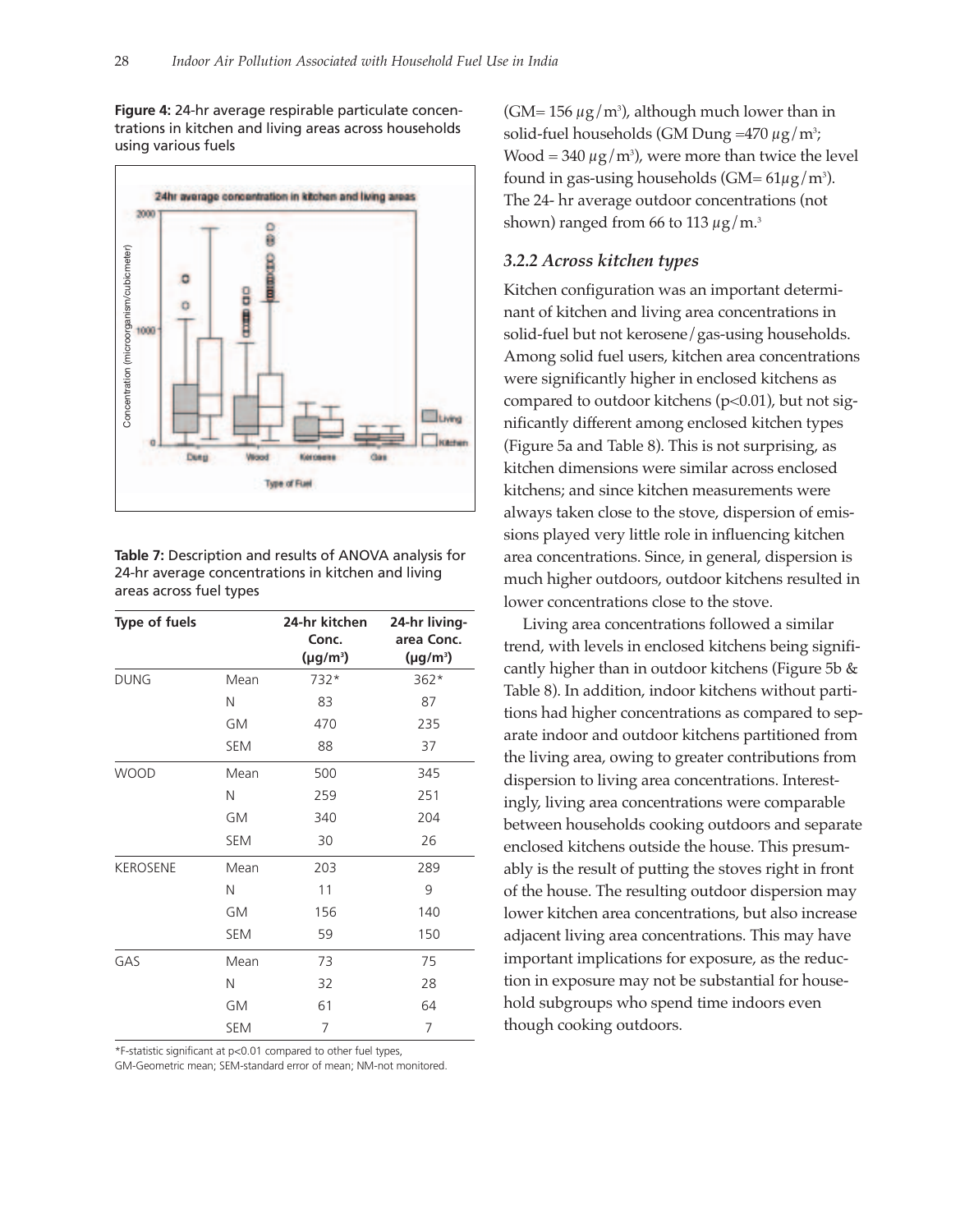**Figure 4:** 24-hr average respirable particulate concentrations in kitchen and living areas across households using various fuels



| Table 7: Description and results of ANOVA analysis for |
|--------------------------------------------------------|
| 24-hr average concentrations in kitchen and living     |
| areas across fuel types                                |

| <b>Type of fuels</b> |            | 24-hr kitchen<br>Conc.<br>$(\mu$ g/m <sup>3</sup> ) | 24-hr living-<br>area Conc.<br>$(\mu g/m^3)$ |
|----------------------|------------|-----------------------------------------------------|----------------------------------------------|
| <b>DUNG</b>          | Mean       | 732*                                                | $362*$                                       |
|                      | N          | 83                                                  | 87                                           |
|                      | GM         | 470                                                 | 235                                          |
|                      | <b>SEM</b> | 88                                                  | 37                                           |
| <b>WOOD</b>          | Mean       | 500                                                 | 345                                          |
|                      | Ν          | 259                                                 | 251                                          |
|                      | <b>GM</b>  | 340                                                 | 204                                          |
|                      | <b>SEM</b> | 30                                                  | 26                                           |
| <b>KEROSENE</b>      | Mean       | 203                                                 | 289                                          |
|                      | Ν          | 11                                                  | 9                                            |
|                      | GM         | 156                                                 | 140                                          |
|                      | <b>SEM</b> | 59                                                  | 150                                          |
| GAS                  | Mean       | 73                                                  | 75                                           |
|                      | Ν          | 32                                                  | 28                                           |
|                      | GM         | 61                                                  | 64                                           |
|                      | <b>SEM</b> | 7                                                   | 7                                            |

\*F-statistic significant at p<0.01 compared to other fuel types,

GM-Geometric mean; SEM-standard error of mean; NM-not monitored.

(GM= 156  $\mu$ g/m $^3$ ), although much lower than in solid-fuel households (GM Dung =470  $\mu$ g/m $^3$ ; Wood = 340  $\mu$ g/m $^3$ ), were more than twice the level found in gas-using households (GM=  $61\mu$ g/m<sup>3</sup>). The 24- hr average outdoor concentrations (not shown) ranged from 66 to 113  $\mu$ g/m.<sup>3</sup>

#### *3.2.2 Across kitchen types*

Kitchen configuration was an important determinant of kitchen and living area concentrations in solid-fuel but not kerosene/gas-using households. Among solid fuel users, kitchen area concentrations were significantly higher in enclosed kitchens as compared to outdoor kitchens ( $p<0.01$ ), but not significantly different among enclosed kitchen types (Figure 5a and Table 8). This is not surprising, as kitchen dimensions were similar across enclosed kitchens; and since kitchen measurements were always taken close to the stove, dispersion of emissions played very little role in influencing kitchen area concentrations. Since, in general, dispersion is much higher outdoors, outdoor kitchens resulted in lower concentrations close to the stove.

Living area concentrations followed a similar trend, with levels in enclosed kitchens being significantly higher than in outdoor kitchens (Figure 5b & Table 8). In addition, indoor kitchens without partitions had higher concentrations as compared to separate indoor and outdoor kitchens partitioned from the living area, owing to greater contributions from dispersion to living area concentrations. Interestingly, living area concentrations were comparable between households cooking outdoors and separate enclosed kitchens outside the house. This presumably is the result of putting the stoves right in front of the house. The resulting outdoor dispersion may lower kitchen area concentrations, but also increase adjacent living area concentrations. This may have important implications for exposure, as the reduction in exposure may not be substantial for household subgroups who spend time indoors even though cooking outdoors.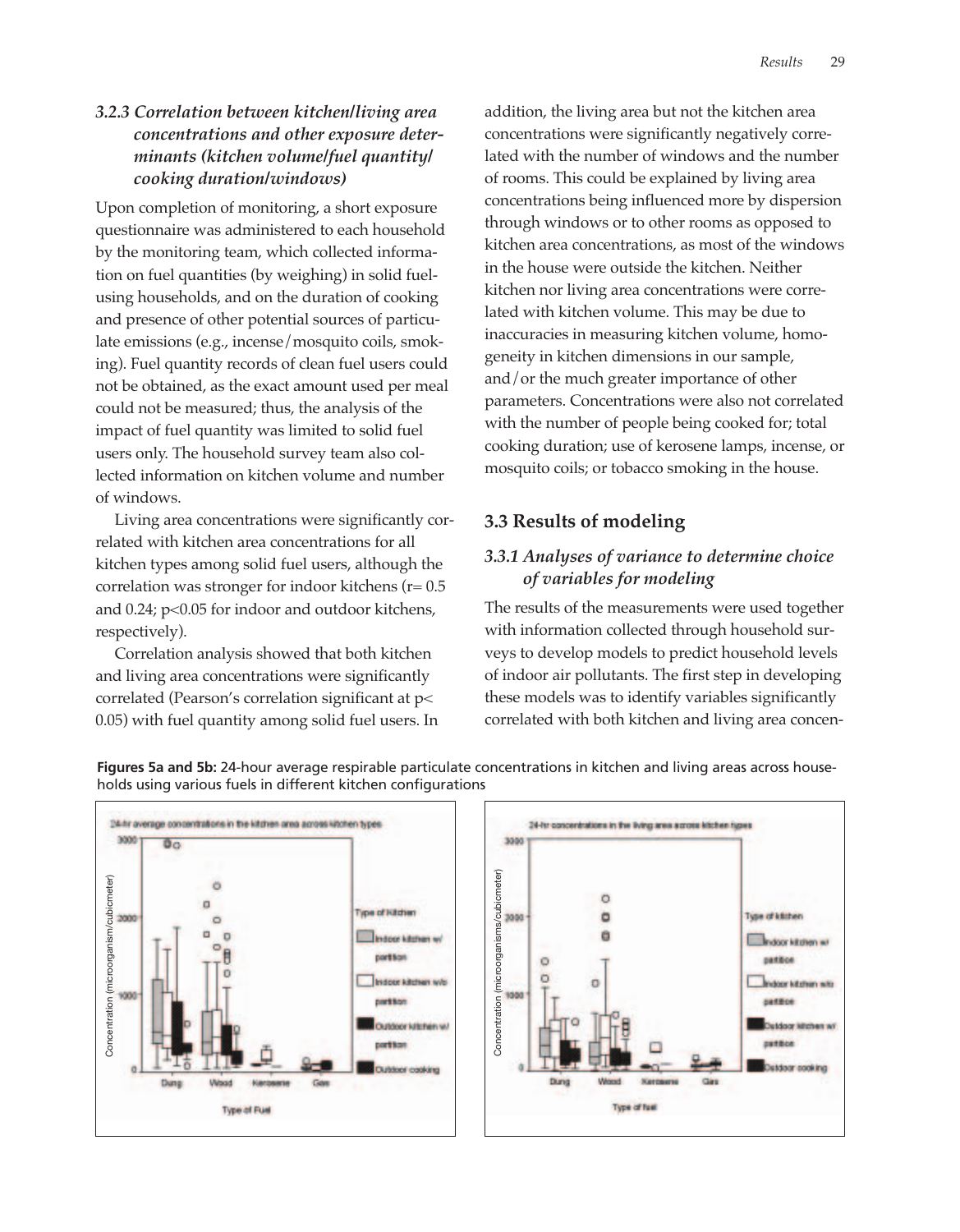# *3.2.3 Correlation between kitchen/living area concentrations and other exposure determinants (kitchen volume/fuel quantity/ cooking duration/windows)*

Upon completion of monitoring, a short exposure questionnaire was administered to each household by the monitoring team, which collected information on fuel quantities (by weighing) in solid fuelusing households, and on the duration of cooking and presence of other potential sources of particulate emissions (e.g., incense/mosquito coils, smoking). Fuel quantity records of clean fuel users could not be obtained, as the exact amount used per meal could not be measured; thus, the analysis of the impact of fuel quantity was limited to solid fuel users only. The household survey team also collected information on kitchen volume and number of windows.

Living area concentrations were significantly correlated with kitchen area concentrations for all kitchen types among solid fuel users, although the correlation was stronger for indoor kitchens ( $r= 0.5$ ) and 0.24; p<0.05 for indoor and outdoor kitchens, respectively).

Correlation analysis showed that both kitchen and living area concentrations were significantly correlated (Pearson's correlation significant at p< 0.05) with fuel quantity among solid fuel users. In addition, the living area but not the kitchen area concentrations were significantly negatively correlated with the number of windows and the number of rooms. This could be explained by living area concentrations being influenced more by dispersion through windows or to other rooms as opposed to kitchen area concentrations, as most of the windows in the house were outside the kitchen. Neither kitchen nor living area concentrations were correlated with kitchen volume. This may be due to inaccuracies in measuring kitchen volume, homogeneity in kitchen dimensions in our sample, and/or the much greater importance of other parameters. Concentrations were also not correlated with the number of people being cooked for; total cooking duration; use of kerosene lamps, incense, or mosquito coils; or tobacco smoking in the house.

# **3.3 Results of modeling**

# *3.3.1 Analyses of variance to determine choice of variables for modeling*

The results of the measurements were used together with information collected through household surveys to develop models to predict household levels of indoor air pollutants. The first step in developing these models was to identify variables significantly correlated with both kitchen and living area concen-

Type of kitchen

**Endoor kitchen** w/ neekoe

> 644804 **District Michael and** pattice Detdoor cooking

Indoor kitchen with



**Figures 5a and 5b:** 24-hour average respirable particulate concentrations in kitchen and living areas across households using various fuels in different kitchen configurations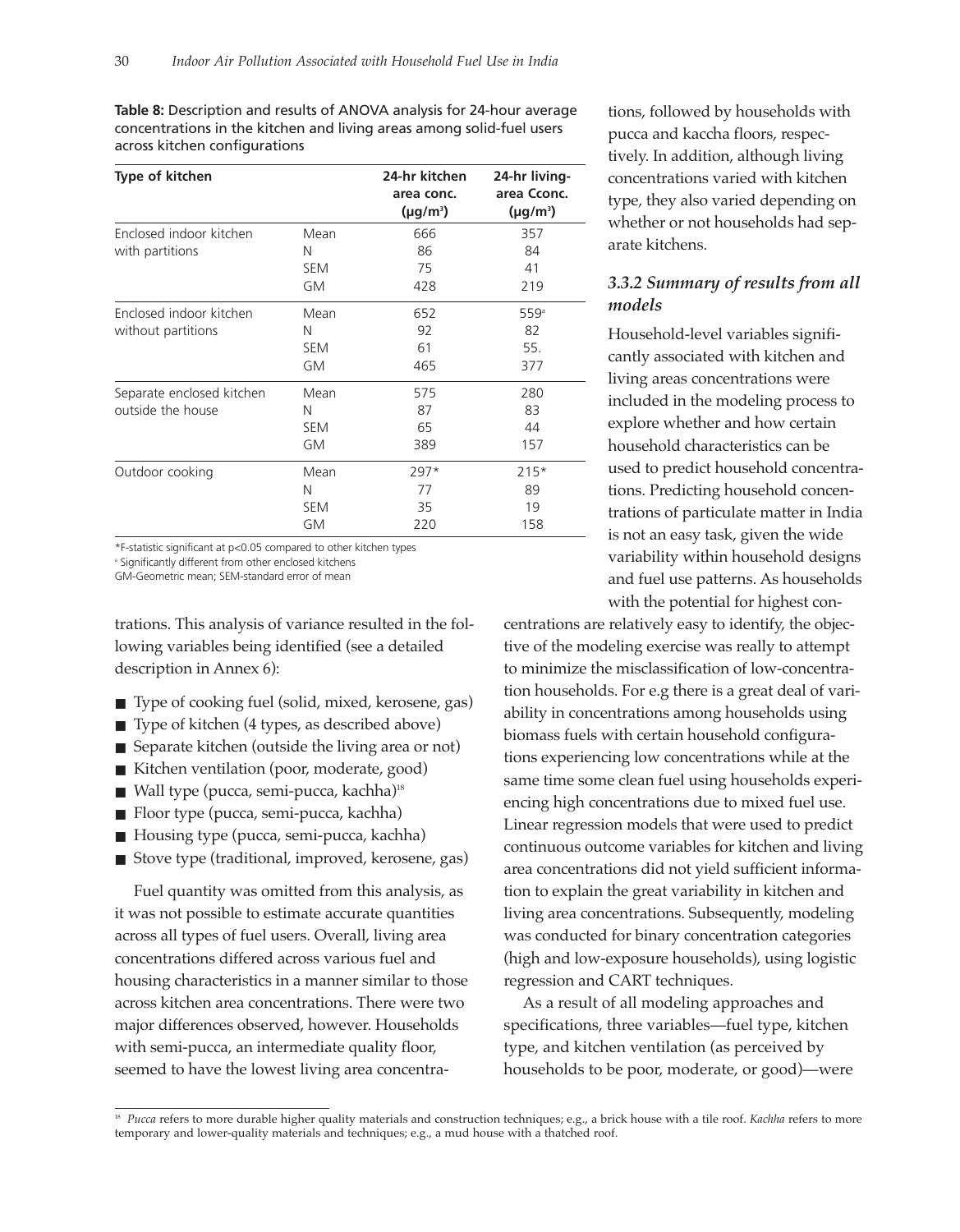**Table 8:** Description and results of ANOVA analysis for 24-hour average concentrations in the kitchen and living areas among solid-fuel users across kitchen configurations

| Type of kitchen                                |                               | 24-hr kitchen<br>area conc.<br>$(\mu g/m^3)$ | 24-hr living-<br>area Cconc.<br>$(\mu g/m^3)$ |
|------------------------------------------------|-------------------------------|----------------------------------------------|-----------------------------------------------|
| Enclosed indoor kitchen                        | Mean                          | 666                                          | 357                                           |
| with partitions                                | N                             | 86                                           | 84                                            |
|                                                | <b>SEM</b>                    | 75                                           | 41                                            |
|                                                | GM                            | 428                                          | 219                                           |
| Enclosed indoor kitchen<br>without partitions  | Mean<br>N<br><b>SEM</b><br>GM | 652<br>92<br>61<br>465                       | 559 <sup>a</sup><br>82<br>55.<br>377          |
| Separate enclosed kitchen<br>outside the house | Mean<br>N<br><b>SEM</b><br>GM | 575<br>87<br>65<br>389                       | 280<br>83<br>44<br>157                        |
| Outdoor cooking                                | Mean                          | $297*$                                       | $215*$                                        |
|                                                | N                             | 77                                           | 89                                            |
|                                                | <b>SEM</b>                    | 35                                           | 19                                            |
|                                                | <b>GM</b>                     | 220                                          | 158                                           |

\*F-statistic significant at p<0.05 compared to other kitchen types

<sup>a</sup> Significantly different from other enclosed kitchens

GM-Geometric mean; SEM-standard error of mean

trations. This analysis of variance resulted in the following variables being identified (see a detailed description in Annex 6):

- Type of cooking fuel (solid, mixed, kerosene, gas)
- Type of kitchen (4 types, as described above)
- Separate kitchen (outside the living area or not)
- Kitchen ventilation (poor, moderate, good)
- Wall type (pucca, semi-pucca, kachha)<sup>18</sup>
- Floor type (pucca, semi-pucca, kachha)
- Housing type (pucca, semi-pucca, kachha)
- Stove type (traditional, improved, kerosene, gas)

Fuel quantity was omitted from this analysis, as it was not possible to estimate accurate quantities across all types of fuel users. Overall, living area concentrations differed across various fuel and housing characteristics in a manner similar to those across kitchen area concentrations. There were two major differences observed, however. Households with semi-pucca, an intermediate quality floor, seemed to have the lowest living area concentrations, followed by households with pucca and kaccha floors, respectively. In addition, although living concentrations varied with kitchen type, they also varied depending on whether or not households had separate kitchens.

## *3.3.2 Summary of results from all models*

Household-level variables significantly associated with kitchen and living areas concentrations were included in the modeling process to explore whether and how certain household characteristics can be used to predict household concentrations. Predicting household concentrations of particulate matter in India is not an easy task, given the wide variability within household designs and fuel use patterns. As households with the potential for highest con-

centrations are relatively easy to identify, the objective of the modeling exercise was really to attempt to minimize the misclassification of low-concentration households. For e.g there is a great deal of variability in concentrations among households using biomass fuels with certain household configurations experiencing low concentrations while at the same time some clean fuel using households experiencing high concentrations due to mixed fuel use. Linear regression models that were used to predict continuous outcome variables for kitchen and living area concentrations did not yield sufficient information to explain the great variability in kitchen and living area concentrations. Subsequently, modeling was conducted for binary concentration categories (high and low-exposure households), using logistic regression and CART techniques.

As a result of all modeling approaches and specifications, three variables—fuel type, kitchen type, and kitchen ventilation (as perceived by households to be poor, moderate, or good)—were

<sup>&</sup>lt;sup>18</sup> Pucca refers to more durable higher quality materials and construction techniques; e.g., a brick house with a tile roof. *Kachha* refers to more temporary and lower-quality materials and techniques; e.g., a mud house with a thatched roof.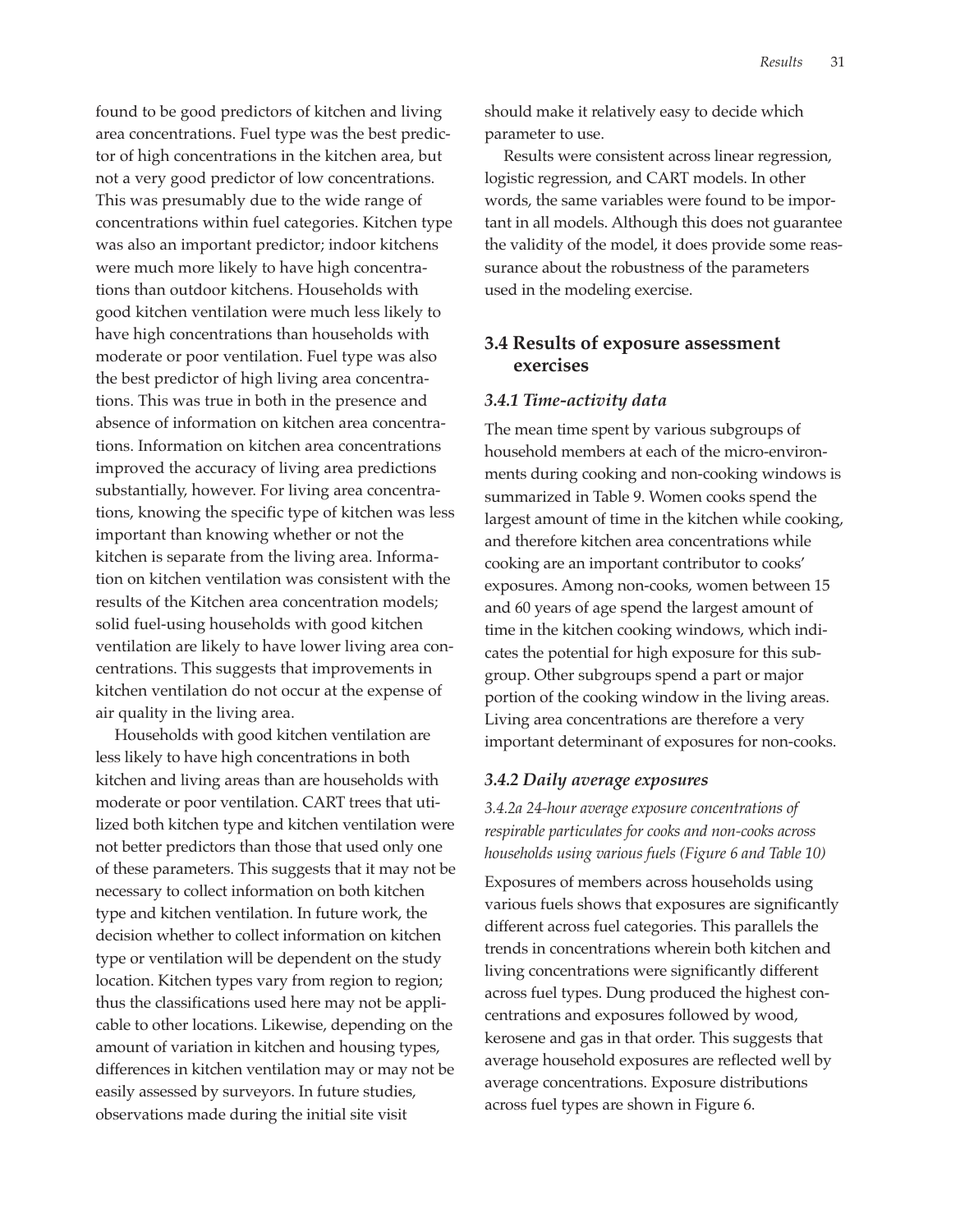found to be good predictors of kitchen and living area concentrations. Fuel type was the best predictor of high concentrations in the kitchen area, but not a very good predictor of low concentrations. This was presumably due to the wide range of concentrations within fuel categories. Kitchen type was also an important predictor; indoor kitchens were much more likely to have high concentrations than outdoor kitchens. Households with good kitchen ventilation were much less likely to have high concentrations than households with moderate or poor ventilation. Fuel type was also the best predictor of high living area concentrations. This was true in both in the presence and absence of information on kitchen area concentrations. Information on kitchen area concentrations improved the accuracy of living area predictions substantially, however. For living area concentrations, knowing the specific type of kitchen was less important than knowing whether or not the kitchen is separate from the living area. Information on kitchen ventilation was consistent with the results of the Kitchen area concentration models; solid fuel-using households with good kitchen ventilation are likely to have lower living area concentrations. This suggests that improvements in kitchen ventilation do not occur at the expense of air quality in the living area.

Households with good kitchen ventilation are less likely to have high concentrations in both kitchen and living areas than are households with moderate or poor ventilation. CART trees that utilized both kitchen type and kitchen ventilation were not better predictors than those that used only one of these parameters. This suggests that it may not be necessary to collect information on both kitchen type and kitchen ventilation. In future work, the decision whether to collect information on kitchen type or ventilation will be dependent on the study location. Kitchen types vary from region to region; thus the classifications used here may not be applicable to other locations. Likewise, depending on the amount of variation in kitchen and housing types, differences in kitchen ventilation may or may not be easily assessed by surveyors. In future studies, observations made during the initial site visit

should make it relatively easy to decide which parameter to use.

Results were consistent across linear regression, logistic regression, and CART models. In other words, the same variables were found to be important in all models. Although this does not guarantee the validity of the model, it does provide some reassurance about the robustness of the parameters used in the modeling exercise.

# **3.4 Results of exposure assessment exercises**

#### *3.4.1 Time-activity data*

The mean time spent by various subgroups of household members at each of the micro-environments during cooking and non-cooking windows is summarized in Table 9. Women cooks spend the largest amount of time in the kitchen while cooking, and therefore kitchen area concentrations while cooking are an important contributor to cooks' exposures. Among non-cooks, women between 15 and 60 years of age spend the largest amount of time in the kitchen cooking windows, which indicates the potential for high exposure for this subgroup. Other subgroups spend a part or major portion of the cooking window in the living areas. Living area concentrations are therefore a very important determinant of exposures for non-cooks.

#### *3.4.2 Daily average exposures*

*3.4.2a 24-hour average exposure concentrations of respirable particulates for cooks and non-cooks across households using various fuels (Figure 6 and Table 10)*

Exposures of members across households using various fuels shows that exposures are significantly different across fuel categories. This parallels the trends in concentrations wherein both kitchen and living concentrations were significantly different across fuel types. Dung produced the highest concentrations and exposures followed by wood, kerosene and gas in that order. This suggests that average household exposures are reflected well by average concentrations. Exposure distributions across fuel types are shown in Figure 6.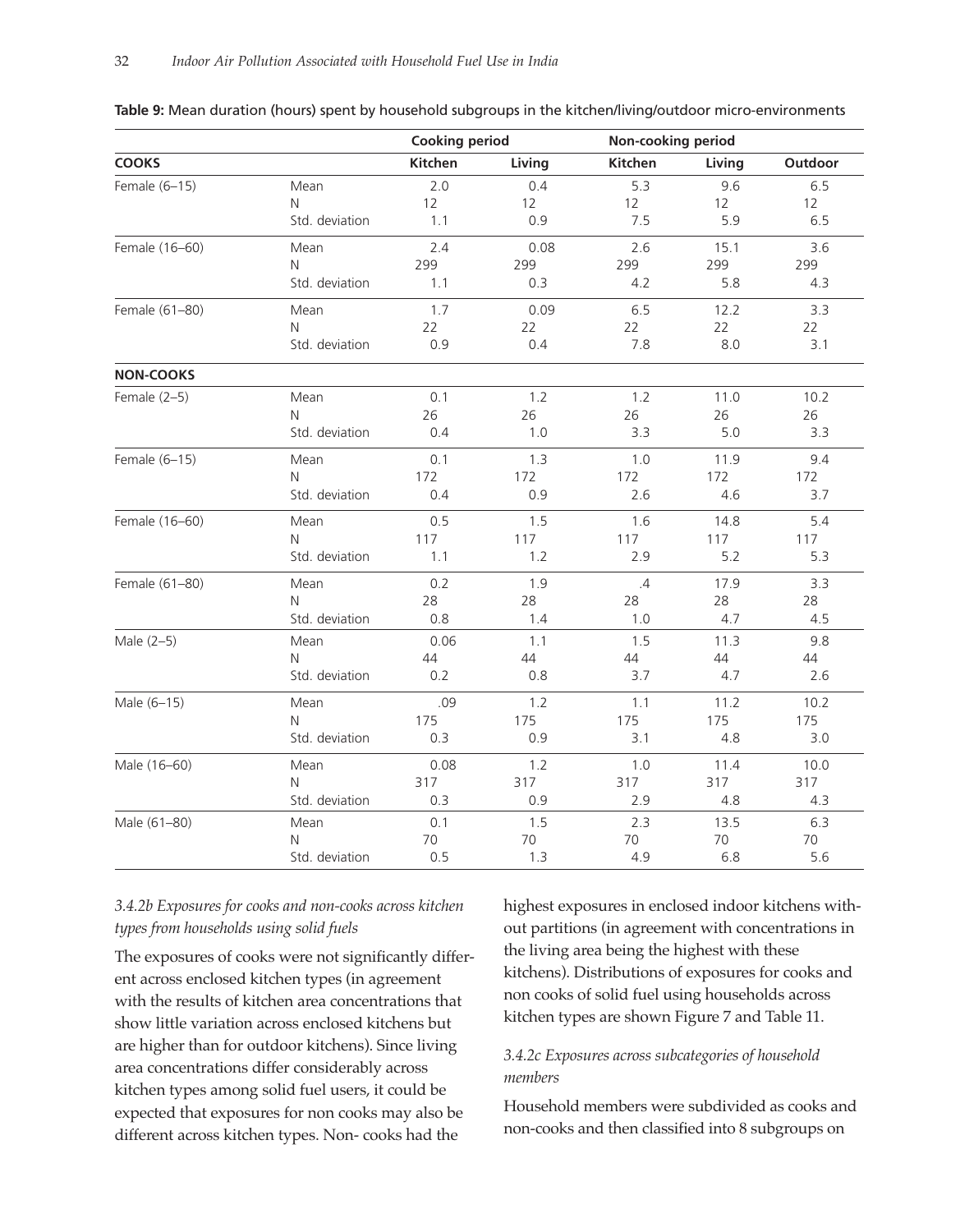| <b>Cooking period</b> |                |         | Non-cooking period |         |        |         |
|-----------------------|----------------|---------|--------------------|---------|--------|---------|
| <b>COOKS</b>          |                | Kitchen | Living             | Kitchen | Living | Outdoor |
| Female (6-15)         | Mean           | 2.0     | 0.4                | 5.3     | 9.6    | 6.5     |
|                       | N              | 12      | 12                 | 12      | 12     | 12      |
|                       | Std. deviation | 1.1     | 0.9                | 7.5     | 5.9    | 6.5     |
| Female (16-60)        | Mean           | 2.4     | 0.08               | 2.6     | 15.1   | 3.6     |
|                       | N              | 299     | 299                | 299     | 299    | 299     |
|                       | Std. deviation | 1.1     | 0.3                | 4.2     | 5.8    | 4.3     |
| Female (61-80)        | Mean           | 1.7     | 0.09               | 6.5     | 12.2   | 3.3     |
|                       | Ν              | 22      | 22                 | 22      | 22     | 22      |
|                       | Std. deviation | 0.9     | 0.4                | 7.8     | 8.0    | 3.1     |
| <b>NON-COOKS</b>      |                |         |                    |         |        |         |
| Female $(2-5)$        | Mean           | 0.1     | 1.2                | 1.2     | 11.0   | 10.2    |
|                       | N              | 26      | 26                 | 26      | 26     | 26      |
|                       | Std. deviation | 0.4     | 1.0                | 3.3     | 5.0    | 3.3     |
| Female (6-15)         | Mean           | 0.1     | 1.3                | 1.0     | 11.9   | 9.4     |
|                       | N              | 172     | 172                | 172     | 172    | 172     |
|                       | Std. deviation | 0.4     | 0.9                | 2.6     | 4.6    | 3.7     |
| Female (16-60)        | Mean           | 0.5     | 1.5                | 1.6     | 14.8   | 5.4     |
|                       | N              | 117     | 117                | 117     | 117    | 117     |
|                       | Std. deviation | 1.1     | 1.2                | 2.9     | 5.2    | 5.3     |
| Female (61-80)        | Mean           | 0.2     | 1.9                | .4      | 17.9   | 3.3     |
|                       | N              | 28      | 28                 | 28      | 28     | 28      |
|                       | Std. deviation | 0.8     | 1.4                | 1.0     | 4.7    | 4.5     |
| Male (2-5)            | Mean           | 0.06    | 1.1                | 1.5     | 11.3   | 9.8     |
|                       | N              | 44      | 44                 | 44      | 44     | 44      |
|                       | Std. deviation | 0.2     | 0.8                | 3.7     | 4.7    | 2.6     |
| Male (6-15)           | Mean           | .09     | 1.2                | 1.1     | 11.2   | 10.2    |
|                       | Ν              | 175     | 175                | 175     | 175    | 175     |
|                       | Std. deviation | 0.3     | 0.9                | 3.1     | 4.8    | 3.0     |
| Male (16-60)          | Mean           | 0.08    | 1.2                | 1.0     | 11.4   | 10.0    |
|                       | N              | 317     | 317                | 317     | 317    | 317     |
|                       | Std. deviation | 0.3     | 0.9                | 2.9     | 4.8    | 4.3     |
| Male (61-80)          | Mean           | 0.1     | 1.5                | 2.3     | 13.5   | 6.3     |
|                       | Ν              | 70      | 70                 | 70      | 70     | 70      |
|                       | Std. deviation | 0.5     | 1.3                | 4.9     | 6.8    | 5.6     |

#### **Table 9:** Mean duration (hours) spent by household subgroups in the kitchen/living/outdoor micro-environments

# *3.4.2b Exposures for cooks and non-cooks across kitchen types from households using solid fuels*

The exposures of cooks were not significantly different across enclosed kitchen types (in agreement with the results of kitchen area concentrations that show little variation across enclosed kitchens but are higher than for outdoor kitchens). Since living area concentrations differ considerably across kitchen types among solid fuel users, it could be expected that exposures for non cooks may also be different across kitchen types. Non- cooks had the

highest exposures in enclosed indoor kitchens without partitions (in agreement with concentrations in the living area being the highest with these kitchens). Distributions of exposures for cooks and non cooks of solid fuel using households across kitchen types are shown Figure 7 and Table 11.

# *3.4.2c Exposures across subcategories of household members*

Household members were subdivided as cooks and non-cooks and then classified into 8 subgroups on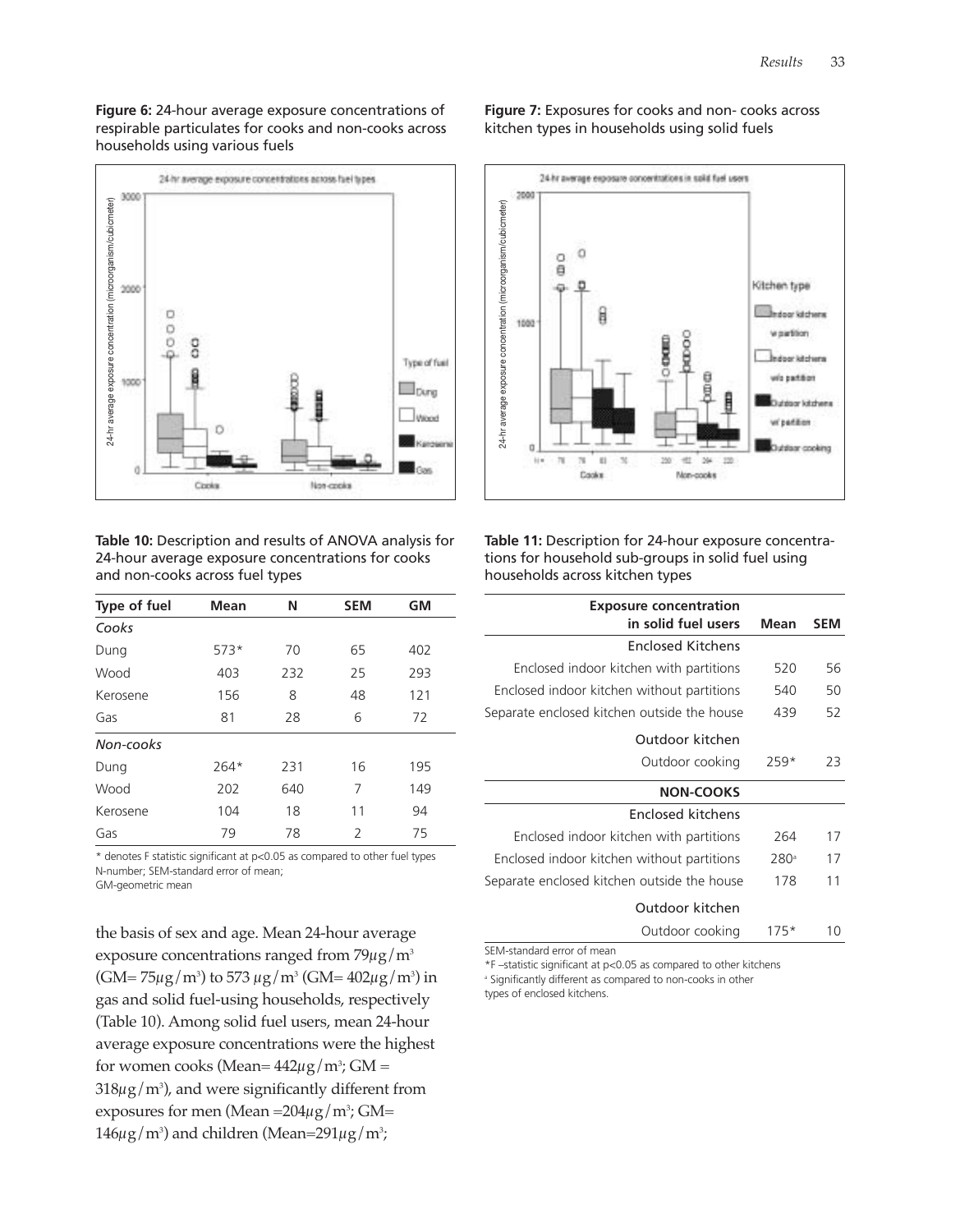**Figure 6:** 24-hour average exposure concentrations of respirable particulates for cooks and non-cooks across households using various fuels



**Table 10:** Description and results of ANOVA analysis for 24-hour average exposure concentrations for cooks and non-cooks across fuel types

| Type of fuel | Mean   | Ν   | <b>SEM</b>     | <b>GM</b> |
|--------------|--------|-----|----------------|-----------|
| Cooks        |        |     |                |           |
| Dung         | $573*$ | 70  | 65             | 402       |
| Wood         | 403    | 232 | 25             | 293       |
| Kerosene     | 156    | 8   | 48             | 121       |
| Gas          | 81     | 28  | 6              | 72        |
| Non-cooks    |        |     |                |           |
| Dung         | $264*$ | 231 | 16             | 195       |
| Wood         | 202    | 640 | 7              | 149       |
| Kerosene     | 104    | 18  | 11             | 94        |
| Gas          | 79     | 78  | $\overline{2}$ | 75        |

\* denotes F statistic significant at p<0.05 as compared to other fuel types N-number; SEM-standard error of mean; GM-geometric mean

the basis of sex and age. Mean 24-hour average

exposure concentrations ranged from  $79\mu$ g/m<sup>3</sup> (GM= 75 $\mu$ g/m $^3$ ) to 573  $\mu$ g/m $^3$  (GM= 402 $\mu$ g/m $^3$ ) in gas and solid fuel-using households, respectively (Table 10). Among solid fuel users, mean 24-hour average exposure concentrations were the highest for women cooks (Mean=  $442 \mu$ g/m<sup>3</sup>; GM =  $318 \mu$ g/m $^3$ ), and were significantly different from exposures for men (Mean =204 $\mu$ g/m $^3$ ; GM=  $146 \mu$ g/m<sup>3</sup>) and children (Mean=291 $\mu$ g/m<sup>3</sup>;

**Figure 7:** Exposures for cooks and non- cooks across kitchen types in households using solid fuels



**Table 11:** Description for 24-hour exposure concentrations for household sub-groups in solid fuel using households across kitchen types

| <b>Exposure concentration</b>               |                  |     |
|---------------------------------------------|------------------|-----|
| in solid fuel users                         | Mean             | SEM |
| <b>Enclosed Kitchens</b>                    |                  |     |
| Enclosed indoor kitchen with partitions     | 520              | 56  |
| Enclosed indoor kitchen without partitions  | 540              | 50  |
| Separate enclosed kitchen outside the house | 439              | 52  |
| Outdoor kitchen                             |                  |     |
| Outdoor cooking                             | 259*             | 23  |
| <b>NON-COOKS</b>                            |                  |     |
| Enclosed kitchens                           |                  |     |
| Enclosed indoor kitchen with partitions     | 264              | 17  |
| Enclosed indoor kitchen without partitions  | 280 <sup>a</sup> | 17  |
| Separate enclosed kitchen outside the house | 178              | 11  |
| Outdoor kitchen                             |                  |     |

Outdoor cooking 175\* 10 SEM-standard error of mean

\*F –statistic significant at p<0.05 as compared to other kitchens

<sup>a</sup> Significantly different as compared to non-cooks in other

types of enclosed kitchens.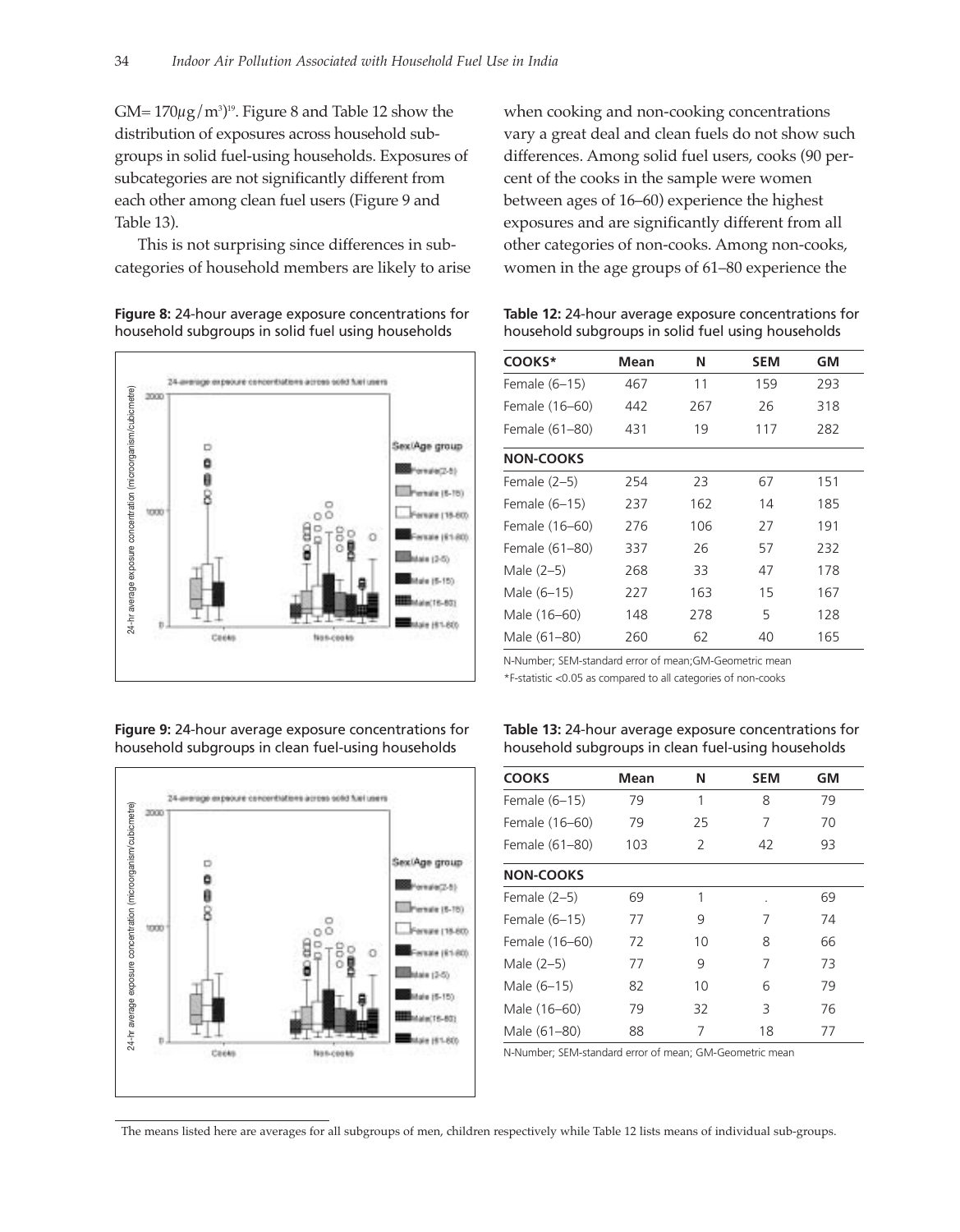$GM = 170 \mu g/m^3$ <sup>19</sup>. Figure 8 and Table 12 show the distribution of exposures across household subgroups in solid fuel-using households. Exposures of subcategories are not significantly different from each other among clean fuel users (Figure 9 and Table 13).

This is not surprising since differences in subcategories of household members are likely to arise

**Figure 8:** 24-hour average exposure concentrations for household subgroups in solid fuel using households



**Figure 9:** 24-hour average exposure concentrations for household subgroups in clean fuel-using households



when cooking and non-cooking concentrations vary a great deal and clean fuels do not show such differences. Among solid fuel users, cooks (90 percent of the cooks in the sample were women between ages of 16–60) experience the highest exposures and are significantly different from all other categories of non-cooks. Among non-cooks, women in the age groups of 61–80 experience the

**Table 12:** 24-hour average exposure concentrations for household subgroups in solid fuel using households

| COOKS*           | Mean | Ν   | <b>SEM</b> | GM  |
|------------------|------|-----|------------|-----|
| Female (6-15)    | 467  | 11  | 159        | 293 |
| Female (16–60)   | 442  | 267 | 26         | 318 |
| Female (61-80)   | 431  | 19  | 117        | 282 |
| <b>NON-COOKS</b> |      |     |            |     |
| Female $(2-5)$   | 254  | 23  | 67         | 151 |
| Female (6–15)    | 237  | 162 | 14         | 185 |
| Female (16–60)   | 276  | 106 | 27         | 191 |
| Female (61–80)   | 337  | 26  | 57         | 232 |
| Male $(2-5)$     | 268  | 33  | 47         | 178 |
| Male (6-15)      | 227  | 163 | 15         | 167 |
| Male (16–60)     | 148  | 278 | 5          | 128 |
| Male (61–80)     | 260  | 62  | 40         | 165 |

N-Number; SEM-standard error of mean;GM-Geometric mean

\*F-statistic <0.05 as compared to all categories of non-cooks

**Table 13:** 24-hour average exposure concentrations for household subgroups in clean fuel-using households

| <b>COOKS</b>     | Mean | Ν  | <b>SEM</b> | GM |
|------------------|------|----|------------|----|
| Female (6-15)    | 79   | 1  | 8          | 79 |
| Female (16-60)   | 79   | 25 | 7          | 70 |
| Female (61-80)   | 103  | 2  | 42         | 93 |
| <b>NON-COOKS</b> |      |    |            |    |
| Female $(2-5)$   | 69   | 1  |            | 69 |
| Female (6-15)    | 77   | 9  | 7          | 74 |
| Female (16-60)   | 72   | 10 | 8          | 66 |
| Male $(2-5)$     | 77   | 9  | 7          | 73 |
| Male (6-15)      | 82   | 10 | 6          | 79 |
| Male (16-60)     | 79   | 32 | 3          | 76 |
| Male (61-80)     | 88   | 7  | 18         | 77 |

N-Number; SEM-standard error of mean; GM-Geometric mean

The means listed here are averages for all subgroups of men, children respectively while Table 12 lists means of individual sub-groups.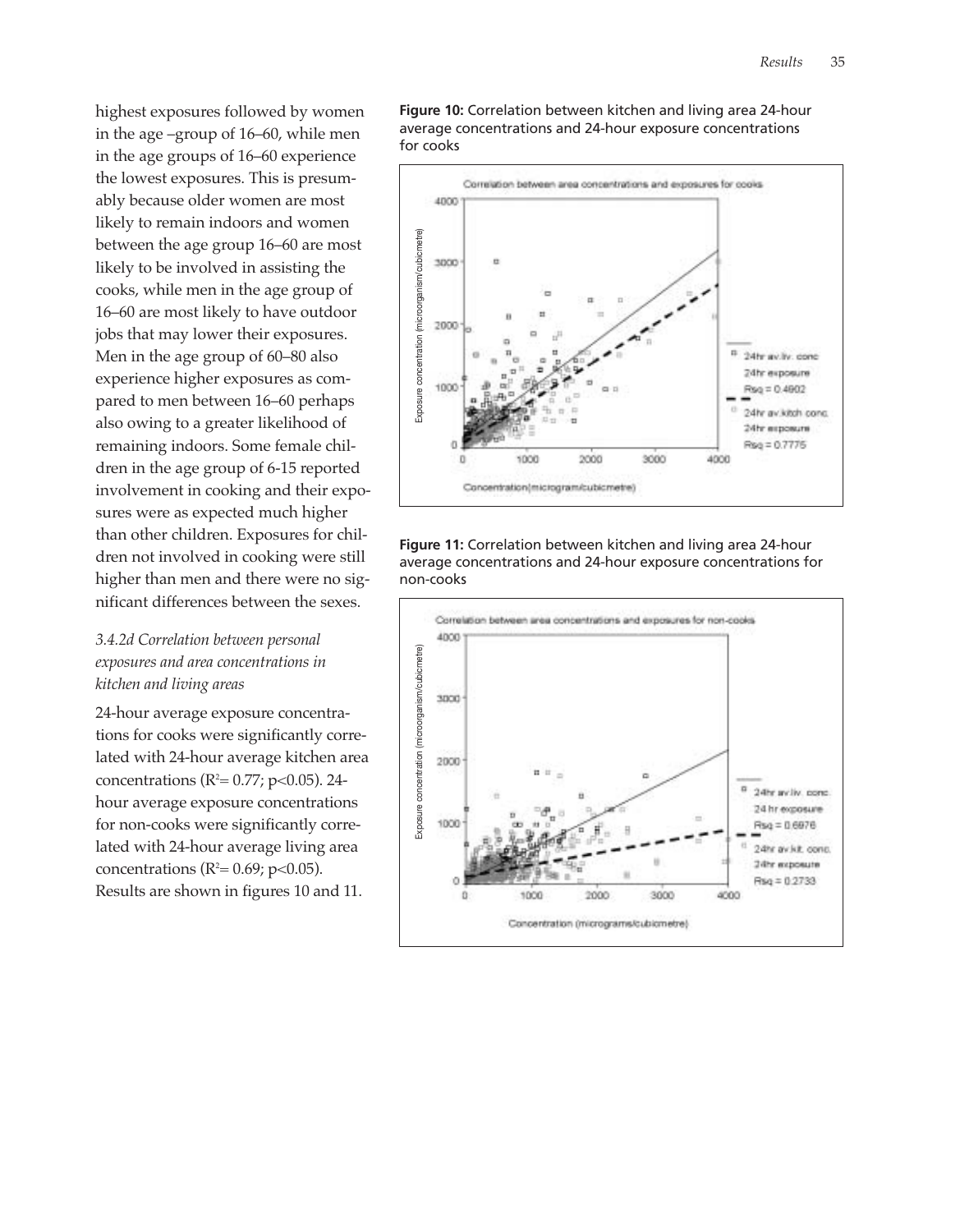highest exposures followed by women in the age –group of 16–60, while men in the age groups of 16–60 experience the lowest exposures. This is presumably because older women are most likely to remain indoors and women between the age group 16–60 are most likely to be involved in assisting the cooks, while men in the age group of 16–60 are most likely to have outdoor jobs that may lower their exposures. Men in the age group of 60–80 also experience higher exposures as compared to men between 16–60 perhaps also owing to a greater likelihood of remaining indoors. Some female children in the age group of 6-15 reported involvement in cooking and their exposures were as expected much higher than other children. Exposures for children not involved in cooking were still higher than men and there were no significant differences between the sexes.

# *3.4.2d Correlation between personal exposures and area concentrations in kitchen and living areas*

24-hour average exposure concentrations for cooks were significantly correlated with 24-hour average kitchen area concentrations ( $R^2$ = 0.77; p<0.05). 24hour average exposure concentrations for non-cooks were significantly correlated with 24-hour average living area concentrations ( $R^2 = 0.69$ ; p<0.05). Results are shown in figures 10 and 11.

**Figure 10:** Correlation between kitchen and living area 24-hour average concentrations and 24-hour exposure concentrations for cooks



#### **Figure 11:** Correlation between kitchen and living area 24-hour average concentrations and 24-hour exposure concentrations for non-cooks

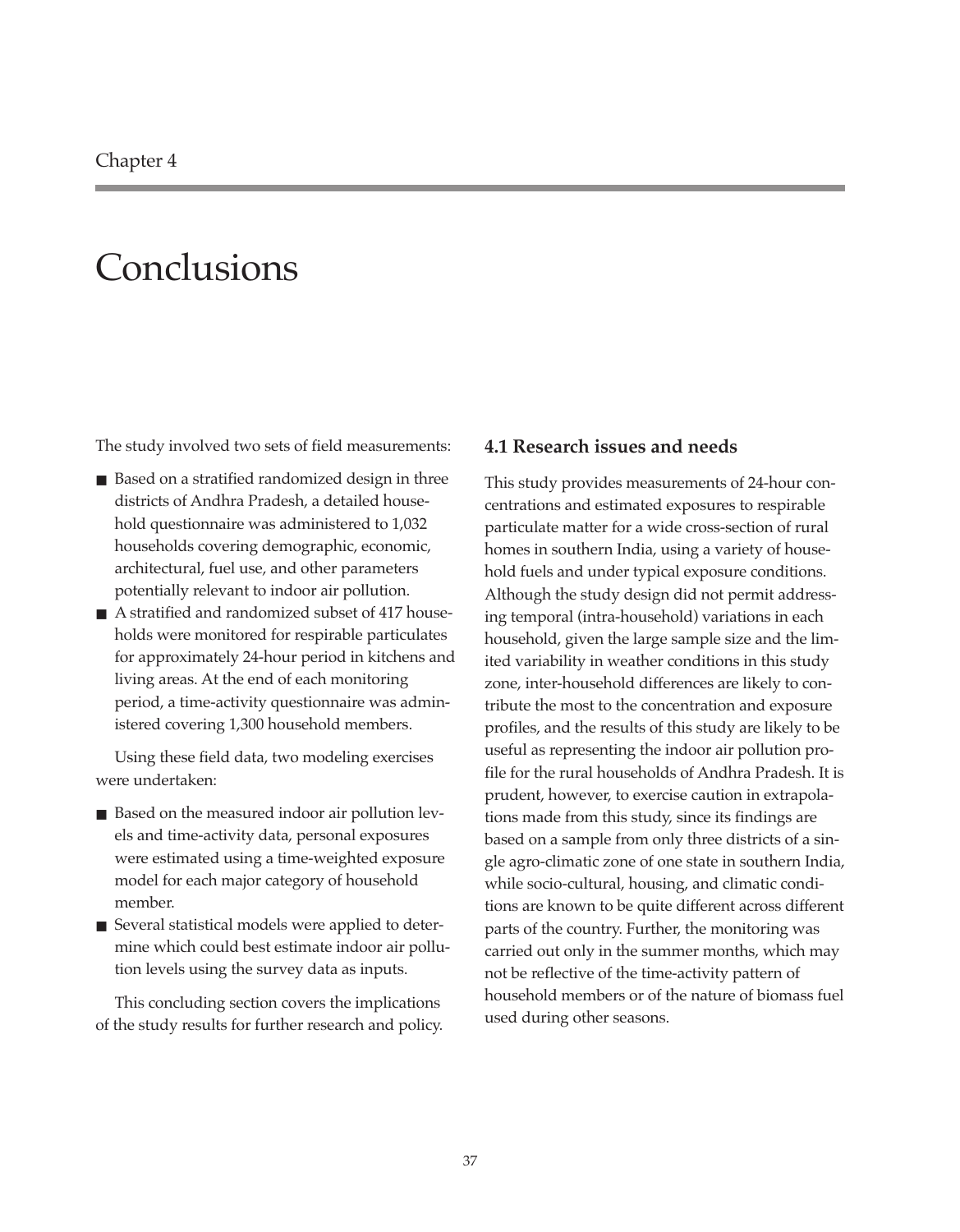# **Conclusions**

The study involved two sets of field measurements:

- Based on a stratified randomized design in three districts of Andhra Pradesh, a detailed household questionnaire was administered to 1,032 households covering demographic, economic, architectural, fuel use, and other parameters potentially relevant to indoor air pollution.
- A stratified and randomized subset of 417 households were monitored for respirable particulates for approximately 24-hour period in kitchens and living areas. At the end of each monitoring period, a time-activity questionnaire was administered covering 1,300 household members.

Using these field data, two modeling exercises were undertaken:

- Based on the measured indoor air pollution levels and time-activity data, personal exposures were estimated using a time-weighted exposure model for each major category of household member.
- Several statistical models were applied to determine which could best estimate indoor air pollution levels using the survey data as inputs.

This concluding section covers the implications of the study results for further research and policy.

## **4.1 Research issues and needs**

This study provides measurements of 24-hour concentrations and estimated exposures to respirable particulate matter for a wide cross-section of rural homes in southern India, using a variety of household fuels and under typical exposure conditions. Although the study design did not permit addressing temporal (intra-household) variations in each household, given the large sample size and the limited variability in weather conditions in this study zone, inter-household differences are likely to contribute the most to the concentration and exposure profiles, and the results of this study are likely to be useful as representing the indoor air pollution profile for the rural households of Andhra Pradesh. It is prudent, however, to exercise caution in extrapolations made from this study, since its findings are based on a sample from only three districts of a single agro-climatic zone of one state in southern India, while socio-cultural, housing, and climatic conditions are known to be quite different across different parts of the country. Further, the monitoring was carried out only in the summer months, which may not be reflective of the time-activity pattern of household members or of the nature of biomass fuel used during other seasons.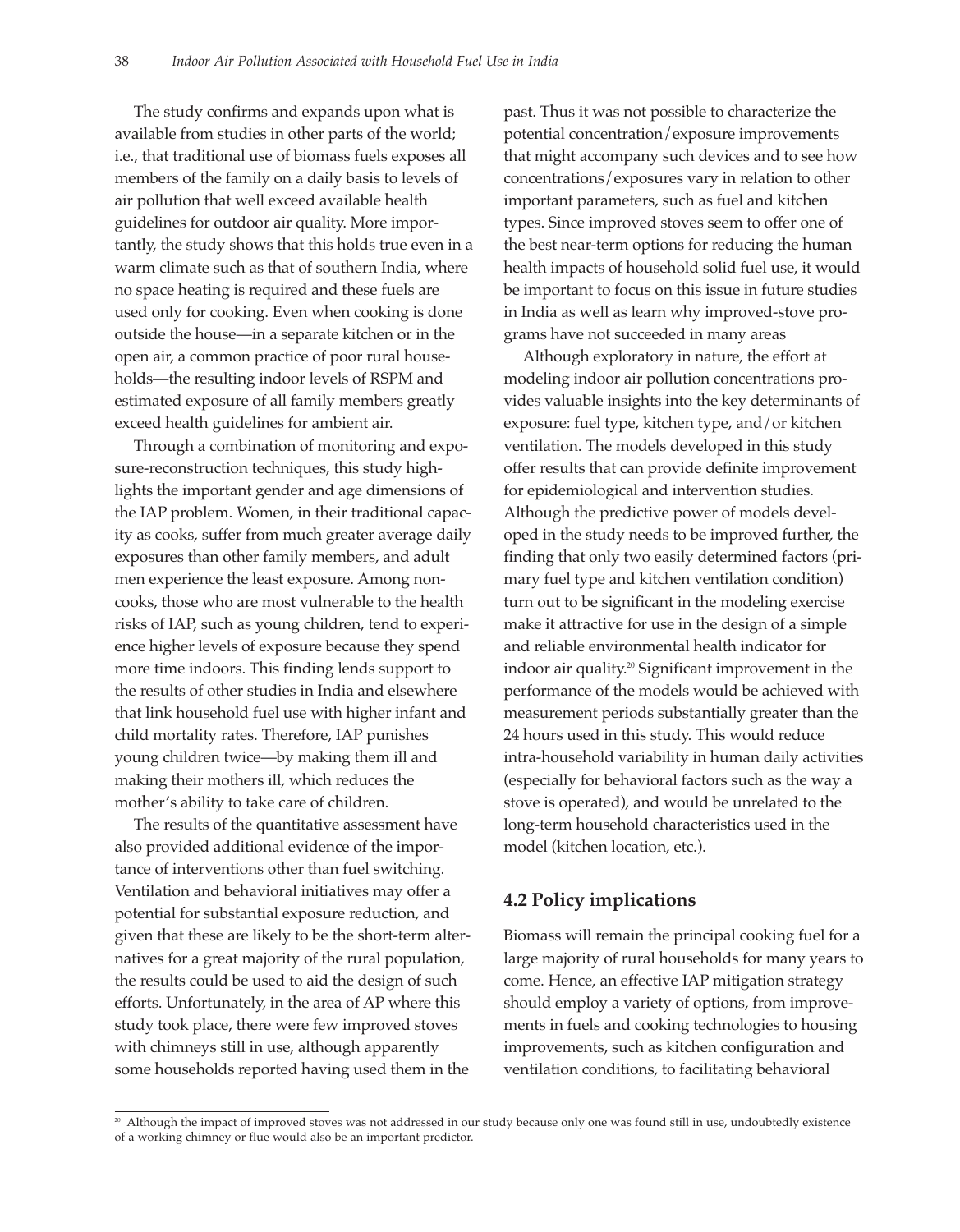The study confirms and expands upon what is available from studies in other parts of the world; i.e., that traditional use of biomass fuels exposes all members of the family on a daily basis to levels of air pollution that well exceed available health guidelines for outdoor air quality. More importantly, the study shows that this holds true even in a warm climate such as that of southern India, where no space heating is required and these fuels are used only for cooking. Even when cooking is done outside the house—in a separate kitchen or in the open air, a common practice of poor rural households—the resulting indoor levels of RSPM and estimated exposure of all family members greatly exceed health guidelines for ambient air.

Through a combination of monitoring and exposure-reconstruction techniques, this study highlights the important gender and age dimensions of the IAP problem. Women, in their traditional capacity as cooks, suffer from much greater average daily exposures than other family members, and adult men experience the least exposure. Among noncooks, those who are most vulnerable to the health risks of IAP, such as young children, tend to experience higher levels of exposure because they spend more time indoors. This finding lends support to the results of other studies in India and elsewhere that link household fuel use with higher infant and child mortality rates. Therefore, IAP punishes young children twice—by making them ill and making their mothers ill, which reduces the mother's ability to take care of children.

The results of the quantitative assessment have also provided additional evidence of the importance of interventions other than fuel switching. Ventilation and behavioral initiatives may offer a potential for substantial exposure reduction, and given that these are likely to be the short-term alternatives for a great majority of the rural population, the results could be used to aid the design of such efforts. Unfortunately, in the area of AP where this study took place, there were few improved stoves with chimneys still in use, although apparently some households reported having used them in the

past. Thus it was not possible to characterize the potential concentration/exposure improvements that might accompany such devices and to see how concentrations/exposures vary in relation to other important parameters, such as fuel and kitchen types. Since improved stoves seem to offer one of the best near-term options for reducing the human health impacts of household solid fuel use, it would be important to focus on this issue in future studies in India as well as learn why improved-stove programs have not succeeded in many areas

Although exploratory in nature, the effort at modeling indoor air pollution concentrations provides valuable insights into the key determinants of exposure: fuel type, kitchen type, and/or kitchen ventilation. The models developed in this study offer results that can provide definite improvement for epidemiological and intervention studies. Although the predictive power of models developed in the study needs to be improved further, the finding that only two easily determined factors (primary fuel type and kitchen ventilation condition) turn out to be significant in the modeling exercise make it attractive for use in the design of a simple and reliable environmental health indicator for indoor air quality.20 Significant improvement in the performance of the models would be achieved with measurement periods substantially greater than the 24 hours used in this study. This would reduce intra-household variability in human daily activities (especially for behavioral factors such as the way a stove is operated), and would be unrelated to the long-term household characteristics used in the model (kitchen location, etc.).

# **4.2 Policy implications**

Biomass will remain the principal cooking fuel for a large majority of rural households for many years to come. Hence, an effective IAP mitigation strategy should employ a variety of options, from improvements in fuels and cooking technologies to housing improvements, such as kitchen configuration and ventilation conditions, to facilitating behavioral

<sup>&</sup>lt;sup>20</sup> Although the impact of improved stoves was not addressed in our study because only one was found still in use, undoubtedly existence of a working chimney or flue would also be an important predictor.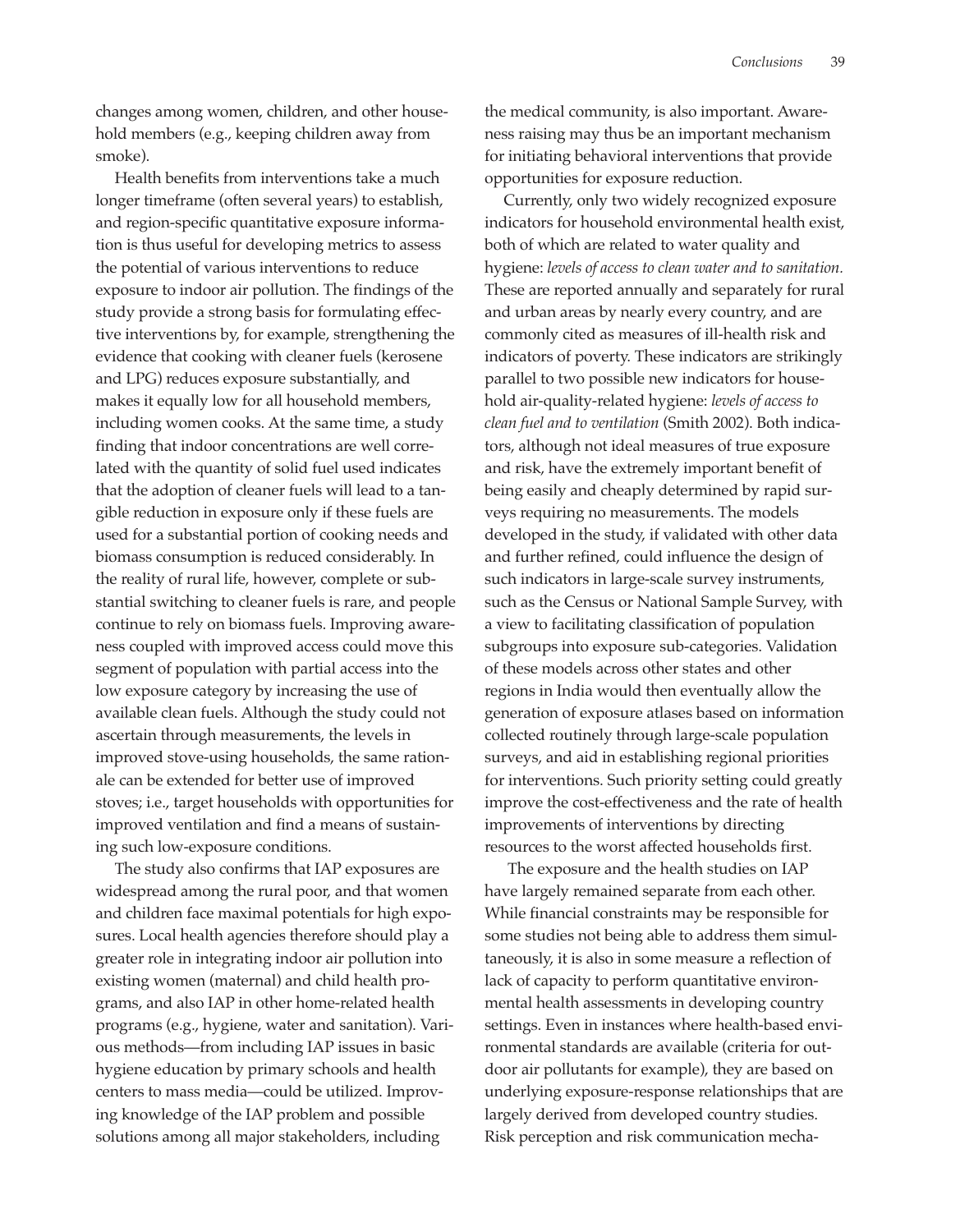changes among women, children, and other household members (e.g., keeping children away from smoke).

Health benefits from interventions take a much longer timeframe (often several years) to establish, and region-specific quantitative exposure information is thus useful for developing metrics to assess the potential of various interventions to reduce exposure to indoor air pollution. The findings of the study provide a strong basis for formulating effective interventions by, for example, strengthening the evidence that cooking with cleaner fuels (kerosene and LPG) reduces exposure substantially, and makes it equally low for all household members, including women cooks. At the same time, a study finding that indoor concentrations are well correlated with the quantity of solid fuel used indicates that the adoption of cleaner fuels will lead to a tangible reduction in exposure only if these fuels are used for a substantial portion of cooking needs and biomass consumption is reduced considerably. In the reality of rural life, however, complete or substantial switching to cleaner fuels is rare, and people continue to rely on biomass fuels. Improving awareness coupled with improved access could move this segment of population with partial access into the low exposure category by increasing the use of available clean fuels. Although the study could not ascertain through measurements, the levels in improved stove-using households, the same rationale can be extended for better use of improved stoves; i.e., target households with opportunities for improved ventilation and find a means of sustaining such low-exposure conditions.

The study also confirms that IAP exposures are widespread among the rural poor, and that women and children face maximal potentials for high exposures. Local health agencies therefore should play a greater role in integrating indoor air pollution into existing women (maternal) and child health programs, and also IAP in other home-related health programs (e.g., hygiene, water and sanitation). Various methods—from including IAP issues in basic hygiene education by primary schools and health centers to mass media—could be utilized. Improving knowledge of the IAP problem and possible solutions among all major stakeholders, including

the medical community, is also important. Awareness raising may thus be an important mechanism for initiating behavioral interventions that provide opportunities for exposure reduction.

Currently, only two widely recognized exposure indicators for household environmental health exist, both of which are related to water quality and hygiene: *levels of access to clean water and to sanitation.* These are reported annually and separately for rural and urban areas by nearly every country, and are commonly cited as measures of ill-health risk and indicators of poverty. These indicators are strikingly parallel to two possible new indicators for household air-quality-related hygiene: *levels of access to clean fuel and to ventilation* (Smith 2002). Both indicators, although not ideal measures of true exposure and risk, have the extremely important benefit of being easily and cheaply determined by rapid surveys requiring no measurements. The models developed in the study, if validated with other data and further refined, could influence the design of such indicators in large-scale survey instruments, such as the Census or National Sample Survey, with a view to facilitating classification of population subgroups into exposure sub-categories. Validation of these models across other states and other regions in India would then eventually allow the generation of exposure atlases based on information collected routinely through large-scale population surveys, and aid in establishing regional priorities for interventions. Such priority setting could greatly improve the cost-effectiveness and the rate of health improvements of interventions by directing resources to the worst affected households first.

The exposure and the health studies on IAP have largely remained separate from each other. While financial constraints may be responsible for some studies not being able to address them simultaneously, it is also in some measure a reflection of lack of capacity to perform quantitative environmental health assessments in developing country settings. Even in instances where health-based environmental standards are available (criteria for outdoor air pollutants for example), they are based on underlying exposure-response relationships that are largely derived from developed country studies. Risk perception and risk communication mecha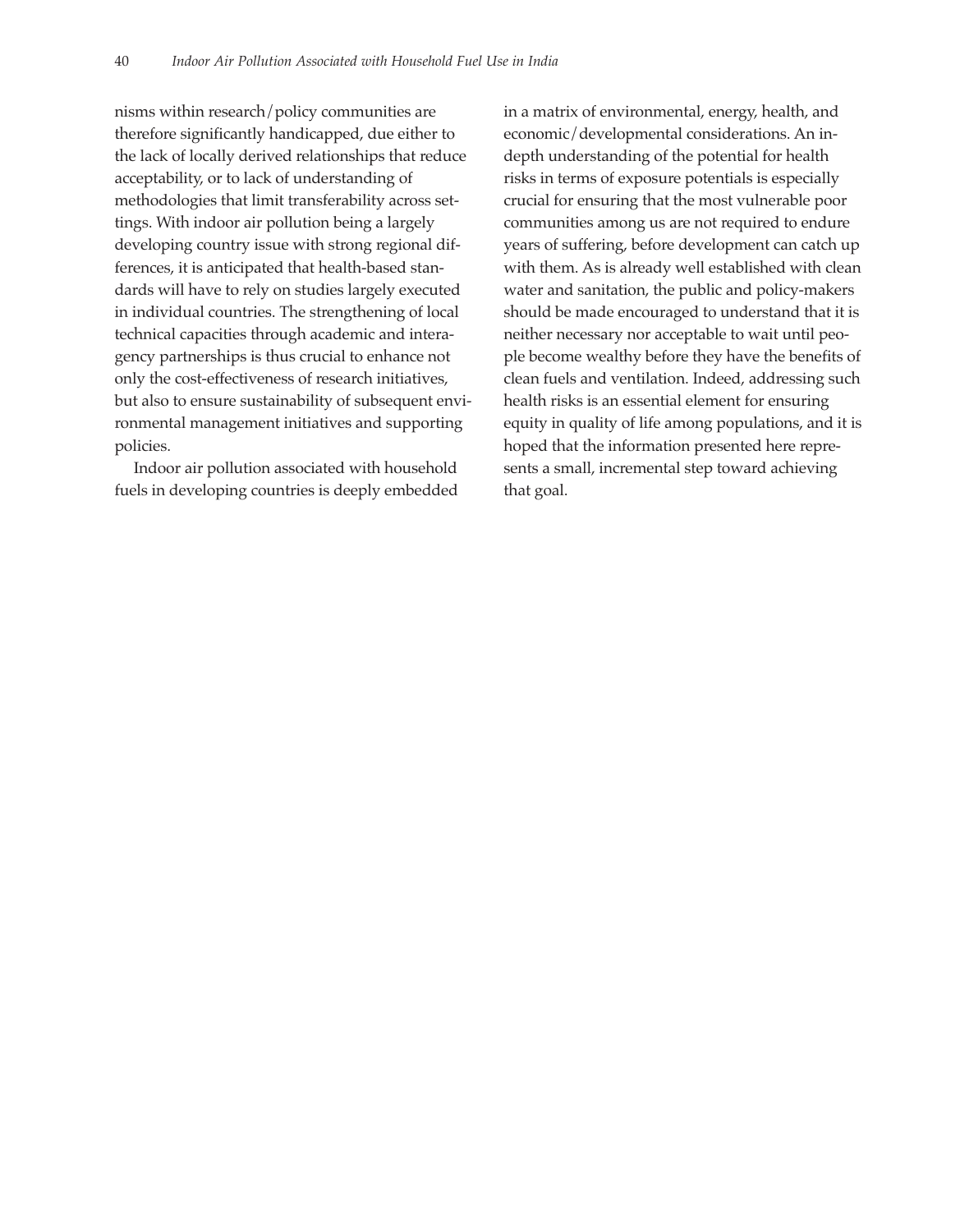nisms within research/policy communities are therefore significantly handicapped, due either to the lack of locally derived relationships that reduce acceptability, or to lack of understanding of methodologies that limit transferability across settings. With indoor air pollution being a largely developing country issue with strong regional differences, it is anticipated that health-based standards will have to rely on studies largely executed in individual countries. The strengthening of local technical capacities through academic and interagency partnerships is thus crucial to enhance not only the cost-effectiveness of research initiatives, but also to ensure sustainability of subsequent environmental management initiatives and supporting policies.

Indoor air pollution associated with household fuels in developing countries is deeply embedded in a matrix of environmental, energy, health, and economic/developmental considerations. An indepth understanding of the potential for health risks in terms of exposure potentials is especially crucial for ensuring that the most vulnerable poor communities among us are not required to endure years of suffering, before development can catch up with them. As is already well established with clean water and sanitation, the public and policy-makers should be made encouraged to understand that it is neither necessary nor acceptable to wait until people become wealthy before they have the benefits of clean fuels and ventilation. Indeed, addressing such health risks is an essential element for ensuring equity in quality of life among populations, and it is hoped that the information presented here represents a small, incremental step toward achieving that goal.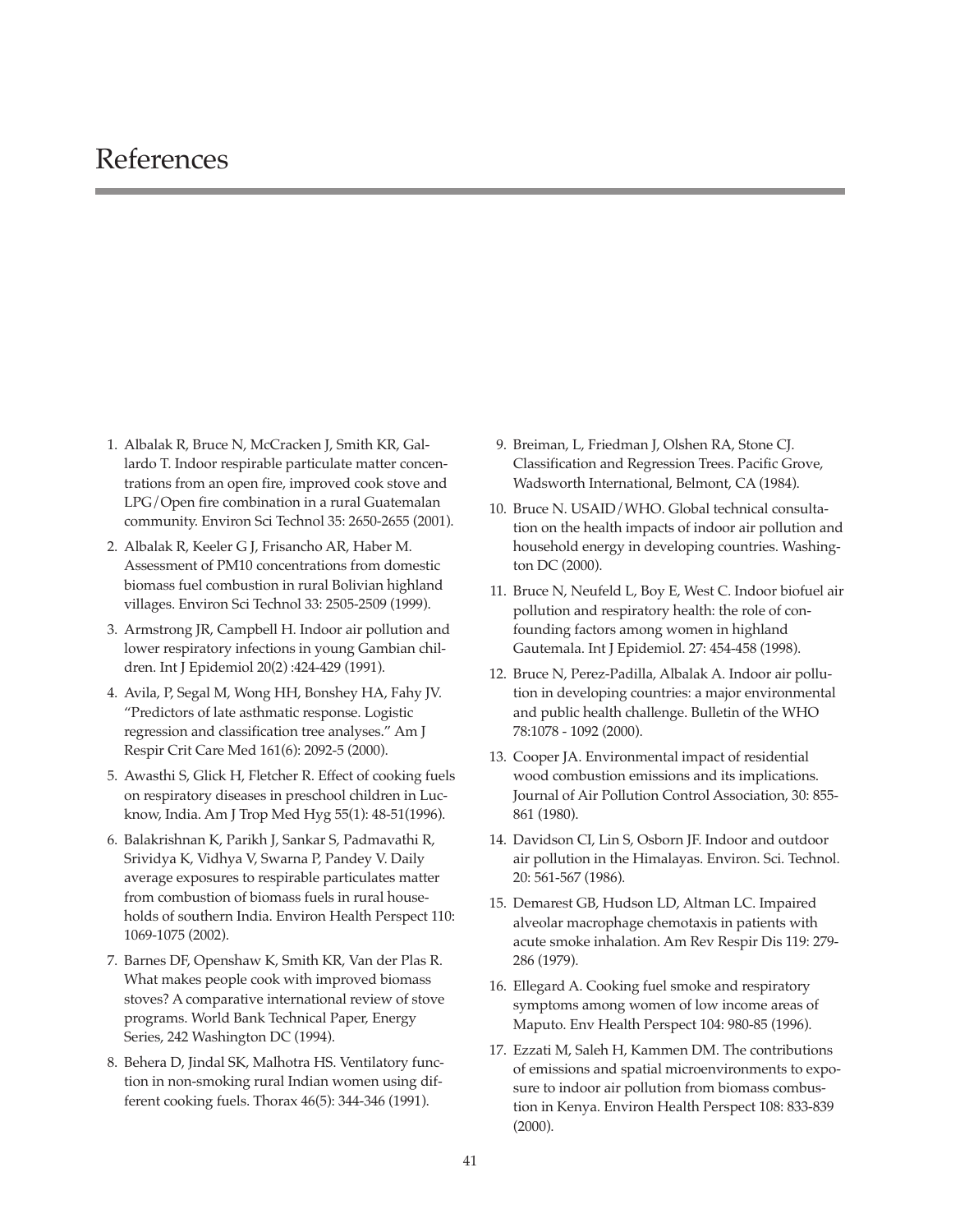# References

- 1. Albalak R, Bruce N, McCracken J, Smith KR, Gallardo T. Indoor respirable particulate matter concentrations from an open fire, improved cook stove and LPG/Open fire combination in a rural Guatemalan community. Environ Sci Technol 35: 2650-2655 (2001).
- 2. Albalak R, Keeler G J, Frisancho AR, Haber M. Assessment of PM10 concentrations from domestic biomass fuel combustion in rural Bolivian highland villages. Environ Sci Technol 33: 2505-2509 (1999).
- 3. Armstrong JR, Campbell H. Indoor air pollution and lower respiratory infections in young Gambian children. Int J Epidemiol 20(2) :424-429 (1991).
- 4. Avila, P, Segal M, Wong HH, Bonshey HA, Fahy JV. "Predictors of late asthmatic response. Logistic regression and classification tree analyses." Am J Respir Crit Care Med 161(6): 2092-5 (2000).
- 5. Awasthi S, Glick H, Fletcher R. Effect of cooking fuels on respiratory diseases in preschool children in Lucknow, India. Am J Trop Med Hyg 55(1): 48-51(1996).
- 6. Balakrishnan K, Parikh J, Sankar S, Padmavathi R, Srividya K, Vidhya V, Swarna P, Pandey V. Daily average exposures to respirable particulates matter from combustion of biomass fuels in rural households of southern India. Environ Health Perspect 110: 1069-1075 (2002).
- 7. Barnes DF, Openshaw K, Smith KR, Van der Plas R. What makes people cook with improved biomass stoves? A comparative international review of stove programs. World Bank Technical Paper, Energy Series, 242 Washington DC (1994).
- 8. Behera D, Jindal SK, Malhotra HS. Ventilatory function in non-smoking rural Indian women using different cooking fuels. Thorax 46(5): 344-346 (1991).
- 9. Breiman, L, Friedman J, Olshen RA, Stone CJ. Classification and Regression Trees. Pacific Grove, Wadsworth International, Belmont, CA (1984).
- 10. Bruce N. USAID/WHO. Global technical consultation on the health impacts of indoor air pollution and household energy in developing countries. Washington DC (2000).
- 11. Bruce N, Neufeld L, Boy E, West C. Indoor biofuel air pollution and respiratory health: the role of confounding factors among women in highland Gautemala. Int J Epidemiol. 27: 454-458 (1998).
- 12. Bruce N, Perez-Padilla, Albalak A. Indoor air pollution in developing countries: a major environmental and public health challenge. Bulletin of the WHO 78:1078 - 1092 (2000).
- 13. Cooper JA. Environmental impact of residential wood combustion emissions and its implications. Journal of Air Pollution Control Association, 30: 855- 861 (1980).
- 14. Davidson CI, Lin S, Osborn JF. Indoor and outdoor air pollution in the Himalayas. Environ. Sci. Technol. 20: 561-567 (1986).
- 15. Demarest GB, Hudson LD, Altman LC. Impaired alveolar macrophage chemotaxis in patients with acute smoke inhalation. Am Rev Respir Dis 119: 279- 286 (1979).
- 16. Ellegard A. Cooking fuel smoke and respiratory symptoms among women of low income areas of Maputo. Env Health Perspect 104: 980-85 (1996).
- 17. Ezzati M, Saleh H, Kammen DM. The contributions of emissions and spatial microenvironments to exposure to indoor air pollution from biomass combustion in Kenya. Environ Health Perspect 108: 833-839 (2000).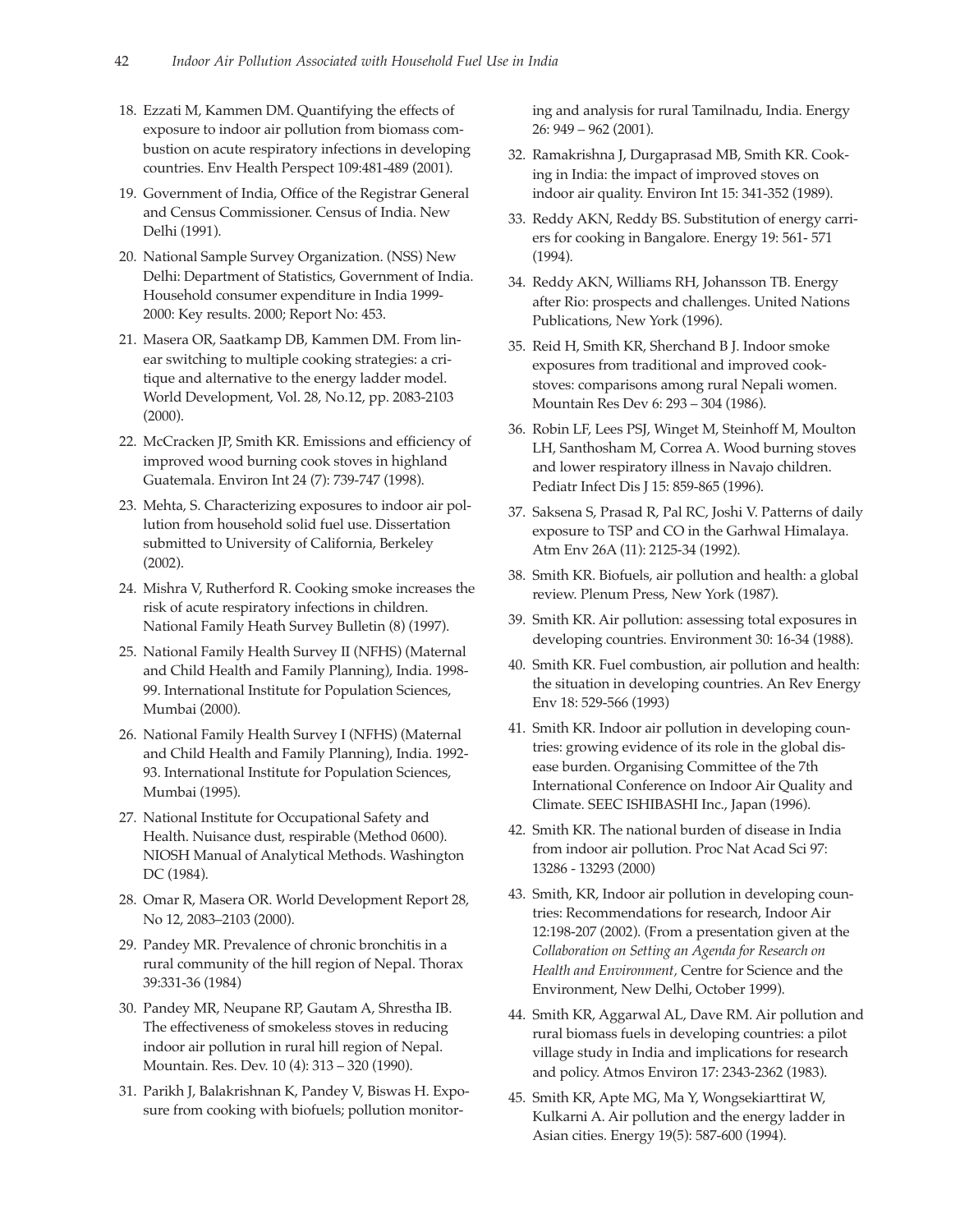- 18. Ezzati M, Kammen DM. Quantifying the effects of exposure to indoor air pollution from biomass combustion on acute respiratory infections in developing countries. Env Health Perspect 109:481-489 (2001).
- 19. Government of India, Office of the Registrar General and Census Commissioner. Census of India. New Delhi (1991).
- 20. National Sample Survey Organization. (NSS) New Delhi: Department of Statistics, Government of India. Household consumer expenditure in India 1999- 2000: Key results. 2000; Report No: 453.
- 21. Masera OR, Saatkamp DB, Kammen DM. From linear switching to multiple cooking strategies: a critique and alternative to the energy ladder model. World Development, Vol. 28, No.12, pp. 2083-2103 (2000).
- 22. McCracken JP, Smith KR. Emissions and efficiency of improved wood burning cook stoves in highland Guatemala. Environ Int 24 (7): 739-747 (1998).
- 23. Mehta, S. Characterizing exposures to indoor air pollution from household solid fuel use. Dissertation submitted to University of California, Berkeley (2002).
- 24. Mishra V, Rutherford R. Cooking smoke increases the risk of acute respiratory infections in children. National Family Heath Survey Bulletin (8) (1997).
- 25. National Family Health Survey II (NFHS) (Maternal and Child Health and Family Planning), India. 1998- 99. International Institute for Population Sciences, Mumbai (2000).
- 26. National Family Health Survey I (NFHS) (Maternal and Child Health and Family Planning), India. 1992- 93. International Institute for Population Sciences, Mumbai (1995).
- 27. National Institute for Occupational Safety and Health. Nuisance dust, respirable (Method 0600). NIOSH Manual of Analytical Methods. Washington DC (1984).
- 28. Omar R, Masera OR. World Development Report 28, No 12, 2083–2103 (2000).
- 29. Pandey MR. Prevalence of chronic bronchitis in a rural community of the hill region of Nepal. Thorax 39:331-36 (1984)
- 30. Pandey MR, Neupane RP, Gautam A, Shrestha IB. The effectiveness of smokeless stoves in reducing indoor air pollution in rural hill region of Nepal. Mountain. Res. Dev. 10 (4): 313 – 320 (1990).
- 31. Parikh J, Balakrishnan K, Pandey V, Biswas H. Exposure from cooking with biofuels; pollution monitor-

ing and analysis for rural Tamilnadu, India. Energy 26: 949 – 962 (2001).

- 32. Ramakrishna J, Durgaprasad MB, Smith KR. Cooking in India: the impact of improved stoves on indoor air quality. Environ Int 15: 341-352 (1989).
- 33. Reddy AKN, Reddy BS. Substitution of energy carriers for cooking in Bangalore. Energy 19: 561- 571 (1994).
- 34. Reddy AKN, Williams RH, Johansson TB. Energy after Rio: prospects and challenges. United Nations Publications, New York (1996).
- 35. Reid H, Smith KR, Sherchand B J. Indoor smoke exposures from traditional and improved cookstoves: comparisons among rural Nepali women. Mountain Res Dev 6: 293 – 304 (1986).
- 36. Robin LF, Lees PSJ, Winget M, Steinhoff M, Moulton LH, Santhosham M, Correa A. Wood burning stoves and lower respiratory illness in Navajo children. Pediatr Infect Dis J 15: 859-865 (1996).
- 37. Saksena S, Prasad R, Pal RC, Joshi V. Patterns of daily exposure to TSP and CO in the Garhwal Himalaya. Atm Env 26A (11): 2125-34 (1992).
- 38. Smith KR. Biofuels, air pollution and health: a global review. Plenum Press, New York (1987).
- 39. Smith KR. Air pollution: assessing total exposures in developing countries. Environment 30: 16-34 (1988).
- 40. Smith KR. Fuel combustion, air pollution and health: the situation in developing countries. An Rev Energy Env 18: 529-566 (1993)
- 41. Smith KR. Indoor air pollution in developing countries: growing evidence of its role in the global disease burden. Organising Committee of the 7th International Conference on Indoor Air Quality and Climate. SEEC ISHIBASHI Inc., Japan (1996).
- 42. Smith KR. The national burden of disease in India from indoor air pollution. Proc Nat Acad Sci 97: 13286 - 13293 (2000)
- 43. Smith, KR, Indoor air pollution in developing countries: Recommendations for research, Indoor Air 12:198-207 (2002). (From a presentation given at the *Collaboration on Setting an Agenda for Research on Health and Environment,* Centre for Science and the Environment, New Delhi, October 1999).
- 44. Smith KR, Aggarwal AL, Dave RM. Air pollution and rural biomass fuels in developing countries: a pilot village study in India and implications for research and policy. Atmos Environ 17: 2343-2362 (1983).
- 45. Smith KR, Apte MG, Ma Y, Wongsekiarttirat W, Kulkarni A. Air pollution and the energy ladder in Asian cities. Energy 19(5): 587-600 (1994).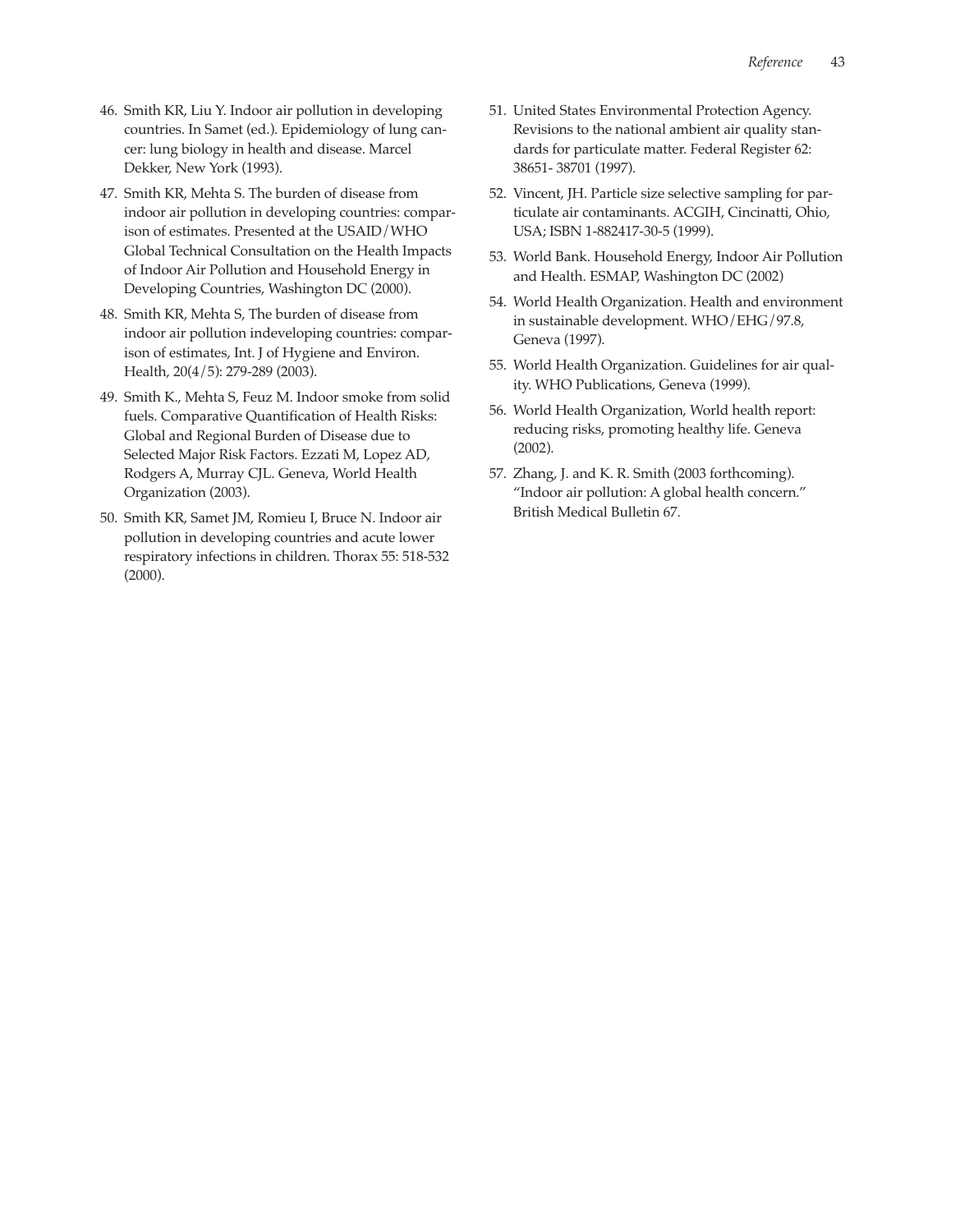- 46. Smith KR, Liu Y. Indoor air pollution in developing countries. In Samet (ed.). Epidemiology of lung cancer: lung biology in health and disease. Marcel Dekker, New York (1993).
- 47. Smith KR, Mehta S. The burden of disease from indoor air pollution in developing countries: comparison of estimates. Presented at the USAID/WHO Global Technical Consultation on the Health Impacts of Indoor Air Pollution and Household Energy in Developing Countries, Washington DC (2000).
- 48. Smith KR, Mehta S, The burden of disease from indoor air pollution indeveloping countries: comparison of estimates, Int. J of Hygiene and Environ. Health, 20(4/5): 279-289 (2003).
- 49. Smith K., Mehta S, Feuz M. Indoor smoke from solid fuels. Comparative Quantification of Health Risks: Global and Regional Burden of Disease due to Selected Major Risk Factors. Ezzati M, Lopez AD, Rodgers A, Murray CJL. Geneva, World Health Organization (2003).
- 50. Smith KR, Samet JM, Romieu I, Bruce N. Indoor air pollution in developing countries and acute lower respiratory infections in children. Thorax 55: 518-532 (2000).
- 51. United States Environmental Protection Agency. Revisions to the national ambient air quality standards for particulate matter. Federal Register 62: 38651- 38701 (1997).
- 52. Vincent, JH. Particle size selective sampling for particulate air contaminants. ACGIH, Cincinatti, Ohio, USA; ISBN 1-882417-30-5 (1999).
- 53. World Bank. Household Energy, Indoor Air Pollution and Health. ESMAP, Washington DC (2002)
- 54. World Health Organization. Health and environment in sustainable development. WHO/EHG/97.8, Geneva (1997).
- 55. World Health Organization. Guidelines for air quality. WHO Publications, Geneva (1999).
- 56. World Health Organization, World health report: reducing risks, promoting healthy life. Geneva (2002).
- 57. Zhang, J. and K. R. Smith (2003 forthcoming). "Indoor air pollution: A global health concern." British Medical Bulletin 67.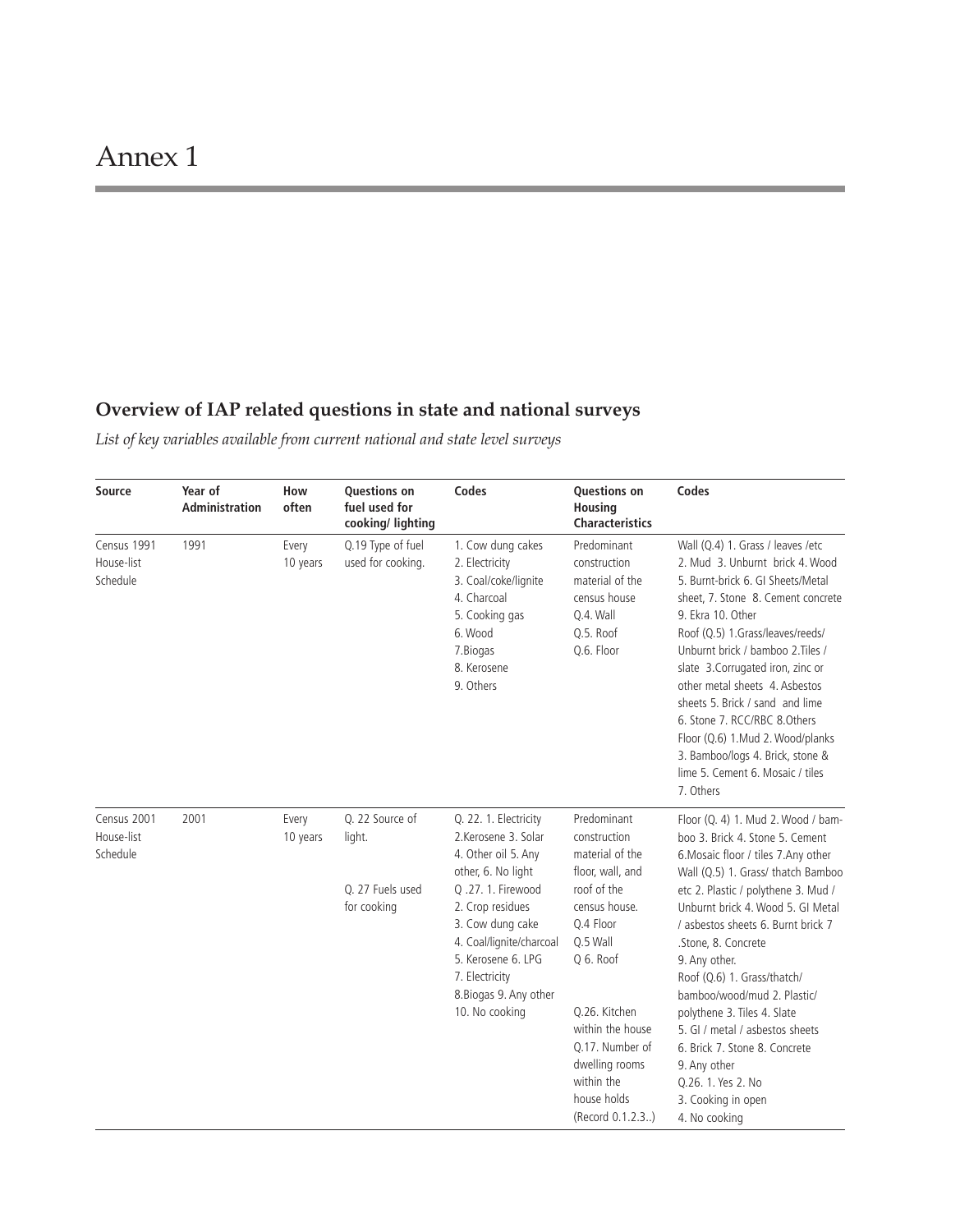# **Overview of IAP related questions in state and national surveys**

*List of key variables available from current national and state level surveys*

| Source                                | Year of<br><b>Administration</b> | How<br>often      | <b>Questions on</b><br>fuel used for<br>cooking/ lighting    | Codes                                                                                                                                                                                                                                                                   | <b>Questions on</b><br>Housing<br><b>Characteristics</b>                                                                                                                                                                                                            | Codes                                                                                                                                                                                                                                                                                                                                                                                                                                                                                                                                                       |
|---------------------------------------|----------------------------------|-------------------|--------------------------------------------------------------|-------------------------------------------------------------------------------------------------------------------------------------------------------------------------------------------------------------------------------------------------------------------------|---------------------------------------------------------------------------------------------------------------------------------------------------------------------------------------------------------------------------------------------------------------------|-------------------------------------------------------------------------------------------------------------------------------------------------------------------------------------------------------------------------------------------------------------------------------------------------------------------------------------------------------------------------------------------------------------------------------------------------------------------------------------------------------------------------------------------------------------|
| Census 1991<br>House-list<br>Schedule | 1991                             | Every<br>10 years | Q.19 Type of fuel<br>used for cooking.                       | 1. Cow dung cakes<br>2. Electricity<br>3. Coal/coke/lignite<br>4. Charcoal<br>5. Cooking gas<br>6. Wood<br>7. Biogas<br>8. Kerosene<br>9. Others                                                                                                                        | Predominant<br>construction<br>material of the<br>census house<br>Q.4. Wall<br>Q.5. Roof<br>Q.6. Floor                                                                                                                                                              | Wall (Q.4) 1. Grass / leaves /etc<br>2. Mud 3. Unburnt brick 4. Wood<br>5. Burnt-brick 6. GI Sheets/Metal<br>sheet, 7. Stone 8. Cement concrete<br>9. Ekra 10. Other<br>Roof (Q.5) 1.Grass/leaves/reeds/<br>Unburnt brick / bamboo 2. Tiles /<br>slate 3. Corrugated iron, zinc or<br>other metal sheets 4. Asbestos<br>sheets 5. Brick / sand and lime<br>6. Stone 7. RCC/RBC 8.Others<br>Floor (Q.6) 1.Mud 2. Wood/planks<br>3. Bamboo/logs 4. Brick, stone &<br>lime 5. Cement 6. Mosaic / tiles<br>7. Others                                            |
| Census 2001<br>House-list<br>Schedule | 2001                             | Every<br>10 years | Q. 22 Source of<br>light.<br>Q. 27 Fuels used<br>for cooking | Q. 22. 1. Electricity<br>2.Kerosene 3. Solar<br>4. Other oil 5. Any<br>other, 6. No light<br>Q .27. 1. Firewood<br>2. Crop residues<br>3. Cow dung cake<br>4. Coal/lignite/charcoal<br>5. Kerosene 6. LPG<br>7. Electricity<br>8. Biogas 9. Any other<br>10. No cooking | Predominant<br>construction<br>material of the<br>floor, wall, and<br>roof of the<br>census house.<br>Q.4 Floor<br>Q.5 Wall<br>Q 6. Roof<br>Q.26. Kitchen<br>within the house<br>Q.17. Number of<br>dwelling rooms<br>within the<br>house holds<br>(Record 0.1.2.3) | Floor (Q. 4) 1. Mud 2. Wood / bam-<br>boo 3. Brick 4. Stone 5. Cement<br>6. Mosaic floor / tiles 7. Any other<br>Wall (Q.5) 1. Grass/ thatch Bamboo<br>etc 2. Plastic / polythene 3. Mud /<br>Unburnt brick 4. Wood 5. GI Metal<br>/ asbestos sheets 6. Burnt brick 7<br>.Stone, 8. Concrete<br>9. Any other.<br>Roof (Q.6) 1. Grass/thatch/<br>bamboo/wood/mud 2. Plastic/<br>polythene 3. Tiles 4. Slate<br>5. GI / metal / asbestos sheets<br>6. Brick 7. Stone 8. Concrete<br>9. Any other<br>Q.26. 1. Yes 2. No<br>3. Cooking in open<br>4. No cooking |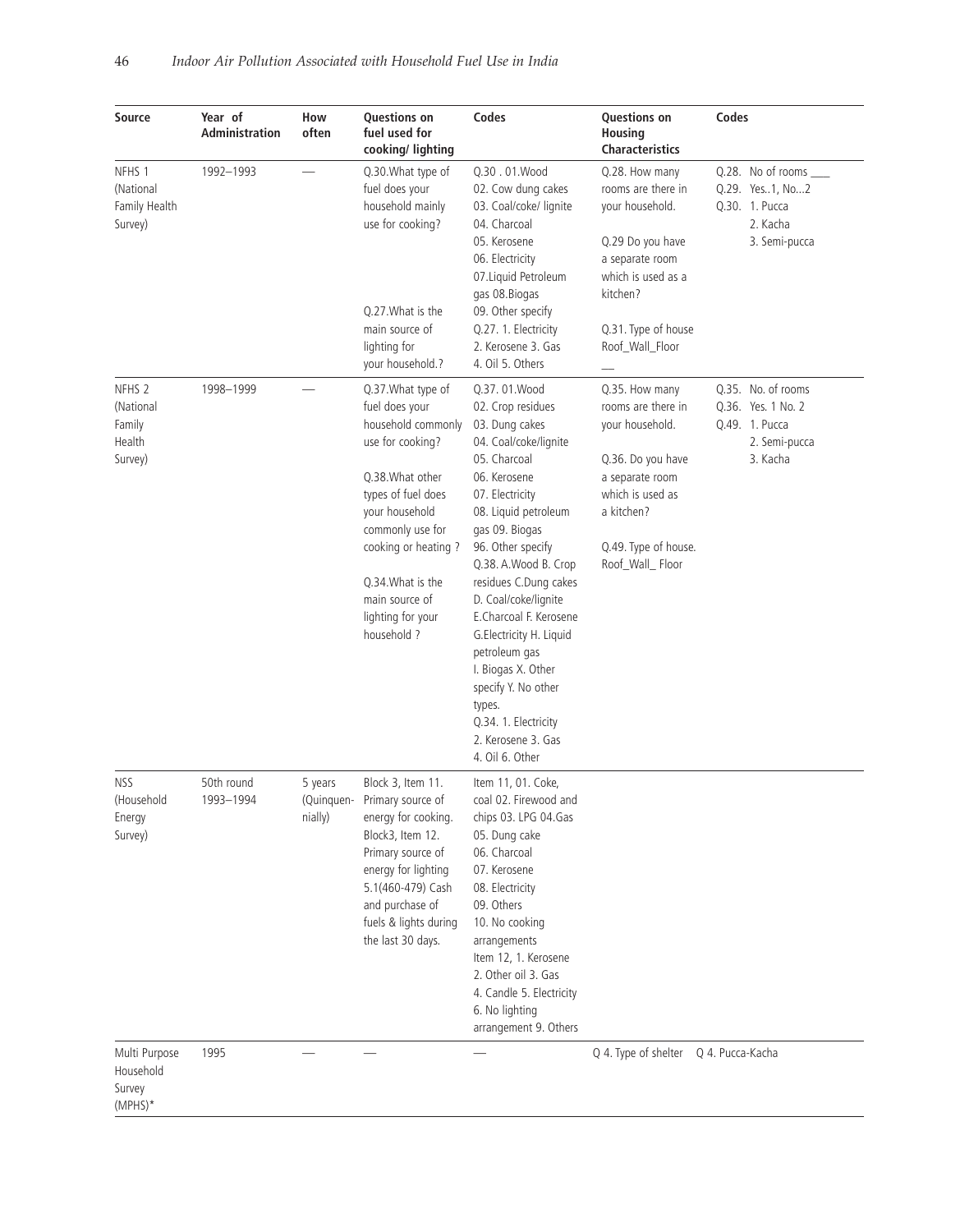| Source                                                        | Year of<br><b>Administration</b> | How<br>often                     | Questions on<br>fuel used for<br>cooking/ lighting                                                                                                                                                                                                               | Codes                                                                                                                                                                                                                                                                                                                                                                                                                                                                  | <b>Questions on</b><br>Housing<br><b>Characteristics</b>                                                                                                                      | Codes                                                                                    |
|---------------------------------------------------------------|----------------------------------|----------------------------------|------------------------------------------------------------------------------------------------------------------------------------------------------------------------------------------------------------------------------------------------------------------|------------------------------------------------------------------------------------------------------------------------------------------------------------------------------------------------------------------------------------------------------------------------------------------------------------------------------------------------------------------------------------------------------------------------------------------------------------------------|-------------------------------------------------------------------------------------------------------------------------------------------------------------------------------|------------------------------------------------------------------------------------------|
| NFHS 1<br>(National<br>Family Health<br>Survey)               | 1992-1993                        |                                  | Q.30. What type of<br>fuel does your<br>household mainly<br>use for cooking?<br>Q.27. What is the<br>main source of<br>lighting for<br>your household.?                                                                                                          | Q.30.01.Wood<br>02. Cow dung cakes<br>03. Coal/coke/ lignite<br>04. Charcoal<br>05. Kerosene<br>06. Electricity<br>07. Liquid Petroleum<br>gas 08.Biogas<br>09. Other specify<br>Q.27. 1. Electricity<br>2. Kerosene 3. Gas<br>4. Oil 5. Others                                                                                                                                                                                                                        | Q.28. How many<br>rooms are there in<br>your household.<br>Q.29 Do you have<br>a separate room<br>which is used as a<br>kitchen?<br>Q.31. Type of house<br>Roof_Wall_Floor    | Q.28. No of rooms ____<br>Q.29. Yes1, No2<br>Q.30. 1. Pucca<br>2. Kacha<br>3. Semi-pucca |
| NFHS <sub>2</sub><br>(National<br>Family<br>Health<br>Survey) | 1998-1999                        |                                  | Q.37. What type of<br>fuel does your<br>household commonly<br>use for cooking?<br>Q.38. What other<br>types of fuel does<br>your household<br>commonly use for<br>cooking or heating?<br>Q.34. What is the<br>main source of<br>lighting for your<br>household ? | Q.37.01. Wood<br>02. Crop residues<br>03. Dung cakes<br>04. Coal/coke/lignite<br>05. Charcoal<br>06. Kerosene<br>07. Electricity<br>08. Liquid petroleum<br>gas 09. Biogas<br>96. Other specify<br>Q.38. A.Wood B. Crop<br>residues C.Dung cakes<br>D. Coal/coke/lignite<br>E.Charcoal F. Kerosene<br>G.Electricity H. Liquid<br>petroleum gas<br>I. Biogas X. Other<br>specify Y. No other<br>types.<br>Q.34. 1. Electricity<br>2. Kerosene 3. Gas<br>4. Oil 6. Other | Q.35. How many<br>rooms are there in<br>your household.<br>Q.36. Do you have<br>a separate room<br>which is used as<br>a kitchen?<br>Q.49. Type of house.<br>Roof_Wall_ Floor | Q.35. No. of rooms<br>Q.36. Yes. 1 No. 2<br>Q.49. 1. Pucca<br>2. Semi-pucca<br>3. Kacha  |
| <b>NSS</b><br>(Household<br>Energy<br>Survey)                 | 50th round<br>1993-1994          | 5 years<br>(Quinquen-<br>nially) | Block 3, Item 11.<br>Primary source of<br>energy for cooking.<br>Block3, Item 12.<br>Primary source of<br>energy for lighting<br>5.1(460-479) Cash<br>and purchase of<br>fuels & lights during<br>the last 30 days.                                              | Item 11, 01. Coke,<br>coal 02. Firewood and<br>chips 03. LPG 04.Gas<br>05. Dung cake<br>06. Charcoal<br>07. Kerosene<br>08. Electricity<br>09. Others<br>10. No cooking<br>arrangements<br>Item 12, 1. Kerosene<br>2. Other oil 3. Gas<br>4. Candle 5. Electricity<br>6. No lighting<br>arrangement 9. Others                                                                                                                                                          |                                                                                                                                                                               |                                                                                          |
| Multi Purpose<br>Household<br>Survey<br>(MPHS)*               | 1995                             |                                  |                                                                                                                                                                                                                                                                  |                                                                                                                                                                                                                                                                                                                                                                                                                                                                        | Q 4. Type of shelter                                                                                                                                                          | Q 4. Pucca-Kacha                                                                         |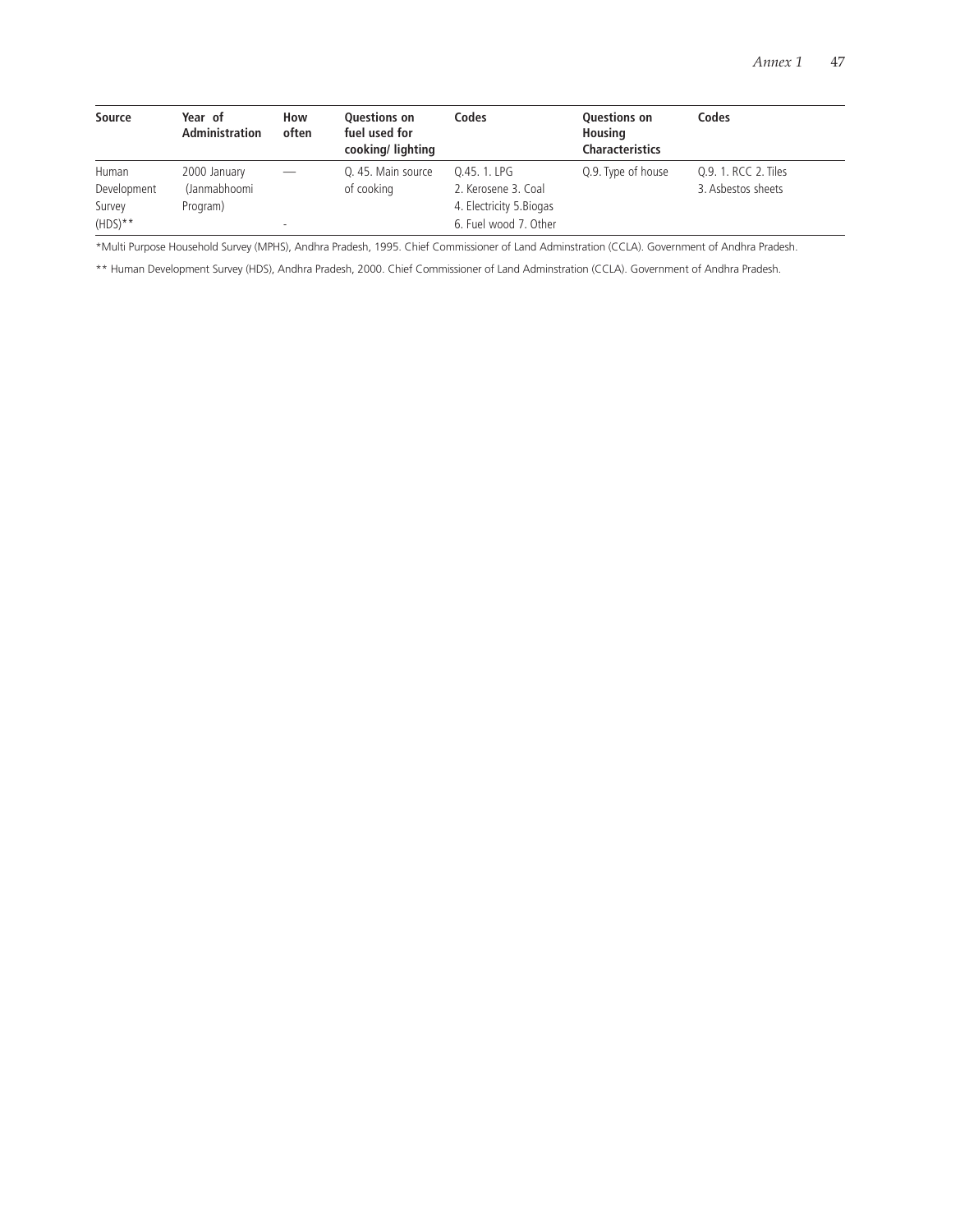| Source      | Year of<br><b>Administration</b> | How<br>often | <b>Ouestions on</b><br>fuel used for<br>cooking/lighting | Codes                    | Questions on<br>Housing<br><b>Characteristics</b> | Codes                |
|-------------|----------------------------------|--------------|----------------------------------------------------------|--------------------------|---------------------------------------------------|----------------------|
| Human       | 2000 January                     |              | Q. 45. Main source                                       | Q.45. 1. LPG             | Q.9. Type of house                                | Q.9. 1. RCC 2. Tiles |
| Development | (Janmabhoomi                     |              | of cooking                                               | 2. Kerosene 3. Coal      |                                                   | 3. Asbestos sheets   |
| Survey      | Program)                         |              |                                                          | 4. Electricity 5. Biogas |                                                   |                      |
| $(HDS)**$   |                                  | $\sim$       |                                                          | 6. Fuel wood 7. Other    |                                                   |                      |

\*Multi Purpose Household Survey (MPHS), Andhra Pradesh, 1995. Chief Commissioner of Land Adminstration (CCLA). Government of Andhra Pradesh.

\*\* Human Development Survey (HDS), Andhra Pradesh, 2000. Chief Commissioner of Land Adminstration (CCLA). Government of Andhra Pradesh.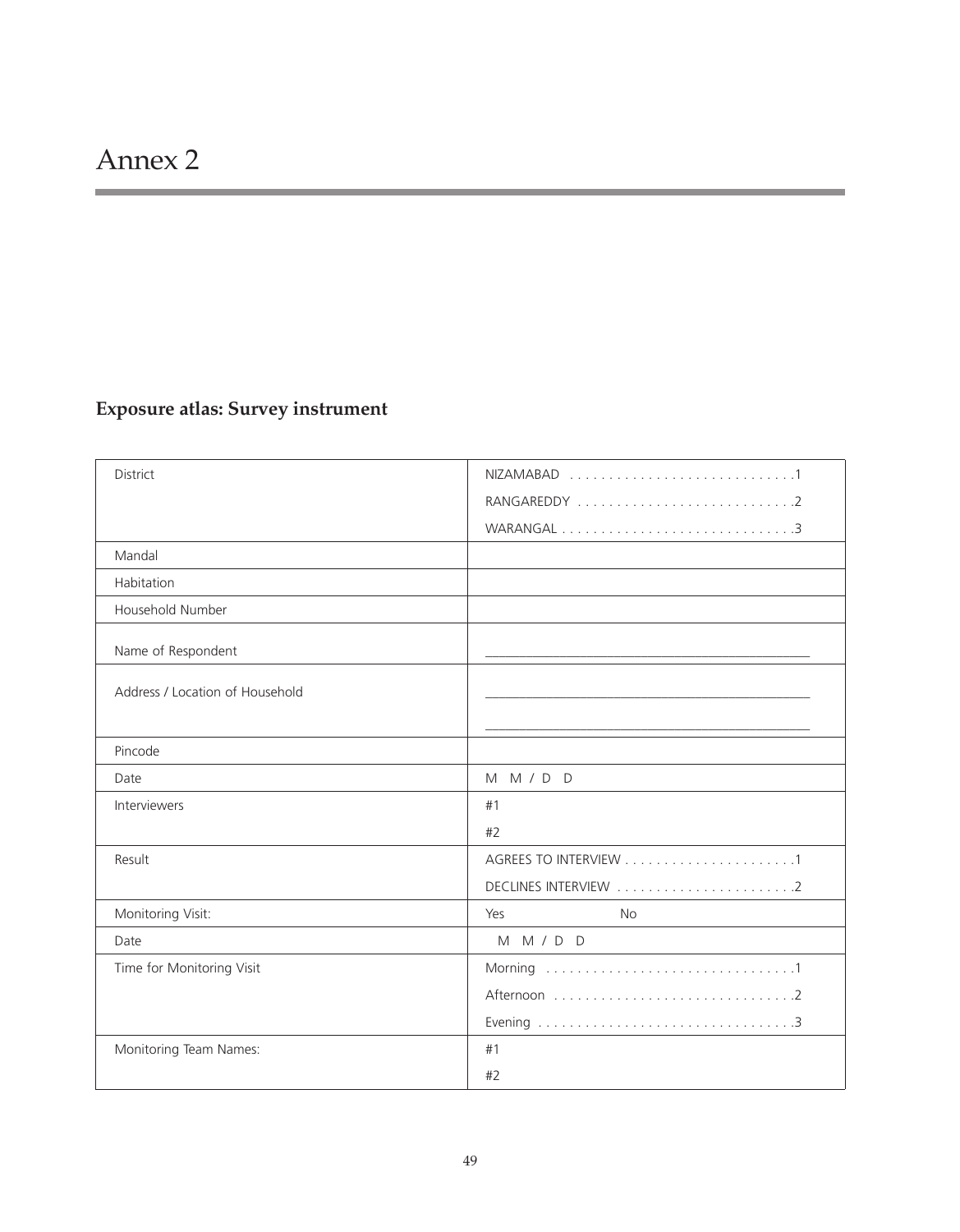# **Exposure atlas: Survey instrument**

| District                        |                  |
|---------------------------------|------------------|
|                                 |                  |
|                                 |                  |
| Mandal                          |                  |
| Habitation                      |                  |
| Household Number                |                  |
| Name of Respondent              |                  |
| Address / Location of Household |                  |
|                                 |                  |
| Pincode                         |                  |
| Date                            | M M / D D        |
| Interviewers                    | #1               |
|                                 | #2               |
| Result                          |                  |
|                                 |                  |
| Monitoring Visit:               | Yes<br><b>No</b> |
| Date                            | M M / D D        |
| Time for Monitoring Visit       |                  |
|                                 |                  |
|                                 |                  |
| Monitoring Team Names:          | #1               |
|                                 | #2               |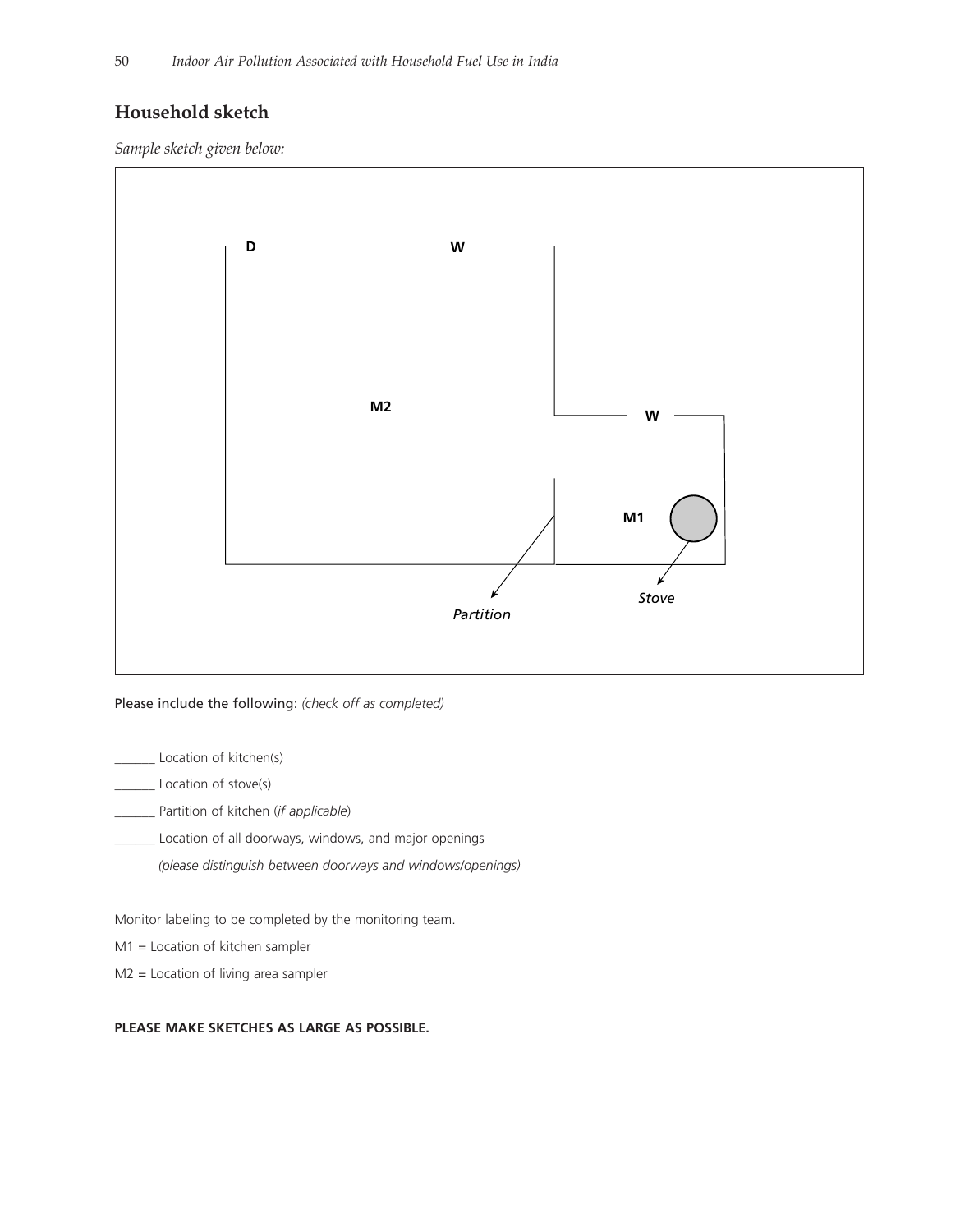# **Household sketch**

*Sample sketch given below:*



Please include the following: *(check off as completed)*

\_ Location of kitchen(s)

\_\_\_\_\_\_ Location of stove(s)

\_\_\_\_\_\_ Partition of kitchen (*if applicable*)

\_\_\_\_\_\_ Location of all doorways, windows, and major openings

*(please distinguish between doorways and windows/openings)*

Monitor labeling to be completed by the monitoring team.

M1 = Location of kitchen sampler

M2 = Location of living area sampler

#### **PLEASE MAKE SKETCHES AS LARGE AS POSSIBLE.**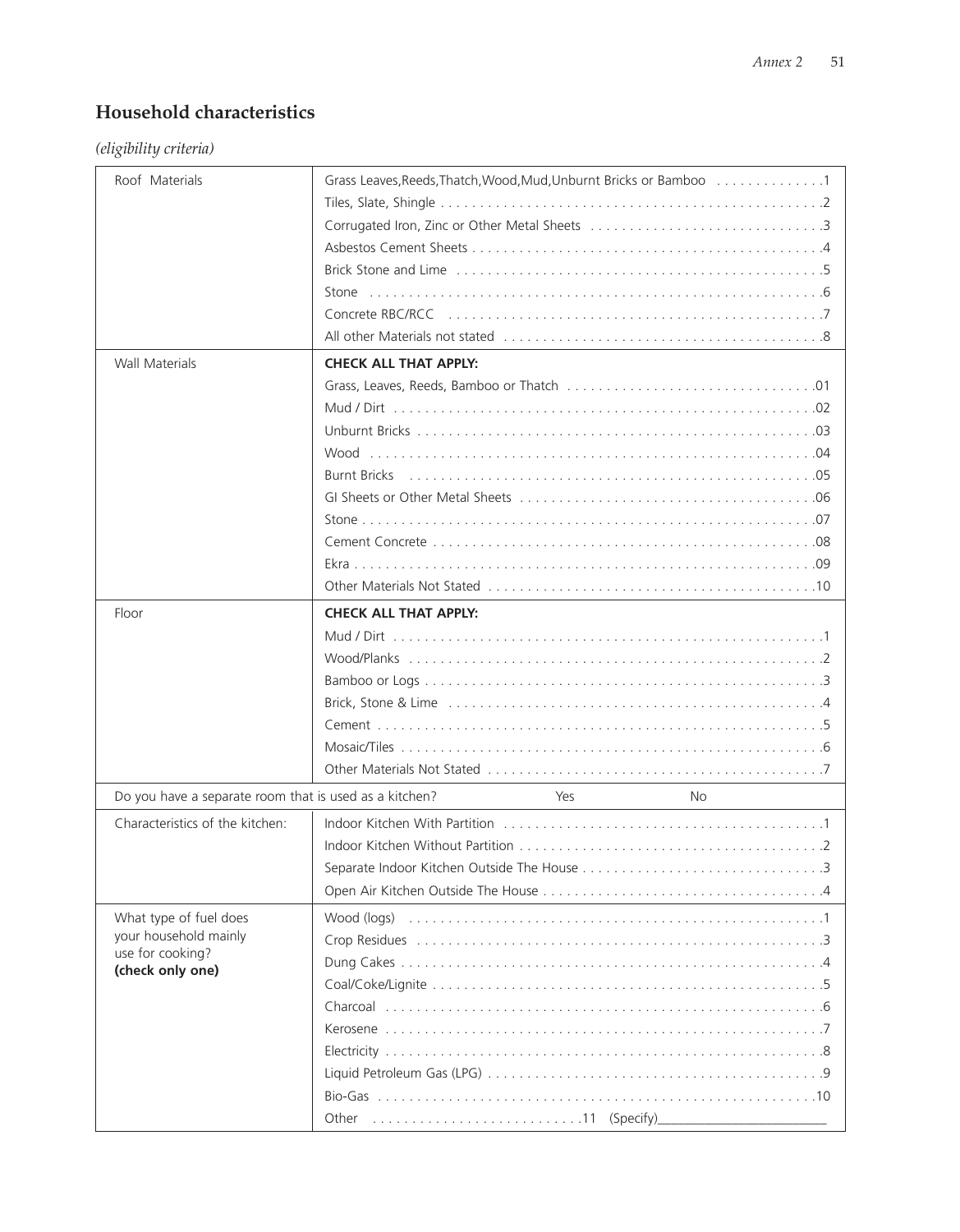# **Household characteristics**

*(eligibility criteria)*

| Roof Materials                                         | Grass Leaves, Reeds, Thatch, Wood, Mud, Unburnt Bricks or Bamboo 1 |     |     |  |
|--------------------------------------------------------|--------------------------------------------------------------------|-----|-----|--|
|                                                        |                                                                    |     |     |  |
|                                                        |                                                                    |     |     |  |
|                                                        |                                                                    |     |     |  |
|                                                        |                                                                    |     |     |  |
|                                                        | Stone                                                              |     |     |  |
|                                                        |                                                                    |     |     |  |
|                                                        |                                                                    |     |     |  |
|                                                        |                                                                    |     |     |  |
| <b>Wall Materials</b>                                  | <b>CHECK ALL THAT APPLY:</b>                                       |     |     |  |
|                                                        |                                                                    |     |     |  |
|                                                        |                                                                    |     |     |  |
|                                                        |                                                                    |     |     |  |
|                                                        |                                                                    |     |     |  |
|                                                        |                                                                    |     |     |  |
|                                                        |                                                                    |     |     |  |
|                                                        |                                                                    |     |     |  |
|                                                        |                                                                    |     |     |  |
|                                                        |                                                                    |     |     |  |
|                                                        |                                                                    |     |     |  |
| Floor                                                  | <b>CHECK ALL THAT APPLY:</b>                                       |     |     |  |
|                                                        |                                                                    |     |     |  |
|                                                        |                                                                    |     |     |  |
|                                                        |                                                                    |     |     |  |
|                                                        |                                                                    |     |     |  |
|                                                        |                                                                    |     |     |  |
|                                                        |                                                                    |     |     |  |
|                                                        |                                                                    |     |     |  |
| Do you have a separate room that is used as a kitchen? |                                                                    | Yes | No. |  |
| Characteristics of the kitchen:                        |                                                                    |     |     |  |
|                                                        |                                                                    |     |     |  |
|                                                        |                                                                    |     |     |  |
|                                                        |                                                                    |     |     |  |
| What type of fuel does                                 |                                                                    |     |     |  |
| your household mainly                                  |                                                                    |     |     |  |
| use for cooking?<br>(check only one)                   |                                                                    |     |     |  |
|                                                        |                                                                    |     |     |  |
|                                                        |                                                                    |     |     |  |
|                                                        |                                                                    |     |     |  |
|                                                        |                                                                    |     |     |  |
|                                                        |                                                                    |     |     |  |
|                                                        |                                                                    |     |     |  |
|                                                        |                                                                    |     |     |  |
|                                                        |                                                                    |     |     |  |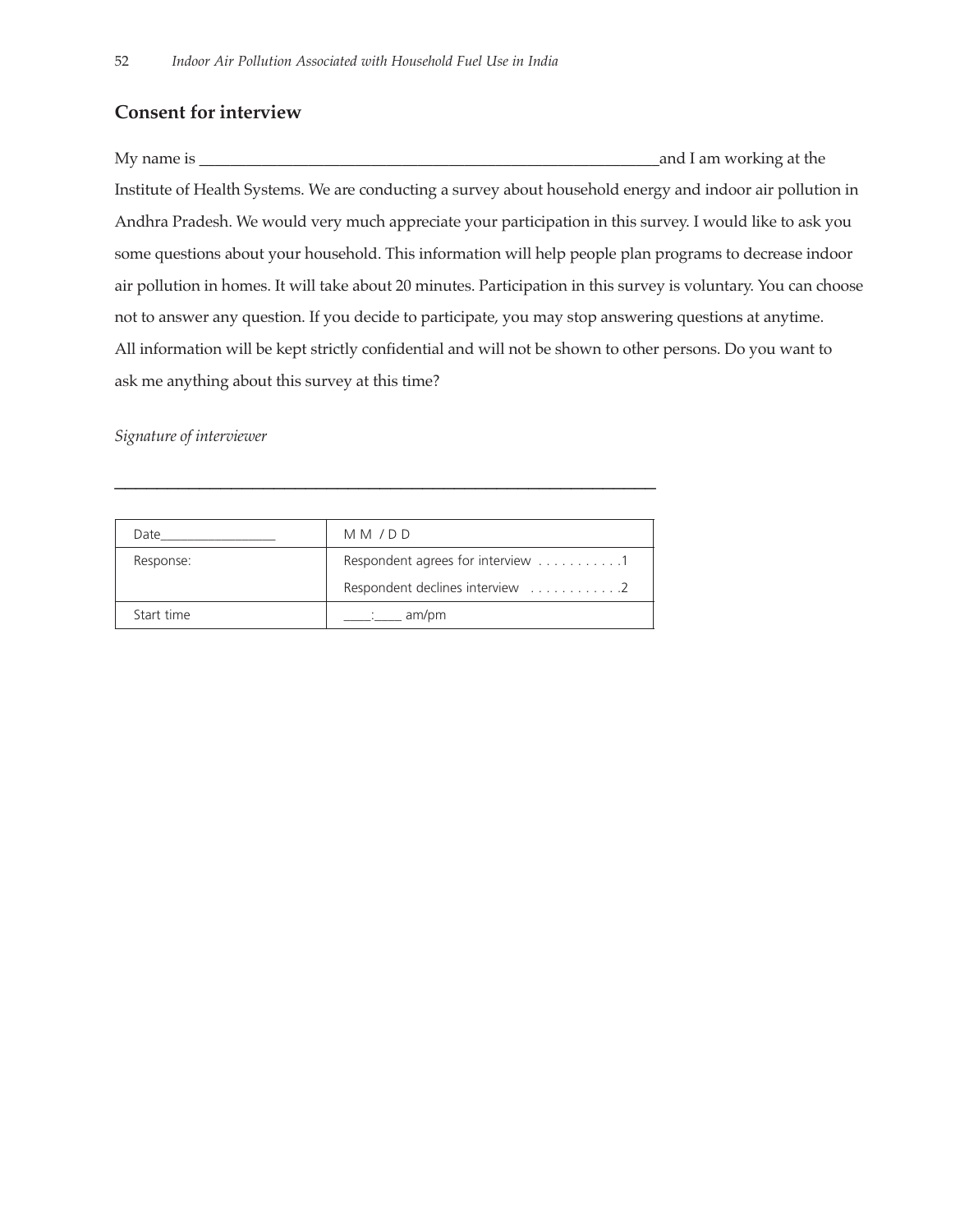# **Consent for interview**

My name is \_\_\_\_\_\_\_\_\_\_\_\_\_\_\_\_\_\_\_\_\_\_\_\_\_\_\_\_\_\_\_\_\_\_\_\_\_\_\_\_\_\_\_\_\_\_\_\_\_\_\_\_\_\_\_\_\_\_\_and I am working at the Institute of Health Systems. We are conducting a survey about household energy and indoor air pollution in Andhra Pradesh. We would very much appreciate your participation in this survey. I would like to ask you some questions about your household. This information will help people plan programs to decrease indoor air pollution in homes. It will take about 20 minutes. Participation in this survey is voluntary. You can choose not to answer any question. If you decide to participate, you may stop answering questions at anytime. All information will be kept strictly confidential and will not be shown to other persons. Do you want to ask me anything about this survey at this time?

*Signature of interviewer* 

| Date       | MM/DD                             |
|------------|-----------------------------------|
| Response:  | Respondent agrees for interview 1 |
|            | Respondent declines interview 2   |
| Start time | am/pm                             |

\_\_\_\_\_\_\_\_\_\_\_\_\_\_\_\_\_\_\_\_\_\_\_\_\_\_\_\_\_\_\_\_\_\_\_\_\_\_\_\_\_\_\_\_\_\_\_\_\_\_\_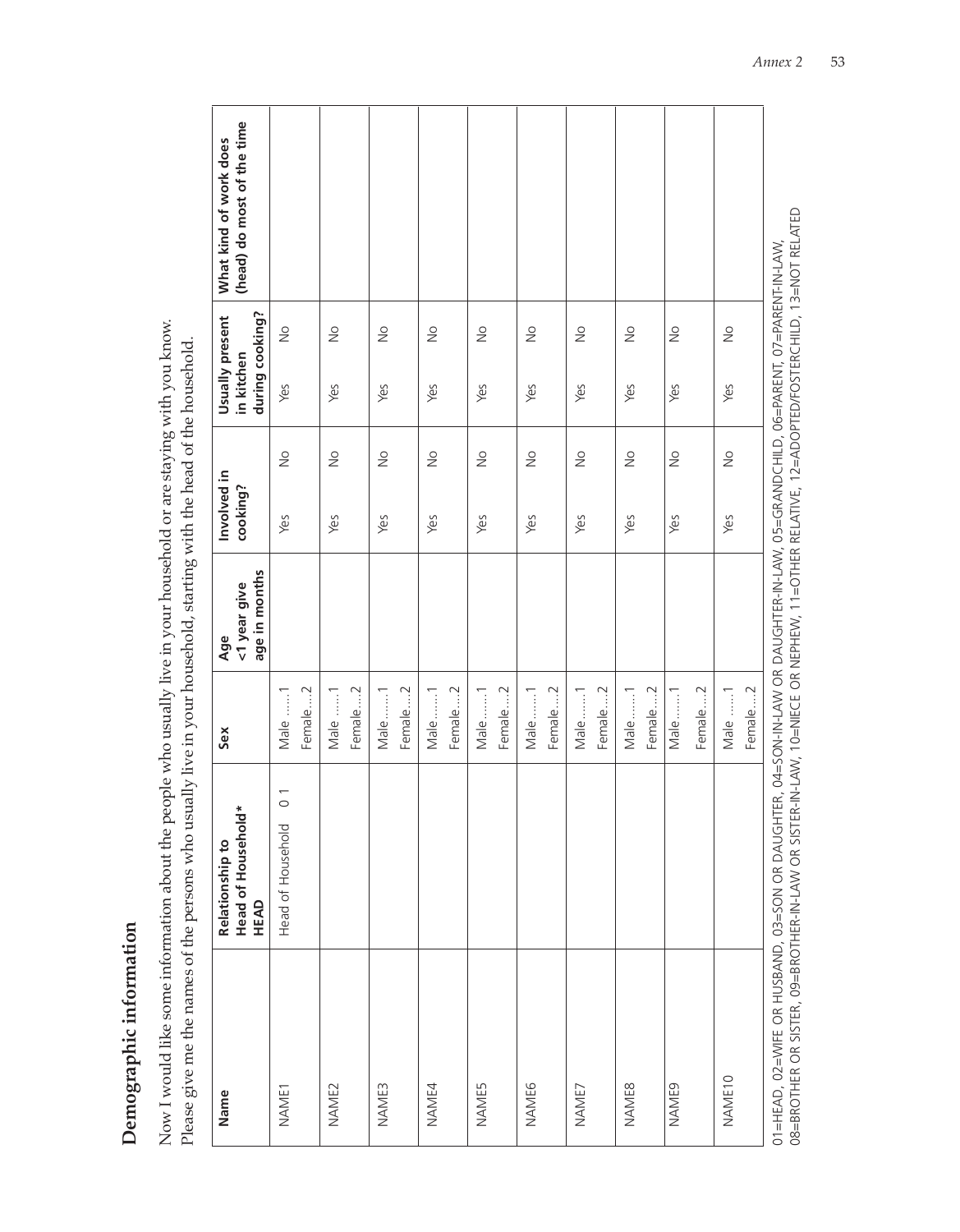Demographic information **Demographic information**

Now I would like some information about the people who usually live in your household or are staying with you know. Now I would like some information about the people who usually live in your household or are staying with you know. Please give me the names of the persons who usually live in your household, starting with the head of the household. Please give me the names of the persons who usually live in your household, starting with the head of the household.

| Name                                                                                                                                                                                                                                                                                     | Head of Household*<br>Relationship to<br>HEAD | Sex               | age in months<br><1 year give<br>Age | Involved in<br>cooking?         | in kitchen | during cooking?<br>Usually present | (head) do most of the time<br>What kind of work does |
|------------------------------------------------------------------------------------------------------------------------------------------------------------------------------------------------------------------------------------------------------------------------------------------|-----------------------------------------------|-------------------|--------------------------------------|---------------------------------|------------|------------------------------------|------------------------------------------------------|
| NAME1                                                                                                                                                                                                                                                                                    | $\overline{0}$<br>Head of Household           | Female2<br>Male 1 |                                      | $\frac{1}{2}$<br>Yes            | Yes        | $\frac{1}{2}$                      |                                                      |
| NAME2                                                                                                                                                                                                                                                                                    |                                               | Female2<br>Male 1 |                                      | $\frac{1}{2}$<br>Yes            | Yes        | $\frac{1}{2}$                      |                                                      |
| <b>NAME3</b>                                                                                                                                                                                                                                                                             |                                               | Female2<br>Male1  |                                      | $\stackrel{\circ}{\geq}$<br>Yes | Yes        | $\frac{1}{2}$                      |                                                      |
| NAME4                                                                                                                                                                                                                                                                                    |                                               | Female2<br>Male1  |                                      | $\frac{\circ}{\sim}$<br>Yes     | Yes        | $\frac{1}{2}$                      |                                                      |
| <b>NAME5</b>                                                                                                                                                                                                                                                                             |                                               | Female2<br>Male1  |                                      | $\frac{1}{2}$<br>Yes            | Yes        | $\frac{1}{2}$                      |                                                      |
| <b>NAME6</b>                                                                                                                                                                                                                                                                             |                                               | Female2<br>Male1  |                                      | $\frac{1}{2}$<br>Yes            | Yes        | $\stackrel{\circ}{\geq}$           |                                                      |
| NAME7                                                                                                                                                                                                                                                                                    |                                               | Female2<br>Male1  |                                      | $\gtrapprox$<br>Yes             | Yes        | $\frac{1}{2}$                      |                                                      |
| <b>NAME8</b>                                                                                                                                                                                                                                                                             |                                               | Female2<br>Male1  |                                      | $\geq$<br>Yes                   | Yes        | $\frac{1}{2}$                      |                                                      |
| NAME9                                                                                                                                                                                                                                                                                    |                                               | Female2<br>Male1  |                                      | $\frac{1}{2}$<br>Yes            | Yes        | $\frac{1}{2}$                      |                                                      |
| NAME <sub>10</sub>                                                                                                                                                                                                                                                                       |                                               | Female2<br>Male 1 |                                      | $\frac{\circ}{\sim}$<br>Yes     | Yes        | $\stackrel{\circ}{\geq}$           |                                                      |
| 08=BROTHER OR SISTER, 09=BROTHER-IN-LAW OR SISTER-IN-LAW, 10=NIECE OR NEPHEW, 11=OTHER RELATIVE, 12=ADOPTED/FOSTERCHILD, 13=NOT RELATED<br>01=NAN/02=WIFE OR HUSBAND, 03=SON OR DAVON DAJAN-N-N-N-N-SON-NAN OR DAJOHTER, 04=SON OR DAJOHTAN-LAN, 07=NANGHID, 06=PARENT, 07=PARENT-N-LAN/ |                                               |                   |                                      |                                 |            |                                    |                                                      |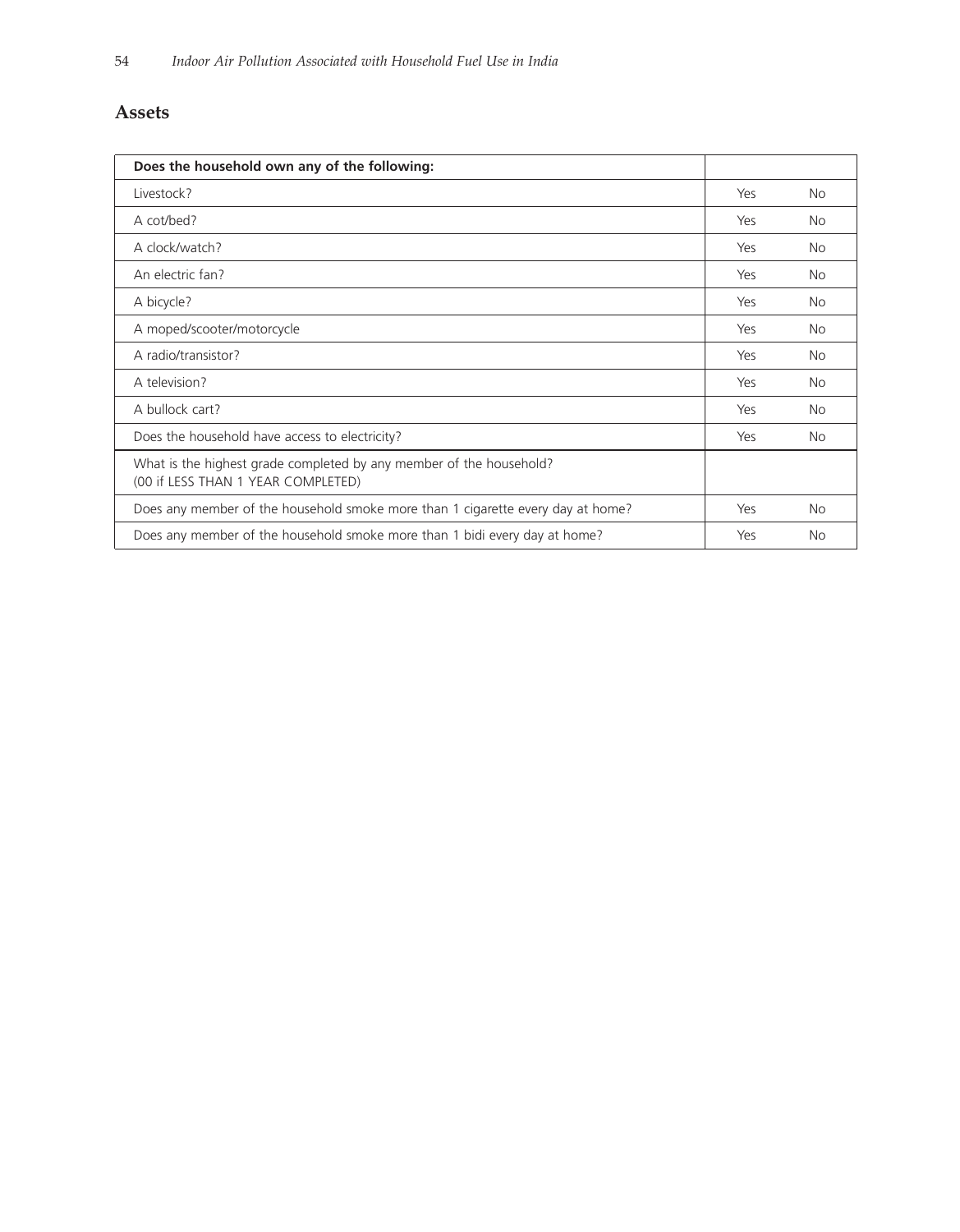# **Assets**

| Does the household own any of the following:                                                              |     |           |
|-----------------------------------------------------------------------------------------------------------|-----|-----------|
| Livestock?                                                                                                | Yes | <b>No</b> |
| A cot/bed?                                                                                                | Yes | No        |
| A clock/watch?                                                                                            | Yes | No        |
| An electric fan?                                                                                          | Yes | <b>No</b> |
| A bicycle?                                                                                                | Yes | <b>No</b> |
| A moped/scooter/motorcycle                                                                                | Yes | <b>No</b> |
| A radio/transistor?                                                                                       | Yes | <b>No</b> |
| A television?                                                                                             | Yes | <b>No</b> |
| A bullock cart?                                                                                           | Yes | <b>No</b> |
| Does the household have access to electricity?                                                            | Yes | <b>No</b> |
| What is the highest grade completed by any member of the household?<br>(00 if LESS THAN 1 YEAR COMPLETED) |     |           |
| Does any member of the household smoke more than 1 cigarette every day at home?                           | Yes | <b>No</b> |
| Does any member of the household smoke more than 1 bidi every day at home?                                | Yes | <b>No</b> |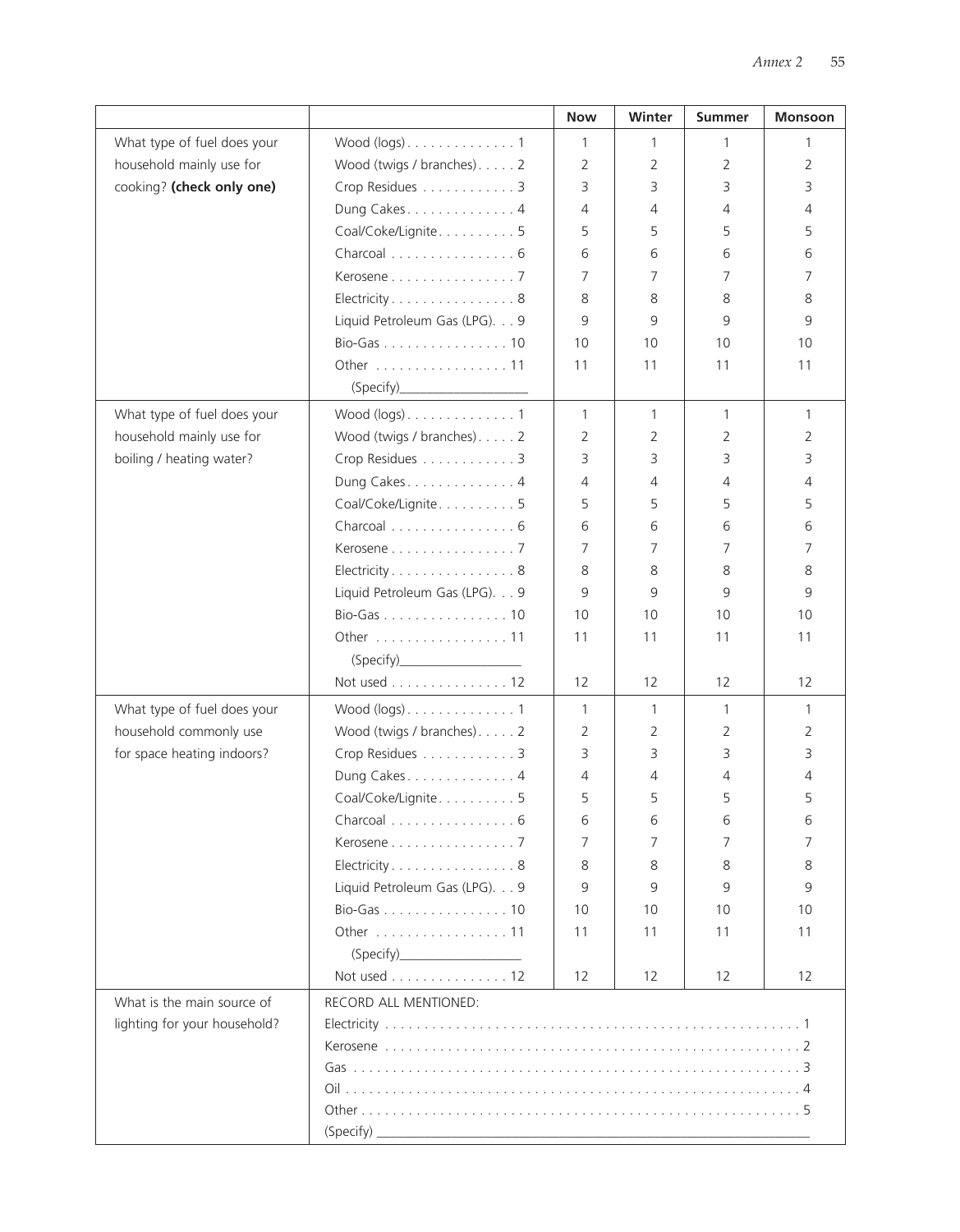|                              |                                               | <b>Now</b>   | Winter         | <b>Summer</b> | Monsoon        |
|------------------------------|-----------------------------------------------|--------------|----------------|---------------|----------------|
| What type of fuel does your  | Wood $(logs)$ . 1                             | $\mathbf{1}$ | 1              | 1             | 1              |
| household mainly use for     | Wood (twigs / branches). 2                    | 2            | 2              | 2             | 2              |
| cooking? (check only one)    | Crop Residues 3                               | 3            | 3              | 3             | 3              |
|                              | Dung Cakes. 4                                 | 4            | 4              | 4             | 4              |
|                              | Coal/Coke/Lignite5                            | 5            | 5              | 5             | 5              |
|                              | Charcoal 6                                    | 6            | 6              | 6             | 6              |
|                              | Kerosene 7                                    | 7            | 7              | 7             | 7              |
|                              | Electricity8                                  | 8            | 8              | 8             | 8              |
|                              | Liquid Petroleum Gas (LPG). 9                 | 9            | 9              | 9             | 9              |
|                              | Bio-Gas 10                                    | 10           | 10             | 10            | 10             |
|                              | Other 11                                      | 11           | 11             | 11            | 11             |
|                              | (Specify)                                     |              |                |               |                |
| What type of fuel does your  |                                               | $\mathbf{1}$ | $\mathbf{1}$   | $\mathbf{1}$  | $\mathbf{1}$   |
| household mainly use for     | Wood (twigs / branches). 2                    | 2            | 2              | 2             | 2              |
| boiling / heating water?     | Crop Residues 3                               | 3            | 3              | 3             | 3              |
|                              | Dung Cakes. 4                                 | 4            | 4              | 4             | 4              |
|                              | Coal/Coke/Lignite. 5                          | 5            | 5              | 5             | 5              |
|                              | Charcoal 6                                    | 6            | 6              | 6             | 6              |
|                              | Kerosene 7                                    | 7            | $\overline{7}$ | 7             | 7              |
|                              | Electricity8                                  | 8            | 8              | 8             | 8              |
|                              | Liquid Petroleum Gas (LPG). 9                 | 9            | 9              | 9             | 9              |
|                              | Bio-Gas 10                                    | 10           | 10             | 10            | 10             |
|                              | Other 11                                      | 11           | 11             | 11            | 11             |
|                              | (Specify)                                     |              |                |               |                |
|                              | Not used 12                                   | 12           | 12             | 12            | 12             |
| What type of fuel does your  | Wood $(logs)$ . 1                             | 1            | $\mathbf{1}$   | 1             | $\mathbf{1}$   |
| household commonly use       | Wood (twigs / branches). 2                    | 2            | 2              | 2             | $\overline{2}$ |
| for space heating indoors?   | Crop Residues 3                               | 3            | 3              | 3             | 3              |
|                              | Dung Cakes. 4                                 | 4            | $\overline{4}$ | 4             | 4              |
|                              | Coal/Coke/Lignite5                            | 5            | 5              | 5             | 5              |
|                              | Charcoal 6                                    | 6            | 6              | 6             | 6              |
|                              | Kerosene $\ldots \ldots \ldots \ldots \ldots$ | 7            | 7              | 7             | 7              |
|                              | Electricity8                                  | 8            | 8              | 8             | 8              |
|                              | Liquid Petroleum Gas (LPG). 9                 | 9            | 9              | 9             | 9              |
|                              | Bio-Gas 10                                    | 10           | 10             | 10            | 10             |
|                              | Other 11                                      | 11           | 11             | 11            | 11             |
|                              | (Specify)                                     |              |                |               |                |
|                              | Not used 12                                   | 12           | 12             | 12            | 12             |
| What is the main source of   | RECORD ALL MENTIONED:                         |              |                |               |                |
| lighting for your household? |                                               |              |                |               |                |
|                              |                                               |              |                |               |                |
|                              |                                               |              |                |               |                |
|                              |                                               |              |                |               |                |
|                              |                                               |              |                |               |                |
|                              |                                               |              |                |               |                |
|                              |                                               |              |                |               |                |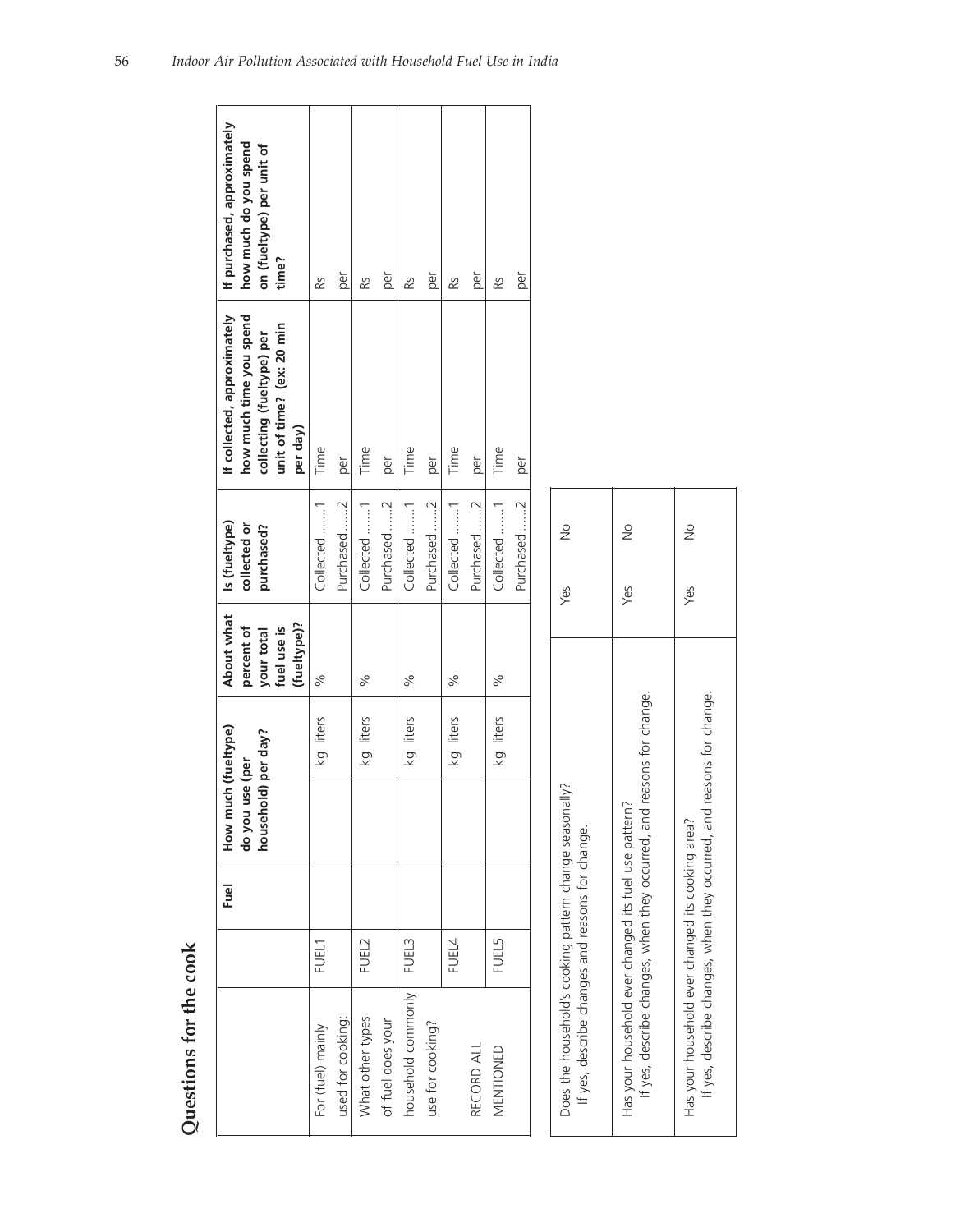| Ş                   |  |
|---------------------|--|
| l                   |  |
| Č<br>֝֜֝֜֜֜֜֜֜<br>ł |  |
| Ç<br>ļ<br>٢<br>ĺ    |  |
|                     |  |
|                     |  |

| Questions for the cook |              |      |                                                               |           |                                                                      |                                             |                                                                                                                              |                                                                                            |
|------------------------|--------------|------|---------------------------------------------------------------|-----------|----------------------------------------------------------------------|---------------------------------------------|------------------------------------------------------------------------------------------------------------------------------|--------------------------------------------------------------------------------------------|
|                        |              | Fuel | How much (fueltype)<br>household) per day?<br>do you use (per |           | About what<br>(fueltype)?<br>percent of<br>your total<br>fuel use is | Is (fueltype)<br>collected or<br>purchased? | how much time you spend<br>If collected, approximately<br>unit of time? (ex: 20 min<br>collecting (fueltype) per<br>per day) | If purchased, approximately<br>how much do you spend<br>on (fueltype) per unit of<br>time? |
| For (fuel) mainly      | FUEL1        |      |                                                               | kg liters | $\%$                                                                 | Collected 1                                 | Time                                                                                                                         | RS                                                                                         |
| used for cooking:      |              |      |                                                               |           |                                                                      | Purchased 2                                 | per                                                                                                                          | per                                                                                        |
| What other types       | FUEL2        |      |                                                               | kg liters | %                                                                    | Collected 1                                 | Time                                                                                                                         | RS                                                                                         |
| of fuel does your      |              |      |                                                               |           |                                                                      | Purchased 2                                 | per                                                                                                                          | per                                                                                        |
| household commonly     | FUEL3        |      |                                                               | kg liters | %                                                                    | Collected 1                                 | Time                                                                                                                         | RS.                                                                                        |
| use for cooking?       |              |      |                                                               |           |                                                                      | Purchased 2                                 | per                                                                                                                          | per                                                                                        |
|                        | FUEL4        |      |                                                               | kg liters | $\%$                                                                 | Collected 1                                 | Time                                                                                                                         | RS                                                                                         |
| RECORD ALL             |              |      |                                                               |           |                                                                      | Purchased 2                                 | per                                                                                                                          | per                                                                                        |
| MENTIONED              | <b>FUEL5</b> |      |                                                               | kg liters | %                                                                    | Collected 1                                 | Time                                                                                                                         | RS                                                                                         |
|                        |              |      |                                                               |           |                                                                      | Purchased 2                                 | per                                                                                                                          | per                                                                                        |
|                        |              |      |                                                               |           |                                                                      |                                             |                                                                                                                              |                                                                                            |

| Does the household's cooking pattern change seasonally?<br>If yes, describe changes and reasons for change.                    | Yes | $\frac{1}{2}$ |  |
|--------------------------------------------------------------------------------------------------------------------------------|-----|---------------|--|
| If yes, describe changes, when they occurred, and reasons for change.<br>Has your household ever changed its fuel use pattern? | Yes | $\geq$        |  |
| If yes, describe changes, when they occurred, and reasons for change.<br>Has your household ever changed its cooking area?     | yes | $\frac{1}{2}$ |  |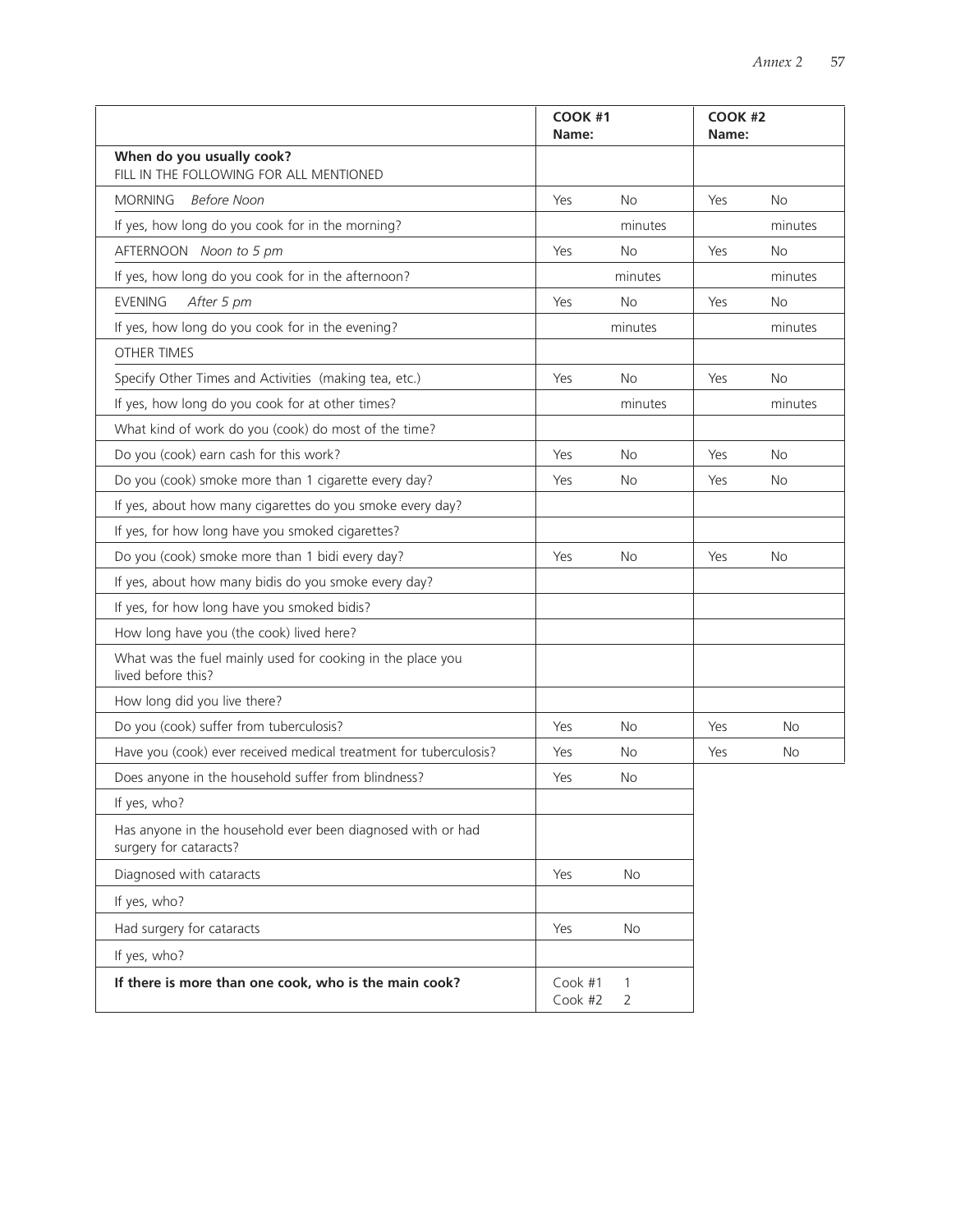|                                                                                       | COOK #1<br>Name:   |           | <b>COOK #2</b><br>Name: |           |
|---------------------------------------------------------------------------------------|--------------------|-----------|-------------------------|-----------|
| When do you usually cook?<br>FILL IN THE FOLLOWING FOR ALL MENTIONED                  |                    |           |                         |           |
| <b>MORNING</b><br><b>Before Noon</b>                                                  | Yes                | <b>No</b> | Yes                     | <b>No</b> |
| If yes, how long do you cook for in the morning?                                      |                    | minutes   |                         | minutes   |
| AFTERNOON Noon to 5 pm                                                                | Yes                | No        | Yes                     | <b>No</b> |
| If yes, how long do you cook for in the afternoon?                                    |                    | minutes   |                         | minutes   |
| <b>EVENING</b><br>After 5 pm                                                          | Yes                | No        | Yes                     | No        |
| If yes, how long do you cook for in the evening?                                      |                    | minutes   |                         | minutes   |
| <b>OTHER TIMES</b>                                                                    |                    |           |                         |           |
| Specify Other Times and Activities (making tea, etc.)                                 | Yes                | <b>No</b> | Yes                     | <b>No</b> |
| If yes, how long do you cook for at other times?                                      |                    | minutes   |                         | minutes   |
| What kind of work do you (cook) do most of the time?                                  |                    |           |                         |           |
| Do you (cook) earn cash for this work?                                                | Yes                | <b>No</b> | Yes                     | No        |
| Do you (cook) smoke more than 1 cigarette every day?                                  | Yes                | <b>No</b> | Yes                     | <b>No</b> |
| If yes, about how many cigarettes do you smoke every day?                             |                    |           |                         |           |
| If yes, for how long have you smoked cigarettes?                                      |                    |           |                         |           |
| Do you (cook) smoke more than 1 bidi every day?                                       | Yes                | <b>No</b> | Yes                     | No        |
| If yes, about how many bidis do you smoke every day?                                  |                    |           |                         |           |
| If yes, for how long have you smoked bidis?                                           |                    |           |                         |           |
| How long have you (the cook) lived here?                                              |                    |           |                         |           |
| What was the fuel mainly used for cooking in the place you<br>lived before this?      |                    |           |                         |           |
| How long did you live there?                                                          |                    |           |                         |           |
| Do you (cook) suffer from tuberculosis?                                               | Yes                | <b>No</b> | Yes                     | <b>No</b> |
| Have you (cook) ever received medical treatment for tuberculosis?                     | Yes                | <b>No</b> | Yes                     | <b>No</b> |
| Does anyone in the household suffer from blindness?                                   | Yes                | <b>No</b> |                         |           |
| If yes, who?                                                                          |                    |           |                         |           |
| Has anyone in the household ever been diagnosed with or had<br>surgery for cataracts? |                    |           |                         |           |
| Diagnosed with cataracts                                                              | Yes                | No        |                         |           |
| If yes, who?                                                                          |                    |           |                         |           |
| Had surgery for cataracts                                                             | Yes                | No        |                         |           |
| If yes, who?                                                                          |                    |           |                         |           |
| If there is more than one cook, who is the main cook?                                 | Cook #1<br>Cook #2 | 1<br>2    |                         |           |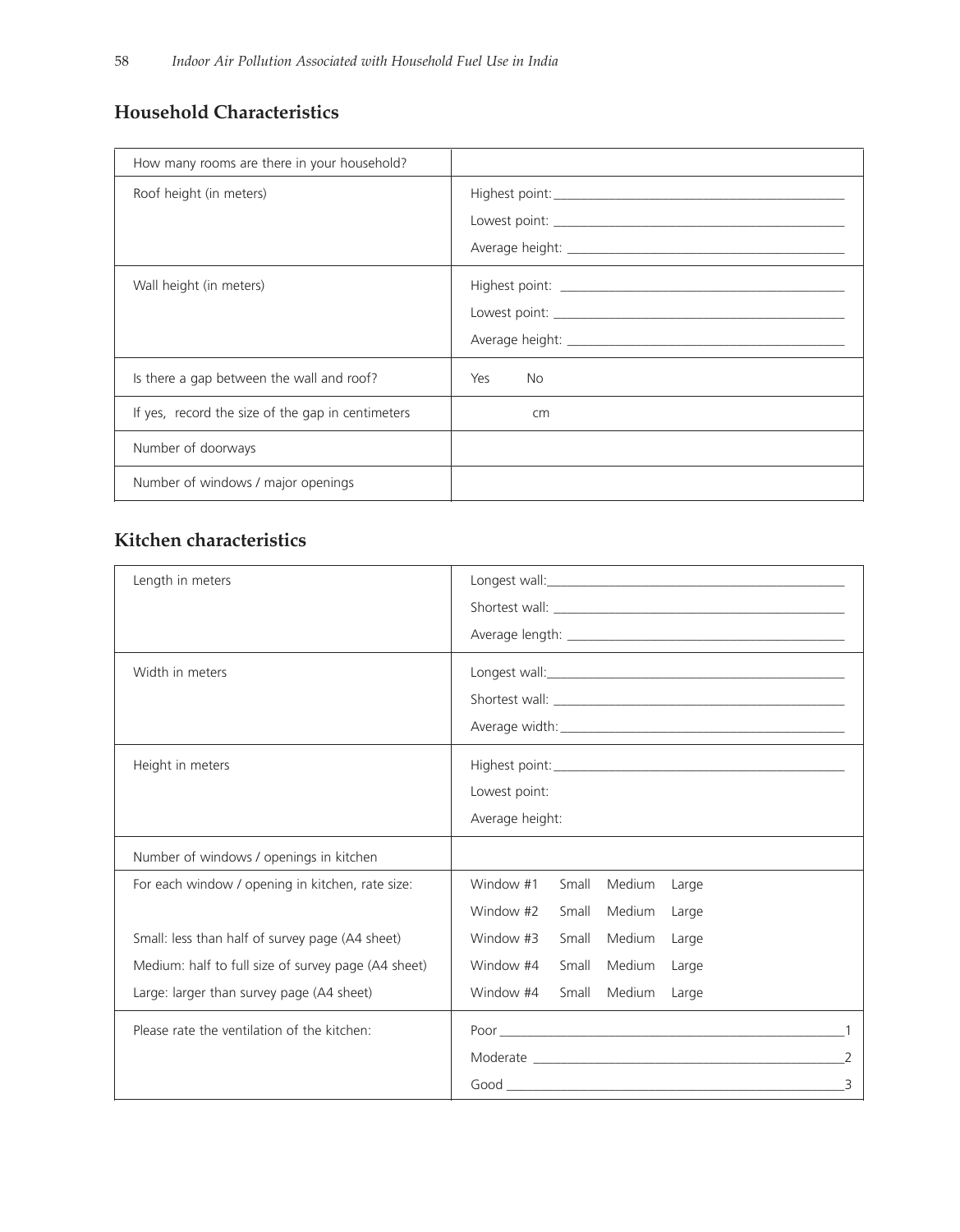# **Household Characteristics**

| How many rooms are there in your household?       |                  |
|---------------------------------------------------|------------------|
| Roof height (in meters)                           |                  |
| Wall height (in meters)                           |                  |
| Is there a gap between the wall and roof?         | <b>No</b><br>Yes |
| If yes, record the size of the gap in centimeters | cm               |
| Number of doorways                                |                  |
| Number of windows / major openings                |                  |

# **Kitchen characteristics**

| Length in meters                                    | Longest wall: the contract of the contract of the contract of the contract of the contract of the contract of the contract of the contract of the contract of the contract of the contract of the contract of the contract of |
|-----------------------------------------------------|-------------------------------------------------------------------------------------------------------------------------------------------------------------------------------------------------------------------------------|
|                                                     |                                                                                                                                                                                                                               |
|                                                     |                                                                                                                                                                                                                               |
| Width in meters                                     |                                                                                                                                                                                                                               |
|                                                     |                                                                                                                                                                                                                               |
|                                                     |                                                                                                                                                                                                                               |
| Height in meters                                    |                                                                                                                                                                                                                               |
|                                                     | Lowest point:                                                                                                                                                                                                                 |
|                                                     | Average height:                                                                                                                                                                                                               |
| Number of windows / openings in kitchen             |                                                                                                                                                                                                                               |
| For each window / opening in kitchen, rate size:    | Window #1<br>Small<br>Medium<br>Large                                                                                                                                                                                         |
|                                                     | Window #2<br>Small<br><b>Medium</b><br>Large                                                                                                                                                                                  |
| Small: less than half of survey page (A4 sheet)     | Window #3<br>Small<br>Medium<br>Large                                                                                                                                                                                         |
| Medium: half to full size of survey page (A4 sheet) | Window #4<br>Small<br>Medium<br>Large                                                                                                                                                                                         |
| Large: larger than survey page (A4 sheet)           | Window #4<br>Small<br>Medium<br>Large                                                                                                                                                                                         |
| Please rate the ventilation of the kitchen:         |                                                                                                                                                                                                                               |
|                                                     |                                                                                                                                                                                                                               |
|                                                     | $Good$ 3                                                                                                                                                                                                                      |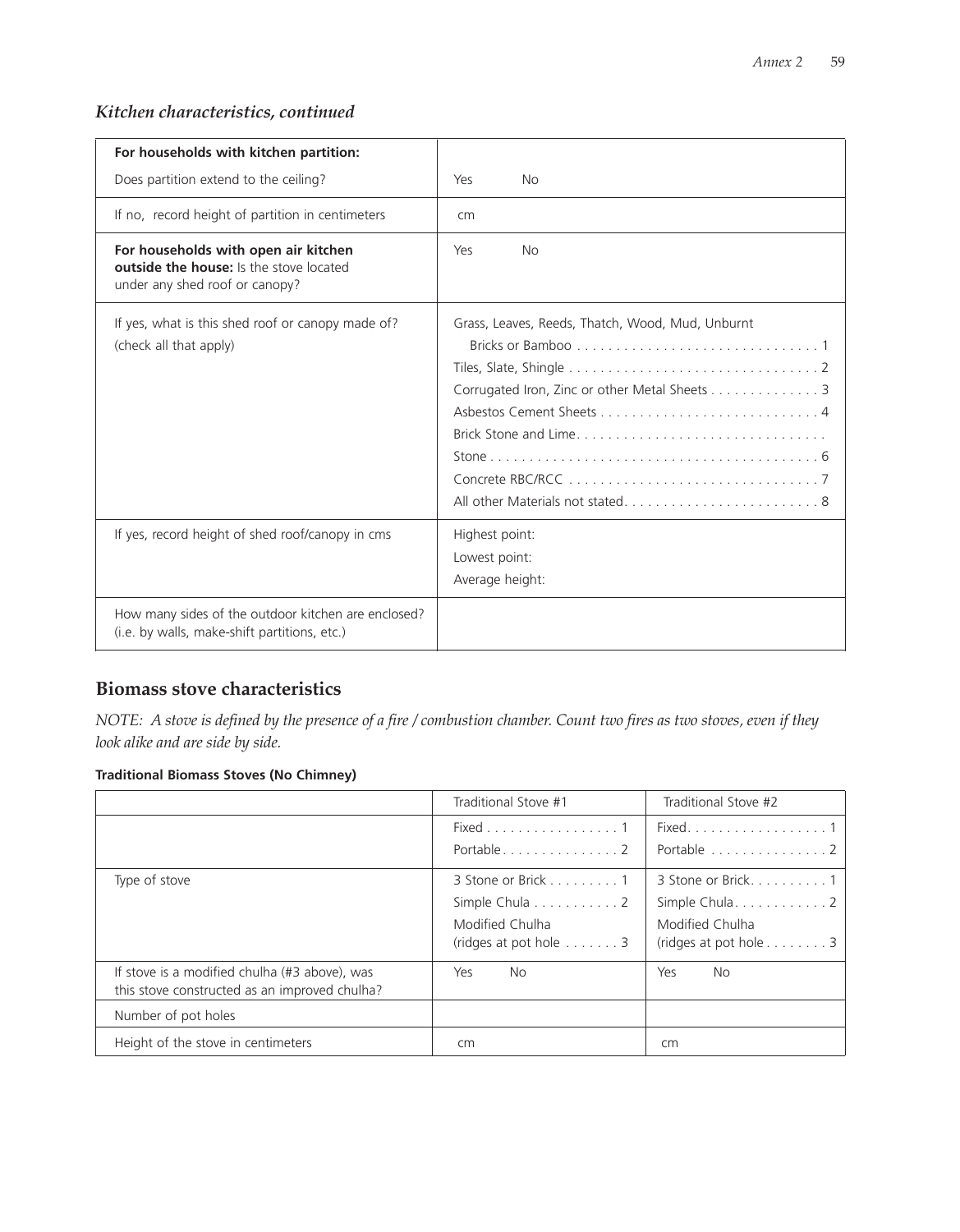# *Kitchen characteristics, continued*

| For households with kitchen partition:                                                                                   |                                                                                                                           |
|--------------------------------------------------------------------------------------------------------------------------|---------------------------------------------------------------------------------------------------------------------------|
| Does partition extend to the ceiling?                                                                                    | Yes<br><b>No</b>                                                                                                          |
| If no, record height of partition in centimeters                                                                         | cm                                                                                                                        |
| For households with open air kitchen<br><b>outside the house:</b> Is the stove located<br>under any shed roof or canopy? | Yes<br><b>No</b>                                                                                                          |
| If yes, what is this shed roof or canopy made of?<br>(check all that apply)                                              | Grass, Leaves, Reeds, Thatch, Wood, Mud, Unburnt<br>Corrugated Iron, Zinc or other Metal Sheets 3<br>Brick Stone and Lime |
| If yes, record height of shed roof/canopy in cms                                                                         | Highest point:<br>Lowest point:<br>Average height:                                                                        |
| How many sides of the outdoor kitchen are enclosed?<br>(i.e. by walls, make-shift partitions, etc.)                      |                                                                                                                           |

# **Biomass stove characteristics**

*NOTE: A stove is defined by the presence of a fire / combustion chamber. Count two fires as two stoves, even if they look alike and are side by side.*

# **Traditional Biomass Stoves (No Chimney)**

|                                                                                                | Traditional Stove #1                                                                             | Traditional Stove #2                                                                           |
|------------------------------------------------------------------------------------------------|--------------------------------------------------------------------------------------------------|------------------------------------------------------------------------------------------------|
|                                                                                                | Fixed 1<br>Portable2                                                                             | Portable 2                                                                                     |
| Type of stove                                                                                  | 3 Stone or Brick 1<br>Simple Chula 2<br>Modified Chulha<br>(ridges at pot hole $\ldots \ldots 3$ | 3 Stone or Brick. 1<br>Simple Chula2<br>Modified Chulha<br>(ridges at pot hole $\dots \dots 3$ |
| If stove is a modified chulha (#3 above), was<br>this stove constructed as an improved chulha? | Yes<br>No.                                                                                       | Yes<br>No.                                                                                     |
| Number of pot holes                                                                            |                                                                                                  |                                                                                                |
| Height of the stove in centimeters                                                             | cm                                                                                               | cm                                                                                             |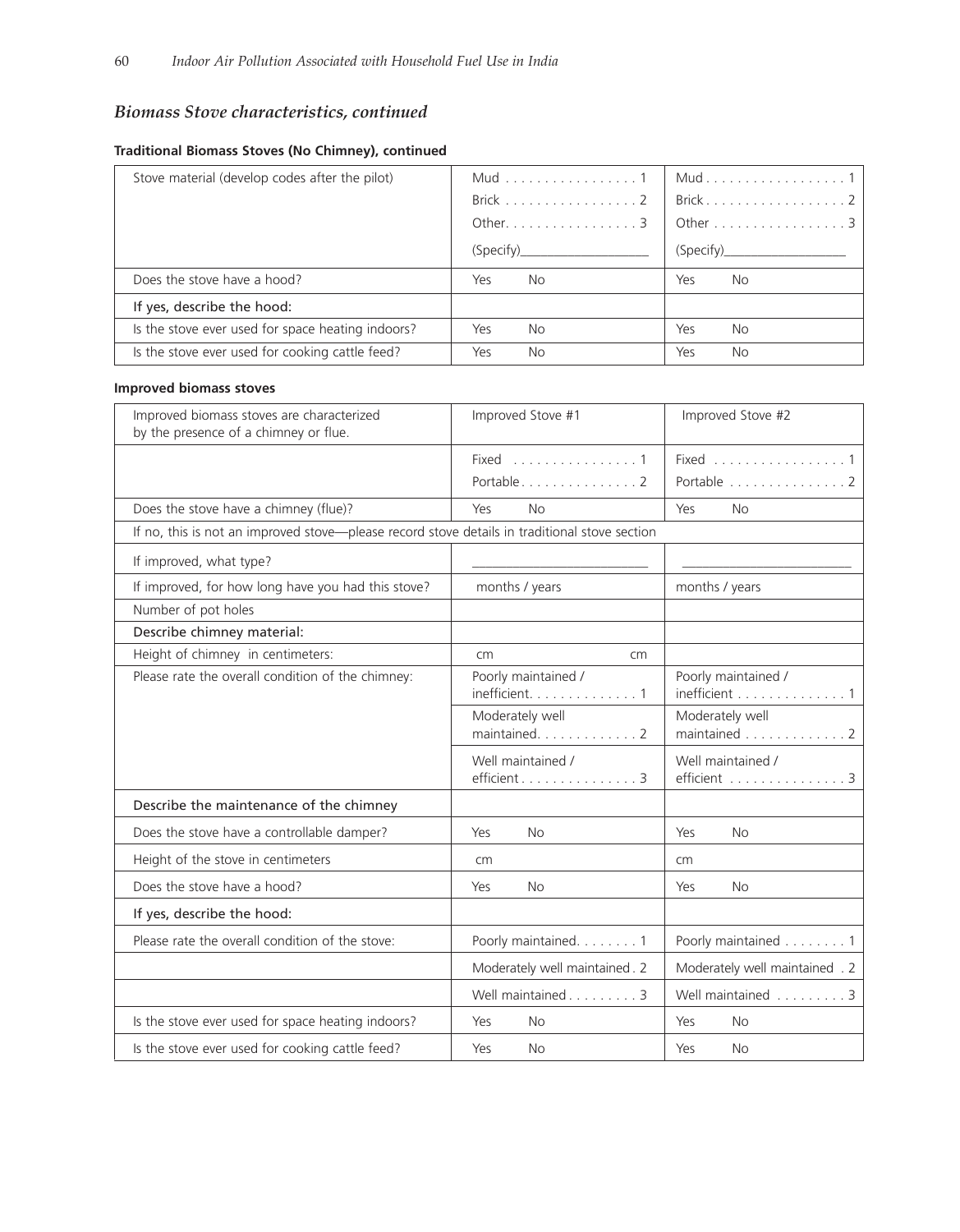# *Biomass Stove characteristics, continued*

| Stove material (develop codes after the pilot)    | Mud 1<br>Brick 2<br>Other. 3<br>(Specify) | Brick2<br>Other 3<br>(Specify) |
|---------------------------------------------------|-------------------------------------------|--------------------------------|
| Does the stove have a hood?                       | Yes<br>No.                                | No.<br>Yes                     |
| If yes, describe the hood:                        |                                           |                                |
| Is the stove ever used for space heating indoors? | Yes<br>No.                                | Yes<br>No.                     |
| Is the stove ever used for cooking cattle feed?   | Yes<br><b>No</b>                          | <b>No</b><br>Yes               |

# **Traditional Biomass Stoves (No Chimney), continued**

### **Improved biomass stoves**

| Improved biomass stoves are characterized<br>by the presence of a chimney or flue.            | Improved Stove #1                                               | Improved Stove #2                    |
|-----------------------------------------------------------------------------------------------|-----------------------------------------------------------------|--------------------------------------|
|                                                                                               | Fixed 1<br>Portable2                                            | Fixed 1<br>Portable 2                |
| Does the stove have a chimney (flue)?                                                         | Yes<br>No                                                       | Yes<br><b>No</b>                     |
| If no, this is not an improved stove-please record stove details in traditional stove section |                                                                 |                                      |
| If improved, what type?                                                                       |                                                                 |                                      |
| If improved, for how long have you had this stove?                                            | months / years                                                  | months / years                       |
| Number of pot holes                                                                           |                                                                 |                                      |
| Describe chimney material:                                                                    |                                                                 |                                      |
| Height of chimney in centimeters:                                                             | cm<br>cm                                                        |                                      |
| Please rate the overall condition of the chimney:                                             | Poorly maintained /<br>inefficient. $\dots\dots\dots\dots\dots$ | Poorly maintained /<br>inefficient 1 |
|                                                                                               | Moderately well<br>maintained2                                  | Moderately well<br>maintained 2      |
|                                                                                               | Well maintained /<br>efficient 3                                | Well maintained /<br>efficient 3     |
| Describe the maintenance of the chimney                                                       |                                                                 |                                      |
| Does the stove have a controllable damper?                                                    | Yes<br>No.                                                      | Yes<br><b>No</b>                     |
| Height of the stove in centimeters                                                            | cm                                                              | cm                                   |
| Does the stove have a hood?                                                                   | Yes<br>No.                                                      | Yes<br>No.                           |
| If yes, describe the hood:                                                                    |                                                                 |                                      |
| Please rate the overall condition of the stove:                                               | Poorly maintained. 1                                            | Poorly maintained 1                  |
|                                                                                               | Moderately well maintained. 2                                   | Moderately well maintained . 2       |
|                                                                                               | Well maintained 3                                               | Well maintained 3                    |
| Is the stove ever used for space heating indoors?                                             | Yes<br><b>No</b>                                                | Yes<br><b>No</b>                     |
| Is the stove ever used for cooking cattle feed?                                               | No.<br>Yes                                                      | <b>No</b><br>Yes                     |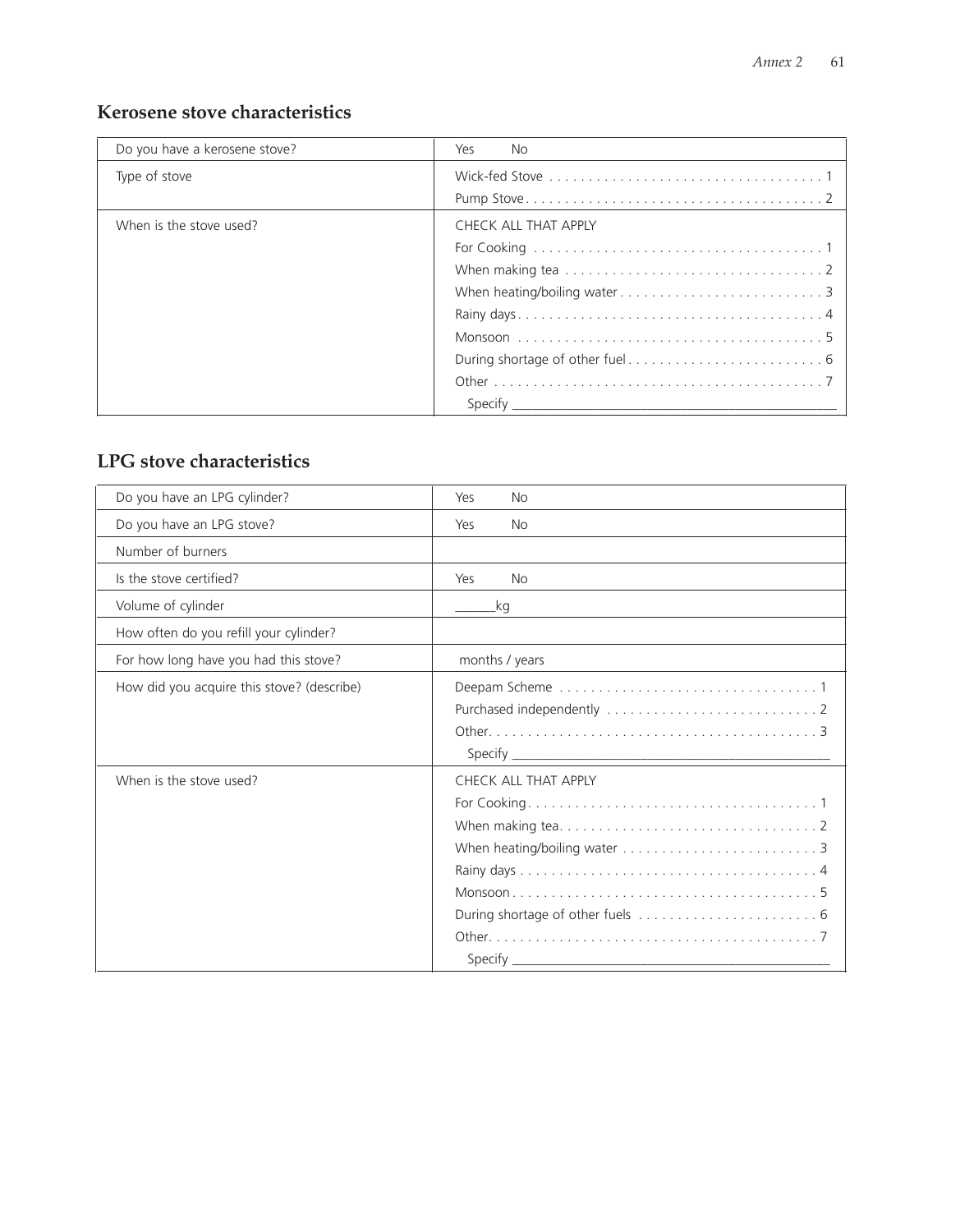# **Kerosene stove characteristics**

| Do you have a kerosene stove? | Yes<br>No.           |
|-------------------------------|----------------------|
| Type of stove                 |                      |
|                               |                      |
| When is the stove used?       | CHECK ALL THAT APPLY |
|                               |                      |
|                               |                      |
|                               |                      |
|                               |                      |
|                               |                      |
|                               |                      |
|                               |                      |
|                               | Specify              |

# **LPG stove characteristics**

| Do you have an LPG cylinder?               | Yes<br>No            |
|--------------------------------------------|----------------------|
| Do you have an LPG stove?                  | Yes<br>No.           |
| Number of burners                          |                      |
| Is the stove certified?                    | Yes<br><b>No</b>     |
| Volume of cylinder                         | _kg                  |
| How often do you refill your cylinder?     |                      |
| For how long have you had this stove?      | months / years       |
| How did you acquire this stove? (describe) |                      |
| When is the stove used?                    | CHECK ALL THAT APPLY |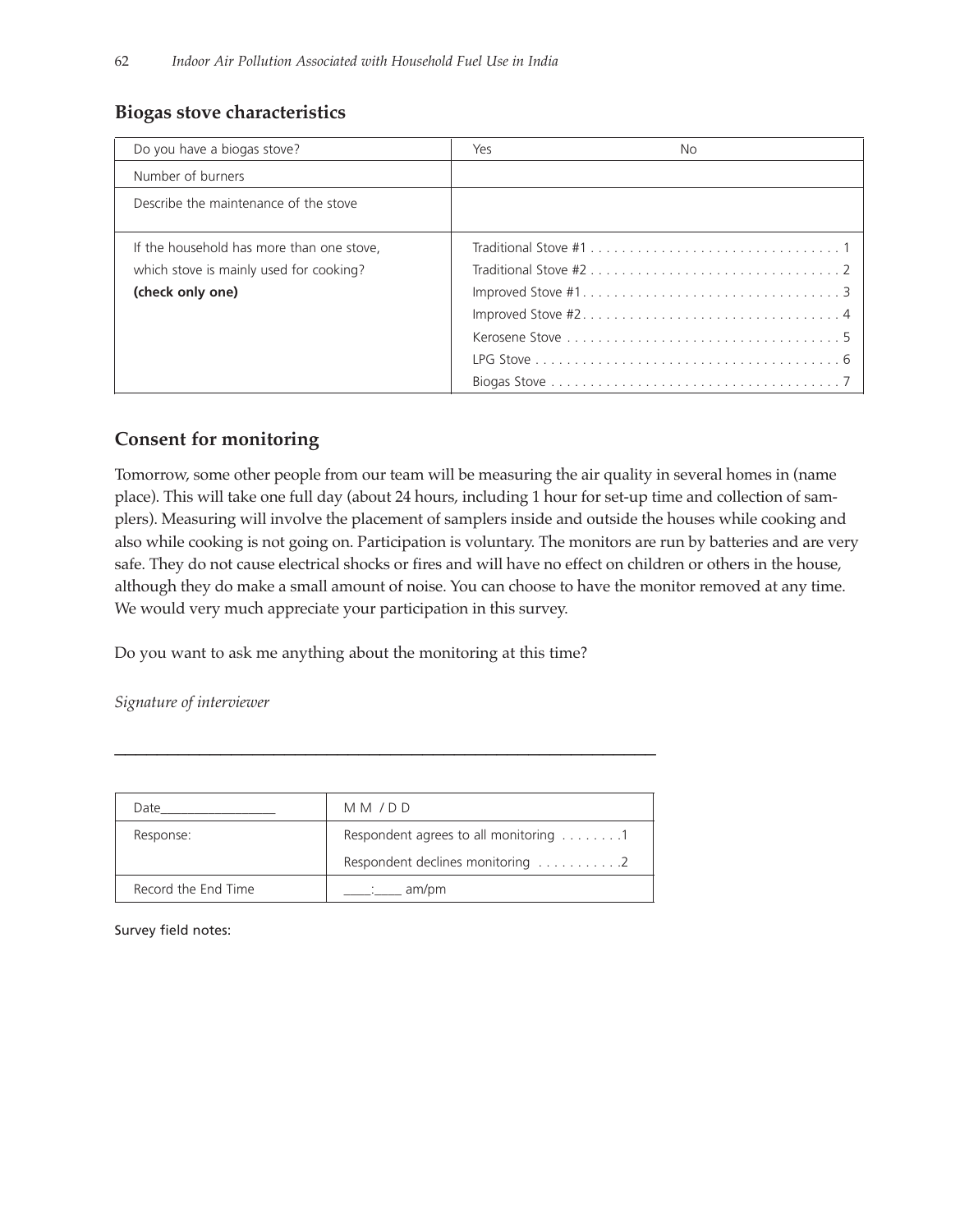# **Biogas stove characteristics**

| Do you have a biogas stove?                                                                              | Yes<br>No. |  |
|----------------------------------------------------------------------------------------------------------|------------|--|
| Number of burners                                                                                        |            |  |
| Describe the maintenance of the stove                                                                    |            |  |
| If the household has more than one stove,<br>which stove is mainly used for cooking?<br>(check only one) |            |  |

# **Consent for monitoring**

Tomorrow, some other people from our team will be measuring the air quality in several homes in (name place). This will take one full day (about 24 hours, including 1 hour for set-up time and collection of samplers). Measuring will involve the placement of samplers inside and outside the houses while cooking and also while cooking is not going on. Participation is voluntary. The monitors are run by batteries and are very safe. They do not cause electrical shocks or fires and will have no effect on children or others in the house, although they do make a small amount of noise. You can choose to have the monitor removed at any time. We would very much appreciate your participation in this survey.

Do you want to ask me anything about the monitoring at this time?

*Signature of interviewer* 

| Date                | MM/DD                                              |
|---------------------|----------------------------------------------------|
| Response:           | Respondent agrees to all monitoring 1              |
|                     | Respondent declines monitoring $\dots \dots \dots$ |
| Record the End Time | am/pm                                              |

\_\_\_\_\_\_\_\_\_\_\_\_\_\_\_\_\_\_\_\_\_\_\_\_\_\_\_\_\_\_\_\_\_\_\_\_\_\_\_\_\_\_\_\_\_\_\_\_\_\_\_

Survey field notes: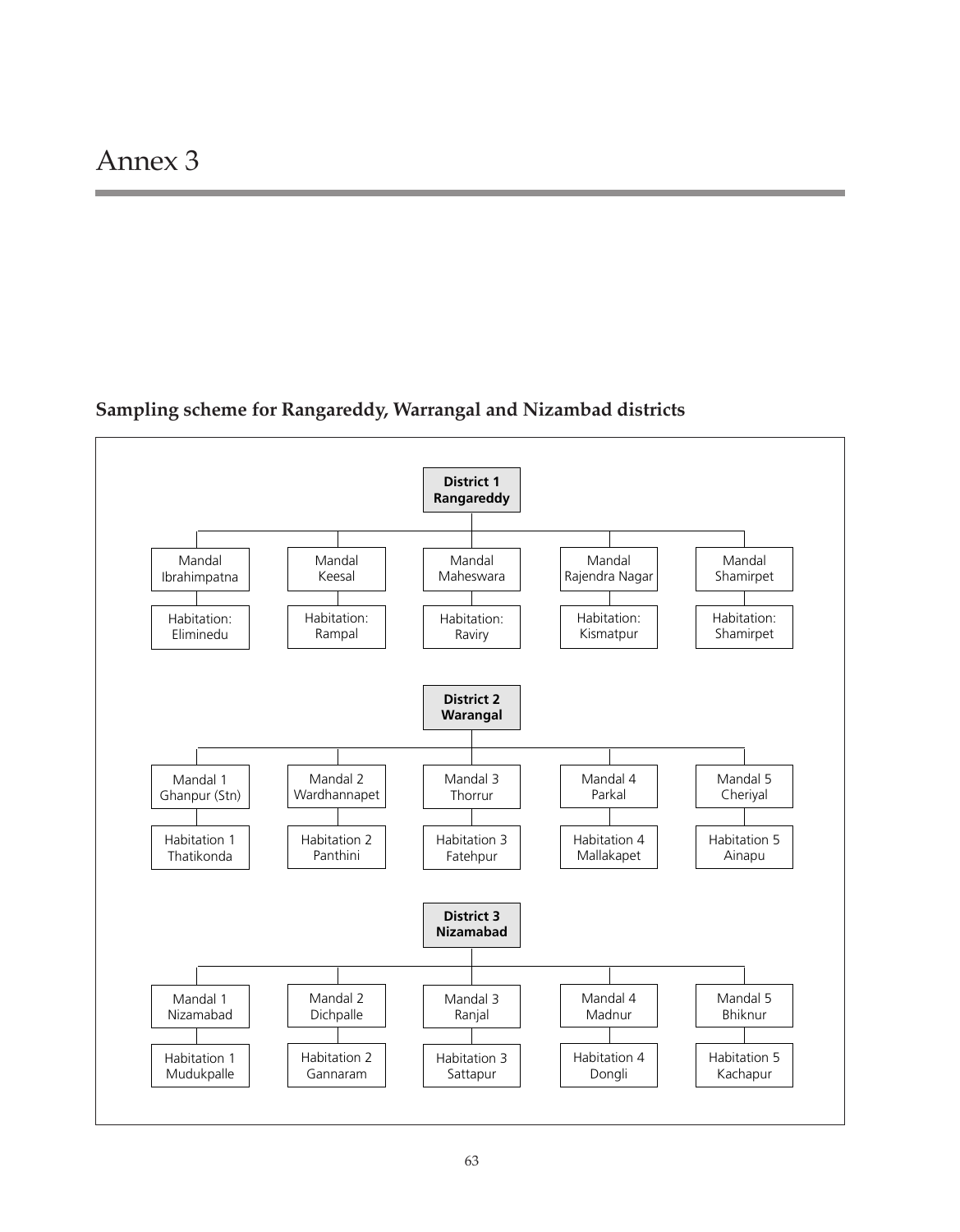# **Sampling scheme for Rangareddy, Warrangal and Nizambad districts**

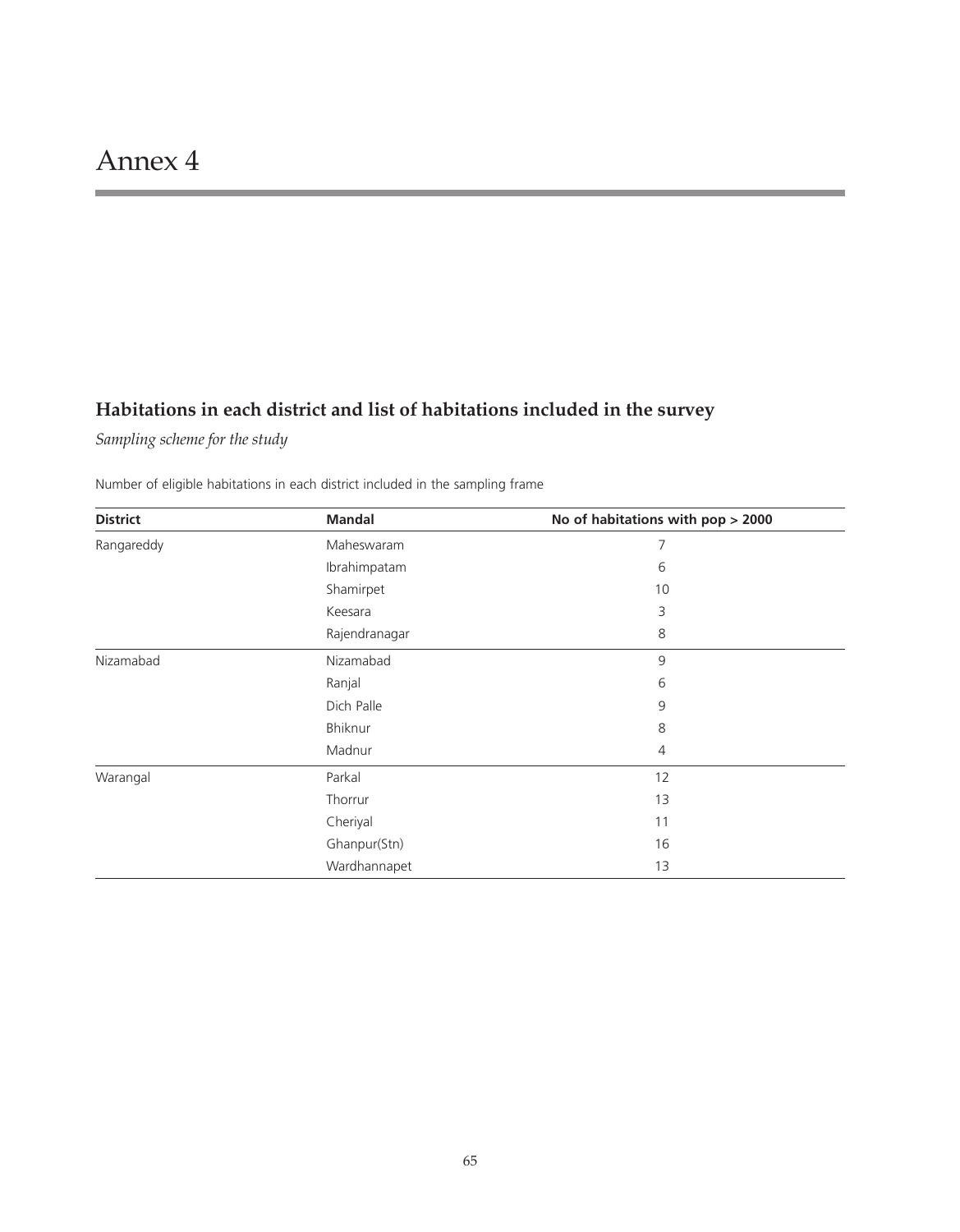# **Habitations in each district and list of habitations included in the survey**

*Sampling scheme for the study*

Number of eligible habitations in each district included in the sampling frame

| <b>District</b> | <b>Mandal</b> | No of habitations with pop > 2000 |
|-----------------|---------------|-----------------------------------|
| Rangareddy      | Maheswaram    | 7                                 |
|                 | Ibrahimpatam  | 6                                 |
|                 | Shamirpet     | 10                                |
|                 | Keesara       | 3                                 |
|                 | Rajendranagar | 8                                 |
| Nizamabad       | Nizamabad     | 9                                 |
|                 | Ranjal        | 6                                 |
|                 | Dich Palle    | 9                                 |
|                 | Bhiknur       | 8                                 |
|                 | Madnur        | 4                                 |
| Warangal        | Parkal        | 12                                |
|                 | Thorrur       | 13                                |
|                 | Cheriyal      | 11                                |
|                 | Ghanpur(Stn)  | 16                                |
|                 | Wardhannapet  | 13                                |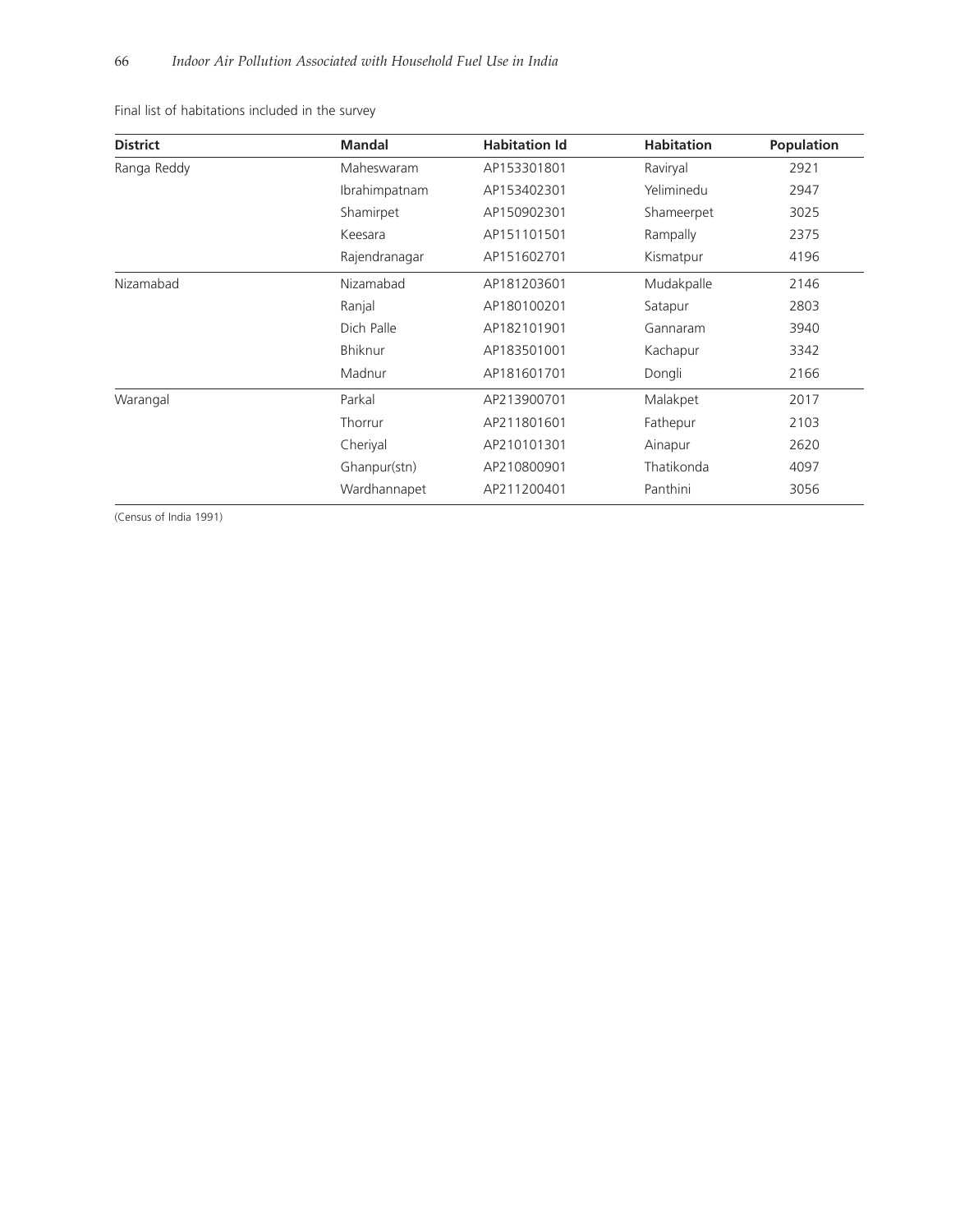Final list of habitations included in the survey

| <b>District</b> | <b>Mandal</b> | <b>Habitation Id</b> | <b>Habitation</b> | <b>Population</b> |
|-----------------|---------------|----------------------|-------------------|-------------------|
| Ranga Reddy     | Maheswaram    | AP153301801          | Raviryal          | 2921              |
|                 | Ibrahimpatnam | AP153402301          | Yeliminedu        | 2947              |
|                 | Shamirpet     | AP150902301          | Shameerpet        | 3025              |
|                 | Keesara       | AP151101501          | Rampally          | 2375              |
|                 | Rajendranagar | AP151602701          | Kismatpur         | 4196              |
| Nizamabad       | Nizamabad     | AP181203601          | Mudakpalle        | 2146              |
|                 | Ranjal        | AP180100201          | Satapur           | 2803              |
|                 | Dich Palle    | AP182101901          | Gannaram          | 3940              |
|                 | Bhiknur       | AP183501001          | Kachapur          | 3342              |
|                 | Madnur        | AP181601701          | Dongli            | 2166              |
| Warangal        | Parkal        | AP213900701          | Malakpet          | 2017              |
|                 | Thorrur       | AP211801601          | Fathepur          | 2103              |
|                 | Cheriyal      | AP210101301          | Ainapur           | 2620              |
|                 | Ghanpur(stn)  | AP210800901          | Thatikonda        | 4097              |
|                 | Wardhannapet  | AP211200401          | Panthini          | 3056              |

(Census of India 1991)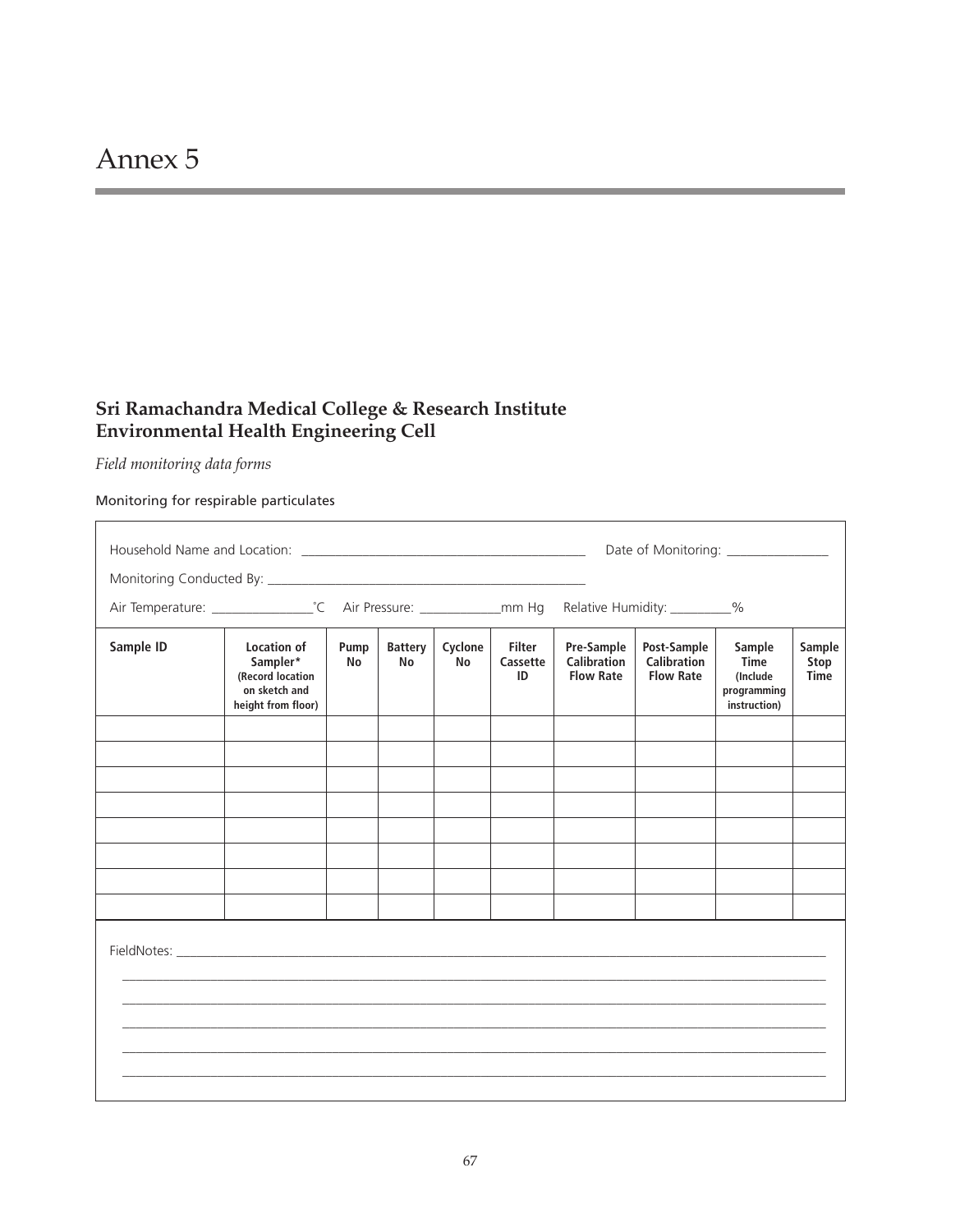# **Sri Ramachandra Medical College & Research Institute Environmental Health Engineering Cell**

*Field monitoring data forms*

 $\Gamma$ 

Monitoring for respirable particulates

|           |                                                                                           |                   |                             |                      |                                 |                                                      | Relative Humidity: _________%                         |                                                           |                        |
|-----------|-------------------------------------------------------------------------------------------|-------------------|-----------------------------|----------------------|---------------------------------|------------------------------------------------------|-------------------------------------------------------|-----------------------------------------------------------|------------------------|
| Sample ID | <b>Location of</b><br>Sampler*<br>(Record location<br>on sketch and<br>height from floor) | Pump<br><b>No</b> | <b>Battery</b><br><b>No</b> | Cyclone<br><b>No</b> | <b>Filter</b><br>Cassette<br>ID | Pre-Sample<br><b>Calibration</b><br><b>Flow Rate</b> | Post-Sample<br><b>Calibration</b><br><b>Flow Rate</b> | Sample<br>Time<br>(Include<br>programming<br>instruction) | Sample<br>Stop<br>Time |
|           |                                                                                           |                   |                             |                      |                                 |                                                      |                                                       |                                                           |                        |
|           |                                                                                           |                   |                             |                      |                                 |                                                      |                                                       |                                                           |                        |
|           |                                                                                           |                   |                             |                      |                                 |                                                      |                                                       |                                                           |                        |
|           |                                                                                           |                   |                             |                      |                                 |                                                      |                                                       |                                                           |                        |
|           |                                                                                           |                   |                             |                      |                                 |                                                      |                                                       |                                                           |                        |
|           |                                                                                           |                   |                             |                      |                                 |                                                      |                                                       |                                                           |                        |
|           |                                                                                           |                   |                             |                      |                                 |                                                      |                                                       |                                                           |                        |
|           |                                                                                           |                   |                             |                      |                                 |                                                      |                                                       |                                                           |                        |
|           |                                                                                           |                   |                             |                      |                                 |                                                      |                                                       |                                                           |                        |

٦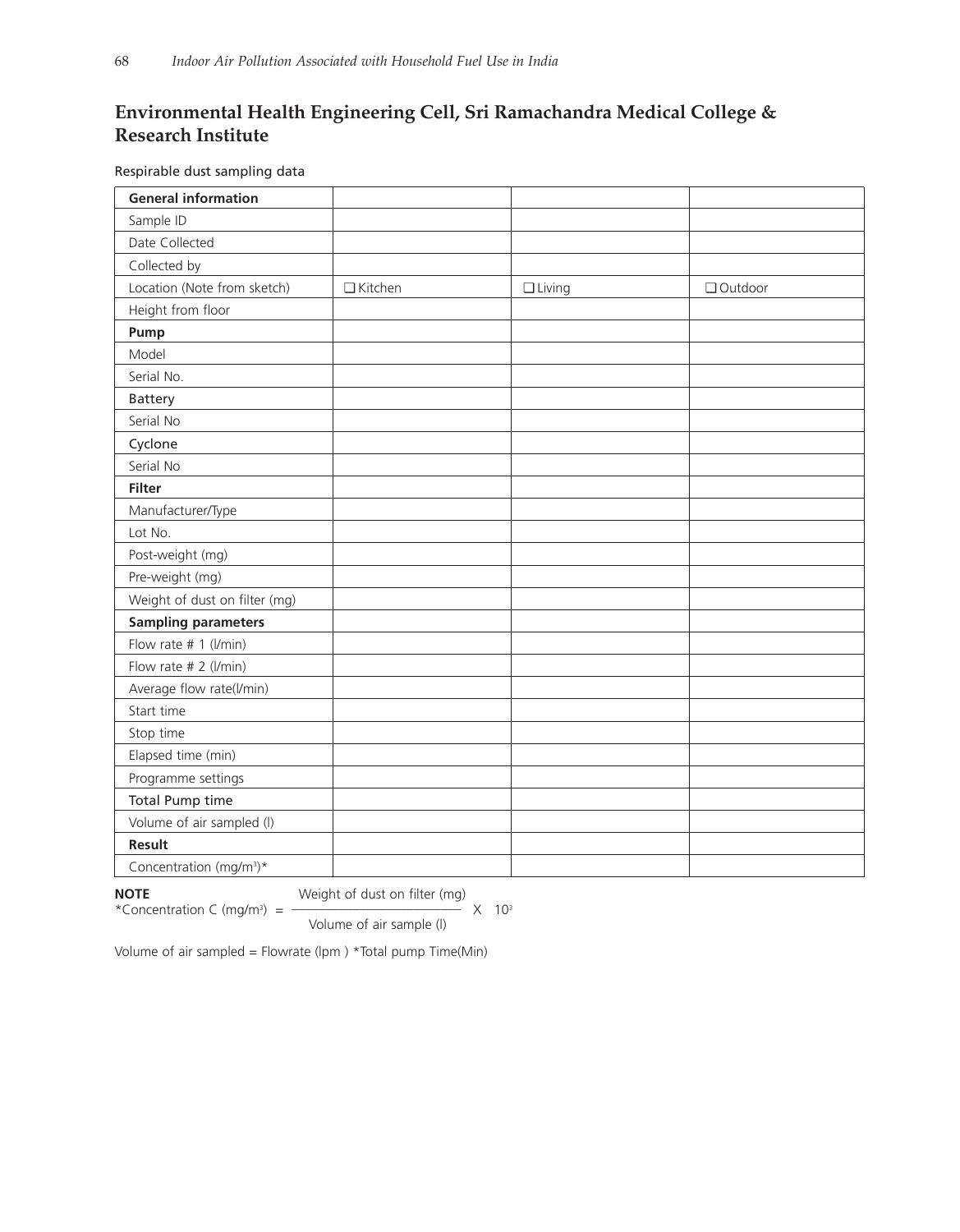# **Environmental Health Engineering Cell, Sri Ramachandra Medical College & Research Institute**

Respirable dust sampling data

| <b>General information</b>          |           |               |         |
|-------------------------------------|-----------|---------------|---------|
| Sample ID                           |           |               |         |
| Date Collected                      |           |               |         |
| Collected by                        |           |               |         |
| Location (Note from sketch)         | □ Kitchen | $\Box$ Living | Outdoor |
| Height from floor                   |           |               |         |
| Pump                                |           |               |         |
| Model                               |           |               |         |
| Serial No.                          |           |               |         |
| <b>Battery</b>                      |           |               |         |
| Serial No                           |           |               |         |
| Cyclone                             |           |               |         |
| Serial No                           |           |               |         |
| <b>Filter</b>                       |           |               |         |
| Manufacturer/Type                   |           |               |         |
| Lot No.                             |           |               |         |
| Post-weight (mg)                    |           |               |         |
| Pre-weight (mg)                     |           |               |         |
| Weight of dust on filter (mg)       |           |               |         |
| <b>Sampling parameters</b>          |           |               |         |
| Flow rate # 1 (l/min)               |           |               |         |
| Flow rate # 2 (l/min)               |           |               |         |
| Average flow rate(l/min)            |           |               |         |
| Start time                          |           |               |         |
| Stop time                           |           |               |         |
| Elapsed time (min)                  |           |               |         |
| Programme settings                  |           |               |         |
| Total Pump time                     |           |               |         |
| Volume of air sampled (I)           |           |               |         |
| Result                              |           |               |         |
| Concentration (mg/m <sup>3</sup> )* |           |               |         |

\*Concentration C (mg/m<sup>3</sup>) = -

**NOTE** Weight of dust on filter (mg)<br>\*Concentration C (mg/m<sup>3</sup>) =  $\frac{10^{-3}}{2}$ 

Volume of air sample (l)

Volume of air sampled = Flowrate (lpm ) \*Total pump Time(Min)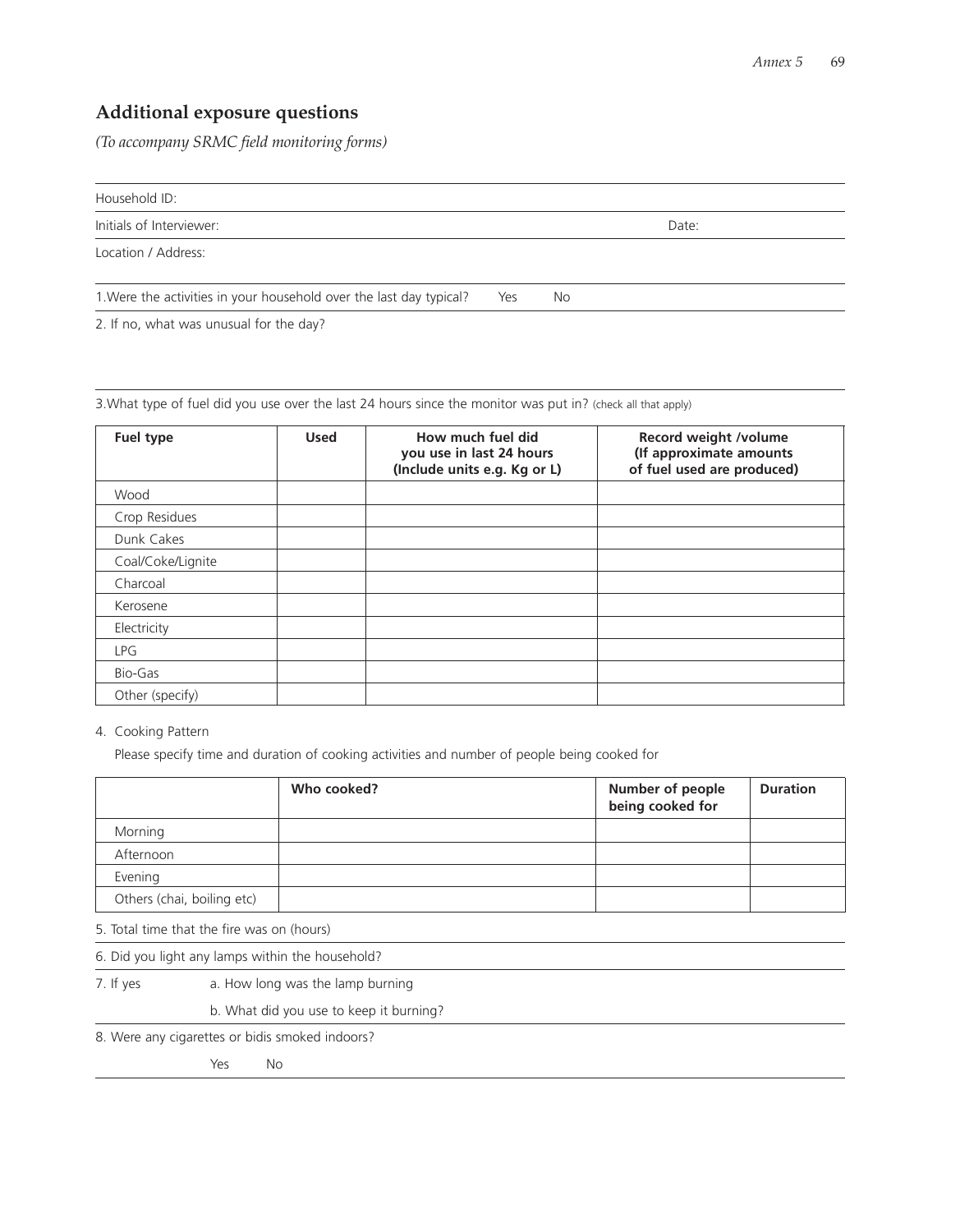# **Additional exposure questions**

*(To accompany SRMC field monitoring forms)*

Household ID:

Initials of Interviewer: **Date:** Date: **Date:** Date: **Date: Date: Date: Date: Date: Date: Date: Date: Date: Date: Date: Date: Date: Date: Date: Date: Date: Date: Date: Date: Date:**

Location / Address:

1. Were the activities in your household over the last day typical? Yes No

2. If no, what was unusual for the day?

3.What type of fuel did you use over the last 24 hours since the monitor was put in? (check all that apply)

| Fuel type         | <b>Used</b> | How much fuel did<br>you use in last 24 hours<br>(Include units e.g. Kg or L) | Record weight /volume<br>(If approximate amounts<br>of fuel used are produced) |
|-------------------|-------------|-------------------------------------------------------------------------------|--------------------------------------------------------------------------------|
| Wood              |             |                                                                               |                                                                                |
| Crop Residues     |             |                                                                               |                                                                                |
| Dunk Cakes        |             |                                                                               |                                                                                |
| Coal/Coke/Lignite |             |                                                                               |                                                                                |
| Charcoal          |             |                                                                               |                                                                                |
| Kerosene          |             |                                                                               |                                                                                |
| Electricity       |             |                                                                               |                                                                                |
| <b>LPG</b>        |             |                                                                               |                                                                                |
| Bio-Gas           |             |                                                                               |                                                                                |
| Other (specify)   |             |                                                                               |                                                                                |

4. Cooking Pattern

Please specify time and duration of cooking activities and number of people being cooked for

|                            | Who cooked? | Number of people<br>being cooked for | <b>Duration</b> |
|----------------------------|-------------|--------------------------------------|-----------------|
| Morning                    |             |                                      |                 |
| Afternoon                  |             |                                      |                 |
| Evening                    |             |                                      |                 |
| Others (chai, boiling etc) |             |                                      |                 |

5. Total time that the fire was on (hours)

6. Did you light any lamps within the household?

7. If yes a. How long was the lamp burning

b. What did you use to keep it burning?

8. Were any cigarettes or bidis smoked indoors?

Yes No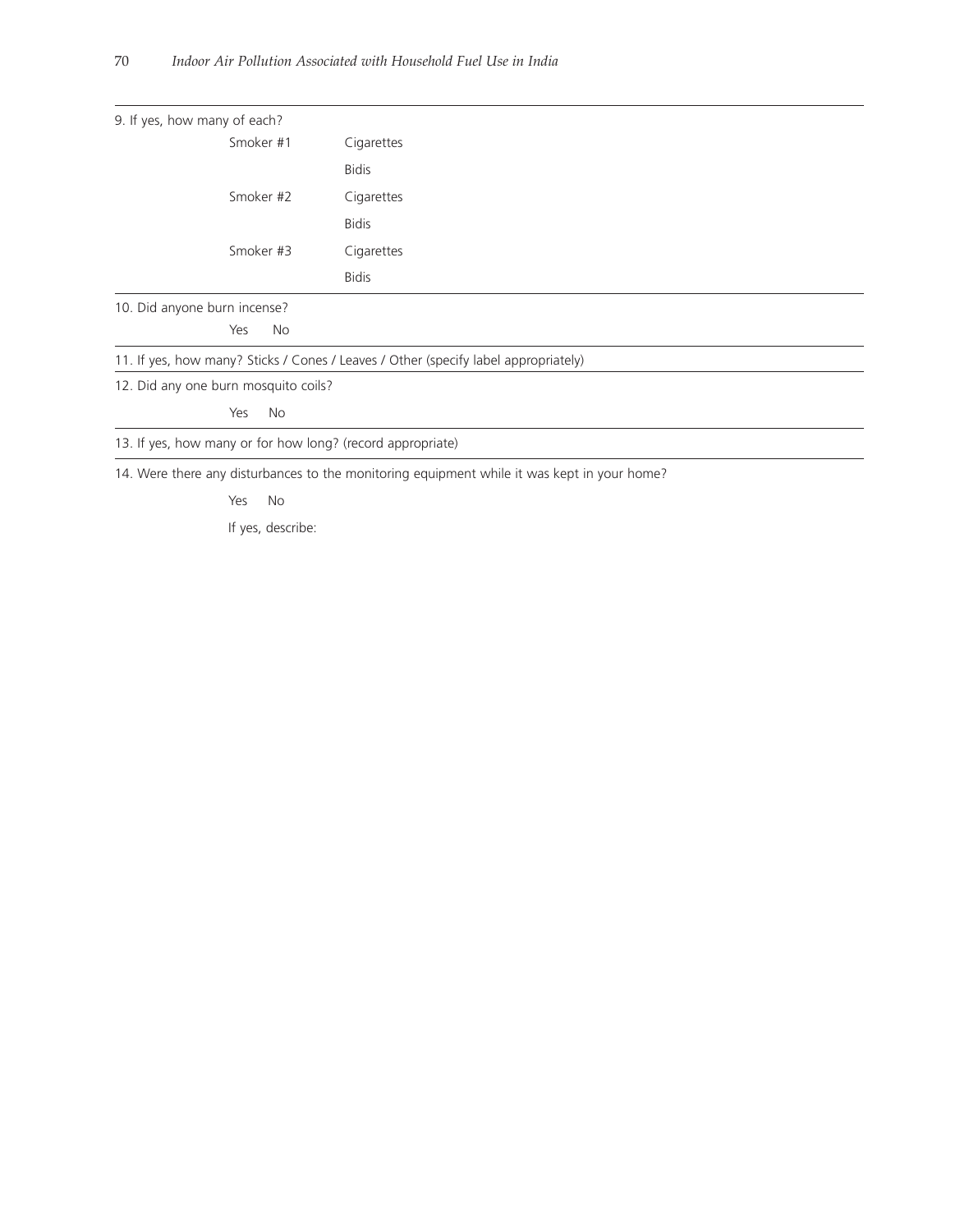| 9. If yes, how many of each?                                                        |                                                                                             |  |  |  |
|-------------------------------------------------------------------------------------|---------------------------------------------------------------------------------------------|--|--|--|
| Smoker #1                                                                           | Cigarettes                                                                                  |  |  |  |
|                                                                                     | <b>Bidis</b>                                                                                |  |  |  |
| Smoker #2                                                                           | Cigarettes                                                                                  |  |  |  |
|                                                                                     | <b>Bidis</b>                                                                                |  |  |  |
| Smoker #3                                                                           | Cigarettes                                                                                  |  |  |  |
|                                                                                     | <b>Bidis</b>                                                                                |  |  |  |
| 10. Did anyone burn incense?                                                        |                                                                                             |  |  |  |
| No<br>Yes                                                                           |                                                                                             |  |  |  |
| 11. If yes, how many? Sticks / Cones / Leaves / Other (specify label appropriately) |                                                                                             |  |  |  |
| 12. Did any one burn mosquito coils?                                                |                                                                                             |  |  |  |
| Yes<br>No.                                                                          |                                                                                             |  |  |  |
| 13. If yes, how many or for how long? (record appropriate)                          |                                                                                             |  |  |  |
|                                                                                     | 14. Were there any disturbances to the monitoring equipment while it was kept in your home? |  |  |  |

Yes No

If yes, describe: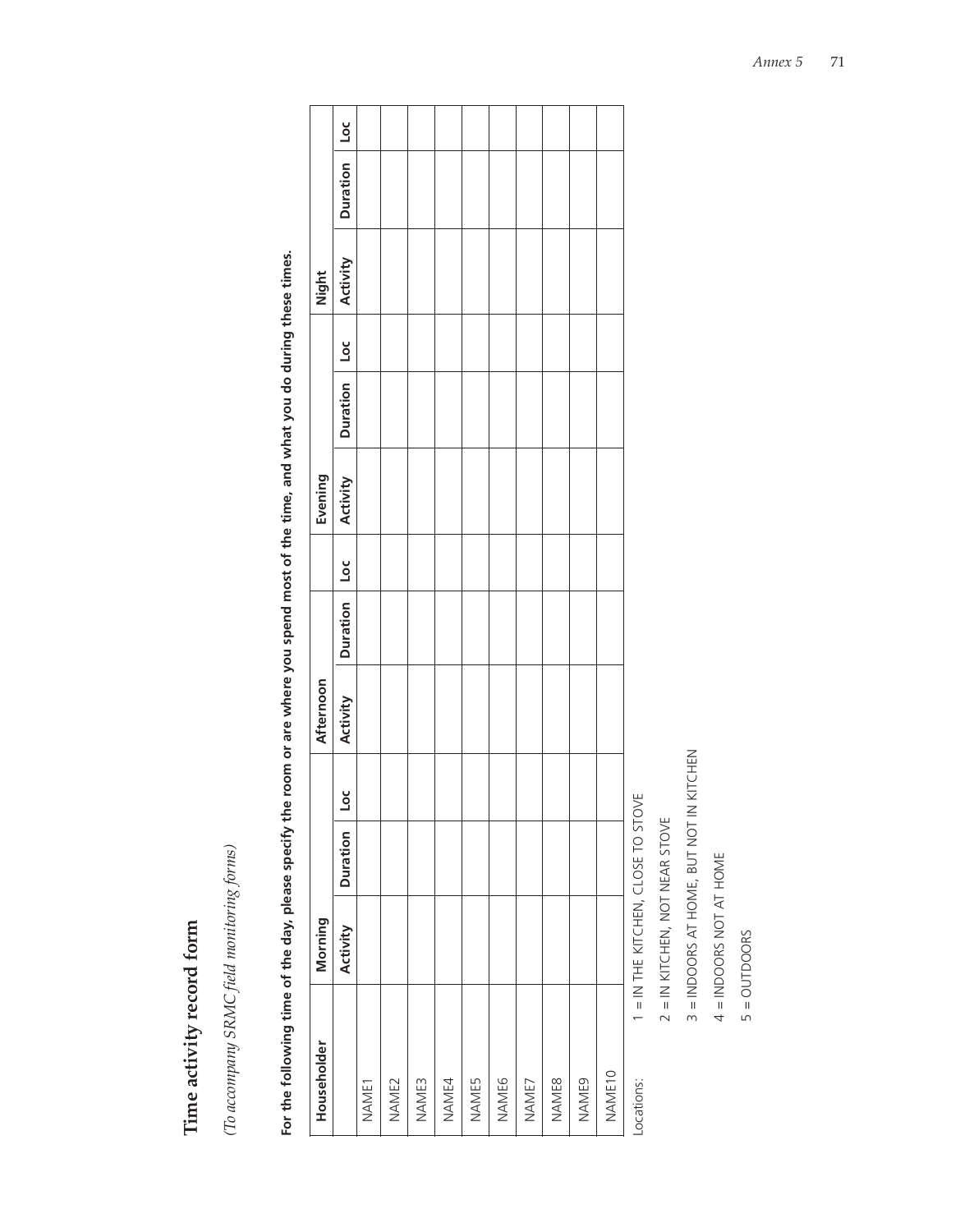Time activity record form **Time activity record form** (To accompany SRMC field monitoring forms) *(To accompany SRMC field monitoring forms)* For the following time of the day, please specify the room or are where you spend most of the time, and what you do during these times. **For the following time of the day, please specify the room or are where you spend most of the time, and what you do during these times.**

| Householder       | Morning                            |          |    | Afternoon |          |                          | Evening  |          |                          | Night    |                |  |
|-------------------|------------------------------------|----------|----|-----------|----------|--------------------------|----------|----------|--------------------------|----------|----------------|--|
|                   | Activity                           | Duration | υď | Activity  | Duration | $\overline{\phantom{0}}$ | Activity | Duration | $\overline{\phantom{a}}$ | Activity | Duration   Loc |  |
| NAME1             |                                    |          |    |           |          |                          |          |          |                          |          |                |  |
| NAME <sub>2</sub> |                                    |          |    |           |          |                          |          |          |                          |          |                |  |
| NAME3             |                                    |          |    |           |          |                          |          |          |                          |          |                |  |
| NAME4             |                                    |          |    |           |          |                          |          |          |                          |          |                |  |
| <b>NAME5</b>      |                                    |          |    |           |          |                          |          |          |                          |          |                |  |
| NAME6             |                                    |          |    |           |          |                          |          |          |                          |          |                |  |
| NAME7             |                                    |          |    |           |          |                          |          |          |                          |          |                |  |
| <b>NAME8</b>      |                                    |          |    |           |          |                          |          |          |                          |          |                |  |
| NAME9             |                                    |          |    |           |          |                          |          |          |                          |          |                |  |
| NAME10            |                                    |          |    |           |          |                          |          |          |                          |          |                |  |
| Locations:        | I = IN THE KITCHEN, CLOSE TO STOVE |          |    |           |          |                          |          |          |                          |          |                |  |

2 = IN KITCHEN, NOT NEAR STOVE 2 = IN KITCHEN, NOT NEAR STOVE

3 = INDOORS AT HOME, BUT NOT IN KITCHEN 3 = INDOORS AT HOME, BUT NOT IN KITCHEN

 $4 = INDOORS NOT AT HONE$ 4 = INDOORS NOT AT HOME

 $5 = 0$ UTDOORS 5 = OUTDOORS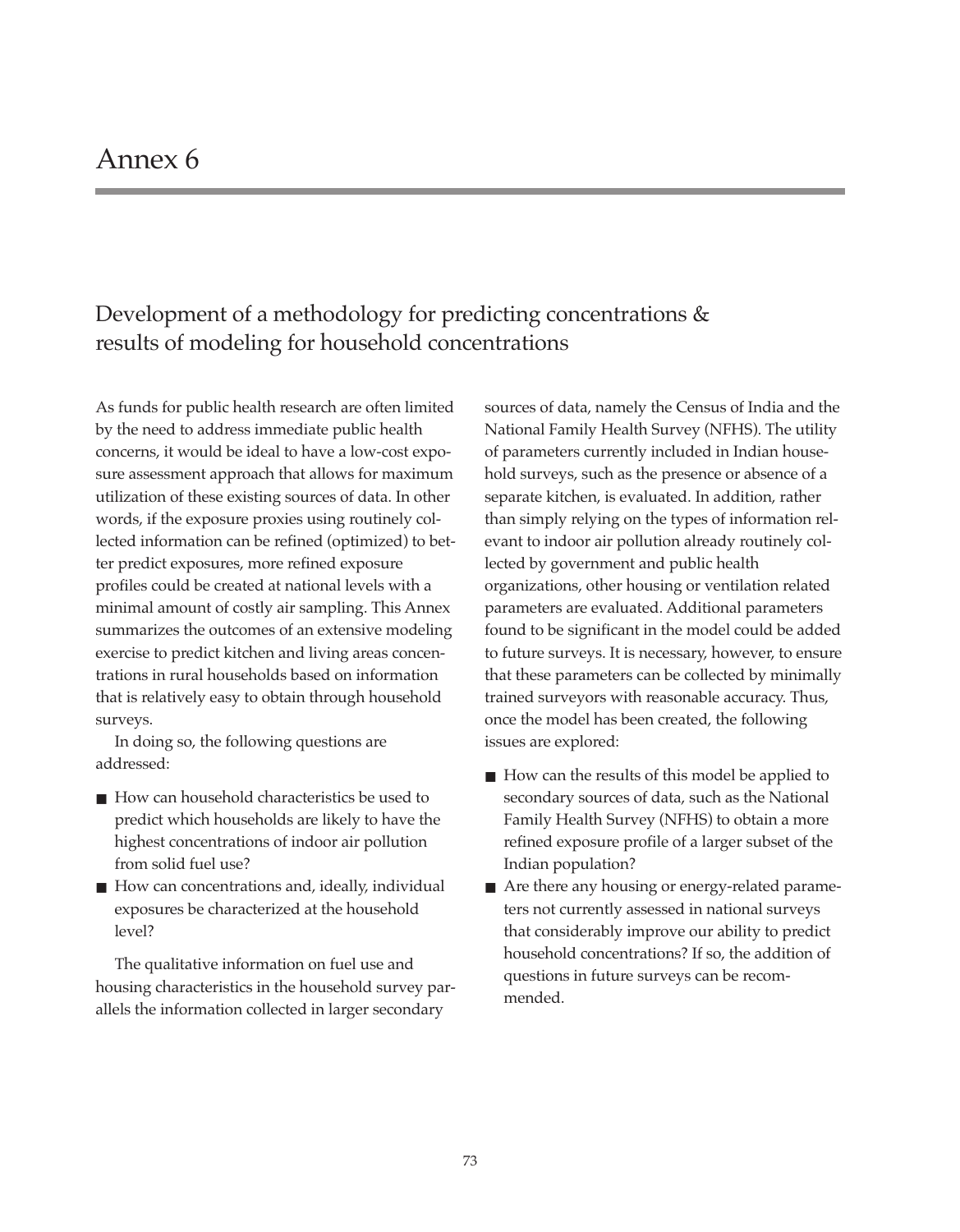# Development of a methodology for predicting concentrations & results of modeling for household concentrations

As funds for public health research are often limited by the need to address immediate public health concerns, it would be ideal to have a low-cost exposure assessment approach that allows for maximum utilization of these existing sources of data. In other words, if the exposure proxies using routinely collected information can be refined (optimized) to better predict exposures, more refined exposure profiles could be created at national levels with a minimal amount of costly air sampling. This Annex summarizes the outcomes of an extensive modeling exercise to predict kitchen and living areas concentrations in rural households based on information that is relatively easy to obtain through household surveys.

In doing so, the following questions are addressed:

- How can household characteristics be used to predict which households are likely to have the highest concentrations of indoor air pollution from solid fuel use?
- How can concentrations and, ideally, individual exposures be characterized at the household level?

The qualitative information on fuel use and housing characteristics in the household survey parallels the information collected in larger secondary

sources of data, namely the Census of India and the National Family Health Survey (NFHS). The utility of parameters currently included in Indian household surveys, such as the presence or absence of a separate kitchen, is evaluated. In addition, rather than simply relying on the types of information relevant to indoor air pollution already routinely collected by government and public health organizations, other housing or ventilation related parameters are evaluated. Additional parameters found to be significant in the model could be added to future surveys. It is necessary, however, to ensure that these parameters can be collected by minimally trained surveyors with reasonable accuracy. Thus, once the model has been created, the following issues are explored:

- How can the results of this model be applied to secondary sources of data, such as the National Family Health Survey (NFHS) to obtain a more refined exposure profile of a larger subset of the Indian population?
- Are there any housing or energy-related parameters not currently assessed in national surveys that considerably improve our ability to predict household concentrations? If so, the addition of questions in future surveys can be recommended.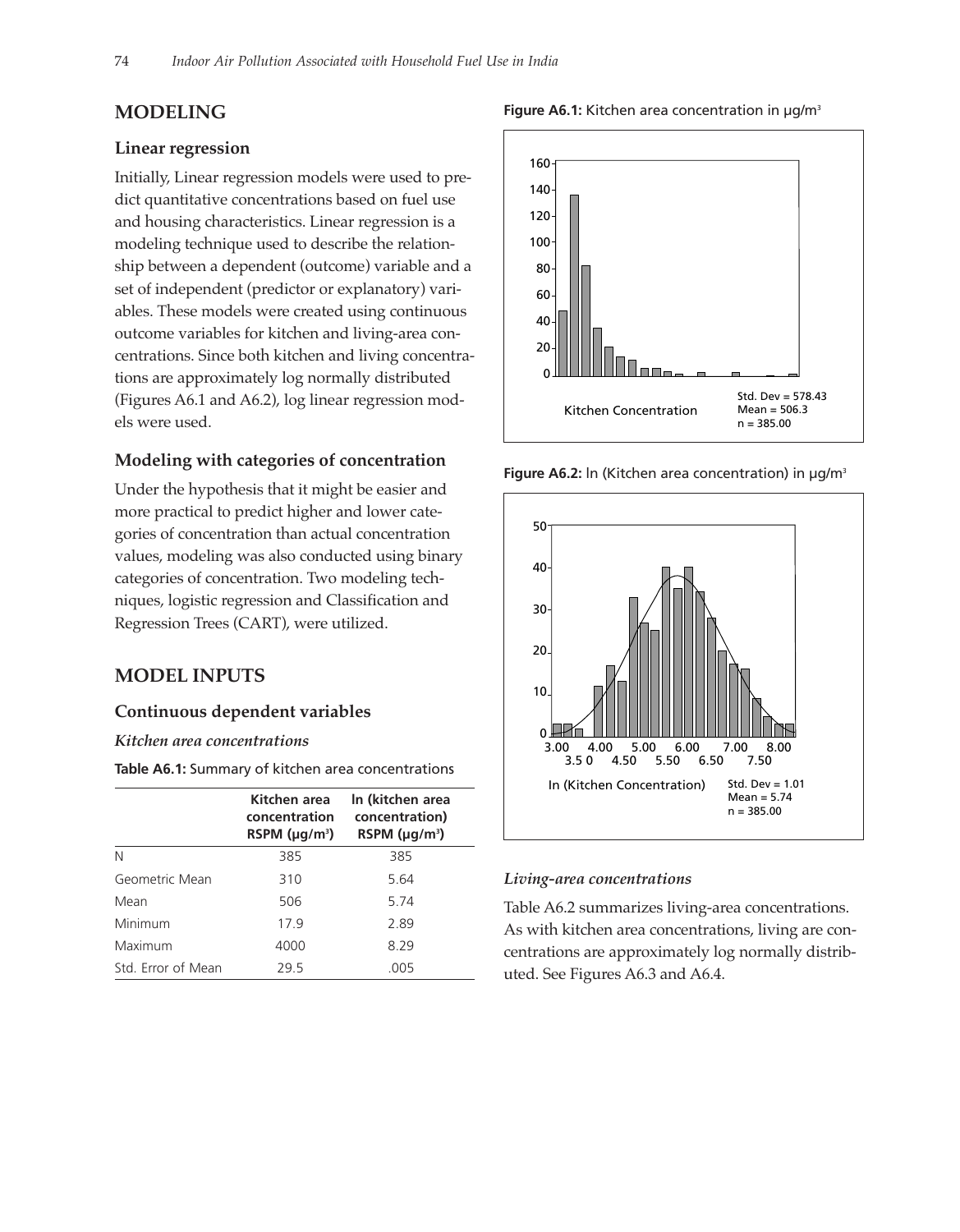## **MODELING**

## **Linear regression**

Initially, Linear regression models were used to predict quantitative concentrations based on fuel use and housing characteristics. Linear regression is a modeling technique used to describe the relationship between a dependent (outcome) variable and a set of independent (predictor or explanatory) variables. These models were created using continuous outcome variables for kitchen and living-area concentrations. Since both kitchen and living concentrations are approximately log normally distributed (Figures A6.1 and A6.2), log linear regression models were used.

### **Modeling with categories of concentration**

Under the hypothesis that it might be easier and more practical to predict higher and lower categories of concentration than actual concentration values, modeling was also conducted using binary categories of concentration. Two modeling techniques, logistic regression and Classification and Regression Trees (CART), were utilized.

## **MODEL INPUTS**

### **Continuous dependent variables**

#### *Kitchen area concentrations*

**Table A6.1:** Summary of kitchen area concentrations

|                    | Kitchen area<br>concentration<br>RSPM ( $\mu$ g/m <sup>3</sup> ) | In (kitchen area<br>concentration)<br>RSPM $(\mu q/m^3)$ |
|--------------------|------------------------------------------------------------------|----------------------------------------------------------|
| Ν                  | 385                                                              | 385                                                      |
| Geometric Mean     | 310                                                              | 5.64                                                     |
| Mean               | 506                                                              | 5.74                                                     |
| Minimum            | 17.9                                                             | 2.89                                                     |
| Maximum            | 4000                                                             | 8.29                                                     |
| Std. Error of Mean | 29.5                                                             | .005                                                     |



**Figure A6.2:** ln (Kitchen area concentration) in µg/m3



#### *Living-area concentrations*

Table A6.2 summarizes living-area concentrations. As with kitchen area concentrations, living are concentrations are approximately log normally distributed. See Figures A6.3 and A6.4.

#### Figure A6.1: Kitchen area concentration in  $\mu q/m^3$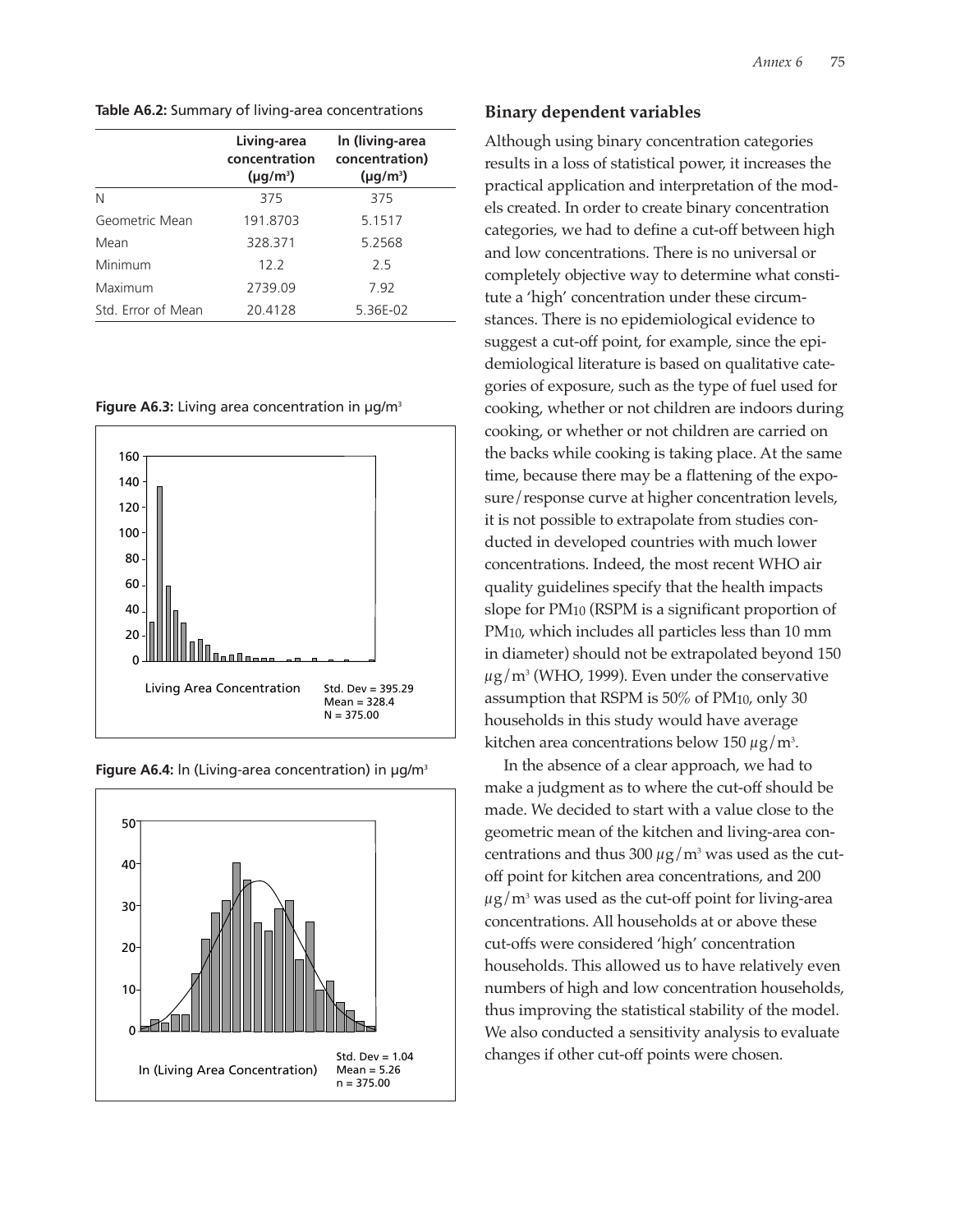**Table A6.2:** Summary of living-area concentrations

|                    | Living-area<br>concentration<br>$(\mu q/m^3)$ | In (living-area<br>concentration)<br>$(\mu q/m^3)$ |
|--------------------|-----------------------------------------------|----------------------------------------------------|
| N                  | 375                                           | 375                                                |
| Geometric Mean     | 191.8703                                      | 5.1517                                             |
| Mean               | 328.371                                       | 5.2568                                             |
| Minimum            | 122                                           | 25                                                 |
| Maximum            | 2739.09                                       | 7.92                                               |
| Std. Error of Mean | 20.4128                                       | 5.36E-02                                           |

**Figure A6.3:** Living area concentration in µg/m<sup>3</sup>





**Figure A6.4:** ln (Living-area concentration) in µg/m3

## **Binary dependent variables**

Although using binary concentration categories results in a loss of statistical power, it increases the practical application and interpretation of the models created. In order to create binary concentration categories, we had to define a cut-off between high and low concentrations. There is no universal or completely objective way to determine what constitute a 'high' concentration under these circumstances. There is no epidemiological evidence to suggest a cut-off point, for example, since the epidemiological literature is based on qualitative categories of exposure, such as the type of fuel used for cooking, whether or not children are indoors during cooking, or whether or not children are carried on the backs while cooking is taking place. At the same time, because there may be a flattening of the exposure/response curve at higher concentration levels, it is not possible to extrapolate from studies conducted in developed countries with much lower concentrations. Indeed, the most recent WHO air quality guidelines specify that the health impacts slope for PM10 (RSPM is a significant proportion of PM10, which includes all particles less than 10 mm in diameter) should not be extrapolated beyond 150  $\mu$ g/m<sup>3</sup> (WHO, 1999). Even under the conservative assumption that RSPM is 50% of PM10, only 30 households in this study would have average kitchen area concentrations below 150  $\mu$ g/m<sup>3</sup>.

In the absence of a clear approach, we had to make a judgment as to where the cut-off should be made. We decided to start with a value close to the geometric mean of the kitchen and living-area concentrations and thus 300  $\mu$ g/m<sup>3</sup> was used as the cutoff point for kitchen area concentrations, and 200  $\mu$ g/m<sup>3</sup> was used as the cut-off point for living-area concentrations. All households at or above these cut-offs were considered 'high' concentration households. This allowed us to have relatively even numbers of high and low concentration households, thus improving the statistical stability of the model. We also conducted a sensitivity analysis to evaluate changes if other cut-off points were chosen.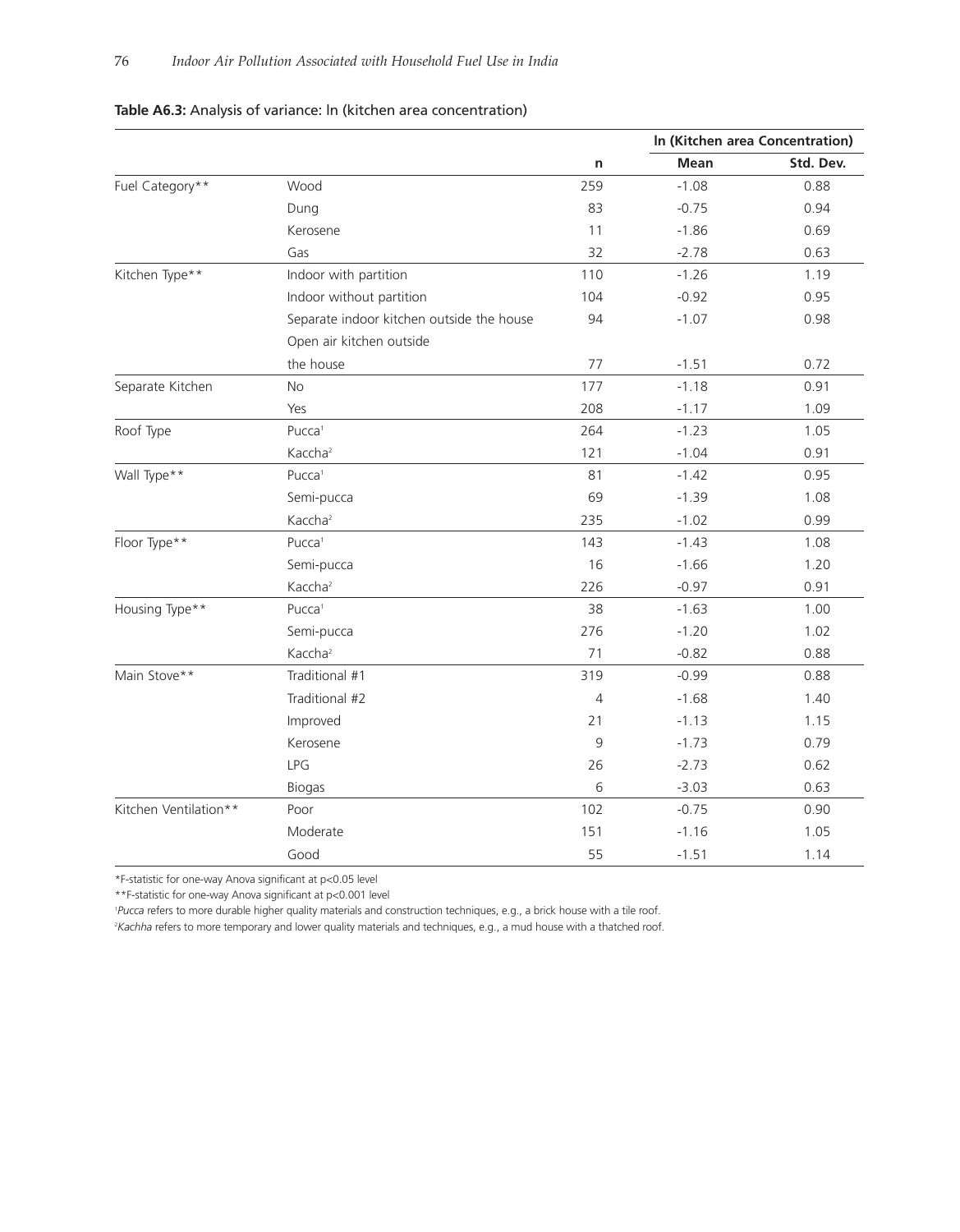|                       |                                           |                |         | In (Kitchen area Concentration) |
|-----------------------|-------------------------------------------|----------------|---------|---------------------------------|
|                       |                                           | n              | Mean    | Std. Dev.                       |
| Fuel Category**       | Wood                                      | 259            | $-1.08$ | 0.88                            |
|                       | Dung                                      | 83             | $-0.75$ | 0.94                            |
|                       | Kerosene                                  | 11             | $-1.86$ | 0.69                            |
|                       | Gas                                       | 32             | $-2.78$ | 0.63                            |
| Kitchen Type**        | Indoor with partition                     | 110            | $-1.26$ | 1.19                            |
|                       | Indoor without partition                  | 104            | $-0.92$ | 0.95                            |
|                       | Separate indoor kitchen outside the house | 94             | $-1.07$ | 0.98                            |
|                       | Open air kitchen outside                  |                |         |                                 |
|                       | the house                                 | 77             | $-1.51$ | 0.72                            |
| Separate Kitchen      | No                                        | 177            | $-1.18$ | 0.91                            |
|                       | Yes                                       | 208            | $-1.17$ | 1.09                            |
| Roof Type             | Pucca <sup>1</sup>                        | 264            | $-1.23$ | 1.05                            |
|                       | Kaccha <sup>2</sup>                       | 121            | $-1.04$ | 0.91                            |
| Wall Type**           | Pucca <sup>1</sup>                        | 81             | $-1.42$ | 0.95                            |
|                       | Semi-pucca                                | 69             | $-1.39$ | 1.08                            |
|                       | Kaccha <sup>2</sup>                       | 235            | $-1.02$ | 0.99                            |
| Floor Type**          | Pucca <sup>1</sup>                        | 143            | $-1.43$ | 1.08                            |
|                       | Semi-pucca                                | 16             | $-1.66$ | 1.20                            |
|                       | Kaccha <sup>2</sup>                       | 226            | $-0.97$ | 0.91                            |
| Housing Type**        | Pucca <sup>1</sup>                        | 38             | $-1.63$ | 1.00                            |
|                       | Semi-pucca                                | 276            | $-1.20$ | 1.02                            |
|                       | Kaccha <sup>2</sup>                       | 71             | $-0.82$ | 0.88                            |
| Main Stove**          | Traditional #1                            | 319            | $-0.99$ | 0.88                            |
|                       | Traditional #2                            | $\overline{4}$ | $-1.68$ | 1.40                            |
|                       | Improved                                  | 21             | $-1.13$ | 1.15                            |
|                       | Kerosene                                  | 9              | $-1.73$ | 0.79                            |
|                       | LPG                                       | 26             | $-2.73$ | 0.62                            |
|                       | <b>Biogas</b>                             | 6              | $-3.03$ | 0.63                            |
| Kitchen Ventilation** | Poor                                      | 102            | $-0.75$ | 0.90                            |
|                       | Moderate                                  | 151            | $-1.16$ | 1.05                            |
|                       | Good                                      | 55             | $-1.51$ | 1.14                            |

## **Table A6.3:** Analysis of variance: ln (kitchen area concentration)

\*F-statistic for one-way Anova significant at p<0.05 level

\*\*F-statistic for one-way Anova significant at p<0.001 level

1 *Pucca* refers to more durable higher quality materials and construction techniques, e.g., a brick house with a tile roof.

<sup>2</sup>Kachha refers to more temporary and lower quality materials and techniques, e.g., a mud house with a thatched roof.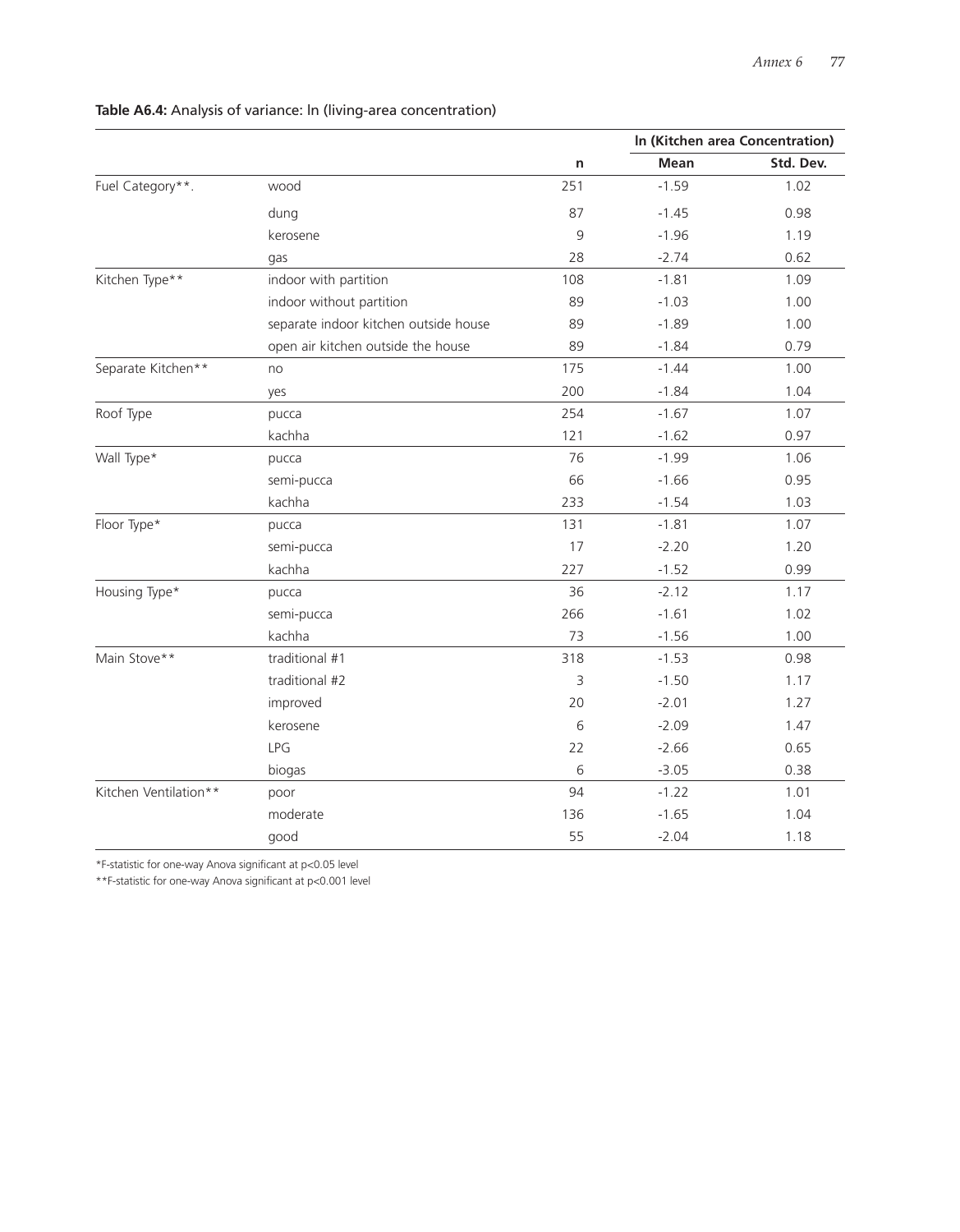|                       |                                       |     |         | In (Kitchen area Concentration) |
|-----------------------|---------------------------------------|-----|---------|---------------------------------|
|                       |                                       | n   | Mean    | Std. Dev.                       |
| Fuel Category**.      | wood                                  | 251 | $-1.59$ | 1.02                            |
|                       | dung                                  | 87  | $-1.45$ | 0.98                            |
|                       | kerosene                              | 9   | $-1.96$ | 1.19                            |
|                       | gas                                   | 28  | $-2.74$ | 0.62                            |
| Kitchen Type**        | indoor with partition                 | 108 | $-1.81$ | 1.09                            |
|                       | indoor without partition              | 89  | $-1.03$ | 1.00                            |
|                       | separate indoor kitchen outside house | 89  | $-1.89$ | 1.00                            |
|                       | open air kitchen outside the house    | 89  | $-1.84$ | 0.79                            |
| Separate Kitchen**    | no                                    | 175 | $-1.44$ | 1.00                            |
|                       | yes                                   | 200 | $-1.84$ | 1.04                            |
| Roof Type             | pucca                                 | 254 | $-1.67$ | 1.07                            |
|                       | kachha                                | 121 | $-1.62$ | 0.97                            |
| Wall Type*            | pucca                                 | 76  | $-1.99$ | 1.06                            |
|                       | semi-pucca                            | 66  | $-1.66$ | 0.95                            |
|                       | kachha                                | 233 | $-1.54$ | 1.03                            |
| Floor Type*           | pucca                                 | 131 | $-1.81$ | 1.07                            |
|                       | semi-pucca                            | 17  | $-2.20$ | 1.20                            |
|                       | kachha                                | 227 | $-1.52$ | 0.99                            |
| Housing Type*         | pucca                                 | 36  | $-2.12$ | 1.17                            |
|                       | semi-pucca                            | 266 | $-1.61$ | 1.02                            |
|                       | kachha                                | 73  | $-1.56$ | 1.00                            |
| Main Stove**          | traditional #1                        | 318 | $-1.53$ | 0.98                            |
|                       | traditional #2                        | 3   | $-1.50$ | 1.17                            |
|                       | improved                              | 20  | $-2.01$ | 1.27                            |
|                       | kerosene                              | 6   | $-2.09$ | 1.47                            |
|                       | LPG                                   | 22  | $-2.66$ | 0.65                            |
|                       | biogas                                | 6   | $-3.05$ | 0.38                            |
| Kitchen Ventilation** | poor                                  | 94  | $-1.22$ | 1.01                            |
|                       | moderate                              | 136 | $-1.65$ | 1.04                            |
|                       | good                                  | 55  | $-2.04$ | 1.18                            |

## **Table A6.4:** Analysis of variance: ln (living-area concentration)

\*F-statistic for one-way Anova significant at p<0.05 level

\*\*F-statistic for one-way Anova significant at p<0.001 level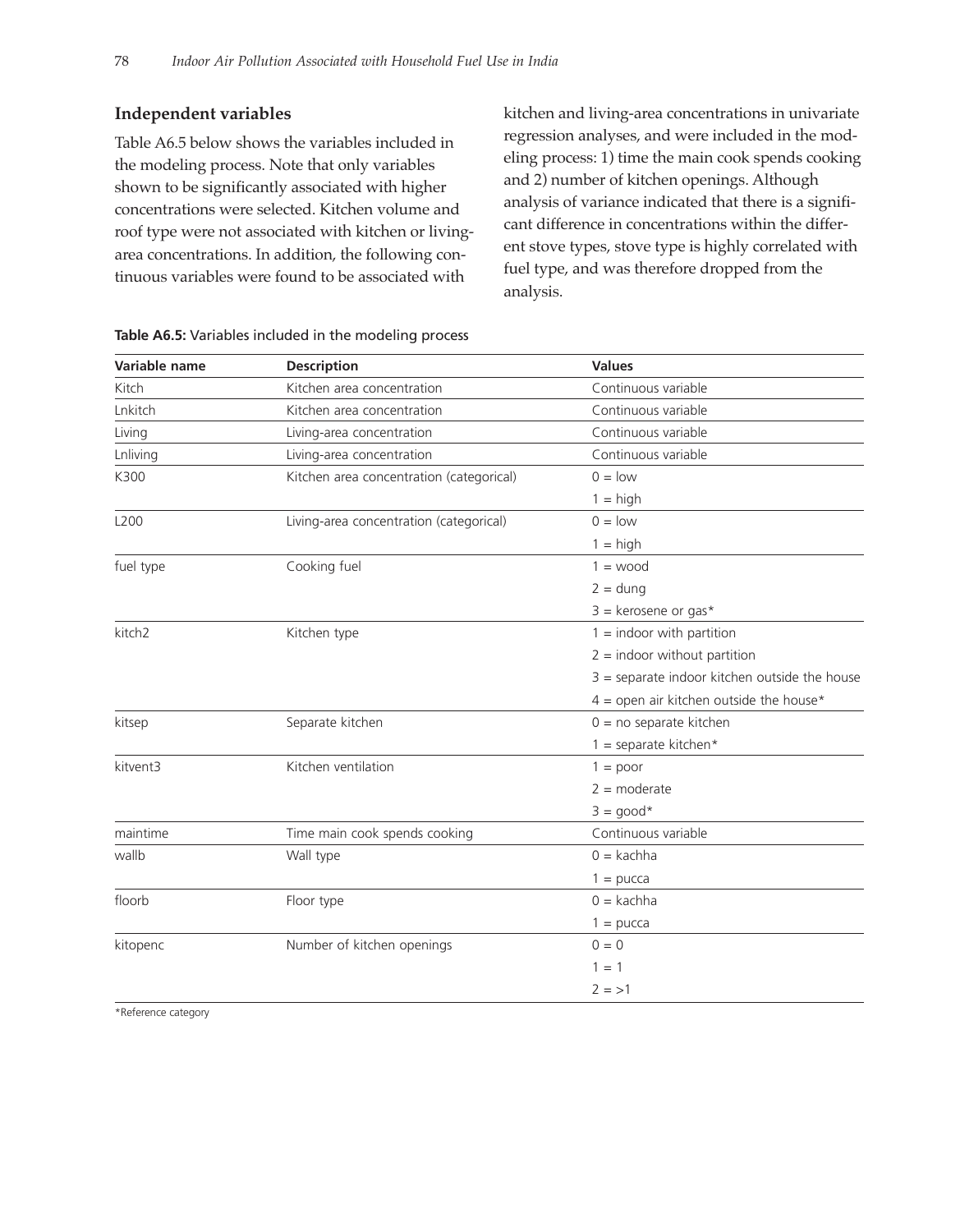## **Independent variables**

Table A6.5 below shows the variables included in the modeling process. Note that only variables shown to be significantly associated with higher concentrations were selected. Kitchen volume and roof type were not associated with kitchen or livingarea concentrations. In addition, the following continuous variables were found to be associated with

kitchen and living-area concentrations in univariate regression analyses, and were included in the modeling process: 1) time the main cook spends cooking and 2) number of kitchen openings. Although analysis of variance indicated that there is a significant difference in concentrations within the different stove types, stove type is highly correlated with fuel type, and was therefore dropped from the analysis.

| Variable name      | <b>Description</b>                       | <b>Values</b>                                   |
|--------------------|------------------------------------------|-------------------------------------------------|
| Kitch              | Kitchen area concentration               | Continuous variable                             |
| Lnkitch            | Kitchen area concentration               | Continuous variable                             |
| Living             | Living-area concentration                | Continuous variable                             |
| Lnliving           | Living-area concentration                | Continuous variable                             |
| K300               | Kitchen area concentration (categorical) | $0 =$ low                                       |
|                    |                                          | $1 = high$                                      |
| L200               | Living-area concentration (categorical)  | $0 =$ low                                       |
|                    |                                          | $1 = high$                                      |
| fuel type          | Cooking fuel                             | $1 = wood$                                      |
|                    |                                          | $2 = \text{dung}$                               |
|                    |                                          | $3 =$ kerosene or gas*                          |
| kitch <sub>2</sub> | Kitchen type                             | $1 =$ indoor with partition                     |
|                    |                                          | $2 =$ indoor without partition                  |
|                    |                                          | $3$ = separate indoor kitchen outside the house |
|                    |                                          | $4 =$ open air kitchen outside the house*       |
| kitsep             | Separate kitchen                         | $0 = no$ separate kitchen                       |
|                    |                                          | $1 =$ separate kitchen*                         |
| kitvent3           | Kitchen ventilation                      | $1 = poor$                                      |
|                    |                                          | $2 =$ moderate                                  |
|                    |                                          | $3 = good*$                                     |
| maintime           | Time main cook spends cooking            | Continuous variable                             |
| wallb              | Wall type                                | $0 = kachha$                                    |
|                    |                                          | $1 = pucca$                                     |
| floorb             | Floor type                               | $0 = kachha$                                    |
|                    |                                          | $1 =$ pucca                                     |
| kitopenc           | Number of kitchen openings               | $0 = 0$                                         |
|                    |                                          | $1 = 1$                                         |
|                    |                                          | $2 = > 1$                                       |
|                    |                                          |                                                 |

## **Table A6.5:** Variables included in the modeling process

\*Reference category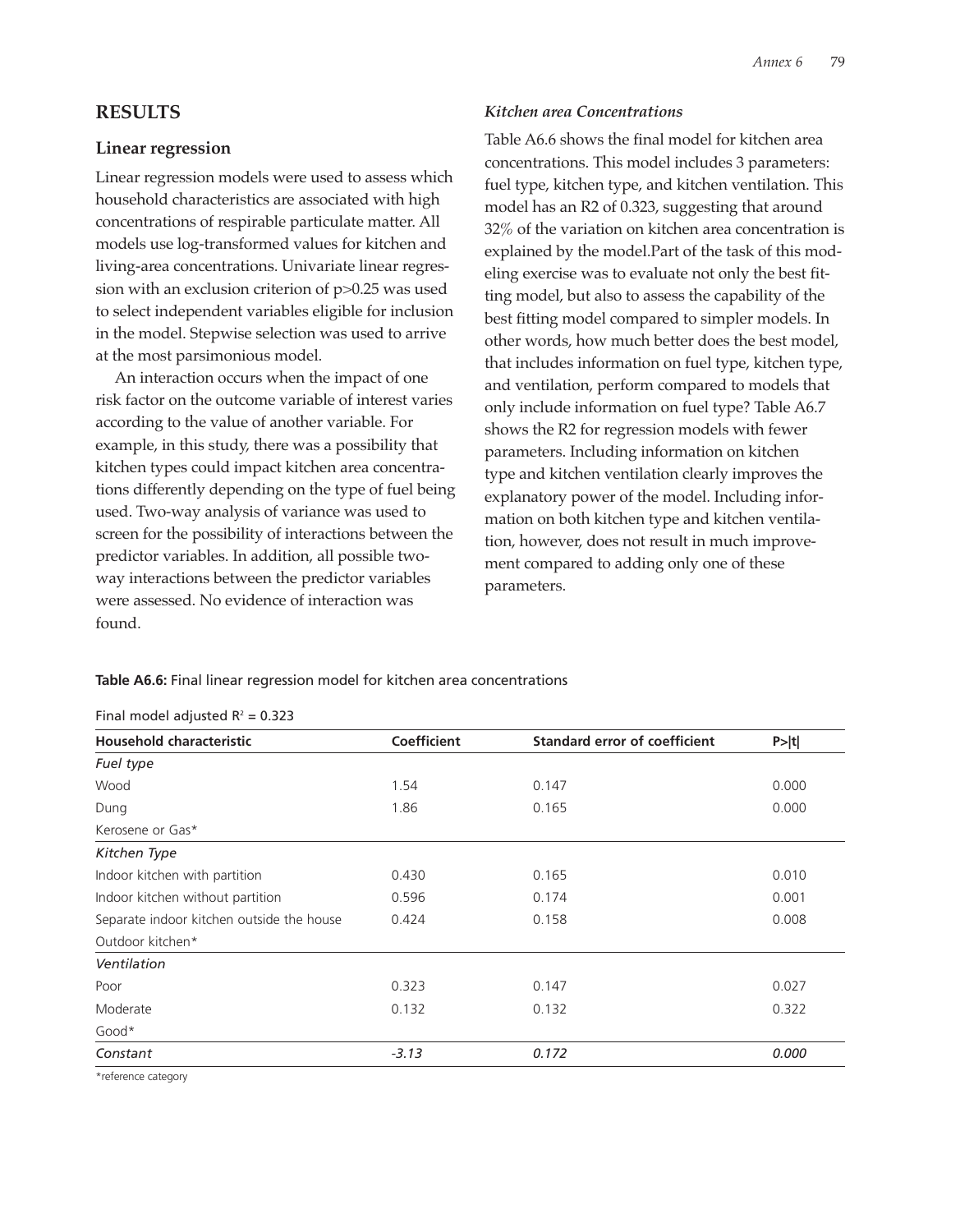## **RESULTS**

## **Linear regression**

Linear regression models were used to assess which household characteristics are associated with high concentrations of respirable particulate matter. All models use log-transformed values for kitchen and living-area concentrations. Univariate linear regression with an exclusion criterion of p>0.25 was used to select independent variables eligible for inclusion in the model. Stepwise selection was used to arrive at the most parsimonious model.

An interaction occurs when the impact of one risk factor on the outcome variable of interest varies according to the value of another variable. For example, in this study, there was a possibility that kitchen types could impact kitchen area concentrations differently depending on the type of fuel being used. Two-way analysis of variance was used to screen for the possibility of interactions between the predictor variables. In addition, all possible twoway interactions between the predictor variables were assessed. No evidence of interaction was found.

### *Kitchen area Concentrations*

Table A6.6 shows the final model for kitchen area concentrations. This model includes 3 parameters: fuel type, kitchen type, and kitchen ventilation. This model has an R2 of 0.323, suggesting that around 32% of the variation on kitchen area concentration is explained by the model.Part of the task of this modeling exercise was to evaluate not only the best fitting model, but also to assess the capability of the best fitting model compared to simpler models. In other words, how much better does the best model, that includes information on fuel type, kitchen type, and ventilation, perform compared to models that only include information on fuel type? Table A6.7 shows the R2 for regression models with fewer parameters. Including information on kitchen type and kitchen ventilation clearly improves the explanatory power of the model. Including information on both kitchen type and kitchen ventilation, however, does not result in much improvement compared to adding only one of these parameters.

**Table A6.6:** Final linear regression model for kitchen area concentrations

| <b>Household characteristic</b>           | <b>Coefficient</b> | <b>Standard error of coefficient</b> | P> t  |
|-------------------------------------------|--------------------|--------------------------------------|-------|
| Fuel type                                 |                    |                                      |       |
| Wood                                      | 1.54               | 0.147                                | 0.000 |
| Dung                                      | 1.86               | 0.165                                | 0.000 |
| Kerosene or Gas*                          |                    |                                      |       |
| Kitchen Type                              |                    |                                      |       |
| Indoor kitchen with partition             | 0.430              | 0.165                                | 0.010 |
| Indoor kitchen without partition          | 0.596              | 0.174                                | 0.001 |
| Separate indoor kitchen outside the house | 0.424              | 0.158                                | 0.008 |
| Outdoor kitchen*                          |                    |                                      |       |
| Ventilation                               |                    |                                      |       |
| Poor                                      | 0.323              | 0.147                                | 0.027 |
| Moderate                                  | 0.132              | 0.132                                | 0.322 |
| Good*                                     |                    |                                      |       |
| Constant                                  | $-3.13$            | 0.172                                | 0.000 |

Final model adjusted  $R^2 = 0.323$ 

\*reference category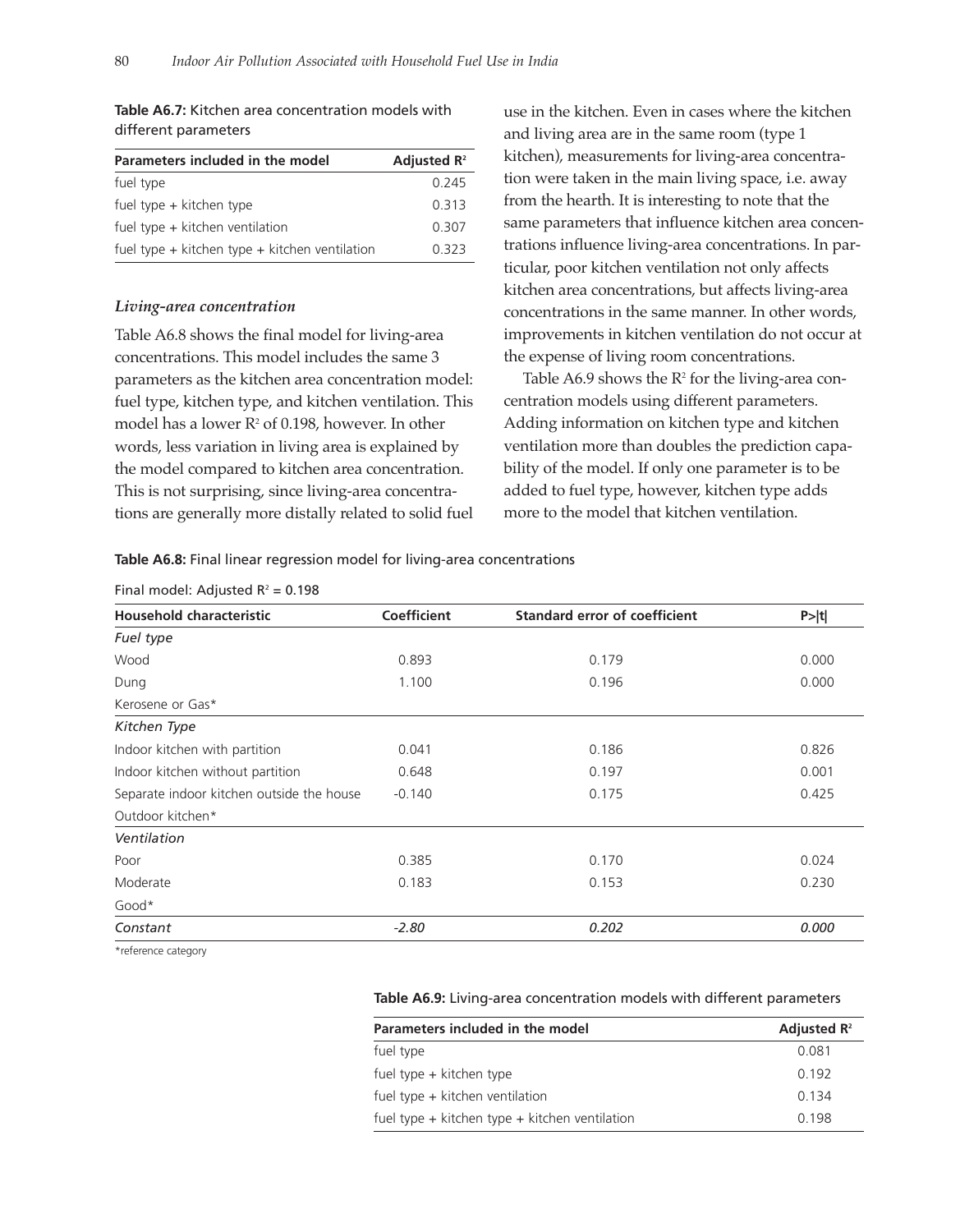| Parameters included in the model                   | Adjusted $\mathbf{R}^2$ |
|----------------------------------------------------|-------------------------|
| fuel type                                          | 0 245                   |
| fuel type + kitchen type                           | 0 313                   |
| fuel type $+$ kitchen ventilation                  | 0.307                   |
| fuel type $+$ kitchen type $+$ kitchen ventilation | 0.323                   |

**Table A6.7:** Kitchen area concentration models with different parameters

#### *Living-area concentration*

Table A6.8 shows the final model for living-area concentrations. This model includes the same 3 parameters as the kitchen area concentration model: fuel type, kitchen type, and kitchen ventilation. This model has a lower  $R^2$  of 0.198, however. In other words, less variation in living area is explained by the model compared to kitchen area concentration. This is not surprising, since living-area concentrations are generally more distally related to solid fuel

use in the kitchen. Even in cases where the kitchen and living area are in the same room (type 1 kitchen), measurements for living-area concentration were taken in the main living space, i.e. away from the hearth. It is interesting to note that the same parameters that influence kitchen area concentrations influence living-area concentrations. In particular, poor kitchen ventilation not only affects kitchen area concentrations, but affects living-area concentrations in the same manner. In other words, improvements in kitchen ventilation do not occur at the expense of living room concentrations.

Table A6.9 shows the  $R^2$  for the living-area concentration models using different parameters. Adding information on kitchen type and kitchen ventilation more than doubles the prediction capability of the model. If only one parameter is to be added to fuel type, however, kitchen type adds more to the model that kitchen ventilation.

**Table A6.8:** Final linear regression model for living-area concentrations

|  |  | Final model: Adjusted $R^2 = 0.198$ |  |  |
|--|--|-------------------------------------|--|--|
|--|--|-------------------------------------|--|--|

| <b>Household characteristic</b>           | <b>Coefficient</b> | <b>Standard error of coefficient</b> | P> t  |  |
|-------------------------------------------|--------------------|--------------------------------------|-------|--|
| Fuel type                                 |                    |                                      |       |  |
| Wood                                      | 0.893              | 0.179                                | 0.000 |  |
| Dung                                      | 1.100              | 0.196                                | 0.000 |  |
| Kerosene or Gas*                          |                    |                                      |       |  |
| Kitchen Type                              |                    |                                      |       |  |
| Indoor kitchen with partition             | 0.041              | 0.186                                | 0.826 |  |
| Indoor kitchen without partition          | 0.648              | 0.197                                | 0.001 |  |
| Separate indoor kitchen outside the house | $-0.140$           | 0.175                                | 0.425 |  |
| Outdoor kitchen*                          |                    |                                      |       |  |
| Ventilation                               |                    |                                      |       |  |
| Poor                                      | 0.385              | 0.170                                | 0.024 |  |
| Moderate                                  | 0.183              | 0.153                                | 0.230 |  |
| Good*                                     |                    |                                      |       |  |
| Constant                                  | $-2.80$            | 0.202                                | 0.000 |  |
| $\sim$ $\sim$ $\sim$                      |                    |                                      |       |  |

\*reference category

#### **Table A6.9:** Living-area concentration models with different parameters

| Parameters included in the model                   | Adjusted $\mathbf{R}^2$ |
|----------------------------------------------------|-------------------------|
| fuel type                                          | 0.081                   |
| fuel type + kitchen type                           | 0.192                   |
| fuel type $+$ kitchen ventilation                  | 0.134                   |
| fuel type $+$ kitchen type $+$ kitchen ventilation | 0.198                   |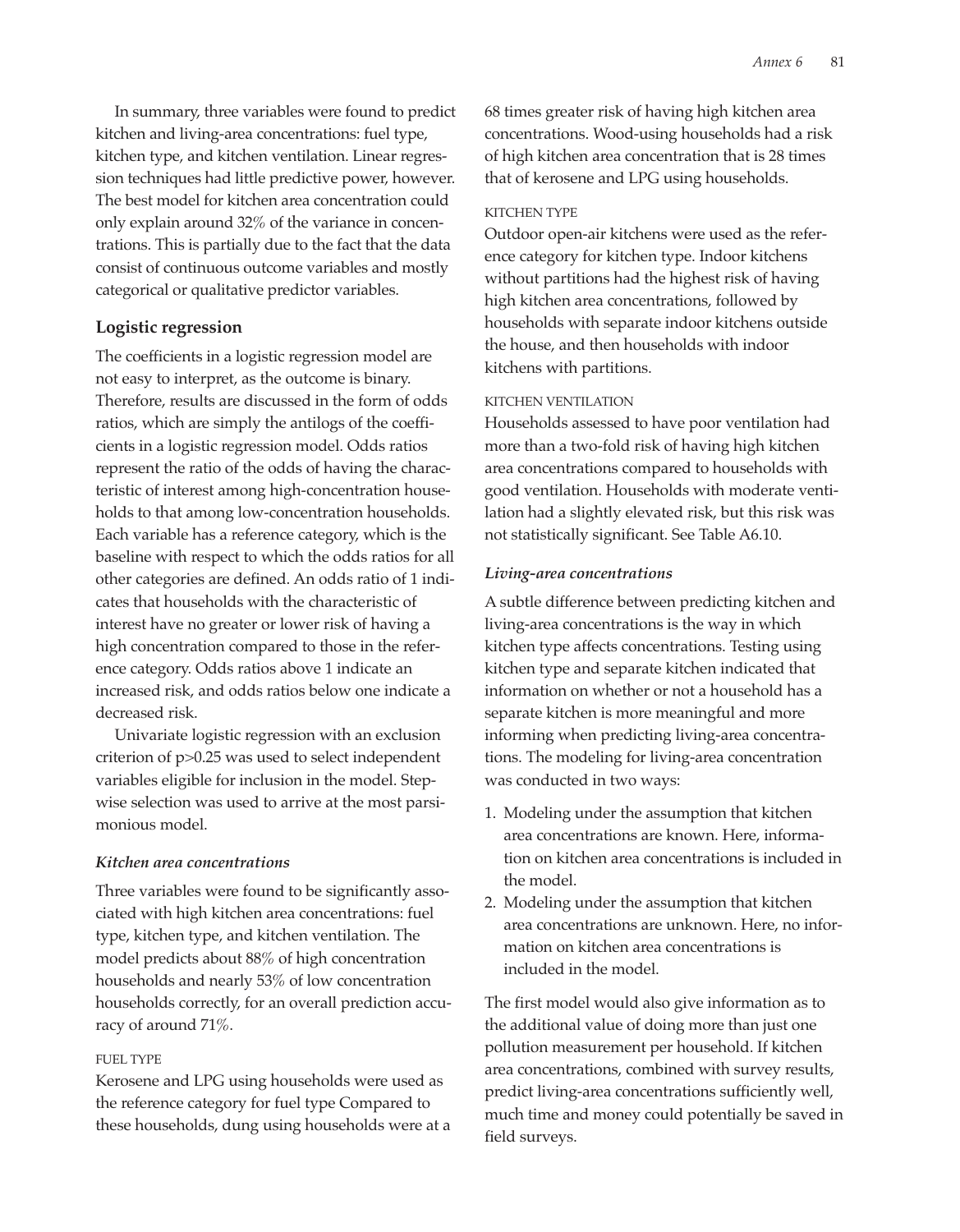In summary, three variables were found to predict kitchen and living-area concentrations: fuel type, kitchen type, and kitchen ventilation. Linear regression techniques had little predictive power, however. The best model for kitchen area concentration could only explain around 32% of the variance in concentrations. This is partially due to the fact that the data consist of continuous outcome variables and mostly categorical or qualitative predictor variables.

## **Logistic regression**

The coefficients in a logistic regression model are not easy to interpret, as the outcome is binary. Therefore, results are discussed in the form of odds ratios, which are simply the antilogs of the coefficients in a logistic regression model. Odds ratios represent the ratio of the odds of having the characteristic of interest among high-concentration households to that among low-concentration households. Each variable has a reference category, which is the baseline with respect to which the odds ratios for all other categories are defined. An odds ratio of 1 indicates that households with the characteristic of interest have no greater or lower risk of having a high concentration compared to those in the reference category. Odds ratios above 1 indicate an increased risk, and odds ratios below one indicate a decreased risk.

Univariate logistic regression with an exclusion criterion of p>0.25 was used to select independent variables eligible for inclusion in the model. Stepwise selection was used to arrive at the most parsimonious model.

#### *Kitchen area concentrations*

Three variables were found to be significantly associated with high kitchen area concentrations: fuel type, kitchen type, and kitchen ventilation. The model predicts about 88% of high concentration households and nearly 53% of low concentration households correctly, for an overall prediction accuracy of around 71%.

#### FUEL TYPE

Kerosene and LPG using households were used as the reference category for fuel type Compared to these households, dung using households were at a 68 times greater risk of having high kitchen area concentrations. Wood-using households had a risk of high kitchen area concentration that is 28 times that of kerosene and LPG using households.

#### KITCHEN TYPE

Outdoor open-air kitchens were used as the reference category for kitchen type. Indoor kitchens without partitions had the highest risk of having high kitchen area concentrations, followed by households with separate indoor kitchens outside the house, and then households with indoor kitchens with partitions.

#### KITCHEN VENTILATION

Households assessed to have poor ventilation had more than a two-fold risk of having high kitchen area concentrations compared to households with good ventilation. Households with moderate ventilation had a slightly elevated risk, but this risk was not statistically significant. See Table A6.10.

#### *Living-area concentrations*

A subtle difference between predicting kitchen and living-area concentrations is the way in which kitchen type affects concentrations. Testing using kitchen type and separate kitchen indicated that information on whether or not a household has a separate kitchen is more meaningful and more informing when predicting living-area concentrations. The modeling for living-area concentration was conducted in two ways:

- 1. Modeling under the assumption that kitchen area concentrations are known. Here, information on kitchen area concentrations is included in the model.
- 2. Modeling under the assumption that kitchen area concentrations are unknown. Here, no information on kitchen area concentrations is included in the model.

The first model would also give information as to the additional value of doing more than just one pollution measurement per household. If kitchen area concentrations, combined with survey results, predict living-area concentrations sufficiently well, much time and money could potentially be saved in field surveys.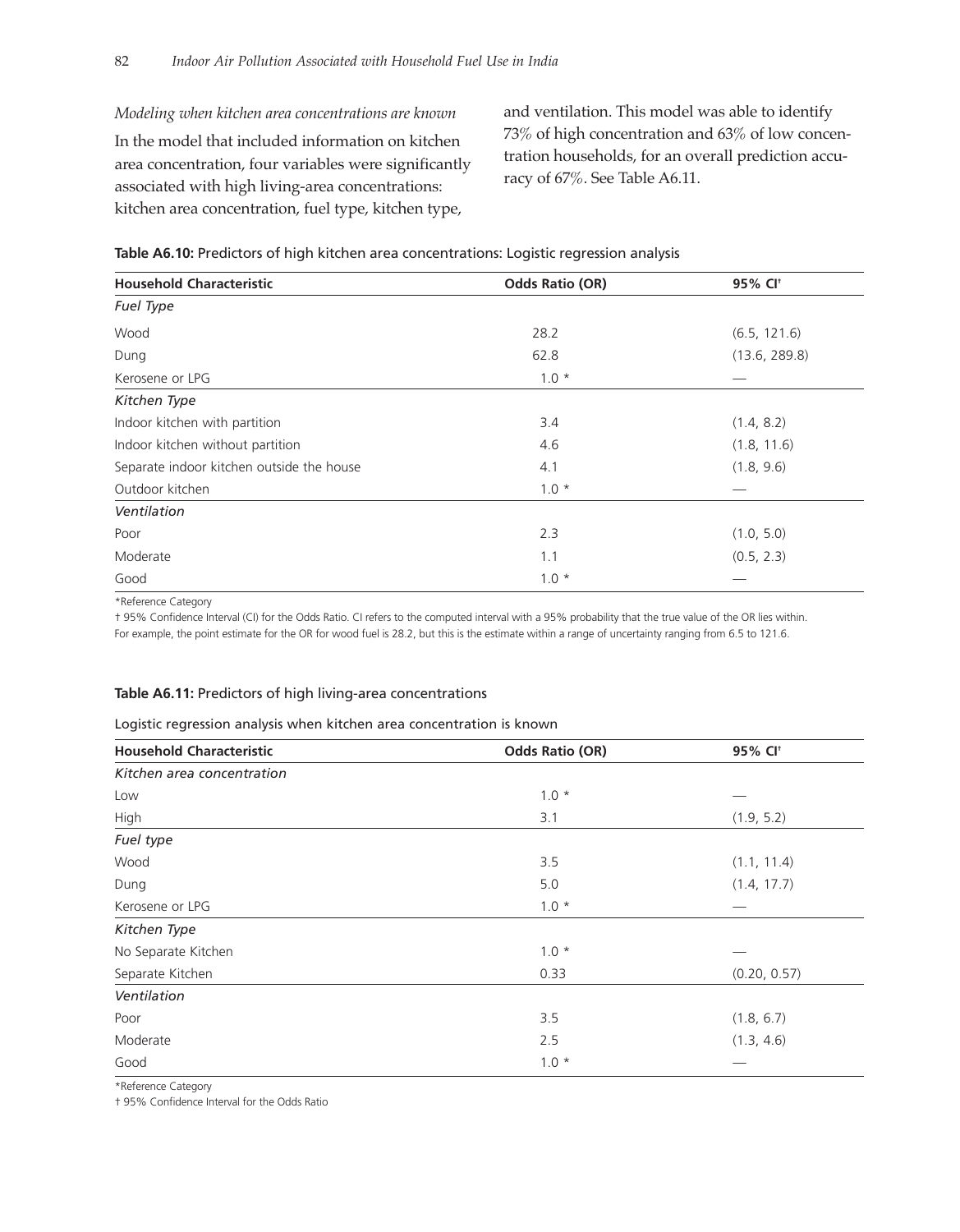*Modeling when kitchen area concentrations are known* In the model that included information on kitchen area concentration, four variables were significantly associated with high living-area concentrations: kitchen area concentration, fuel type, kitchen type,

and ventilation. This model was able to identify 73% of high concentration and 63% of low concentration households, for an overall prediction accuracy of 67%. See Table A6.11.

| Table A6.10: Predictors of high kitchen area concentrations: Logistic regression analysis |  |  |
|-------------------------------------------------------------------------------------------|--|--|
|                                                                                           |  |  |

| <b>Household Characteristic</b>           | <b>Odds Ratio (OR)</b> | 95% CI <sup>+</sup> |
|-------------------------------------------|------------------------|---------------------|
| Fuel Type                                 |                        |                     |
| Wood                                      | 28.2                   | (6.5, 121.6)        |
| Dung                                      | 62.8                   | (13.6, 289.8)       |
| Kerosene or LPG                           | $1.0*$                 |                     |
| Kitchen Type                              |                        |                     |
| Indoor kitchen with partition             | 3.4                    | (1.4, 8.2)          |
| Indoor kitchen without partition          | 4.6                    | (1.8, 11.6)         |
| Separate indoor kitchen outside the house | 4.1                    | (1.8, 9.6)          |
| Outdoor kitchen                           | $1.0 *$                |                     |
| Ventilation                               |                        |                     |
| Poor                                      | 2.3                    | (1.0, 5.0)          |
| Moderate                                  | 1.1                    | (0.5, 2.3)          |
| Good                                      | $1.0*$                 |                     |

\*Reference Category

† 95% Confidence Interval (CI) for the Odds Ratio. CI refers to the computed interval with a 95% probability that the true value of the OR lies within. For example, the point estimate for the OR for wood fuel is 28.2, but this is the estimate within a range of uncertainty ranging from 6.5 to 121.6.

#### **Table A6.11:** Predictors of high living-area concentrations

#### Logistic regression analysis when kitchen area concentration is known

| <b>Household Characteristic</b> | <b>Odds Ratio (OR)</b> | 95% CI <sup>+</sup> |
|---------------------------------|------------------------|---------------------|
| Kitchen area concentration      |                        |                     |
| Low                             | $1.0 *$                |                     |
| High                            | 3.1                    | (1.9, 5.2)          |
| Fuel type                       |                        |                     |
| Wood                            | 3.5                    | (1.1, 11.4)         |
| Dung                            | 5.0                    | (1.4, 17.7)         |
| Kerosene or LPG                 | $1.0*$                 |                     |
| Kitchen Type                    |                        |                     |
| No Separate Kitchen             | $1.0 *$                |                     |
| Separate Kitchen                | 0.33                   | (0.20, 0.57)        |
| Ventilation                     |                        |                     |
| Poor                            | 3.5                    | (1.8, 6.7)          |
| Moderate                        | 2.5                    | (1.3, 4.6)          |
| Good                            | $1.0*$                 |                     |

\*Reference Category

† 95% Confidence Interval for the Odds Ratio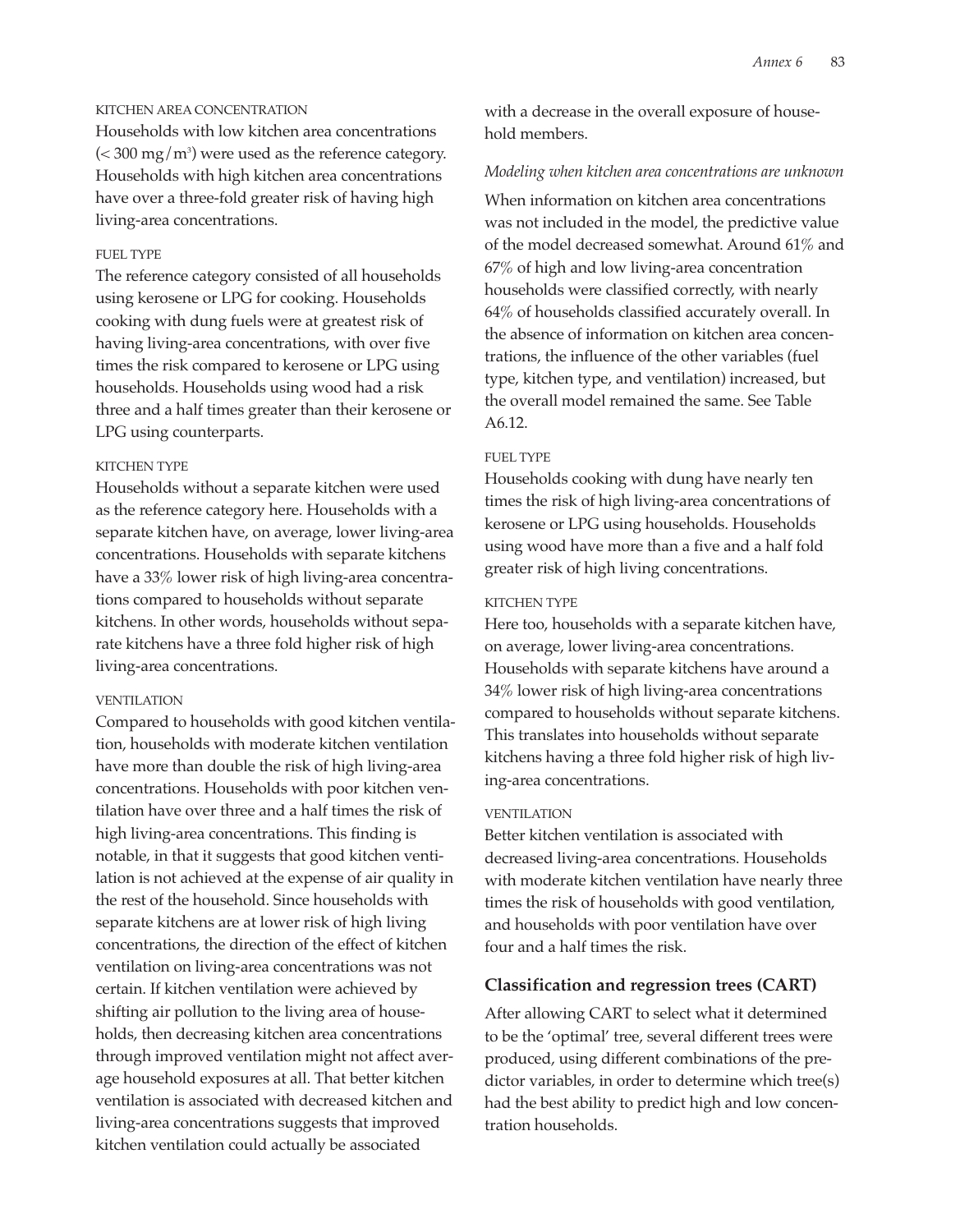#### KITCHEN AREA CONCENTRATION

Households with low kitchen area concentrations ( $<$  300 mg/m $^3$ ) were used as the reference category. Households with high kitchen area concentrations have over a three-fold greater risk of having high living-area concentrations.

## FUEL TYPE

The reference category consisted of all households using kerosene or LPG for cooking. Households cooking with dung fuels were at greatest risk of having living-area concentrations, with over five times the risk compared to kerosene or LPG using households. Households using wood had a risk three and a half times greater than their kerosene or LPG using counterparts.

#### KITCHEN TYPE

Households without a separate kitchen were used as the reference category here. Households with a separate kitchen have, on average, lower living-area concentrations. Households with separate kitchens have a 33% lower risk of high living-area concentrations compared to households without separate kitchens. In other words, households without separate kitchens have a three fold higher risk of high living-area concentrations.

#### VENTILATION

Compared to households with good kitchen ventilation, households with moderate kitchen ventilation have more than double the risk of high living-area concentrations. Households with poor kitchen ventilation have over three and a half times the risk of high living-area concentrations. This finding is notable, in that it suggests that good kitchen ventilation is not achieved at the expense of air quality in the rest of the household. Since households with separate kitchens are at lower risk of high living concentrations, the direction of the effect of kitchen ventilation on living-area concentrations was not certain. If kitchen ventilation were achieved by shifting air pollution to the living area of households, then decreasing kitchen area concentrations through improved ventilation might not affect average household exposures at all. That better kitchen ventilation is associated with decreased kitchen and living-area concentrations suggests that improved kitchen ventilation could actually be associated

with a decrease in the overall exposure of household members.

#### *Modeling when kitchen area concentrations are unknown*

When information on kitchen area concentrations was not included in the model, the predictive value of the model decreased somewhat. Around 61% and 67% of high and low living-area concentration households were classified correctly, with nearly 64% of households classified accurately overall. In the absence of information on kitchen area concentrations, the influence of the other variables (fuel type, kitchen type, and ventilation) increased, but the overall model remained the same. See Table A6.12.

### FUEL TYPE

Households cooking with dung have nearly ten times the risk of high living-area concentrations of kerosene or LPG using households. Households using wood have more than a five and a half fold greater risk of high living concentrations.

#### KITCHEN TYPE

Here too, households with a separate kitchen have, on average, lower living-area concentrations. Households with separate kitchens have around a 34% lower risk of high living-area concentrations compared to households without separate kitchens. This translates into households without separate kitchens having a three fold higher risk of high living-area concentrations.

### VENTILATION

Better kitchen ventilation is associated with decreased living-area concentrations. Households with moderate kitchen ventilation have nearly three times the risk of households with good ventilation, and households with poor ventilation have over four and a half times the risk.

## **Classification and regression trees (CART)**

After allowing CART to select what it determined to be the 'optimal' tree, several different trees were produced, using different combinations of the predictor variables, in order to determine which tree(s) had the best ability to predict high and low concentration households.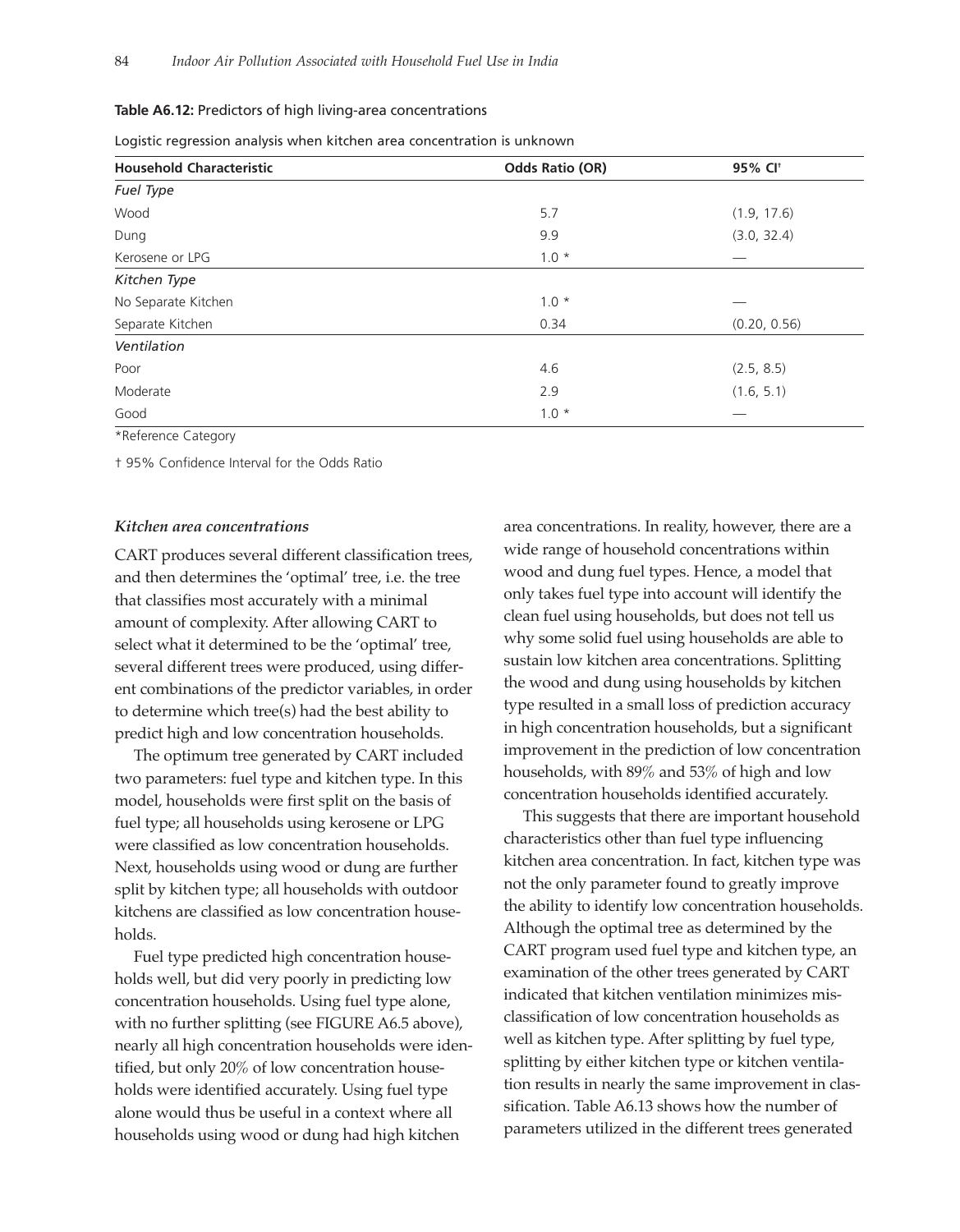#### **Table A6.12:** Predictors of high living-area concentrations

|  |  |  | Logistic regression analysis when kitchen area concentration is unknown |  |
|--|--|--|-------------------------------------------------------------------------|--|
|  |  |  |                                                                         |  |

| <b>Household Characteristic</b> | <b>Odds Ratio (OR)</b> | 95% CI <sup>+</sup> |
|---------------------------------|------------------------|---------------------|
| Fuel Type                       |                        |                     |
| Wood                            | 5.7                    | (1.9, 17.6)         |
| Dung                            | 9.9                    | (3.0, 32.4)         |
| Kerosene or LPG                 | $1.0 *$                |                     |
| Kitchen Type                    |                        |                     |
| No Separate Kitchen             | $1.0 *$                |                     |
| Separate Kitchen                | 0.34                   | (0.20, 0.56)        |
| Ventilation                     |                        |                     |
| Poor                            | 4.6                    | (2.5, 8.5)          |
| Moderate                        | 2.9                    | (1.6, 5.1)          |
| Good                            | $1.0*$                 |                     |

\*Reference Category

† 95% Confidence Interval for the Odds Ratio

#### *Kitchen area concentrations*

CART produces several different classification trees, and then determines the 'optimal' tree, i.e. the tree that classifies most accurately with a minimal amount of complexity. After allowing CART to select what it determined to be the 'optimal' tree, several different trees were produced, using different combinations of the predictor variables, in order to determine which tree(s) had the best ability to predict high and low concentration households.

The optimum tree generated by CART included two parameters: fuel type and kitchen type. In this model, households were first split on the basis of fuel type; all households using kerosene or LPG were classified as low concentration households. Next, households using wood or dung are further split by kitchen type; all households with outdoor kitchens are classified as low concentration households.

Fuel type predicted high concentration households well, but did very poorly in predicting low concentration households. Using fuel type alone, with no further splitting (see FIGURE A6.5 above), nearly all high concentration households were identified, but only 20% of low concentration households were identified accurately. Using fuel type alone would thus be useful in a context where all households using wood or dung had high kitchen

area concentrations. In reality, however, there are a wide range of household concentrations within wood and dung fuel types. Hence, a model that only takes fuel type into account will identify the clean fuel using households, but does not tell us why some solid fuel using households are able to sustain low kitchen area concentrations. Splitting the wood and dung using households by kitchen type resulted in a small loss of prediction accuracy in high concentration households, but a significant improvement in the prediction of low concentration households, with 89% and 53% of high and low concentration households identified accurately.

This suggests that there are important household characteristics other than fuel type influencing kitchen area concentration. In fact, kitchen type was not the only parameter found to greatly improve the ability to identify low concentration households. Although the optimal tree as determined by the CART program used fuel type and kitchen type, an examination of the other trees generated by CART indicated that kitchen ventilation minimizes misclassification of low concentration households as well as kitchen type. After splitting by fuel type, splitting by either kitchen type or kitchen ventilation results in nearly the same improvement in classification. Table A6.13 shows how the number of parameters utilized in the different trees generated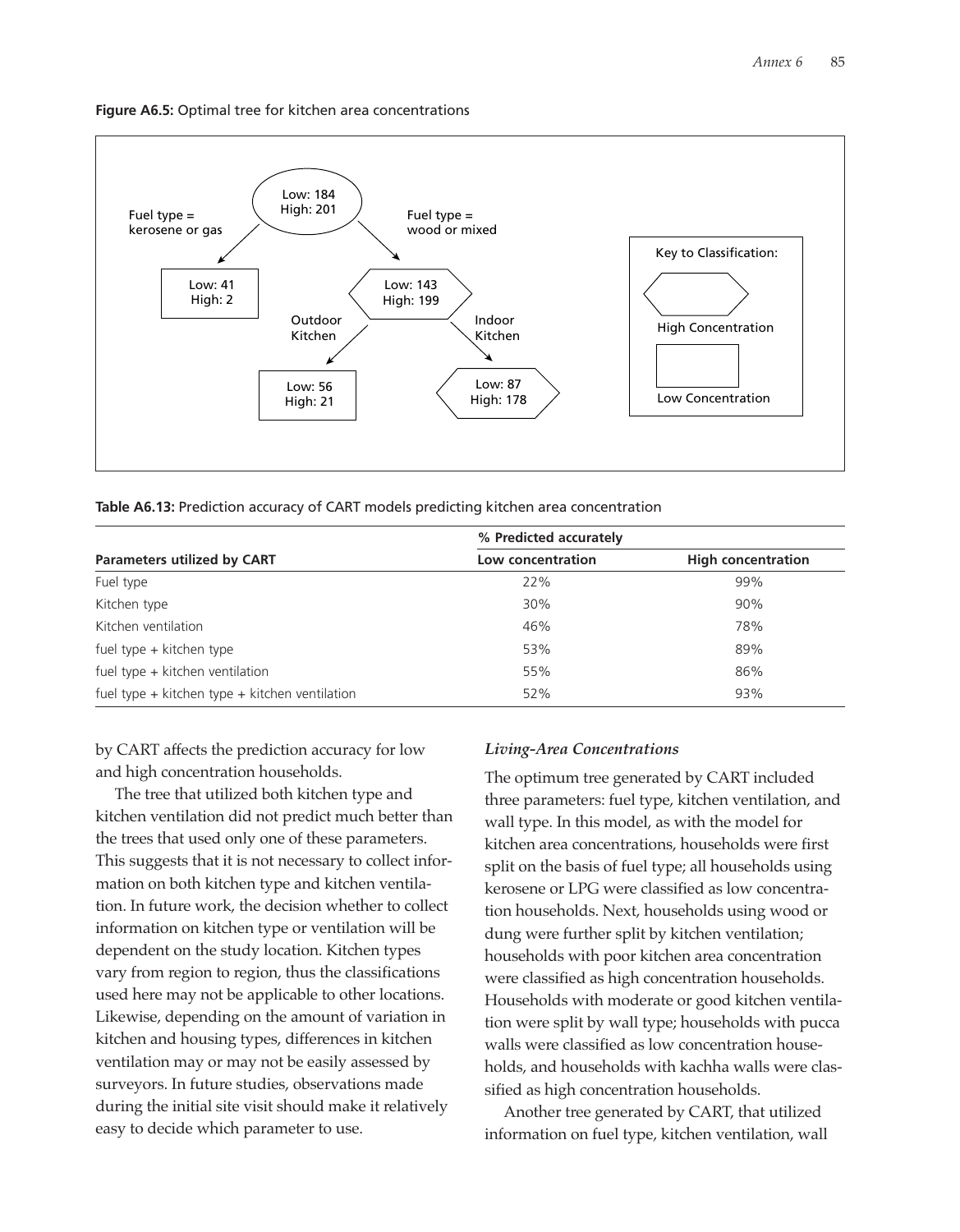**Figure A6.5:** Optimal tree for kitchen area concentrations



| Table A6.13: Prediction accuracy of CART models predicting kitchen area concentration |  |  |
|---------------------------------------------------------------------------------------|--|--|
|---------------------------------------------------------------------------------------|--|--|

|                                                    | % Predicted accurately |                           |  |
|----------------------------------------------------|------------------------|---------------------------|--|
| <b>Parameters utilized by CART</b>                 | Low concentration      | <b>High concentration</b> |  |
| Fuel type                                          | 22%                    | 99%                       |  |
| Kitchen type                                       | 30%                    | 90%                       |  |
| Kitchen ventilation                                | 46%                    | 78%                       |  |
| fuel type + kitchen type                           | 53%                    | 89%                       |  |
| fuel type $+$ kitchen ventilation                  | 55%                    | 86%                       |  |
| fuel type $+$ kitchen type $+$ kitchen ventilation | 52%                    | 93%                       |  |

by CART affects the prediction accuracy for low and high concentration households.

The tree that utilized both kitchen type and kitchen ventilation did not predict much better than the trees that used only one of these parameters. This suggests that it is not necessary to collect information on both kitchen type and kitchen ventilation. In future work, the decision whether to collect information on kitchen type or ventilation will be dependent on the study location. Kitchen types vary from region to region, thus the classifications used here may not be applicable to other locations. Likewise, depending on the amount of variation in kitchen and housing types, differences in kitchen ventilation may or may not be easily assessed by surveyors. In future studies, observations made during the initial site visit should make it relatively easy to decide which parameter to use.

#### *Living-Area Concentrations*

The optimum tree generated by CART included three parameters: fuel type, kitchen ventilation, and wall type. In this model, as with the model for kitchen area concentrations, households were first split on the basis of fuel type; all households using kerosene or LPG were classified as low concentration households. Next, households using wood or dung were further split by kitchen ventilation; households with poor kitchen area concentration were classified as high concentration households. Households with moderate or good kitchen ventilation were split by wall type; households with pucca walls were classified as low concentration households, and households with kachha walls were classified as high concentration households.

Another tree generated by CART, that utilized information on fuel type, kitchen ventilation, wall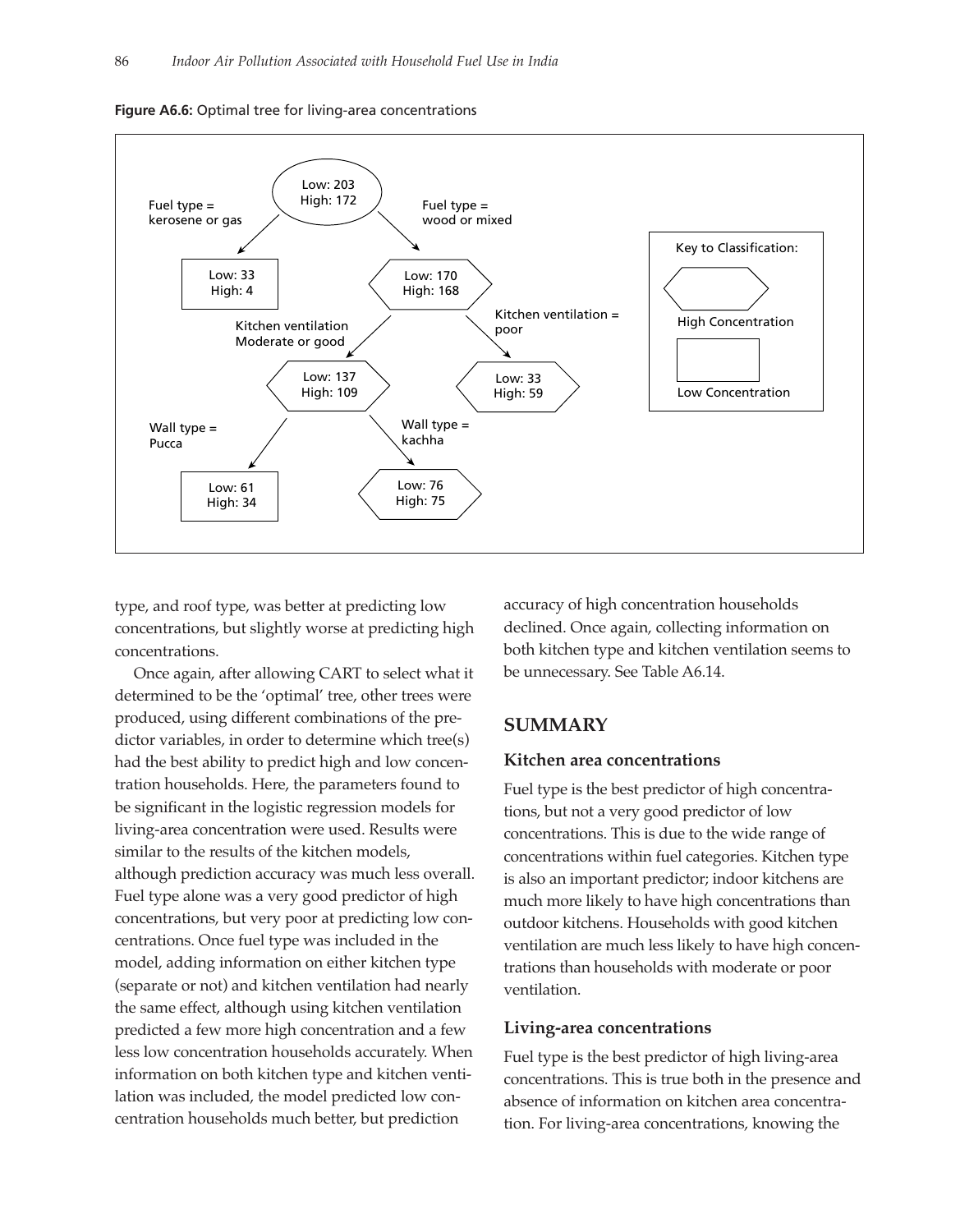



type, and roof type, was better at predicting low concentrations, but slightly worse at predicting high concentrations.

Once again, after allowing CART to select what it determined to be the 'optimal' tree, other trees were produced, using different combinations of the predictor variables, in order to determine which tree(s) had the best ability to predict high and low concentration households. Here, the parameters found to be significant in the logistic regression models for living-area concentration were used. Results were similar to the results of the kitchen models, although prediction accuracy was much less overall. Fuel type alone was a very good predictor of high concentrations, but very poor at predicting low concentrations. Once fuel type was included in the model, adding information on either kitchen type (separate or not) and kitchen ventilation had nearly the same effect, although using kitchen ventilation predicted a few more high concentration and a few less low concentration households accurately. When information on both kitchen type and kitchen ventilation was included, the model predicted low concentration households much better, but prediction

accuracy of high concentration households declined. Once again, collecting information on both kitchen type and kitchen ventilation seems to be unnecessary. See Table A6.14.

## **SUMMARY**

#### **Kitchen area concentrations**

Fuel type is the best predictor of high concentrations, but not a very good predictor of low concentrations. This is due to the wide range of concentrations within fuel categories. Kitchen type is also an important predictor; indoor kitchens are much more likely to have high concentrations than outdoor kitchens. Households with good kitchen ventilation are much less likely to have high concentrations than households with moderate or poor ventilation.

#### **Living-area concentrations**

Fuel type is the best predictor of high living-area concentrations. This is true both in the presence and absence of information on kitchen area concentration. For living-area concentrations, knowing the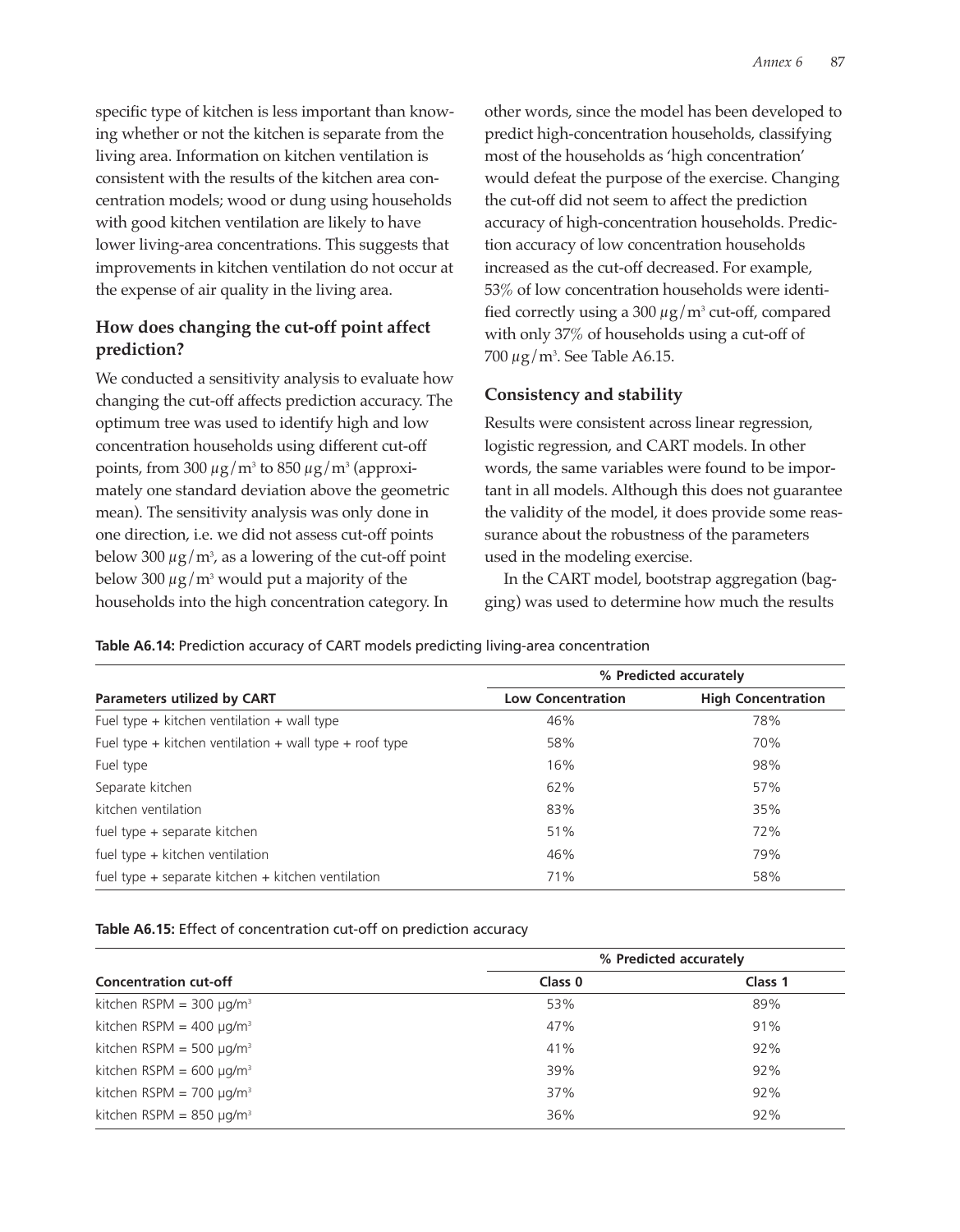specific type of kitchen is less important than knowing whether or not the kitchen is separate from the living area. Information on kitchen ventilation is consistent with the results of the kitchen area concentration models; wood or dung using households with good kitchen ventilation are likely to have lower living-area concentrations. This suggests that improvements in kitchen ventilation do not occur at the expense of air quality in the living area.

# **How does changing the cut-off point affect prediction?**

We conducted a sensitivity analysis to evaluate how changing the cut-off affects prediction accuracy. The optimum tree was used to identify high and low concentration households using different cut-off points, from 300  $\mu$ g/m<sup>3</sup> to 850  $\mu$ g/m<sup>3</sup> (approximately one standard deviation above the geometric mean). The sensitivity analysis was only done in one direction, i.e. we did not assess cut-off points below 300  $\mu$ g/m $^{\rm 3}$ , as a lowering of the cut-off point below 300  $\mu$ g/m<sup>3</sup> would put a majority of the households into the high concentration category. In

other words, since the model has been developed to predict high-concentration households, classifying most of the households as 'high concentration' would defeat the purpose of the exercise. Changing the cut-off did not seem to affect the prediction accuracy of high-concentration households. Prediction accuracy of low concentration households increased as the cut-off decreased. For example, 53% of low concentration households were identified correctly using a 300  $\mu$ g/m<sup>3</sup> cut-off, compared with only 37% of households using a cut-off of 700 µg/m3 . See Table A6.15.

## **Consistency and stability**

Results were consistent across linear regression, logistic regression, and CART models. In other words, the same variables were found to be important in all models. Although this does not guarantee the validity of the model, it does provide some reassurance about the robustness of the parameters used in the modeling exercise.

In the CART model, bootstrap aggregation (bagging) was used to determine how much the results

**Table A6.14:** Prediction accuracy of CART models predicting living-area concentration

|                                                         | % Predicted accurately   |                           |  |
|---------------------------------------------------------|--------------------------|---------------------------|--|
| <b>Parameters utilized by CART</b>                      | <b>Low Concentration</b> | <b>High Concentration</b> |  |
| Fuel type $+$ kitchen ventilation $+$ wall type         | 46%                      | 78%                       |  |
| Fuel type + kitchen ventilation + wall type + roof type | 58%                      | 70%                       |  |
| Fuel type                                               | 16%                      | 98%                       |  |
| Separate kitchen                                        | 62%                      | 57%                       |  |
| kitchen ventilation                                     | 83%                      | 35%                       |  |
| fuel type + separate kitchen                            | 51%                      | 72%                       |  |
| fuel type $+$ kitchen ventilation                       | 46%                      | 79%                       |  |
| fuel type $+$ separate kitchen $+$ kitchen ventilation  | 71%                      | 58%                       |  |
|                                                         |                          |                           |  |

## **Table A6.15:** Effect of concentration cut-off on prediction accuracy

|                                           | % Predicted accurately |         |
|-------------------------------------------|------------------------|---------|
| <b>Concentration cut-off</b>              | Class 0                | Class 1 |
| kitchen RSPM = $300 \mu q/m^3$            | 53%                    | 89%     |
| kitchen RSPM = $400 \mu g/m^3$            | 47%                    | 91%     |
| kitchen RSPM = 500 $\mu$ g/m <sup>3</sup> | 41%                    | 92%     |
| kitchen RSPM = $600 \mu g/m^3$            | 39%                    | 92%     |
| kitchen RSPM = $700 \mu g/m^3$            | 37%                    | 92%     |
| kitchen RSPM = $850 \mu g/m^3$            | 36%                    | 92%     |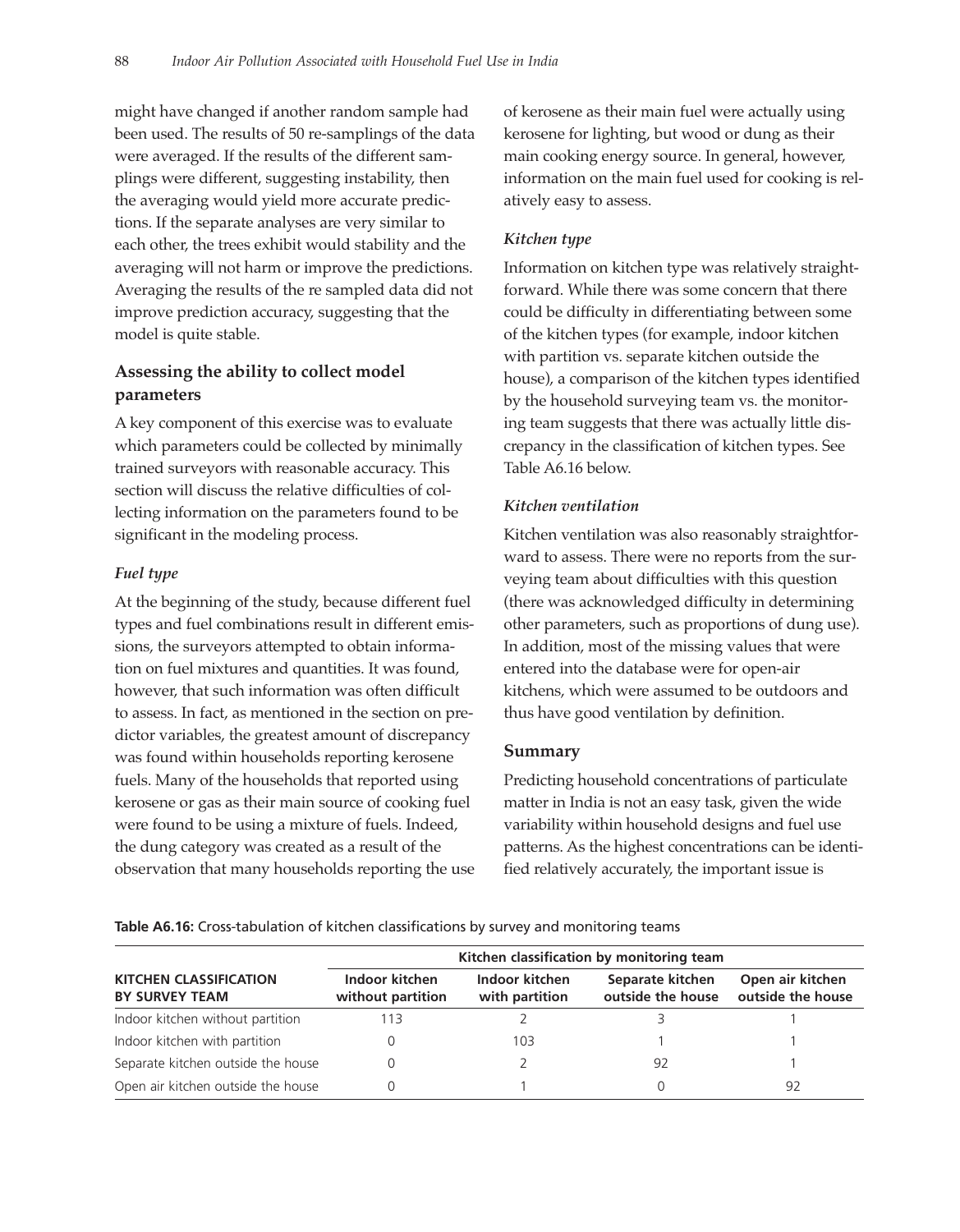might have changed if another random sample had been used. The results of 50 re-samplings of the data were averaged. If the results of the different samplings were different, suggesting instability, then the averaging would yield more accurate predictions. If the separate analyses are very similar to each other, the trees exhibit would stability and the averaging will not harm or improve the predictions. Averaging the results of the re sampled data did not improve prediction accuracy, suggesting that the model is quite stable.

## **Assessing the ability to collect model parameters**

A key component of this exercise was to evaluate which parameters could be collected by minimally trained surveyors with reasonable accuracy. This section will discuss the relative difficulties of collecting information on the parameters found to be significant in the modeling process.

## *Fuel type*

At the beginning of the study, because different fuel types and fuel combinations result in different emissions, the surveyors attempted to obtain information on fuel mixtures and quantities. It was found, however, that such information was often difficult to assess. In fact, as mentioned in the section on predictor variables, the greatest amount of discrepancy was found within households reporting kerosene fuels. Many of the households that reported using kerosene or gas as their main source of cooking fuel were found to be using a mixture of fuels. Indeed, the dung category was created as a result of the observation that many households reporting the use of kerosene as their main fuel were actually using kerosene for lighting, but wood or dung as their main cooking energy source. In general, however, information on the main fuel used for cooking is relatively easy to assess.

## *Kitchen type*

Information on kitchen type was relatively straightforward. While there was some concern that there could be difficulty in differentiating between some of the kitchen types (for example, indoor kitchen with partition vs. separate kitchen outside the house), a comparison of the kitchen types identified by the household surveying team vs. the monitoring team suggests that there was actually little discrepancy in the classification of kitchen types. See Table A6.16 below.

## *Kitchen ventilation*

Kitchen ventilation was also reasonably straightforward to assess. There were no reports from the surveying team about difficulties with this question (there was acknowledged difficulty in determining other parameters, such as proportions of dung use). In addition, most of the missing values that were entered into the database were for open-air kitchens, which were assumed to be outdoors and thus have good ventilation by definition.

## **Summary**

Predicting household concentrations of particulate matter in India is not an easy task, given the wide variability within household designs and fuel use patterns. As the highest concentrations can be identified relatively accurately, the important issue is

**Table A6.16:** Cross-tabulation of kitchen classifications by survey and monitoring teams

|                                                        | Kitchen classification by monitoring team |                                  |                                       |                                       |
|--------------------------------------------------------|-------------------------------------------|----------------------------------|---------------------------------------|---------------------------------------|
| <b>KITCHEN CLASSIFICATION</b><br><b>BY SURVEY TEAM</b> | Indoor kitchen<br>without partition       | Indoor kitchen<br>with partition | Separate kitchen<br>outside the house | Open air kitchen<br>outside the house |
| Indoor kitchen without partition                       | 113                                       |                                  |                                       |                                       |
| Indoor kitchen with partition                          |                                           | 103                              |                                       |                                       |
| Separate kitchen outside the house                     |                                           |                                  | 92                                    |                                       |
| Open air kitchen outside the house                     |                                           |                                  |                                       | 92                                    |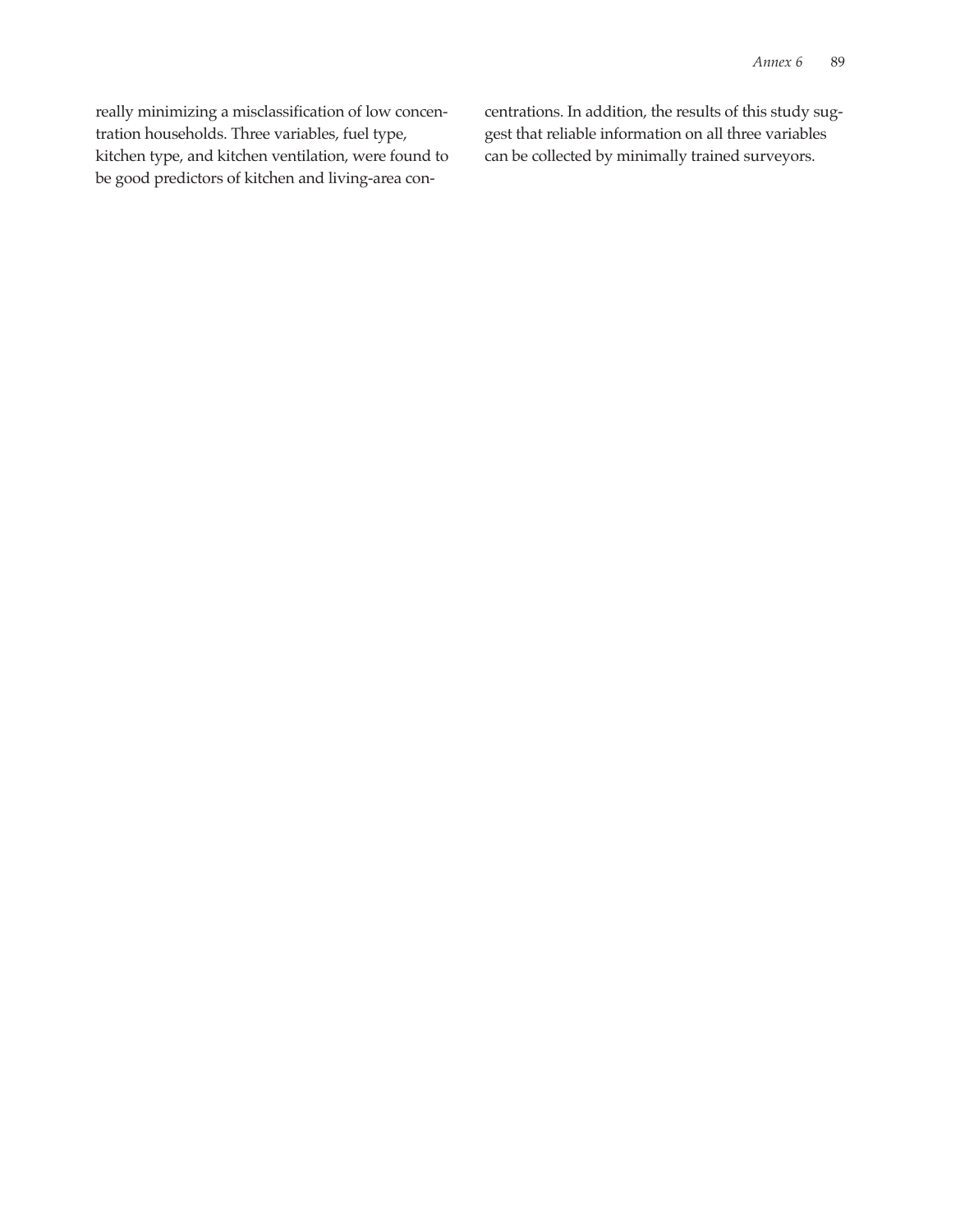really minimizing a misclassification of low concentration households. Three variables, fuel type, kitchen type, and kitchen ventilation, were found to be good predictors of kitchen and living-area concentrations. In addition, the results of this study suggest that reliable information on all three variables can be collected by minimally trained surveyors.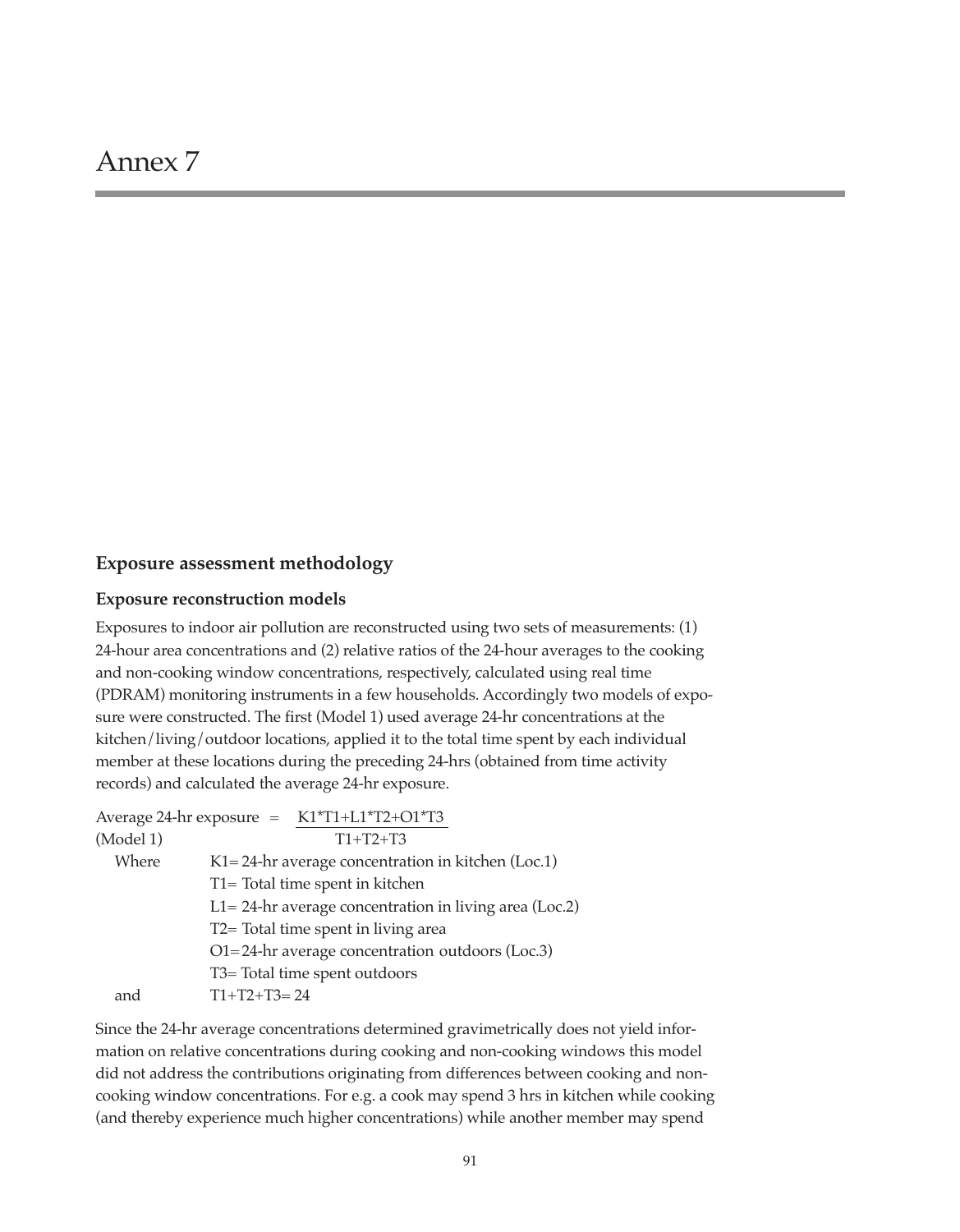## **Exposure assessment methodology**

#### **Exposure reconstruction models**

Exposures to indoor air pollution are reconstructed using two sets of measurements: (1) 24-hour area concentrations and (2) relative ratios of the 24-hour averages to the cooking and non-cooking window concentrations, respectively, calculated using real time (PDRAM) monitoring instruments in a few households. Accordingly two models of exposure were constructed. The first (Model 1) used average 24-hr concentrations at the kitchen/living/outdoor locations, applied it to the total time spent by each individual member at these locations during the preceding 24-hrs (obtained from time activity records) and calculated the average 24-hr exposure.

|           | Average 24-hr exposure = K1*T1+L1*T2+O1*T3                 |
|-----------|------------------------------------------------------------|
| (Model 1) | $T1+T2+T3$                                                 |
| Where     | $K1 = 24$ -hr average concentration in kitchen (Loc.1)     |
|           | T1= Total time spent in kitchen                            |
|           | $L1 = 24$ -hr average concentration in living area (Loc.2) |
|           | T2= Total time spent in living area                        |
|           | $O1 = 24$ -hr average concentration outdoors (Loc.3)       |
|           | T3= Total time spent outdoors                              |
| and       | $T1+T2+T3=24$                                              |

Since the 24-hr average concentrations determined gravimetrically does not yield information on relative concentrations during cooking and non-cooking windows this model did not address the contributions originating from differences between cooking and noncooking window concentrations. For e.g. a cook may spend 3 hrs in kitchen while cooking (and thereby experience much higher concentrations) while another member may spend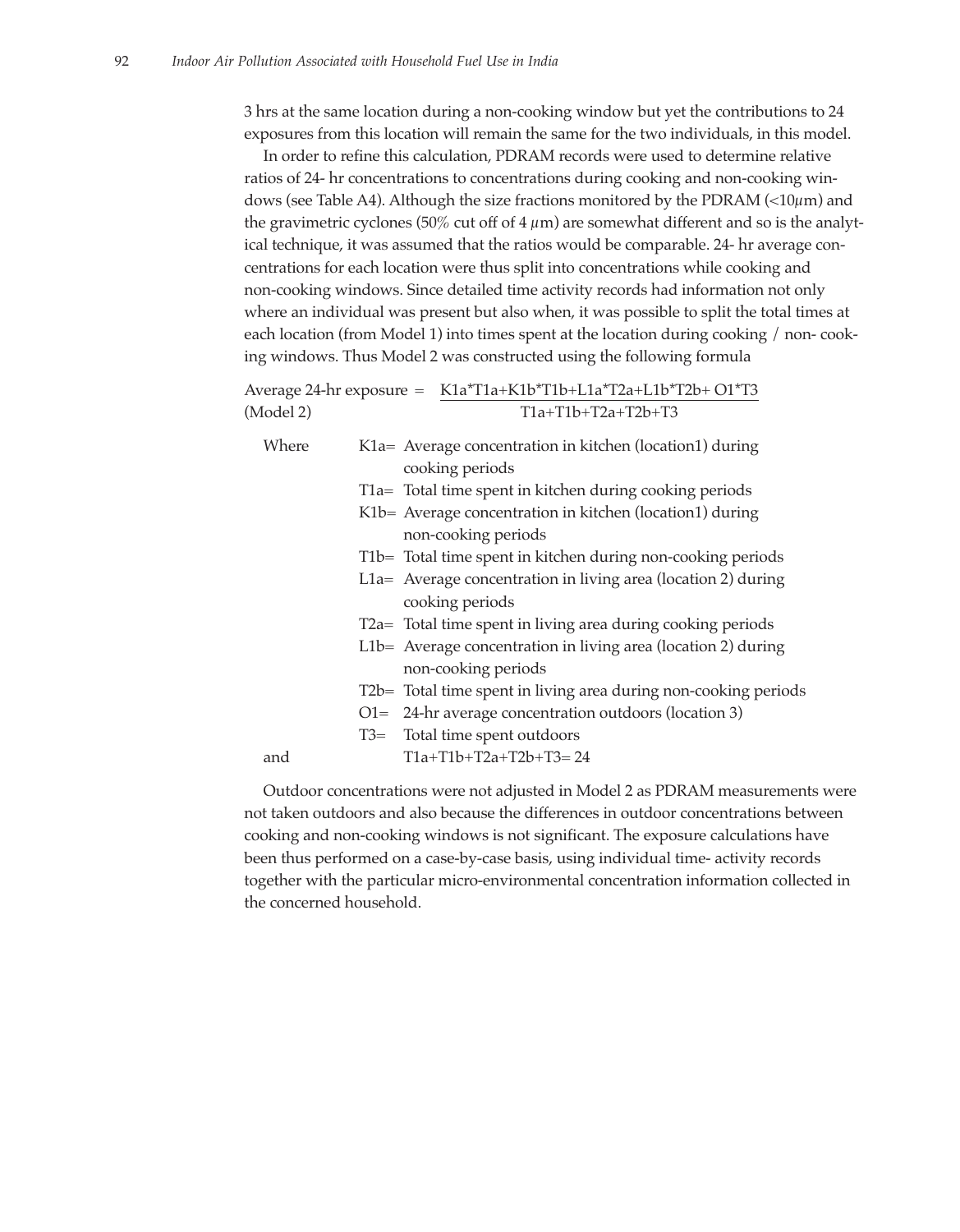3 hrs at the same location during a non-cooking window but yet the contributions to 24 exposures from this location will remain the same for the two individuals, in this model.

In order to refine this calculation, PDRAM records were used to determine relative ratios of 24- hr concentrations to concentrations during cooking and non-cooking windows (see Table A4). Although the size fractions monitored by the PDRAM ( $\lt 10\mu$ m) and the gravimetric cyclones (50% cut off of  $4 \mu m$ ) are somewhat different and so is the analytical technique, it was assumed that the ratios would be comparable. 24- hr average concentrations for each location were thus split into concentrations while cooking and non-cooking windows. Since detailed time activity records had information not only where an individual was present but also when, it was possible to split the total times at each location (from Model 1) into times spent at the location during cooking / non- cooking windows. Thus Model 2 was constructed using the following formula

|           | Average 24-hr exposure = K1a*T1a+K1b*T1b+L1a*T2a+L1b*T2b+ O1*T3 |
|-----------|-----------------------------------------------------------------|
| (Model 2) | $T1a+T1b+T2a+T2b+T3$                                            |

| Where |       | K1a = Average concentration in kitchen (location1) during       |
|-------|-------|-----------------------------------------------------------------|
|       |       | cooking periods                                                 |
|       |       | T1a = Total time spent in kitchen during cooking periods        |
|       |       | K1b = Average concentration in kitchen (location1) during       |
|       |       | non-cooking periods                                             |
|       |       | T1b= Total time spent in kitchen during non-cooking periods     |
|       |       | L1a = Average concentration in living area (location 2) during  |
|       |       | cooking periods                                                 |
|       |       | T2a= Total time spent in living area during cooking periods     |
|       |       | $L1b=$ Average concentration in living area (location 2) during |
|       |       | non-cooking periods                                             |
|       |       | T2b= Total time spent in living area during non-cooking periods |
|       |       | $O1 = 24$ -hr average concentration outdoors (location 3)       |
|       | $T3=$ | Total time spent outdoors                                       |
| and   |       | $T1a+T1b+T2a+T2b+T3=24$                                         |
|       |       |                                                                 |

Outdoor concentrations were not adjusted in Model 2 as PDRAM measurements were not taken outdoors and also because the differences in outdoor concentrations between cooking and non-cooking windows is not significant. The exposure calculations have been thus performed on a case-by-case basis, using individual time- activity records together with the particular micro-environmental concentration information collected in the concerned household.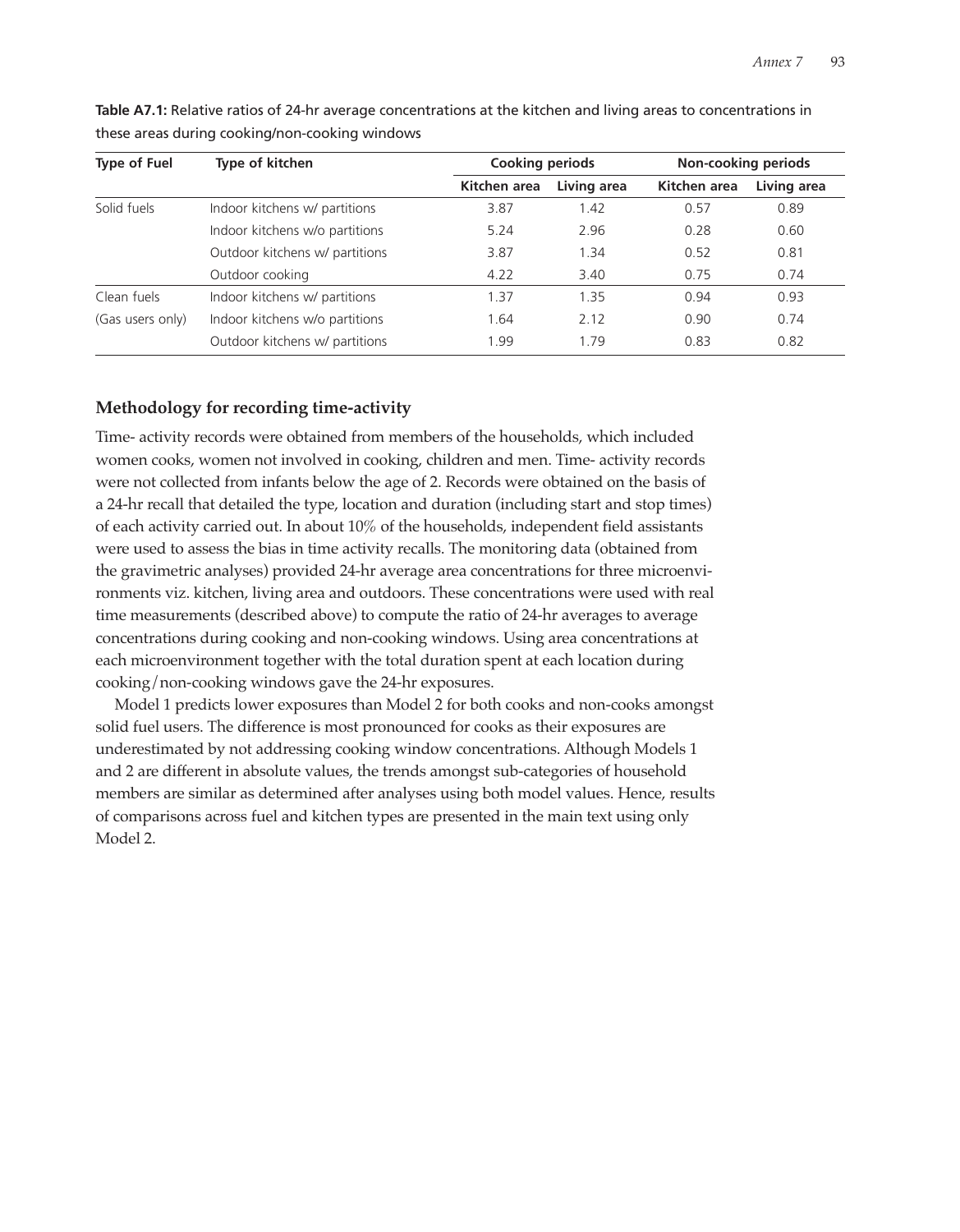| <b>Type of Fuel</b> | Type of kitchen                | <b>Cooking periods</b> |             | Non-cooking periods |             |
|---------------------|--------------------------------|------------------------|-------------|---------------------|-------------|
|                     |                                | Kitchen area           | Living area | Kitchen area        | Living area |
| Solid fuels         | Indoor kitchens w/ partitions  | 3.87                   | 1.42        | 0.57                | 0.89        |
|                     | Indoor kitchens w/o partitions | 5.24                   | 2.96        | 0.28                | 0.60        |
|                     | Outdoor kitchens w/ partitions | 3.87                   | 1.34        | 0.52                | 0.81        |
|                     | Outdoor cooking                | 4.22                   | 3.40        | 0.75                | 0.74        |
| Clean fuels         | Indoor kitchens w/ partitions  | 1.37                   | 1.35        | 0.94                | 0.93        |
| (Gas users only)    | Indoor kitchens w/o partitions | 1.64                   | 2.12        | 0.90                | 0.74        |
|                     | Outdoor kitchens w/ partitions | 1.99                   | 1.79        | 0.83                | 0.82        |

**Table A7.1:** Relative ratios of 24-hr average concentrations at the kitchen and living areas to concentrations in these areas during cooking/non-cooking windows

## **Methodology for recording time-activity**

Time- activity records were obtained from members of the households, which included women cooks, women not involved in cooking, children and men. Time- activity records were not collected from infants below the age of 2. Records were obtained on the basis of a 24-hr recall that detailed the type, location and duration (including start and stop times) of each activity carried out. In about 10% of the households, independent field assistants were used to assess the bias in time activity recalls. The monitoring data (obtained from the gravimetric analyses) provided 24-hr average area concentrations for three microenvironments viz. kitchen, living area and outdoors. These concentrations were used with real time measurements (described above) to compute the ratio of 24-hr averages to average concentrations during cooking and non-cooking windows. Using area concentrations at each microenvironment together with the total duration spent at each location during cooking/non-cooking windows gave the 24-hr exposures.

Model 1 predicts lower exposures than Model 2 for both cooks and non-cooks amongst solid fuel users. The difference is most pronounced for cooks as their exposures are underestimated by not addressing cooking window concentrations. Although Models 1 and 2 are different in absolute values, the trends amongst sub-categories of household members are similar as determined after analyses using both model values. Hence, results of comparisons across fuel and kitchen types are presented in the main text using only Model 2.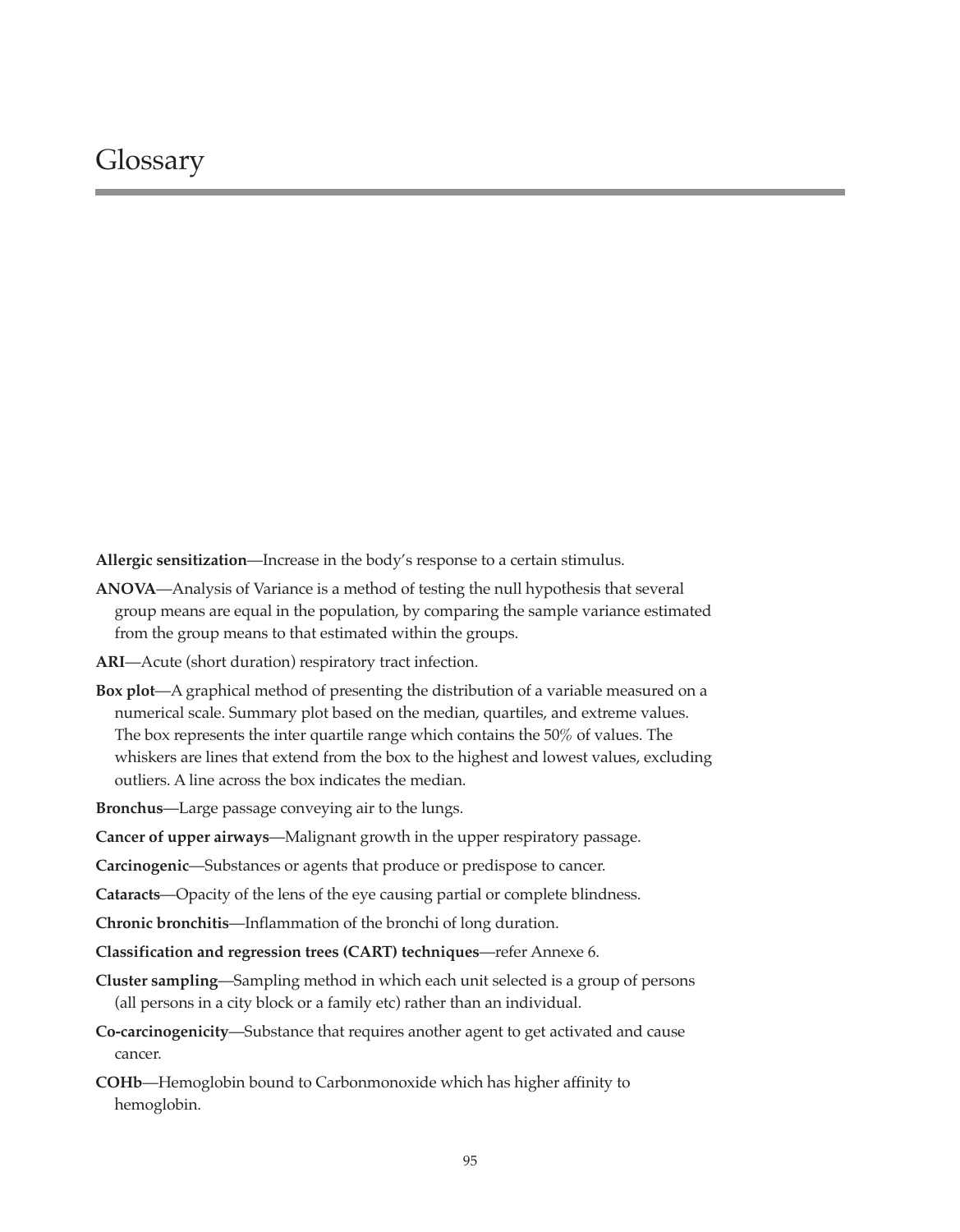**Allergic sensitization**—Increase in the body's response to a certain stimulus.

- **ANOVA**—Analysis of Variance is a method of testing the null hypothesis that several group means are equal in the population, by comparing the sample variance estimated from the group means to that estimated within the groups.
- **ARI**—Acute (short duration) respiratory tract infection.
- **Box plot**—A graphical method of presenting the distribution of a variable measured on a numerical scale. Summary plot based on the median, quartiles, and extreme values. The box represents the inter quartile range which contains the 50% of values. The whiskers are lines that extend from the box to the highest and lowest values, excluding outliers. A line across the box indicates the median.
- **Bronchus**—Large passage conveying air to the lungs.
- **Cancer of upper airways**—Malignant growth in the upper respiratory passage.
- **Carcinogenic**—Substances or agents that produce or predispose to cancer.
- **Cataracts**—Opacity of the lens of the eye causing partial or complete blindness.
- **Chronic bronchitis**—Inflammation of the bronchi of long duration.
- **Classification and regression trees (CART) techniques**—refer Annexe 6.
- **Cluster sampling**—Sampling method in which each unit selected is a group of persons (all persons in a city block or a family etc) rather than an individual.
- **Co-carcinogenicity**—Substance that requires another agent to get activated and cause cancer.
- **COHb**—Hemoglobin bound to Carbonmonoxide which has higher affinity to hemoglobin.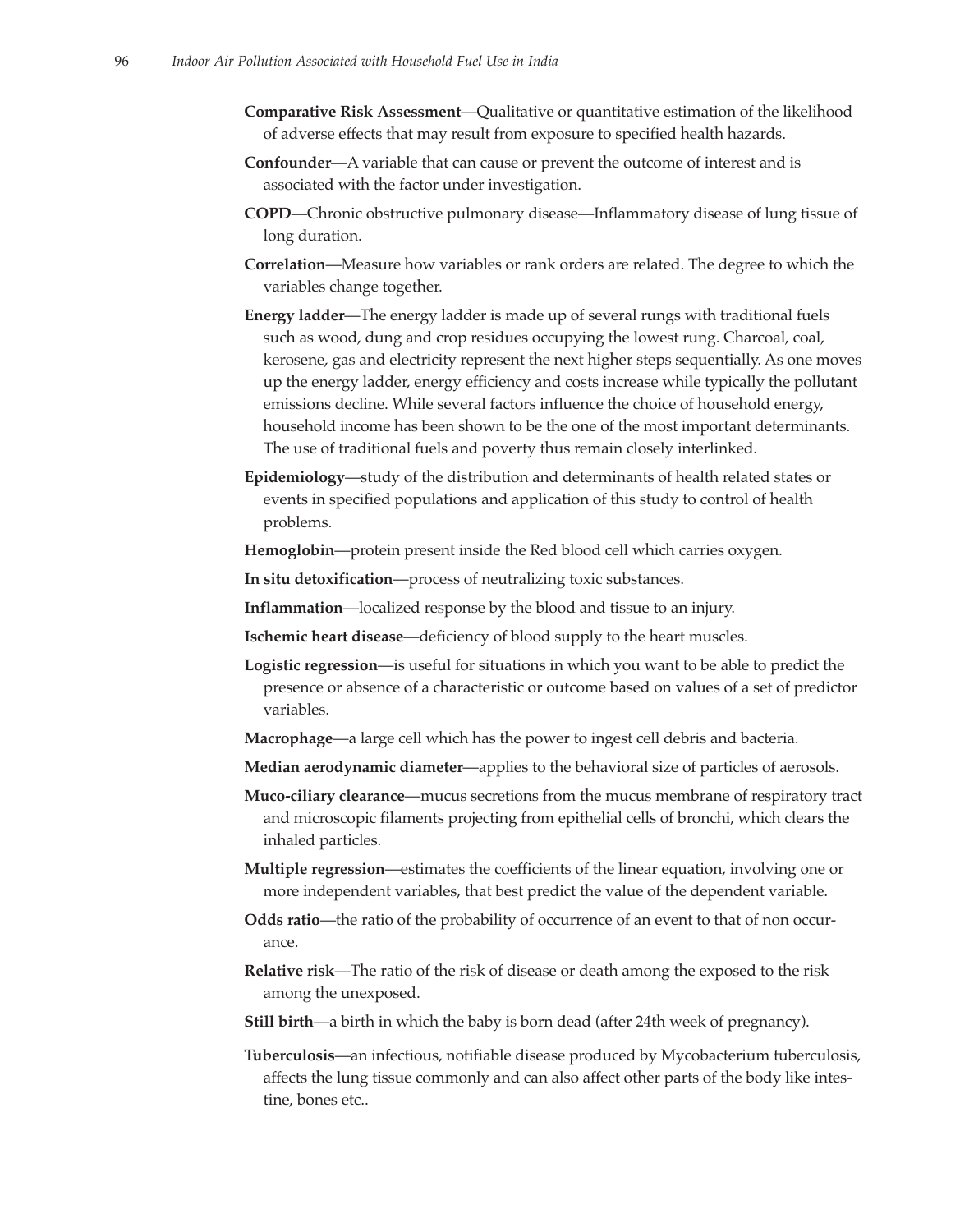- **Comparative Risk Assessment**—Qualitative or quantitative estimation of the likelihood of adverse effects that may result from exposure to specified health hazards.
- **Confounder**—A variable that can cause or prevent the outcome of interest and is associated with the factor under investigation.
- **COPD**—Chronic obstructive pulmonary disease—Inflammatory disease of lung tissue of long duration.
- **Correlation**—Measure how variables or rank orders are related. The degree to which the variables change together.
- **Energy ladder**—The energy ladder is made up of several rungs with traditional fuels such as wood, dung and crop residues occupying the lowest rung. Charcoal, coal, kerosene, gas and electricity represent the next higher steps sequentially. As one moves up the energy ladder, energy efficiency and costs increase while typically the pollutant emissions decline. While several factors influence the choice of household energy, household income has been shown to be the one of the most important determinants. The use of traditional fuels and poverty thus remain closely interlinked.
- **Epidemiology**—study of the distribution and determinants of health related states or events in specified populations and application of this study to control of health problems.
- **Hemoglobin**—protein present inside the Red blood cell which carries oxygen.

**In situ detoxification**—process of neutralizing toxic substances.

- **Inflammation**—localized response by the blood and tissue to an injury.
- **Ischemic heart disease**—deficiency of blood supply to the heart muscles.
- **Logistic regression**—is useful for situations in which you want to be able to predict the presence or absence of a characteristic or outcome based on values of a set of predictor variables.
- **Macrophage**—a large cell which has the power to ingest cell debris and bacteria.
- **Median aerodynamic diameter**—applies to the behavioral size of particles of aerosols.
- **Muco-ciliary clearance**—mucus secretions from the mucus membrane of respiratory tract and microscopic filaments projecting from epithelial cells of bronchi, which clears the inhaled particles.
- **Multiple regression**—estimates the coefficients of the linear equation, involving one or more independent variables, that best predict the value of the dependent variable.
- **Odds ratio**—the ratio of the probability of occurrence of an event to that of non occurance.
- **Relative risk**—The ratio of the risk of disease or death among the exposed to the risk among the unexposed.
- **Still birth**—a birth in which the baby is born dead (after 24th week of pregnancy).
- **Tuberculosis**—an infectious, notifiable disease produced by Mycobacterium tuberculosis, affects the lung tissue commonly and can also affect other parts of the body like intestine, bones etc..